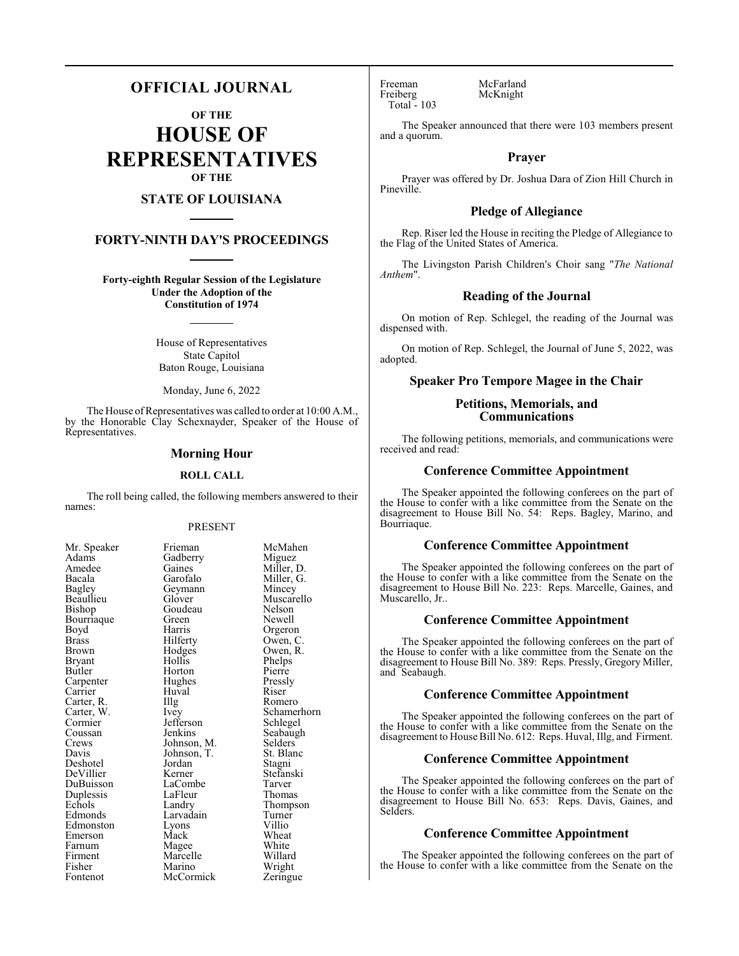# **OFFICIAL JOURNAL**

**OF THE**

**HOUSE OF REPRESENTATIVES OF THE**

# **STATE OF LOUISIANA**

# **FORTY-NINTH DAY'S PROCEEDINGS**

**Forty-eighth Regular Session of the Legislature Under the Adoption of the Constitution of 1974**

> House of Representatives State Capitol Baton Rouge, Louisiana

Monday, June 6, 2022

The House of Representatives was called to order at 10:00 A.M., by the Honorable Clay Schexnayder, Speaker of the House of Representatives.

### **Morning Hour**

#### **ROLL CALL**

The roll being called, the following members answered to their names:

#### PRESENT

McMahen Miguez Miller, D. Miller, G. Mincey Muscarello<br>Nelson

Newell Orgeron Owen, C. Owen, R. Phelps Pierre Pressly<br>Riser

Romero Schamerhorn Schlegel Seabaugh Selders<sup>7</sup> St. Blanc Stagni Stefanski Tarver<br>Thomas

Thompson Turner<br>Villio

White Willard Wright Zeringue

| Mr. Speaker | Frieman     | McMah     |
|-------------|-------------|-----------|
| Adams       | Gadberry    | Miguez    |
| Amedee      | Gaines      | Miller, l |
| Bacala      | Garofalo    | Miller,   |
| Bagley      | Geymann     | Mincey    |
| Beaullieu   | Glover      | Muscare   |
| Bishop      | Goudeau     | Nelson    |
| Bourriaque  | Green       | Newell    |
| Boyd        | Harris      | Orgeror   |
| Brass       | Hilferty    | Owen, 0   |
| Brown       | Hodges      | Owen, I   |
| Bryant      | Hollis      | Phelps    |
| Butler      | Horton      | Pierre    |
| Carpenter   | Hughes      | Pressly   |
| Carrier     | Huval       | Riser     |
| Carter, R.  | Illg        | Romero    |
| Carter, W.  | Ivey        | Schame    |
| Cormier     | Jefferson   | Schlege   |
| Coussan     | Jenkins     | Seabaug   |
| Crews       | Johnson, M. | Selders   |
| Davis       | Johnson, T. | St. Blan  |
| Deshotel    | Jordan      | Stagni    |
| DeVillier   | Kerner      | Stefansl  |
| DuBuisson   | LaCombe     | Tarver    |
| Duplessis   | LaFleur     | Thomas    |
| Echols      | Landry      | Thomps    |
| Edmonds     | Larvadain   | Turner    |
| Edmonston   | Lyons       | Villio    |
| Emerson     | Mack        | Wheat     |
| Farnum      | Magee       | White     |
| Firment     | Marcelle    | Willard   |
| Fisher      | Marino      | Wright    |
| Fontenot    | McCormick   | Zeringu   |

Freeman McFarland<br>Freiberg McKnight Total - 103

McKnight

The Speaker announced that there were 103 members present and a quorum.

# **Prayer**

Prayer was offered by Dr. Joshua Dara of Zion Hill Church in Pineville.

# **Pledge of Allegiance**

Rep. Riser led the House in reciting the Pledge of Allegiance to the Flag of the United States of America.

The Livingston Parish Children's Choir sang "*The National Anthem*".

# **Reading of the Journal**

On motion of Rep. Schlegel, the reading of the Journal was dispensed with.

On motion of Rep. Schlegel, the Journal of June 5, 2022, was adopted.

# **Speaker Pro Tempore Magee in the Chair**

# **Petitions, Memorials, and Communications**

The following petitions, memorials, and communications were received and read:

# **Conference Committee Appointment**

The Speaker appointed the following conferees on the part of the House to confer with a like committee from the Senate on the disagreement to House Bill No. 54: Reps. Bagley, Marino, and Bourriaque.

# **Conference Committee Appointment**

The Speaker appointed the following conferees on the part of the House to confer with a like committee from the Senate on the disagreement to House Bill No. 223: Reps. Marcelle, Gaines, and Muscarello, Jr..

#### **Conference Committee Appointment**

The Speaker appointed the following conferees on the part of the House to confer with a like committee from the Senate on the disagreement to House Bill No. 389: Reps. Pressly, Gregory Miller, and Seabaugh.

## **Conference Committee Appointment**

The Speaker appointed the following conferees on the part of the House to confer with a like committee from the Senate on the disagreement to House Bill No. 612: Reps. Huval, Illg, and Firment.

# **Conference Committee Appointment**

The Speaker appointed the following conferees on the part of the House to confer with a like committee from the Senate on the disagreement to House Bill No. 653: Reps. Davis, Gaines, and Selders.

### **Conference Committee Appointment**

The Speaker appointed the following conferees on the part of the House to confer with a like committee from the Senate on the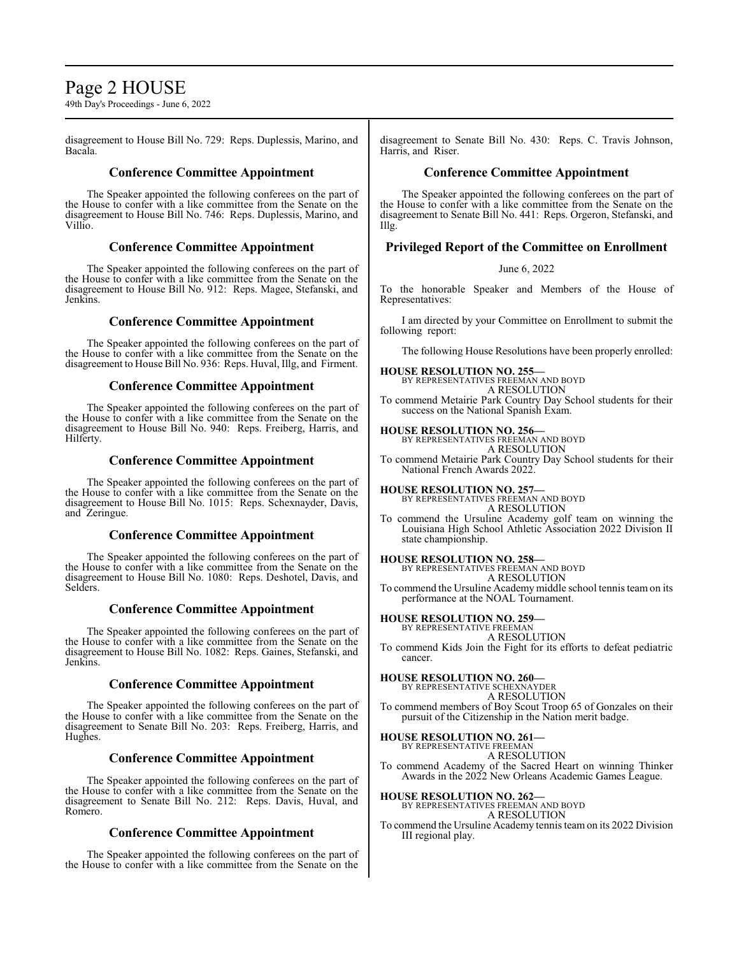# Page 2 HOUSE

49th Day's Proceedings - June 6, 2022

disagreement to House Bill No. 729: Reps. Duplessis, Marino, and Bacala.

# **Conference Committee Appointment**

The Speaker appointed the following conferees on the part of the House to confer with a like committee from the Senate on the disagreement to House Bill No. 746: Reps. Duplessis, Marino, and Villio.

# **Conference Committee Appointment**

The Speaker appointed the following conferees on the part of the House to confer with a like committee from the Senate on the disagreement to House Bill No. 912: Reps. Magee, Stefanski, and Jenkins.

# **Conference Committee Appointment**

The Speaker appointed the following conferees on the part of the House to confer with a like committee from the Senate on the disagreement to House Bill No. 936: Reps. Huval, Illg, and Firment.

# **Conference Committee Appointment**

The Speaker appointed the following conferees on the part of the House to confer with a like committee from the Senate on the disagreement to House Bill No. 940: Reps. Freiberg, Harris, and Hilferty.

# **Conference Committee Appointment**

The Speaker appointed the following conferees on the part of the House to confer with a like committee from the Senate on the disagreement to House Bill No. 1015: Reps. Schexnayder, Davis, and Zeringue.

# **Conference Committee Appointment**

The Speaker appointed the following conferees on the part of the House to confer with a like committee from the Senate on the disagreement to House Bill No. 1080: Reps. Deshotel, Davis, and Selders.

# **Conference Committee Appointment**

The Speaker appointed the following conferees on the part of the House to confer with a like committee from the Senate on the disagreement to House Bill No. 1082: Reps. Gaines, Stefanski, and Jenkins.

# **Conference Committee Appointment**

The Speaker appointed the following conferees on the part of the House to confer with a like committee from the Senate on the disagreement to Senate Bill No. 203: Reps. Freiberg, Harris, and Hughes.

# **Conference Committee Appointment**

The Speaker appointed the following conferees on the part of the House to confer with a like committee from the Senate on the disagreement to Senate Bill No. 212: Reps. Davis, Huval, and Romero.

# **Conference Committee Appointment**

The Speaker appointed the following conferees on the part of the House to confer with a like committee from the Senate on the

disagreement to Senate Bill No. 430: Reps. C. Travis Johnson, Harris, and Riser.

# **Conference Committee Appointment**

The Speaker appointed the following conferees on the part of the House to confer with a like committee from the Senate on the disagreement to Senate Bill No. 441: Reps. Orgeron, Stefanski, and Illg.

# **Privileged Report of the Committee on Enrollment**

June 6, 2022

To the honorable Speaker and Members of the House of Representatives:

I am directed by your Committee on Enrollment to submit the following report:

The following House Resolutions have been properly enrolled:

# **HOUSE RESOLUTION NO. 255—** BY REPRESENTATIVES FREEMAN AND BOYD

A RESOLUTION To commend Metairie Park Country Day School students for their success on the National Spanish Exam.

# **HOUSE RESOLUTION NO. 256—**

BY REPRESENTATIVES FREEMAN AND BOYD A RESOLUTION

To commend Metairie Park Country Day School students for their National French Awards 2022.

**HOUSE RESOLUTION NO. 257—**

BY REPRESENTATIVES FREEMAN AND BOYD A RESOLUTION

To commend the Ursuline Academy golf team on winning the Louisiana High School Athletic Association 2022 Division II state championship.

**HOUSE RESOLUTION NO. 258—** BY REPRESENTATIVES FREEMAN AND BOYD A RESOLUTION

To commend the Ursuline Academy middle school tennis team on its performance at the NOAL Tournament.

#### **HOUSE RESOLUTION NO. 259—** BY REPRESENTATIVE FREEMAN

A RESOLUTION

To commend Kids Join the Fight for its efforts to defeat pediatric cancer.

**HOUSE RESOLUTION NO. 260—** BY REPRESENTATIVE SCHEXNAYDER

A RESOLUTION

To commend members of Boy Scout Troop 65 of Gonzales on their pursuit of the Citizenship in the Nation merit badge.

**HOUSE RESOLUTION NO. 261—**

BY REPRESENTATIVE FREEMAN A RESOLUTION

To commend Academy of the Sacred Heart on winning Thinker Awards in the 2022 New Orleans Academic Games League.

**HOUSE RESOLUTION NO. 262—** BY REPRESENTATIVES FREEMAN AND BOYD

A RESOLUTION

To commend the Ursuline Academy tennis teamon its 2022 Division III regional play.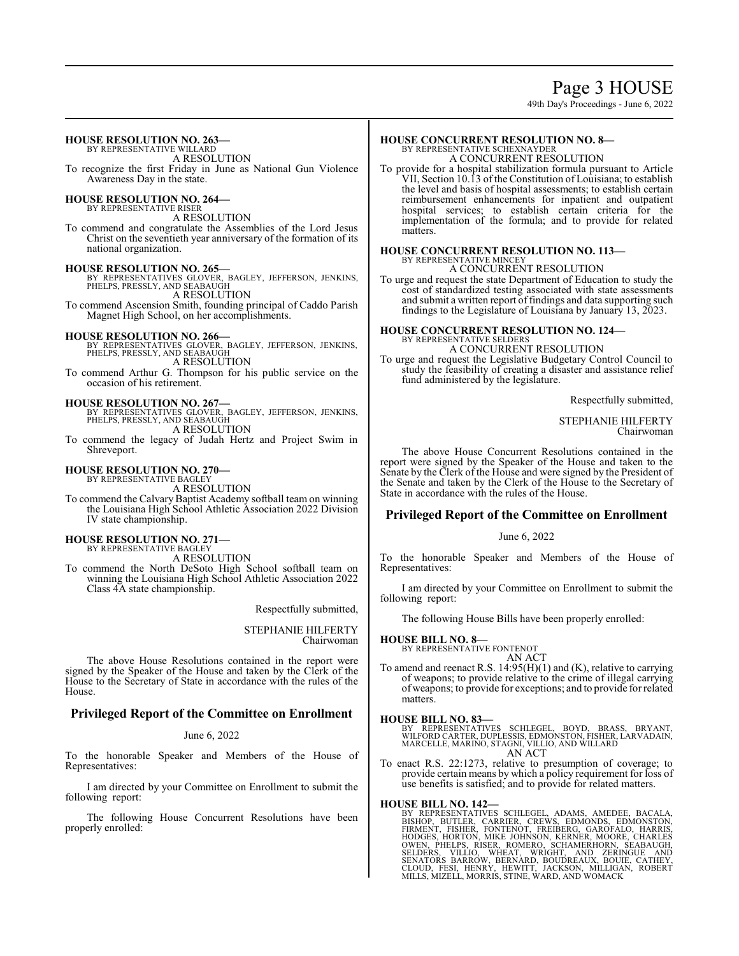# Page 3 HOUSE

49th Day's Proceedings - June 6, 2022

# **HOUSE RESOLUTION NO. 263—** BY REPRESENTATIVE WILLARD A RESOLUTION To recognize the first Friday in June as National Gun Violence Awareness Day in the state. **HOUSE RESOLUTION NO. 264—** BY REPRESENTATIVE RISER A RESOLUTION To commend and congratulate the Assemblies of the Lord Jesus Christ on the seventieth year anniversary of the formation of its national organization. **HOUSE RESOLUTION NO. 265—** BY REPRESENTATIVES GLOVER, BAGLEY, JEFFERSON, JENKINS, PHELPS, PRESSLY, AND SEABAUGH A RESOLUTION To commend Ascension Smith, founding principal of Caddo Parish Magnet High School, on her accomplishments. **HOUSE RESOLUTION NO. 266—** BY REPRESENTATIVES GLOVER, BAGLEY, JEFFERSON, JENKINS, PHELPS, PRESSLY, AND SEABAUGH A RESOLUTION To commend Arthur G. Thompson for his public service on the occasion of his retirement. **HOUSE RESOLUTION NO. 267—** BY REPRESENTATIVES GLOVER, BAGLEY, JEFFERSON, JENKINS, PHELPS, PRESSLY, AND SEABAUGH A RESOLUTION To commend the legacy of Judah Hertz and Project Swim in Shreveport.

# **HOUSE RESOLUTION NO. 270—**

BY REPRESENTATIVE BAGLEY A RESOLUTION

To commend the Calvary Baptist Academy softball team on winning the Louisiana High School Athletic Association 2022 Division IV state championship.

# **HOUSE RESOLUTION NO. 271—** BY REPRESENTATIVE BAGLEY

A RESOLUTION

To commend the North DeSoto High School softball team on winning the Louisiana High School Athletic Association 2022 Class 4A state championship.

Respectfully submitted,

STEPHANIE HILFERTY Chairwoman

The above House Resolutions contained in the report were signed by the Speaker of the House and taken by the Clerk of the House to the Secretary of State in accordance with the rules of the House.

# **Privileged Report of the Committee on Enrollment**

June 6, 2022

To the honorable Speaker and Members of the House of Representatives:

I am directed by your Committee on Enrollment to submit the following report:

The following House Concurrent Resolutions have been properly enrolled:

# **HOUSE CONCURRENT RESOLUTION NO. 8—** BY REPRESENTATIVE SCHEXNAYDER

A CONCURRENT RESOLUTION

To provide for a hospital stabilization formula pursuant to Article VII, Section 10.13 of the Constitution of Louisiana; to establish the level and basis of hospital assessments; to establish certain reimbursement enhancements for inpatient and outpatient hospital services; to establish certain criteria for the implementation of the formula; and to provide for related matters.

#### **HOUSE CONCURRENT RESOLUTION NO. 113—** BY REPRESENTATIVE MINCEY A CONCURRENT RESOLUTION

To urge and request the state Department of Education to study the cost of standardized testing associated with state assessments and submit a written report of findings and data supporting such findings to the Legislature of Louisiana by January 13, 2023.

# **HOUSE CONCURRENT RESOLUTION NO. 124—** BY REPRESENTATIVE SELDERS A CONCURRENT RESOLUTION

To urge and request the Legislative Budgetary Control Council to study the feasibility of creating a disaster and assistance relief fund administered by the legislature.

Respectfully submitted,

STEPHANIE HILFERTY Chairwoman

The above House Concurrent Resolutions contained in the report were signed by the Speaker of the House and taken to the Senate by the Clerk of the House and were signed by the President of the Senate and taken by the Clerk of the House to the Secretary of State in accordance with the rules of the House.

# **Privileged Report of the Committee on Enrollment**

June 6, 2022

To the honorable Speaker and Members of the House of Representatives:

I am directed by your Committee on Enrollment to submit the following report:

The following House Bills have been properly enrolled:

# **HOUSE BILL NO. 8—**

BY REPRESENTATIVE FONTENOT

AN ACT To amend and reenact R.S. 14:95(H)(1) and (K), relative to carrying of weapons; to provide relative to the crime of illegal carrying of weapons; to provide for exceptions; and to provide for related matters.

**HOUSE BILL NO. 83—** BY REPRESENTATIVES SCHLEGEL, BOYD, BRASS, BRYANT, WILFORD CARTER, DUPLESSIS, EDMONSTON, FISHER, LARVADAIN, MARCELLE, MARINO, STAGNI, VILLIO, AND WILLARD AN ACT

To enact R.S. 22:1273, relative to presumption of coverage; to provide certain means by which a policy requirement for loss of use benefits is satisfied; and to provide for related matters.

HOUSE BILL NO. 142—<br>BY REPRESENTATIVES SCHLEGEL, ADAMS, AMEDEE, BACALA,<br>BISHOP, BUTLER, CARRIER, CREWS, EDMONDS, EDMONSTON,<br>FIRMENT, FISHER, FONTENOT, FREIBERG, GAROFALO, HARRIS,<br>HODGES, HORTON, MIKE JOHNSON, KERNER, MOORE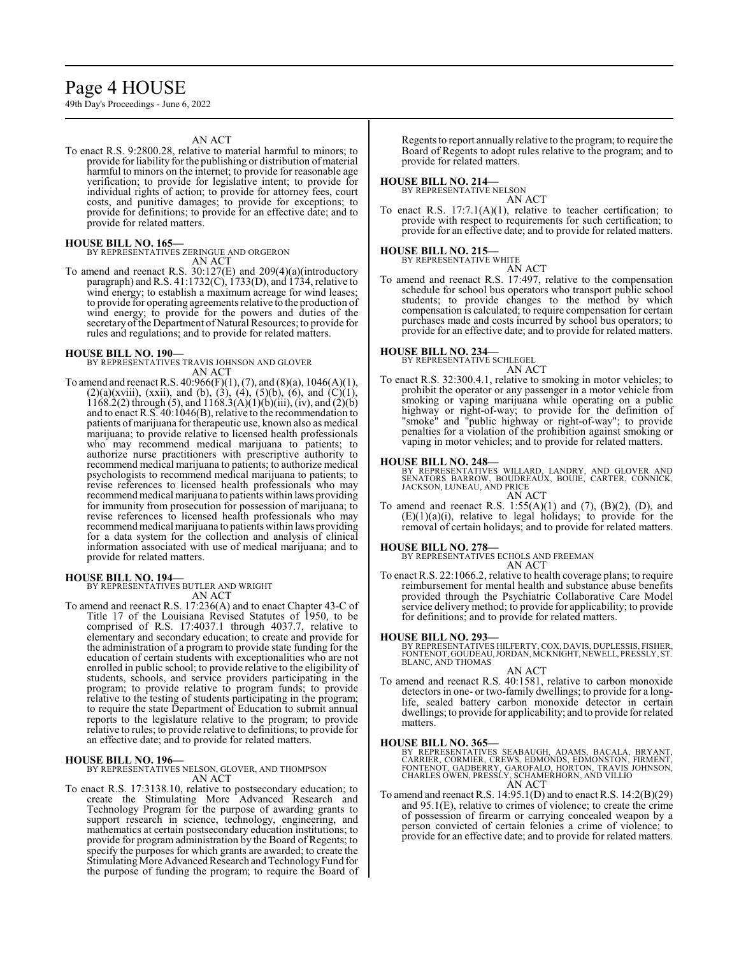# Page 4 HOUSE

49th Day's Proceedings - June 6, 2022

#### AN ACT

To enact R.S. 9:2800.28, relative to material harmful to minors; to provide for liability for the publishing or distribution of material harmful to minors on the internet; to provide for reasonable age verification; to provide for legislative intent; to provide for individual rights of action; to provide for attorney fees, court costs, and punitive damages; to provide for exceptions; to provide for definitions; to provide for an effective date; and to provide for related matters.

**HOUSE BILL NO. 165—** BY REPRESENTATIVES ZERINGUE AND ORGERON AN ACT

To amend and reenact R.S. 30:127(E) and 209(4)(a)(introductory paragraph) and R.S. 41:1732(C), 1733(D), and  $1734$ , relative to wind energy; to establish a maximum acreage for wind leases; to provide for operating agreements relative to the production of wind energy; to provide for the powers and duties of the secretary of the Department of Natural Resources; to provide for rules and regulations; and to provide for related matters.

### **HOUSE BILL NO. 190—**

BY REPRESENTATIVES TRAVIS JOHNSON AND GLOVER AN ACT

To amend and reenact R.S. 40:966(F)(1), (7), and (8)(a), 1046(A)(1),  $(2)(a)(xviii)$ ,  $(xxii)$ , and  $(b)$ ,  $(3)$ ,  $(4)$ ,  $(5)(b)$ ,  $(6)$ , and  $(C)(1)$ , 1168.2(2) through (5), and 1168.3(A)(1)(b)(iii), (iv), and (2)(b) and to enact R.S. 40:1046(B), relative to the recommendation to patients of marijuana for therapeutic use, known also as medical marijuana; to provide relative to licensed health professionals who may recommend medical marijuana to patients; to authorize nurse practitioners with prescriptive authority to recommend medical marijuana to patients; to authorize medical psychologists to recommend medical marijuana to patients; to revise references to licensed health professionals who may recommend medical marijuana to patients within laws providing for immunity from prosecution for possession of marijuana; to revise references to licensed health professionals who may recommend medical marijuana to patients within laws providing for a data system for the collection and analysis of clinical information associated with use of medical marijuana; and to provide for related matters.

#### **HOUSE BILL NO. 194—**

BY REPRESENTATIVES BUTLER AND WRIGHT AN ACT

To amend and reenact R.S. 17:236(A) and to enact Chapter 43-C of Title 17 of the Louisiana Revised Statutes of 1950, to be comprised of R.S. 17:4037.1 through 4037.7, relative to elementary and secondary education; to create and provide for the administration of a program to provide state funding for the education of certain students with exceptionalities who are not enrolled in public school; to provide relative to the eligibility of students, schools, and service providers participating in the program; to provide relative to program funds; to provide relative to the testing of students participating in the program; to require the state Department of Education to submit annual reports to the legislature relative to the program; to provide relative to rules; to provide relative to definitions; to provide for an effective date; and to provide for related matters.

#### **HOUSE BILL NO. 196—**

BY REPRESENTATIVES NELSON, GLOVER, AND THOMPSON AN ACT

To enact R.S. 17:3138.10, relative to postsecondary education; to create the Stimulating More Advanced Research and Technology Program for the purpose of awarding grants to support research in science, technology, engineering, and mathematics at certain postsecondary education institutions; to provide for program administration by the Board of Regents; to specify the purposes for which grants are awarded; to create the Stimulating More Advanced Research and Technology Fund for the purpose of funding the program; to require the Board of

Regents to report annually relative to the program; to require the Board of Regents to adopt rules relative to the program; and to provide for related matters.

#### **HOUSE BILL NO. 214—**

BY REPRESENTATIVE NELSON AN ACT

To enact R.S. 17:7.1(A)(1), relative to teacher certification; to provide with respect to requirements for such certification; to provide for an effective date; and to provide for related matters.

#### **HOUSE BILL NO. 215—** BY REPRESENTATIVE WHITE

AN ACT To amend and reenact R.S. 17:497, relative to the compensation schedule for school bus operators who transport public school

students; to provide changes to the method by which compensation is calculated; to require compensation for certain purchases made and costs incurred by school bus operators; to provide for an effective date; and to provide for related matters.

# **HOUSE BILL NO. 234—** BY REPRESENTATIVE SCHLEGEL

AN ACT

To enact R.S. 32:300.4.1, relative to smoking in motor vehicles; to prohibit the operator or any passenger in a motor vehicle from smoking or vaping marijuana while operating on a public highway or right-of-way; to provide for the definition of "smoke" and "public highway or right-of-way"; to provide penalties for a violation of the prohibition against smoking or vaping in motor vehicles; and to provide for related matters.

#### **HOUSE BILL NO. 248—**

BY REPRESENTATIVES WILLARD, LANDRY, AND GLOVER AND<br>SENATORS BARROW, BOUDREAUX, BOUIE, CARTER, CONNICK,<br>JACKSON, LUNEAU, AND PRICE

AN ACT

To amend and reenact R.S.  $1:55(A)(1)$  and  $(7)$ ,  $(B)(2)$ ,  $(D)$ , and  $(E)(1)(a)(i)$ , relative to legal holidays; to provide for the removal of certain holidays; and to provide for related matters.

#### **HOUSE BILL NO. 278—**

BY REPRESENTATIVES ECHOLS AND FREEMAN AN ACT

To enact R.S. 22:1066.2, relative to health coverage plans; to require reimbursement for mental health and substance abuse benefits provided through the Psychiatric Collaborative Care Model service delivery method; to provide for applicability; to provide for definitions; and to provide for related matters.

#### **HOUSE BILL NO. 293—**

BY REPRESENTATIVES HILFERTY, COX, DAVIS, DUPLESSIS, FISHER,<br>FONTENOT, GOUDEAU, JORDAN, MCKNIGHT, NEWELL, PRESSLY, ST.<br>BLANC, AND THOMAS

#### AN ACT

To amend and reenact R.S. 40:1581, relative to carbon monoxide detectors in one- or two-family dwellings; to provide for a longlife, sealed battery carbon monoxide detector in certain dwellings; to provide for applicability; and to provide for related matters.

**HOUSE BILL NO. 365—**<br>BY REPRESENTATIVES SEABAUGH, ADAMS, BACALA, BRYANT, CARRIER, CORMIER, CREWS, EDMONDS, EDMONSTON, FIRMENT,<br>FONTENOT, GADBERRY, GAROFALO, HORTON, TRAVIS JOHNSON,<br>CHARLES OWEN, PRESSLY, SCHAMERHORN, AND AN ACT

To amend and reenact R.S. 14:95.1(D) and to enact R.S. 14:2(B)(29) and 95.1(E), relative to crimes of violence; to create the crime of possession of firearm or carrying concealed weapon by a person convicted of certain felonies a crime of violence; to provide for an effective date; and to provide for related matters.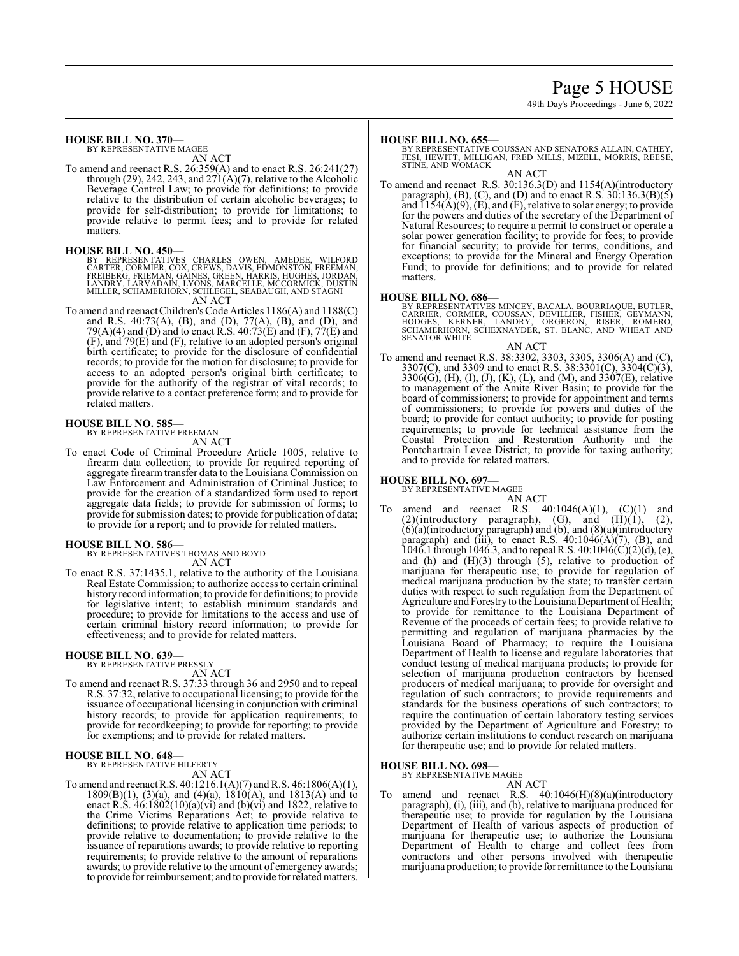# Page 5 HOUSE

49th Day's Proceedings - June 6, 2022

# **HOUSE BILL NO. 370—**

BY REPRESENTATIVE MAGEE AN ACT

To amend and reenact R.S. 26:359(A) and to enact R.S. 26:241(27) through (29), 242, 243, and  $271(A)(7)$ , relative to the Alcoholic Beverage Control Law; to provide for definitions; to provide relative to the distribution of certain alcoholic beverages; to provide for self-distribution; to provide for limitations; to provide relative to permit fees; and to provide for related matters.

#### **HOUSE BILL NO. 450—**

BY REPRESENTATIVES CHARLES OWEN, AMEDEE, WILFORD<br>CARTER,CORMIER,COX,CREWS,DAVIS,EDMSNTON,FREEMAN,<br>FREIBERG,FRIEMAN,GAINES,GREEN,HARRIS,HUGHES,JORDAN,<br>LANDRY,LARVADAIN,LYONS,MARCELLE,MCCORMICK,DUSTIN<br>MILLER,SCHAMERHORN,SCHL

AN ACT

To amend and reenact Children's Code Articles 1186(A) and 1188(C) and R.S. 40:73(A), (B), and (D), 77(A), (B), and (D), and 79(A)(4) and (D) and to enact R.S. 40:73(E) and (F), 77(E) and (F), and 79(E) and (F), relative to an adopted person's original birth certificate; to provide for the disclosure of confidential records; to provide for the motion for disclosure; to provide for access to an adopted person's original birth certificate; to provide for the authority of the registrar of vital records; to provide relative to a contact preference form; and to provide for related matters.

#### **HOUSE BILL NO. 585—**

BY REPRESENTATIVE FREEMAN AN ACT

To enact Code of Criminal Procedure Article 1005, relative to firearm data collection; to provide for required reporting of aggregate firearm transfer data to the Louisiana Commission on Law Enforcement and Administration of Criminal Justice; to provide for the creation of a standardized form used to report aggregate data fields; to provide for submission of forms; to provide for submission dates; to provide for publication of data; to provide for a report; and to provide for related matters.

#### **HOUSE BILL NO. 586—**

BY REPRESENTATIVES THOMAS AND BOYD AN ACT

To enact R.S. 37:1435.1, relative to the authority of the Louisiana Real Estate Commission; to authorize access to certain criminal history record information; to provide for definitions; to provide for legislative intent; to establish minimum standards and procedure; to provide for limitations to the access and use of certain criminal history record information; to provide for effectiveness; and to provide for related matters.

#### **HOUSE BILL NO. 639—** BY REPRESENTATIVE PRESSLY

AN ACT

To amend and reenact R.S. 37:33 through 36 and 2950 and to repeal R.S. 37:32, relative to occupational licensing; to provide for the issuance of occupational licensing in conjunction with criminal history records; to provide for application requirements; to provide for recordkeeping; to provide for reporting; to provide for exemptions; and to provide for related matters.

#### **HOUSE BILL NO. 648—** BY REPRESENTATIVE HILFERTY

AN ACT

To amend and reenact R.S. 40:1216.1(A)(7) and R.S. 46:1806(A)(1), 1809(B)(1), (3)(a), and (4)(a), 1810(A), and 1813(A) and to enact R.S.  $46:1802(10)(a)(vi)$  and  $(b)(vi)$  and 1822, relative to the Crime Victims Reparations Act; to provide relative to definitions; to provide relative to application time periods; to provide relative to documentation; to provide relative to the issuance of reparations awards; to provide relative to reporting requirements; to provide relative to the amount of reparations awards; to provide relative to the amount of emergency awards; to provide forreimbursement; and to provide for related matters.

#### **HOUSE BILL NO. 655—**

BY REPRESENTATIVE COUSSAN AND SENATORS ALLAIN, CATHEY,<br>FESI, HEWITT, MILLIGAN, FRED MILLS, MIZELL, MORRIS, REESE,<br>STINE, AND WOMACK

AN ACT

To amend and reenact R.S. 30:136.3(D) and 1154(A)(introductory paragraph),  $(B)$ ,  $(C)$ , and  $(D)$  and to enact R.S.  $30:136.3(B)(5)$ and  $\overline{1154(A)(9)}$ , (E), and (F), relative to solar energy; to provide for the powers and duties of the secretary of the Department of Natural Resources; to require a permit to construct or operate a solar power generation facility; to provide for fees; to provide for financial security; to provide for terms, conditions, and exceptions; to provide for the Mineral and Energy Operation Fund; to provide for definitions; and to provide for related matters.

**HOUSE BILL NO. 686—**<br>BY REPRESENTATIVES MINCEY, BACALA, BOURRIAQUE, BUTLER,<br>CARRIER, CORMIER, COUSSAN, DEVILLIER, FISHER, GEYMANN,<br>HODGES, KERNER, LANDRY, ORGERON, RISER, ROMERO,<br>SCNATOR WHITE<br>SENATOR WHITE

#### AN ACT

To amend and reenact R.S. 38:3302, 3303, 3305, 3306(A) and (C), 3307(C), and 3309 and to enact R.S. 38:3301(C), 3304(C)(3), 3306(G), (H), (I), (J), (K), (L), and (M), and 3307(E), relative to management of the Amite River Basin; to provide for the board of commissioners; to provide for appointment and terms of commissioners; to provide for powers and duties of the board; to provide for contact authority; to provide for posting requirements; to provide for technical assistance from the Coastal Protection and Restoration Authority and the Pontchartrain Levee District; to provide for taxing authority; and to provide for related matters.

#### **HOUSE BILL NO. 697—**

BY REPRESENTATIVE MAGEE

- AN ACT
- amend and reenact R.S.  $40:1046(A)(1)$ ,  $(C)(1)$  and  $(2)$ (introductory paragraph),  $(G)$ , and  $(H)(1)$ ,  $(2)$ , (6)(a)(introductory paragraph) and (b), and (8)(a)(introductory paragraph) and (iii), to enact R.S.  $40:1046(A)(7)$ , (B), and 1046.1 through 1046.3, and to repeal R.S. 40:1046(C)(2)(d), (e), and (h) and  $(H)(3)$  through  $(5)$ , relative to production of marijuana for therapeutic use; to provide for regulation of medical marijuana production by the state; to transfer certain duties with respect to such regulation from the Department of Agriculture and Forestry to the Louisiana Department of Health; to provide for remittance to the Louisiana Department of Revenue of the proceeds of certain fees; to provide relative to permitting and regulation of marijuana pharmacies by the Louisiana Board of Pharmacy; to require the Louisiana Department of Health to license and regulate laboratories that conduct testing of medical marijuana products; to provide for selection of marijuana production contractors by licensed producers of medical marijuana; to provide for oversight and regulation of such contractors; to provide requirements and standards for the business operations of such contractors; to require the continuation of certain laboratory testing services provided by the Department of Agriculture and Forestry; to authorize certain institutions to conduct research on marijuana for therapeutic use; and to provide for related matters.

#### **HOUSE BILL NO. 698—** BY REPRESENTATIVE MAGEE

- AN ACT
- To amend and reenact R.S. 40:1046(H)(8)(a)(introductory paragraph), (i), (iii), and (b), relative to marijuana produced for therapeutic use; to provide for regulation by the Louisiana Department of Health of various aspects of production of marijuana for therapeutic use; to authorize the Louisiana Department of Health to charge and collect fees from contractors and other persons involved with therapeutic marijuana production; to provide for remittance to the Louisiana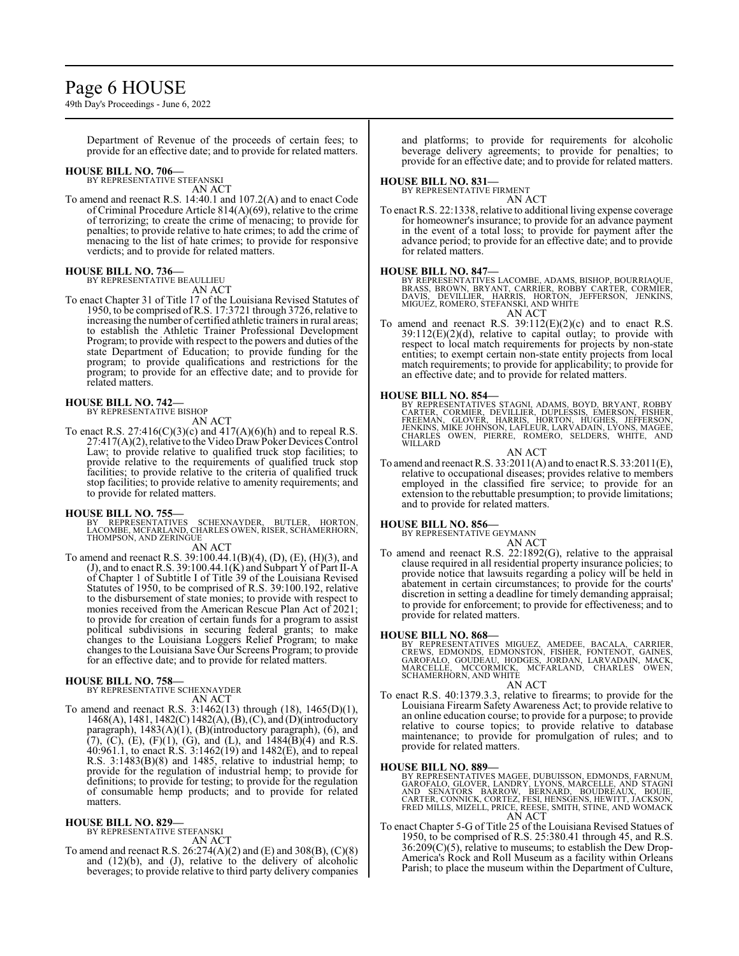# Page 6 HOUSE

49th Day's Proceedings - June 6, 2022

Department of Revenue of the proceeds of certain fees; to provide for an effective date; and to provide for related matters.

# **HOUSE BILL NO. 706—** BY REPRESENTATIVE STEFANSKI

AN ACT

To amend and reenact R.S. 14:40.1 and 107.2(A) and to enact Code of Criminal Procedure Article 814(A)(69), relative to the crime of terrorizing; to create the crime of menacing; to provide for penalties; to provide relative to hate crimes; to add the crime of menacing to the list of hate crimes; to provide for responsive verdicts; and to provide for related matters.

### **HOUSE BILL NO. 736—**

BY REPRESENTATIVE BEAULLIEU

AN ACT To enact Chapter 31 of Title 17 of the Louisiana Revised Statutes of 1950, to be comprised ofR.S. 17:3721 through 3726, relative to increasing the number of certified athletic trainers in rural areas; to establish the Athletic Trainer Professional Development Program; to provide with respect to the powers and duties of the state Department of Education; to provide funding for the program; to provide qualifications and restrictions for the program; to provide for an effective date; and to provide for related matters.

# **HOUSE BILL NO. 742—** BY REPRESENTATIVE BISHOP

AN ACT

To enact R.S. 27:416(C)(3)(c) and  $417(A)(6)(h)$  and to repeal R.S.  $27:417(A)(2)$ , relative to the Video Draw Poker Devices Control Law; to provide relative to qualified truck stop facilities; to provide relative to the requirements of qualified truck stop facilities; to provide relative to the criteria of qualified truck stop facilities; to provide relative to amenity requirements; and to provide for related matters.

### **HOUSE BILL NO. 755—**

- BY REPRESENTATIVES SCHEXNAYDER, BUTLER, HORTON, LACOMBE, MCFARLAND, CHARLES OWEN, RISER, SCHAMERHORN, THOMPSON, AND ZERINGUE AN ACT
- To amend and reenact R.S. 39:100.44.1(B)(4), (D), (E), (H)(3), and (J), and to enact R.S. 39:100.44.1(K) and Subpart Y of Part II-A of Chapter 1 of Subtitle I of Title 39 of the Louisiana Revised Statutes of 1950, to be comprised of R.S. 39:100.192, relative to the disbursement of state monies; to provide with respect to monies received from the American Rescue Plan Act of 2021; to provide for creation of certain funds for a program to assist political subdivisions in securing federal grants; to make changes to the Louisiana Loggers Relief Program; to make changes to the Louisiana Save Our Screens Program; to provide for an effective date; and to provide for related matters.

**HOUSE BILL NO. 758—** BY REPRESENTATIVE SCHEXNAYDER AN ACT

To amend and reenact R.S. 3:1462(13) through (18), 1465(D)(1), 1468(A), 1481, 1482(C) 1482(A),(B),(C), and (D)(introductory paragraph), 1483(A)(1), (B)(introductory paragraph), (6), and  $(7)$ ,  $(C)$ ,  $(E)$ ,  $(F)(1)$ ,  $(G)$ , and  $(L)$ , and  $1484(B)(4)$  and R.S. 40:961.1, to enact R.S. 3:1462(19) and 1482(E), and to repeal R.S. 3:1483(B)(8) and 1485, relative to industrial hemp; to provide for the regulation of industrial hemp; to provide for definitions; to provide for testing; to provide for the regulation of consumable hemp products; and to provide for related matters.

#### **HOUSE BILL NO. 829—**

BY REPRESENTATIVE STEFANSKI

To amend and reenact R.S. 26:274(A)(2) and (E) and 308(B), (C)(8) and  $(12)(b)$ , and  $(J)$ , relative to the delivery of alcoholic beverages; to provide relative to third party delivery companies and platforms; to provide for requirements for alcoholic beverage delivery agreements; to provide for penalties; to provide for an effective date; and to provide for related matters.

## **HOUSE BILL NO. 831—**

BY REPRESENTATIVE FIRMENT

AN ACT To enact R.S. 22:1338, relative to additional living expense coverage for homeowner's insurance; to provide for an advance payment in the event of a total loss; to provide for payment after the advance period; to provide for an effective date; and to provide for related matters.

**HOUSE BILL NO. 847—** BY REPRESENTATIVES LACOMBE, ADAMS, BISHOP, BOURRIAQUE, BRASS, BROWN, BRYANT, CARRIER, ROBBY CARTER, CORMIER,<br>DAVIS, DEVILLIER, HARRIS, HORTON, JEFFERSON, JENKINS,<br>MIGUEZ,ROMERO, STEFANSKI, AND WHITE AN ACT

To amend and reenact R.S.  $39:112(E)(2)(c)$  and to enact R.S.  $39:112(E)(2)(d)$ , relative to capital outlay; to provide with respect to local match requirements for projects by non-state entities; to exempt certain non-state entity projects from local match requirements; to provide for applicability; to provide for an effective date; and to provide for related matters.

#### **HOUSE BILL NO. 854—**

BY REPRESENTATIVES STAGNI, ADAMS, BOYD, BRYANT, ROBBY<br>CARTER, CORMIER, DEVILLIER, DUPLESSIS, EMERSON, FISHER,<br>FREEMAN, GLOVER, HARRIS, HORTON, HUGHES, JEFFERSON,<br>JENKINS, MIKE JOHNSON, LAFLEUR, LARVADAIN, LYONS, MAGEE,<br>CHA

AN ACT

To amend and reenact R.S. 33:2011(A) and to enact R.S. 33:2011(E), relative to occupational diseases; provides relative to members employed in the classified fire service; to provide for an extension to the rebuttable presumption; to provide limitations; and to provide for related matters.

# **HOUSE BILL NO. 856—**

BY REPRESENTATIVE GEYMANN

AN ACT To amend and reenact R.S. 22:1892(G), relative to the appraisal clause required in all residential property insurance policies; to provide notice that lawsuits regarding a policy will be held in abatement in certain circumstances; to provide for the courts' discretion in setting a deadline for timely demanding appraisal; to provide for enforcement; to provide for effectiveness; and to provide for related matters.

#### **HOUSE BILL NO. 868—**

BY REPRESENTATIVES MIGUEZ, AMEDEE, BACALA, CARRIER,<br>CREWS, EDMONDS, EDMONSTON, FISHER, FONTENOT, GAINES,<br>GAROFÁLO, GOUDÉAU, HODGES, JORDAN, LARVADAIN, MACK,<br>MARCELLE, MCCORMICK, MCFARLAND, CHARLES OWEN,<br>SCHAMERHORN,AND WHI

AN ACT

To enact R.S. 40:1379.3.3, relative to firearms; to provide for the Louisiana Firearm Safety Awareness Act; to provide relative to an online education course; to provide for a purpose; to provide relative to course topics; to provide relative to database maintenance; to provide for promulgation of rules; and to provide for related matters.

### **HOUSE BILL NO. 889—**

BY REPRESENTATIVES MAGEE, DUBUISSON, EDMONDS, FARNUM,<br>GAROFALO, GLOVER, LANDRY, LYONS, MARCELLE, AND STAGNI<br>AND SENATORS BARROW, BERNARD, BOUDREAUX, BOUIE,<br>CARTER, CONNICK, CORTEZ, FESI, HENSGENS, HEWITT, JACKSON,<br>FRED MIL AN ACT

To enact Chapter 5-G of Title 25 of the Louisiana Revised Statues of 1950, to be comprised of R.S. 25:380.41 through 45, and R.S. 36:209(C)(5), relative to museums; to establish the Dew Drop-America's Rock and Roll Museum as a facility within Orleans Parish; to place the museum within the Department of Culture,

AN ACT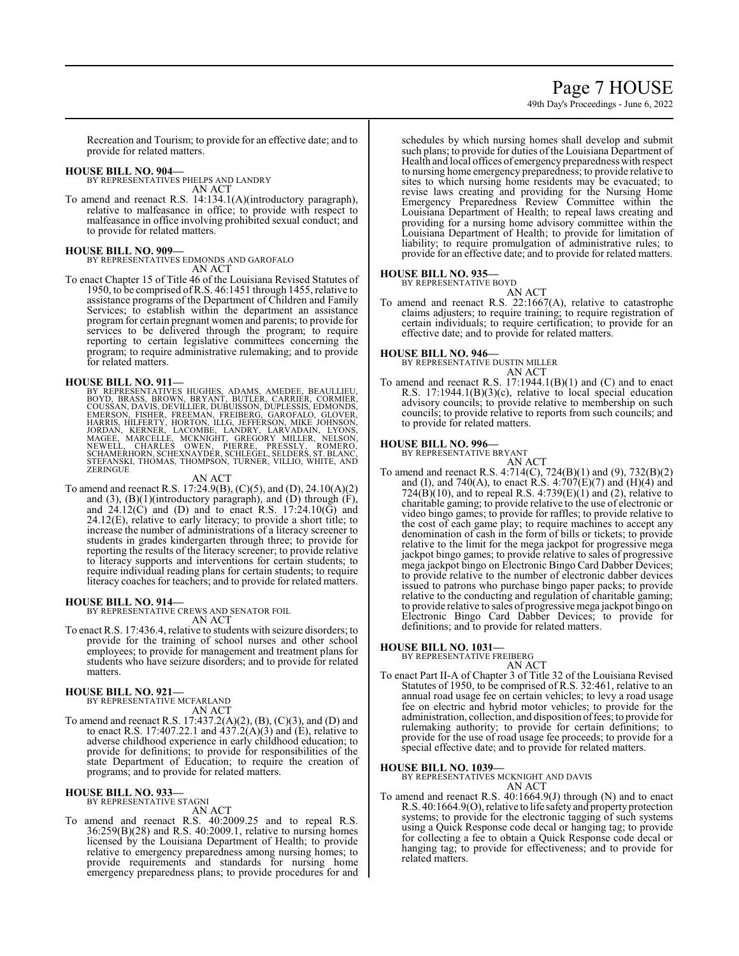# Page 7 HOUSE

49th Day's Proceedings - June 6, 2022

Recreation and Tourism; to provide for an effective date; and to provide for related matters.

### **HOUSE BILL NO. 904—**

BY REPRESENTATIVES PHELPS AND LANDRY AN ACT

To amend and reenact R.S. 14:134.1(A)(introductory paragraph), relative to malfeasance in office; to provide with respect to malfeasance in office involving prohibited sexual conduct; and to provide for related matters.

### **HOUSE BILL NO. 909—**

BY REPRESENTATIVES EDMONDS AND GAROFALO AN ACT

To enact Chapter 15 of Title 46 of the Louisiana Revised Statutes of 1950, to be comprised of R.S. 46:1451 through 1455, relative to assistance programs of the Department of Children and Family Services; to establish within the department an assistance program for certain pregnant women and parents; to provide for services to be delivered through the program; to require reporting to certain legislative committees concerning the program; to require administrative rulemaking; and to provide for related matters.

HOUSE BILL NO. 911—<br>BY REPRESENTATIVES HUGHES, ADAMS, AMEDEE, BEAULLIEU,<br>BOYD, BRASS, BROWN, BRYANT, BUTLER, CARRIER, CORMIER,<br>COUSSAN, DAVIS, DEVILLIER, DUBUISSON, DUPLESSIS, EDMONDS,<br>EMERSON, FISHER, FREEMAN, FREIBERG, G

AN ACT

To amend and reenact R.S. 17:24.9(B), (C)(5), and (D), 24.10(A)(2) and  $(3)$ ,  $(B)(1)$ (introductory paragraph), and  $(D)$  through  $(F)$ , and  $24.12(\hat{C})$  and (D) and to enact R.S.  $17:24.10(\hat{G})$  and 24.12(E), relative to early literacy; to provide a short title; to increase the number of administrations of a literacy screener to students in grades kindergarten through three; to provide for reporting the results of the literacy screener; to provide relative to literacy supports and interventions for certain students; to require individual reading plans for certain students; to require literacy coaches for teachers; and to provide for related matters.

# **HOUSE BILL NO. 914—**

BY REPRESENTATIVE CREWS AND SENATOR FOIL AN ACT

To enact R.S. 17:436.4, relative to students with seizure disorders; to provide for the training of school nurses and other school employees; to provide for management and treatment plans for students who have seizure disorders; and to provide for related matters.

# **HOUSE BILL NO. 921—**

BY REPRESENTATIVE MCFARLAND AN ACT

To amend and reenact R.S. 17:437.2(A)(2), (B), (C)(3), and (D) and to enact R.S. 17:407.22.1 and  $437.2(A)(3)$  and (E), relative to adverse childhood experience in early childhood education; to provide for definitions; to provide for responsibilities of the state Department of Education; to require the creation of programs; and to provide for related matters.

#### **HOUSE BILL NO. 933—** BY REPRESENTATIVE STAGNI

AN ACT

To amend and reenact R.S. 40:2009.25 and to repeal R.S. 36:259(B)(28) and R.S. 40:2009.1, relative to nursing homes licensed by the Louisiana Department of Health; to provide relative to emergency preparedness among nursing homes; to provide requirements and standards for nursing home emergency preparedness plans; to provide procedures for and schedules by which nursing homes shall develop and submit such plans; to provide for duties of the Louisiana Department of Health and local offices of emergency preparedness with respect to nursing home emergency preparedness; to provide relative to sites to which nursing home residents may be evacuated; to revise laws creating and providing for the Nursing Home Emergency Preparedness Review Committee within the Louisiana Department of Health; to repeal laws creating and providing for a nursing home advisory committee within the Louisiana Department of Health; to provide for limitation of liability; to require promulgation of administrative rules; to provide for an effective date; and to provide for related matters.

# **HOUSE BILL NO. 935—**

BY REPRESENTATIVE BOYD AN ACT

To amend and reenact R.S. 22:1667(A), relative to catastrophe claims adjusters; to require training; to require registration of certain individuals; to require certification; to provide for an effective date; and to provide for related matters.

# **HOUSE BILL NO. 946—**

BY REPRESENTATIVE DUSTIN MILLER AN ACT

To amend and reenact R.S.  $17:1944.1(B)(1)$  and (C) and to enact R.S. 17:1944.1(B)(3)(c), relative to local special education advisory councils; to provide relative to membership on such councils; to provide relative to reports from such councils; and to provide for related matters.

**HOUSE BILL NO. 996—** BY REPRESENTATIVE BRYANT AN ACT

To amend and reenact R.S. 4:714(C), 724(B)(1) and (9), 732(B)(2) and (I), and 740(A), to enact R.S. 4:707(E)(7) and (H)(4) and 724( $\overline{B}$ )(10), and to repeal R.S. 4:739( $\overline{E}$ )(1) and (2), relative to charitable gaming; to provide relative to the use of electronic or video bingo games; to provide for raffles; to provide relative to the cost of each game play; to require machines to accept any denomination of cash in the form of bills or tickets; to provide relative to the limit for the mega jackpot for progressive mega jackpot bingo games; to provide relative to sales of progressive mega jackpot bingo on Electronic Bingo Card Dabber Devices; to provide relative to the number of electronic dabber devices issued to patrons who purchase bingo paper packs; to provide relative to the conducting and regulation of charitable gaming; to provide relative to sales of progressive mega jackpot bingo on Electronic Bingo Card Dabber Devices; to provide for definitions; and to provide for related matters.

# **HOUSE BILL NO. 1031—**

BY REPRESENTATIVE FREIBERG

AN ACT To enact Part II-A of Chapter 3 of Title 32 of the Louisiana Revised Statutes of 1950, to be comprised of R.S. 32:461, relative to an annual road usage fee on certain vehicles; to levy a road usage fee on electric and hybrid motor vehicles; to provide for the administration, collection, and disposition offees; to provide for rulemaking authority; to provide for certain definitions; to provide for the use of road usage fee proceeds; to provide for a special effective date; and to provide for related matters.

#### **HOUSE BILL NO. 1039—**

BY REPRESENTATIVES MCKNIGHT AND DAVIS AN ACT

To amend and reenact R.S. 40:1664.9(J) through (N) and to enact R.S. 40:1664.9(O), relative to life safety and property protection systems; to provide for the electronic tagging of such systems using a Quick Response code decal or hanging tag; to provide for collecting a fee to obtain a Quick Response code decal or hanging tag; to provide for effectiveness; and to provide for related matters.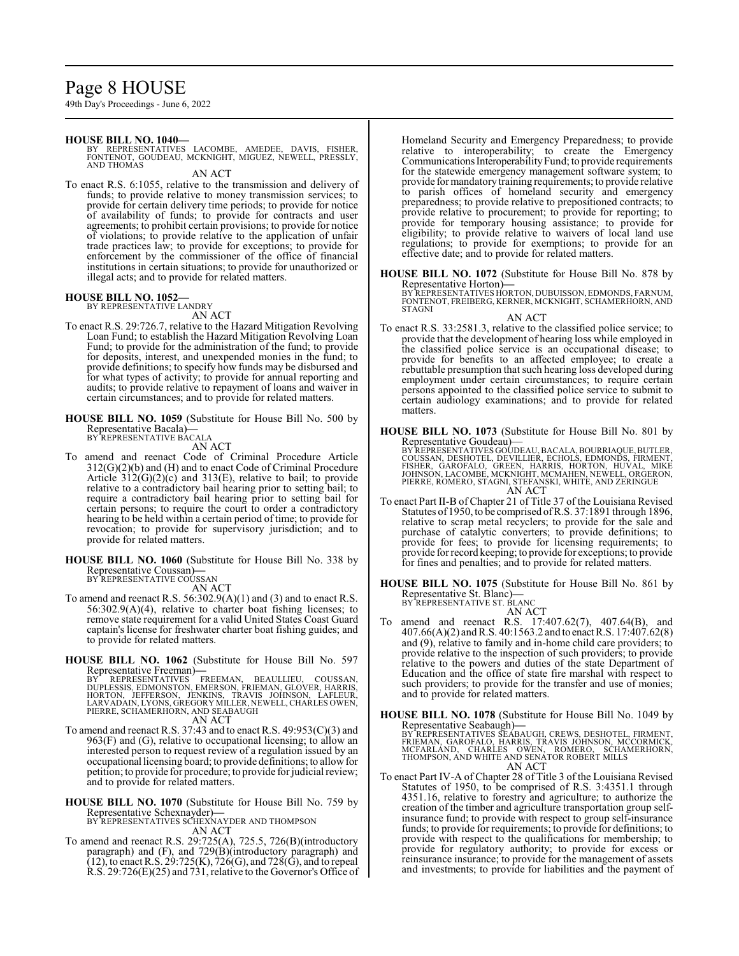# Page 8 HOUSE

49th Day's Proceedings - June 6, 2022

### **HOUSE BILL NO. 1040—**

BY REPRESENTATIVES LACOMBE, AMEDEE, DAVIS, FISHER, FONTENOT, GOUDEAU, MCKNIGHT, MIGUEZ, NEWELL, PRESSLY, AND THOMAS

AN ACT

To enact R.S. 6:1055, relative to the transmission and delivery of funds; to provide relative to money transmission services; to provide for certain delivery time periods; to provide for notice of availability of funds; to provide for contracts and user agreements; to prohibit certain provisions; to provide for notice of violations; to provide relative to the application of unfair trade practices law; to provide for exceptions; to provide for enforcement by the commissioner of the office of financial institutions in certain situations; to provide for unauthorized or illegal acts; and to provide for related matters.

# **HOUSE BILL NO. 1052—** BY REPRESENTATIVE LANDRY

- AN ACT
- To enact R.S. 29:726.7, relative to the Hazard Mitigation Revolving Loan Fund; to establish the Hazard Mitigation Revolving Loan Fund; to provide for the administration of the fund; to provide for deposits, interest, and unexpended monies in the fund; to provide definitions; to specify how funds may be disbursed and for what types of activity; to provide for annual reporting and audits; to provide relative to repayment of loans and waiver in certain circumstances; and to provide for related matters.
- **HOUSE BILL NO. 1059** (Substitute for House Bill No. 500 by Representative Bacala)**—** BY REPRESENTATIVE BACALA

AN ACT

- To amend and reenact Code of Criminal Procedure Article 312(G)(2)(b) and (H) and to enact Code of Criminal Procedure Article  $312(G)(2)(c)$  and  $313(E)$ , relative to bail; to provide relative to a contradictory bail hearing prior to setting bail; to require a contradictory bail hearing prior to setting bail for certain persons; to require the court to order a contradictory hearing to be held within a certain period of time; to provide for revocation; to provide for supervisory jurisdiction; and to provide for related matters.
- **HOUSE BILL NO. 1060** (Substitute for House Bill No. 338 by Representative Coussan)**—** BY REPRESENTATIVE COUSSAN

AN ACT

- To amend and reenact R.S. 56:302.9(A)(1) and (3) and to enact R.S. 56:302.9(A)(4), relative to charter boat fishing licenses; to remove state requirement for a valid United States Coast Guard captain's license for freshwater charter boat fishing guides; and to provide for related matters.
- **HOUSE BILL NO. 1062** (Substitute for House Bill No. 597

Representative Freeman)—<br>BY REPRESENTATIVES FREEMAN, BEAULLIEU, COUSSAN,<br>DUPLESSIS, EDMONSTON, EMERSON, FRIEMAN, GLOVER, HARRIS,<br>HORTON, JEFFERSON, JENKINS, TRAVIS JOHNSON, LAFLEUR,<br>LARVADAIN, LYONS, GREGORY MILLER, NEWELL

AN ACT

To amend and reenact R.S. 37:43 and to enact R.S. 49:953(C)(3) and  $963(F)$  and (G), relative to occupational licensing; to allow an interested person to request review of a regulation issued by an occupationallicensing board; to provide definitions; to allowfor petition; to provide for procedure; to provide for judicial review; and to provide for related matters.

**HOUSE BILL NO. 1070** (Substitute for House Bill No. 759 by Representative Schexnayder)**—** BY REPRESENTATIVES SCHEXNAYDER AND THOMPSON

AN ACT

To amend and reenact R.S. 29:725(A), 725.5, 726(B)(introductory paragraph) and (F), and 729(B)(introductory paragraph) and (12), to enact R.S. 29:725(K), 726(G), and 728(G), and to repeal R.S. 29:726(E)(25) and 731, relative to the Governor's Office of

Homeland Security and Emergency Preparedness; to provide relative to interoperability; to create the Emergency Communications Interoperability Fund; to provide requirements for the statewide emergency management software system; to provide for mandatory training requirements; to provide relative to parish offices of homeland security and emergency preparedness; to provide relative to prepositioned contracts; to provide relative to procurement; to provide for reporting; to provide for temporary housing assistance; to provide for eligibility; to provide relative to waivers of local land use regulations; to provide for exemptions; to provide for an effective date; and to provide for related matters.

**HOUSE BILL NO. 1072** (Substitute for House Bill No. 878 by Representative Horton)**—**

BY REPRESENTATIVES HORTON, DUBUISSON, EDMONDS, FARNUM, FONTENOT, FREIBERG, KERNER, MCKNIGHT, SCHAMERHORN, AND **STAGNI** 

AN ACT To enact R.S. 33:2581.3, relative to the classified police service; to provide that the development of hearing loss while employed in the classified police service is an occupational disease; to provide for benefits to an affected employee; to create a rebuttable presumption that such hearing loss developed during employment under certain circumstances; to require certain persons appointed to the classified police service to submit to certain audiology examinations; and to provide for related matters.

**HOUSE BILL NO. 1073** (Substitute for House Bill No. 801 by Representative Goudeau)—<br>BY REPRESENTATIVES GOUDEAU, BACALA, BOURRIAQUE, BUTLER,<br>COUSSAN, DESHOTEL, DEVILLIER, ECHOLS, EDMONDS, FIRMENT,<br>FISHER, GAROFALO, GREEN, HARRIS, HORTON, HUVAL, MIKE<br>JOHNSON, LACOMBE, MCKNIGHT, MCMA AN ACT

- To enact Part II-B of Chapter 21 of Title 37 of the Louisiana Revised Statutes of 1950, to be comprised ofR.S. 37:1891 through 1896, relative to scrap metal recyclers; to provide for the sale and purchase of catalytic converters; to provide definitions; to provide for fees; to provide for licensing requirements; to provide for record keeping; to provide for exceptions; to provide for fines and penalties; and to provide for related matters.
- **HOUSE BILL NO. 1075** (Substitute for House Bill No. 861 by Representative St. Blanc)**—** BY REPRESENTATIVE ST. BLANC
	- AN ACT
- To amend and reenact R.S. 17:407.62(7), 407.64(B), and 407.66(A)(2) andR.S. 40:1563.2 and to enactR.S. 17:407.62(8) and (9), relative to family and in-home child care providers; to provide relative to the inspection of such providers; to provide relative to the powers and duties of the state Department of Education and the office of state fire marshal with respect to such providers; to provide for the transfer and use of monies; and to provide for related matters.
- **HOUSE BILL NO. 1078** (Substitute for House Bill No. 1049 by Representative Seabaugh)—<br>BY REPRESENTATIVES SEABAUGH, CREWS, DESHOTEL, FIRMENT,<br>FRIEMAN, GAROFALO, HARRIS, TRAVIS JOHNSON, MCCORMICK,<br>MCFARLAND, CHARLES OWEN, ROMERO, SCHAMERHORN,<br>THOMPSON, AND WHITE AND SENATOR ROBERT MI AN ACT
- To enact Part IV-A of Chapter 28 of Title 3 of the Louisiana Revised Statutes of 1950, to be comprised of R.S. 3:4351.1 through 4351.16, relative to forestry and agriculture; to authorize the creation of the timber and agriculture transportation group selfinsurance fund; to provide with respect to group self-insurance funds; to provide for requirements; to provide for definitions; to provide with respect to the qualifications for membership; to provide for regulatory authority; to provide for excess or reinsurance insurance; to provide for the management of assets and investments; to provide for liabilities and the payment of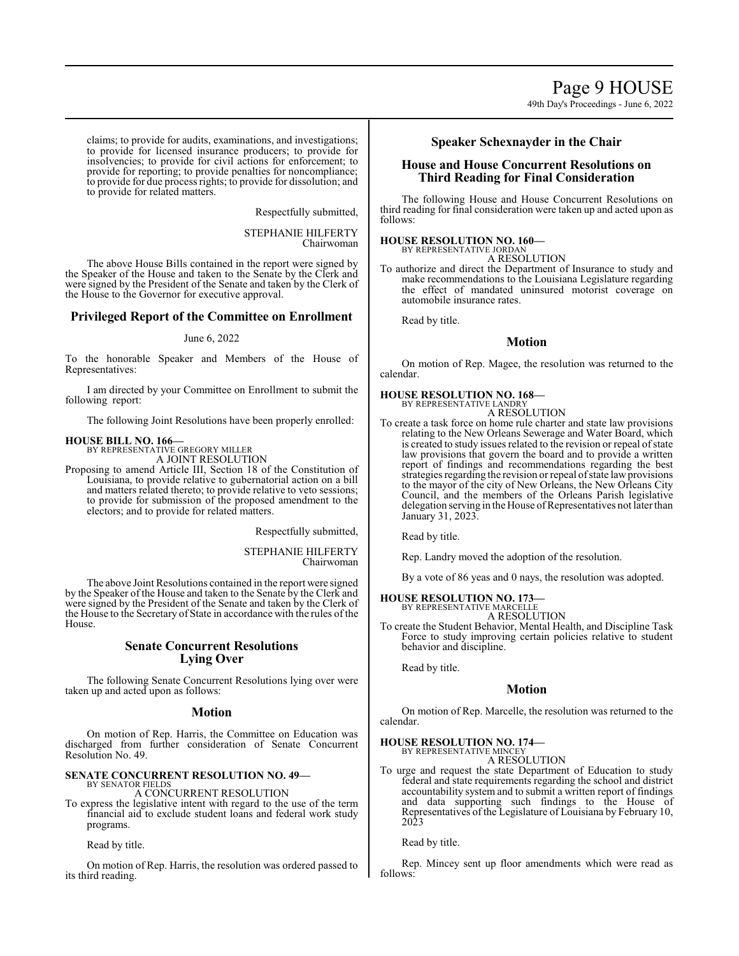claims; to provide for audits, examinations, and investigations; to provide for licensed insurance producers; to provide for insolvencies; to provide for civil actions for enforcement; to provide for reporting; to provide penalties for noncompliance; to provide for due process rights; to provide for dissolution; and to provide for related matters.

Respectfully submitted,

STEPHANIE HILFERTY Chairwoman

The above House Bills contained in the report were signed by the Speaker of the House and taken to the Senate by the Clerk and were signed by the President of the Senate and taken by the Clerk of the House to the Governor for executive approval.

# **Privileged Report of the Committee on Enrollment**

### June 6, 2022

To the honorable Speaker and Members of the House of Representatives:

I am directed by your Committee on Enrollment to submit the following report:

The following Joint Resolutions have been properly enrolled:

# **HOUSE BILL NO. 166—** BY REPRESENTATIVE GREGORY MILLER

A JOINT RESOLUTION

Proposing to amend Article III, Section 18 of the Constitution of Louisiana, to provide relative to gubernatorial action on a bill and matters related thereto; to provide relative to veto sessions; to provide for submission of the proposed amendment to the electors; and to provide for related matters.

Respectfully submitted,

STEPHANIE HILFERTY Chairwoman

The above Joint Resolutions contained in the report were signed by the Speaker of the House and taken to the Senate by the Clerk and were signed by the President of the Senate and taken by the Clerk of the House to the Secretary of State in accordance with the rules of the House.

# **Senate Concurrent Resolutions Lying Over**

The following Senate Concurrent Resolutions lying over were taken up and acted upon as follows:

# **Motion**

On motion of Rep. Harris, the Committee on Education was discharged from further consideration of Senate Concurrent Resolution No. 49.

#### **SENATE CONCURRENT RESOLUTION NO. 49—** BY SENATOR FIELDS

A CONCURRENT RESOLUTION

To express the legislative intent with regard to the use of the term financial aid to exclude student loans and federal work study programs.

Read by title.

On motion of Rep. Harris, the resolution was ordered passed to its third reading.

# **Speaker Schexnayder in the Chair**

# **House and House Concurrent Resolutions on Third Reading for Final Consideration**

The following House and House Concurrent Resolutions on third reading for final consideration were taken up and acted upon as follows:

# **HOUSE RESOLUTION NO. 160—**

BY REPRESENTATIVE JORDAN

A RESOLUTION

To authorize and direct the Department of Insurance to study and make recommendations to the Louisiana Legislature regarding the effect of mandated uninsured motorist coverage on automobile insurance rates.

Read by title.

# **Motion**

On motion of Rep. Magee, the resolution was returned to the calendar.

#### **HOUSE RESOLUTION NO. 168—** BY REPRESENTATIVE LANDRY

A RESOLUTION

To create a task force on home rule charter and state law provisions relating to the New Orleans Sewerage and Water Board, which is created to study issues related to the revision or repeal of state law provisions that govern the board and to provide a written report of findings and recommendations regarding the best strategies regarding the revision or repeal of state law provisions to the mayor of the city of New Orleans, the New Orleans City Council, and the members of the Orleans Parish legislative delegation serving in the House of Representatives not later than January 31, 2023.

Read by title.

Rep. Landry moved the adoption of the resolution.

By a vote of 86 yeas and 0 nays, the resolution was adopted.

# **HOUSE RESOLUTION NO. 173—** BY REPRESENTATIVE MARCELLE

A RESOLUTION

To create the Student Behavior, Mental Health, and Discipline Task Force to study improving certain policies relative to student behavior and discipline.

Read by title.

# **Motion**

On motion of Rep. Marcelle, the resolution was returned to the calendar.

#### **HOUSE RESOLUTION NO. 174—** BY REPRESENTATIVE MINCEY

A RESOLUTION

To urge and request the state Department of Education to study federal and state requirements regarding the school and district accountability system and to submit a written report of findings and data supporting such findings to the House of Representatives of the Legislature of Louisiana by February 10, 2023

Read by title.

Rep. Mincey sent up floor amendments which were read as follows: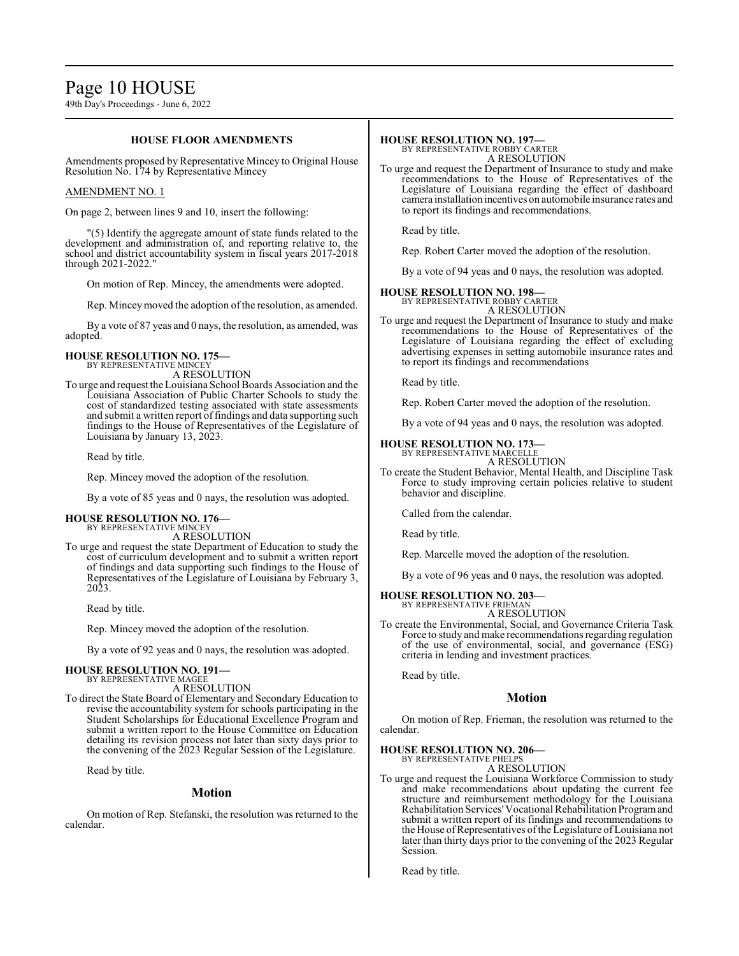# Page 10 HOUSE

49th Day's Proceedings - June 6, 2022

# **HOUSE FLOOR AMENDMENTS**

Amendments proposed by Representative Mincey to Original House Resolution No. 174 by Representative Mincey

### AMENDMENT NO. 1

On page 2, between lines 9 and 10, insert the following:

"(5) Identify the aggregate amount of state funds related to the development and administration of, and reporting relative to, the school and district accountability system in fiscal years 2017-2018 through 2021-2022."

On motion of Rep. Mincey, the amendments were adopted.

Rep. Mincey moved the adoption of the resolution, as amended.

By a vote of 87 yeas and 0 nays, the resolution, as amended, was adopted.

#### **HOUSE RESOLUTION NO. 175—** BY REPRESENTATIVE MINCEY

A RESOLUTION

To urge and request theLouisiana School Boards Association and the Louisiana Association of Public Charter Schools to study the cost of standardized testing associated with state assessments and submit a written report of findings and data supporting such findings to the House of Representatives of the Legislature of Louisiana by January 13, 2023.

Read by title.

Rep. Mincey moved the adoption of the resolution.

By a vote of 85 yeas and 0 nays, the resolution was adopted.

# **HOUSE RESOLUTION NO. 176—**

BY REPRESENTATIVE MINCEY A RESOLUTION

To urge and request the state Department of Education to study the cost of curriculum development and to submit a written report of findings and data supporting such findings to the House of Representatives of the Legislature of Louisiana by February 3, 2023.

Read by title.

Rep. Mincey moved the adoption of the resolution.

By a vote of 92 yeas and 0 nays, the resolution was adopted.

# **HOUSE RESOLUTION NO. 191—** BY REPRESENTATIVE MAGEE

A RESOLUTION To direct the State Board of Elementary and Secondary Education to revise the accountability system for schools participating in the Student Scholarships for Educational Excellence Program and submit a written report to the House Committee on Education

Read by title.

#### **Motion**

detailing its revision process not later than sixty days prior to the convening of the 2023 Regular Session of the Legislature.

On motion of Rep. Stefanski, the resolution was returned to the calendar.

### **HOUSE RESOLUTION NO. 197—**

BY REPRESENTATIVE ROBBY CARTER A RESOLUTION

To urge and request the Department of Insurance to study and make recommendations to the House of Representatives of the Legislature of Louisiana regarding the effect of dashboard camera installation incentives on automobile insurance rates and to report its findings and recommendations.

Read by title.

Rep. Robert Carter moved the adoption of the resolution.

By a vote of 94 yeas and 0 nays, the resolution was adopted.

# **HOUSE RESOLUTION NO. 198—** BY REPRESENTATIVE ROBBY CARTER

A RESOLUTION

To urge and request the Department of Insurance to study and make recommendations to the House of Representatives of the Legislature of Louisiana regarding the effect of excluding advertising expenses in setting automobile insurance rates and to report its findings and recommendations

Read by title.

Rep. Robert Carter moved the adoption of the resolution.

By a vote of 94 yeas and 0 nays, the resolution was adopted.

### **HOUSE RESOLUTION NO. 173—** BY REPRESENTATIVE MARCELLE

A RESOLUTION

To create the Student Behavior, Mental Health, and Discipline Task Force to study improving certain policies relative to student behavior and discipline.

Called from the calendar.

Read by title.

Rep. Marcelle moved the adoption of the resolution.

By a vote of 96 yeas and 0 nays, the resolution was adopted.

# **HOUSE RESOLUTION NO. 203—**

BY REPRESENTATIVE FRIEMAN A RESOLUTION

To create the Environmental, Social, and Governance Criteria Task Force to study and make recommendations regarding regulation of the use of environmental, social, and governance (ESG) criteria in lending and investment practices.

Read by title.

# **Motion**

On motion of Rep. Frieman, the resolution was returned to the calendar.

#### **HOUSE RESOLUTION NO. 206—** BY REPRESENTATIVE PHELPS

A RESOLUTION

To urge and request the Louisiana Workforce Commission to study and make recommendations about updating the current fee structure and reimbursement methodology for the Louisiana Rehabilitation Services'Vocational Rehabilitation Programand submit a written report of its findings and recommendations to the House of Representatives of the Legislature of Louisiana not later than thirty days prior to the convening of the 2023 Regular Session.

Read by title.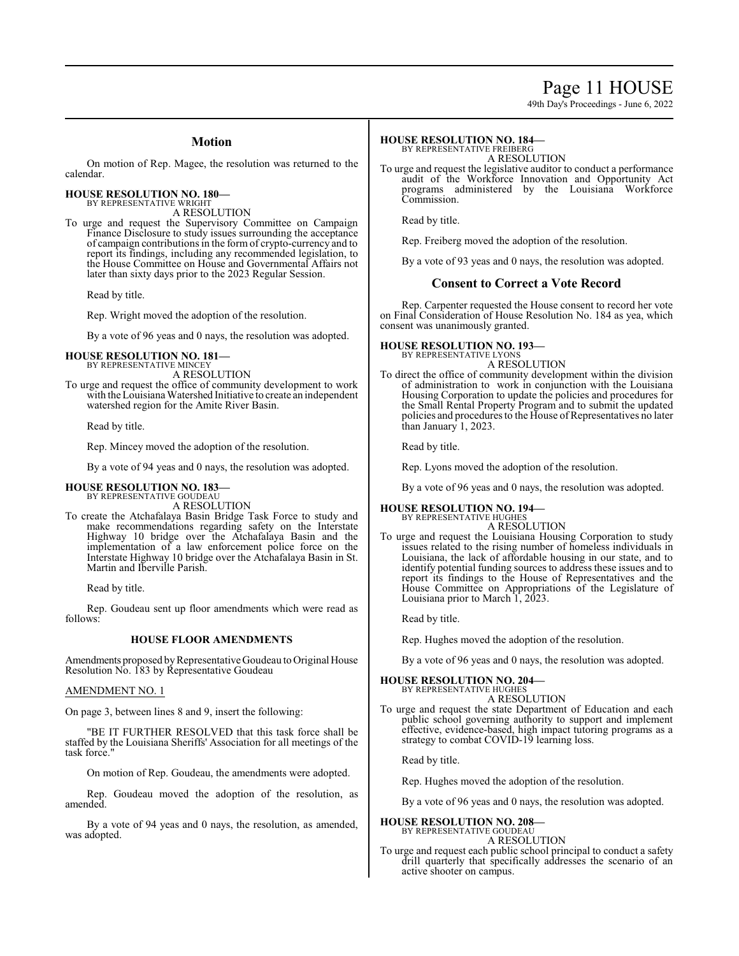# Page 11 HOUSE

49th Day's Proceedings - June 6, 2022

# **Motion**

On motion of Rep. Magee, the resolution was returned to the calendar.

**HOUSE RESOLUTION NO. 180—** BY REPRESENTATIVE WRIGHT

A RESOLUTION

To urge and request the Supervisory Committee on Campaign Finance Disclosure to study issues surrounding the acceptance of campaign contributions in the form of crypto-currency and to report its findings, including any recommended legislation, to the House Committee on House and Governmental Affairs not later than sixty days prior to the 2023 Regular Session.

Read by title.

Rep. Wright moved the adoption of the resolution.

By a vote of 96 yeas and 0 nays, the resolution was adopted.

# **HOUSE RESOLUTION NO. 181—**

BY REPRESENTATIVE MINCEY A RESOLUTION

To urge and request the office of community development to work with the Louisiana Watershed Initiative to create an independent watershed region for the Amite River Basin.

Read by title.

Rep. Mincey moved the adoption of the resolution.

By a vote of 94 yeas and 0 nays, the resolution was adopted.

#### **HOUSE RESOLUTION NO. 183—** BY REPRESENTATIVE GOUDEAU

A RESOLUTION

To create the Atchafalaya Basin Bridge Task Force to study and make recommendations regarding safety on the Interstate Highway 10 bridge over the Atchafalaya Basin and the implementation of a law enforcement police force on the Interstate Highway 10 bridge over the Atchafalaya Basin in St. Martin and Iberville Parish.

Read by title.

Rep. Goudeau sent up floor amendments which were read as follows:

#### **HOUSE FLOOR AMENDMENTS**

Amendments proposed by Representative Goudeau to Original House Resolution No. 183 by Representative Goudeau

### AMENDMENT NO. 1

On page 3, between lines 8 and 9, insert the following:

"BE IT FURTHER RESOLVED that this task force shall be staffed by the Louisiana Sheriffs' Association for all meetings of the task force."

On motion of Rep. Goudeau, the amendments were adopted.

Rep. Goudeau moved the adoption of the resolution, as amended.

By a vote of 94 yeas and 0 nays, the resolution, as amended, was adopted.

#### **HOUSE RESOLUTION NO. 184—** BY REPRESENTATIVE FREIBERG

A RESOLUTION

To urge and request the legislative auditor to conduct a performance audit of the Workforce Innovation and Opportunity Act programs administered by the Louisiana Workforce Commission.

Read by title.

Rep. Freiberg moved the adoption of the resolution.

By a vote of 93 yeas and 0 nays, the resolution was adopted.

# **Consent to Correct a Vote Record**

Rep. Carpenter requested the House consent to record her vote on Final Consideration of House Resolution No. 184 as yea, which consent was unanimously granted.

### **HOUSE RESOLUTION NO. 193—**

BY REPRESENTATIVE LYONS A RESOLUTION

To direct the office of community development within the division of administration to work in conjunction with the Louisiana Housing Corporation to update the policies and procedures for the Small Rental Property Program and to submit the updated policies and procedures to the House of Representatives no later than January 1, 2023.

Read by title.

Rep. Lyons moved the adoption of the resolution.

By a vote of 96 yeas and 0 nays, the resolution was adopted.

#### **HOUSE RESOLUTION NO. 194—**

BY REPRESENTATIVE HUGHES A RESOLUTION

To urge and request the Louisiana Housing Corporation to study issues related to the rising number of homeless individuals in Louisiana, the lack of affordable housing in our state, and to identify potential funding sources to address these issues and to report its findings to the House of Representatives and the House Committee on Appropriations of the Legislature of Louisiana prior to March 1, 2023.

Read by title.

Rep. Hughes moved the adoption of the resolution.

By a vote of 96 yeas and 0 nays, the resolution was adopted.

# **HOUSE RESOLUTION NO. 204—**

BY REPRESENTATIVE HUGHES A RESOLUTION

To urge and request the state Department of Education and each public school governing authority to support and implement effective, evidence-based, high impact tutoring programs as a strategy to combat COVID-19 learning loss.

Read by title.

Rep. Hughes moved the adoption of the resolution.

By a vote of 96 yeas and 0 nays, the resolution was adopted.

#### **HOUSE RESOLUTION NO. 208—** BY REPRESENTATIVE GOUDEAU

A RESOLUTION

To urge and request each public school principal to conduct a safety drill quarterly that specifically addresses the scenario of an active shooter on campus.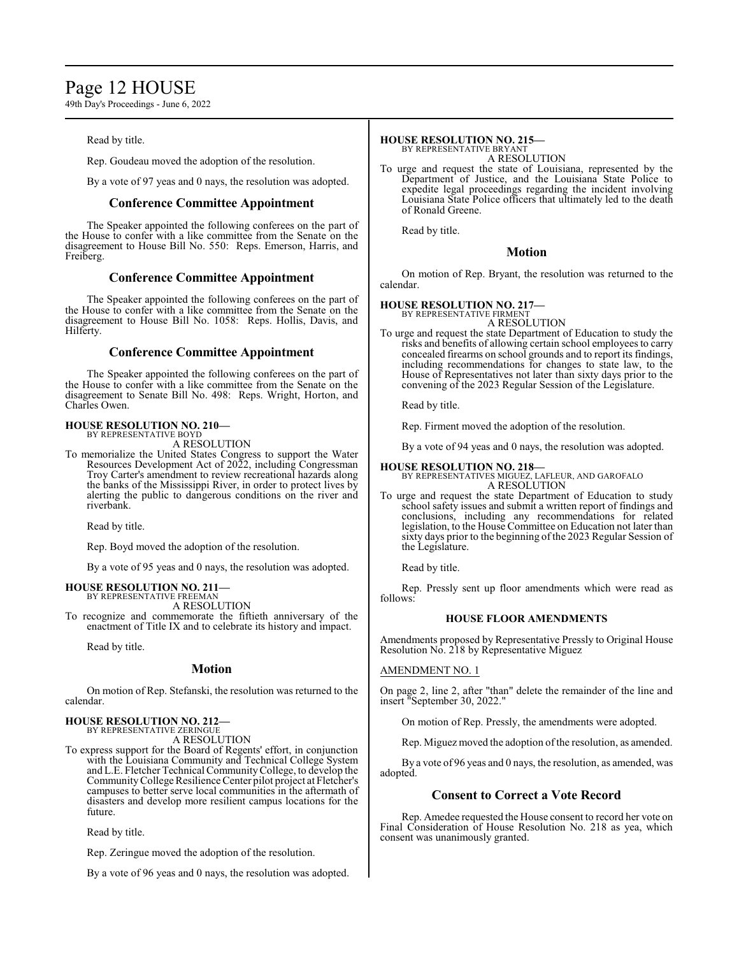# Page 12 HOUSE

49th Day's Proceedings - June 6, 2022

Read by title.

Rep. Goudeau moved the adoption of the resolution.

By a vote of 97 yeas and 0 nays, the resolution was adopted.

# **Conference Committee Appointment**

The Speaker appointed the following conferees on the part of the House to confer with a like committee from the Senate on the disagreement to House Bill No. 550: Reps. Emerson, Harris, and Freiberg.

# **Conference Committee Appointment**

The Speaker appointed the following conferees on the part of the House to confer with a like committee from the Senate on the disagreement to House Bill No. 1058: Reps. Hollis, Davis, and Hilferty.

# **Conference Committee Appointment**

The Speaker appointed the following conferees on the part of the House to confer with a like committee from the Senate on the disagreement to Senate Bill No. 498: Reps. Wright, Horton, and Charles Owen.

# **HOUSE RESOLUTION NO. 210—** BY REPRESENTATIVE BOYD

A RESOLUTION

To memorialize the United States Congress to support the Water Resources Development Act of 2022, including Congressman Troy Carter's amendment to review recreational hazards along the banks of the Mississippi River, in order to protect lives by alerting the public to dangerous conditions on the river and riverbank.

Read by title.

Rep. Boyd moved the adoption of the resolution.

By a vote of 95 yeas and 0 nays, the resolution was adopted.

# **HOUSE RESOLUTION NO. 211—** BY REPRESENTATIVE FREEMAN

A RESOLUTION

To recognize and commemorate the fiftieth anniversary of the enactment of Title IX and to celebrate its history and impact.

Read by title.

# **Motion**

On motion of Rep. Stefanski, the resolution was returned to the calendar.

# **HOUSE RESOLUTION NO. 212—** BY REPRESENTATIVE ZERINGUE

A RESOLUTION

To express support for the Board of Regents' effort, in conjunction with the Louisiana Community and Technical College System and L.E. Fletcher Technical CommunityCollege, to develop the CommunityCollege Resilience Center pilot project at Fletcher's campuses to better serve local communities in the aftermath of disasters and develop more resilient campus locations for the future.

Read by title.

Rep. Zeringue moved the adoption of the resolution.

By a vote of 96 yeas and 0 nays, the resolution was adopted.

# **HOUSE RESOLUTION NO. 215—**

BY REPRESENTATIVE BRYANT A RESOLUTION

To urge and request the state of Louisiana, represented by the Department of Justice, and the Louisiana State Police to expedite legal proceedings regarding the incident involving Louisiana State Police officers that ultimately led to the death of Ronald Greene.

Read by title.

# **Motion**

On motion of Rep. Bryant, the resolution was returned to the calendar.

# **HOUSE RESOLUTION NO. 217—**

BY REPRESENTATIVE FIRMENT A RESOLUTION

To urge and request the state Department of Education to study the risks and benefits of allowing certain school employees to carry concealed firearms on school grounds and to report its findings, including recommendations for changes to state law, to the House of Representatives not later than sixty days prior to the convening of the 2023 Regular Session of the Legislature.

Read by title.

Rep. Firment moved the adoption of the resolution.

By a vote of 94 yeas and 0 nays, the resolution was adopted.

**HOUSE RESOLUTION NO. 218—** BY REPRESENTATIVES MIGUEZ, LAFLEUR, AND GAROFALO A RESOLUTION

To urge and request the state Department of Education to study school safety issues and submit a written report of findings and conclusions, including any recommendations for related legislation, to the House Committee on Education not later than sixty days prior to the beginning of the 2023 Regular Session of the Legislature.

Read by title.

Rep. Pressly sent up floor amendments which were read as follows:

# **HOUSE FLOOR AMENDMENTS**

Amendments proposed by Representative Pressly to Original House Resolution No. 218 by Representative Miguez

# AMENDMENT NO. 1

On page 2, line 2, after "than" delete the remainder of the line and insert "September 30, 2022."

On motion of Rep. Pressly, the amendments were adopted.

Rep. Miguez moved the adoption of the resolution, as amended.

By a vote of 96 yeas and 0 nays, the resolution, as amended, was adopted.

# **Consent to Correct a Vote Record**

Rep. Amedee requested the House consent to record her vote on Final Consideration of House Resolution No. 218 as yea, which consent was unanimously granted.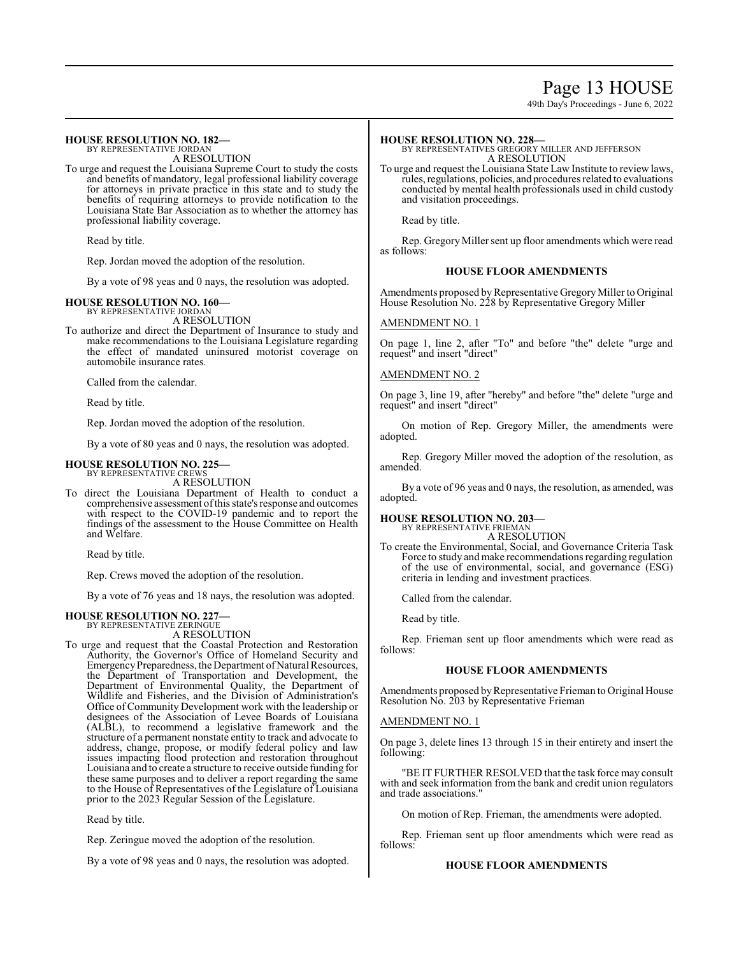# Page 13 HOUSE

49th Day's Proceedings - June 6, 2022

#### **HOUSE RESOLUTION NO. 182—** BY REPRESENTATIVE JORDAN

A RESOLUTION

To urge and request the Louisiana Supreme Court to study the costs and benefits of mandatory, legal professional liability coverage for attorneys in private practice in this state and to study the benefits of requiring attorneys to provide notification to the Louisiana State Bar Association as to whether the attorney has professional liability coverage.

Read by title.

Rep. Jordan moved the adoption of the resolution.

By a vote of 98 yeas and 0 nays, the resolution was adopted.

#### **HOUSE RESOLUTION NO. 160—** BY REPRESENTATIVE JORDAN

A RESOLUTION

To authorize and direct the Department of Insurance to study and make recommendations to the Louisiana Legislature regarding the effect of mandated uninsured motorist coverage on automobile insurance rates.

Called from the calendar.

Read by title.

Rep. Jordan moved the adoption of the resolution.

By a vote of 80 yeas and 0 nays, the resolution was adopted.

#### **HOUSE RESOLUTION NO. 225—** BY REPRESENTATIVE CREWS

A RESOLUTION

To direct the Louisiana Department of Health to conduct a comprehensive assessment ofthis state's response and outcomes with respect to the COVID-19 pandemic and to report the findings of the assessment to the House Committee on Health and Welfare.

Read by title.

Rep. Crews moved the adoption of the resolution.

By a vote of 76 yeas and 18 nays, the resolution was adopted.

# **HOUSE RESOLUTION NO. 227—** BY REPRESENTATIVE ZERINGUE

A RESOLUTION

To urge and request that the Coastal Protection and Restoration Authority, the Governor's Office of Homeland Security and Emergency Preparedness, the Department of Natural Resources, the Department of Transportation and Development, the Department of Environmental Quality, the Department of Wildlife and Fisheries, and the Division of Administration's Office of Community Development work with the leadership or designees of the Association of Levee Boards of Louisiana (ALBL), to recommend a legislative framework and the structure of a permanent nonstate entity to track and advocate to address, change, propose, or modify federal policy and law issues impacting flood protection and restoration throughout Louisiana and to create a structure to receive outside funding for these same purposes and to deliver a report regarding the same to the House of Representatives of the Legislature of Louisiana prior to the 2023 Regular Session of the Legislature.

Read by title.

Rep. Zeringue moved the adoption of the resolution.

By a vote of 98 yeas and 0 nays, the resolution was adopted.

**HOUSE RESOLUTION NO. 228—** BY REPRESENTATIVES GREGORY MILLER AND JEFFERSON A RESOLUTION

To urge and request the Louisiana State Law Institute to review laws, rules, regulations, policies, and procedures related to evaluations conducted by mental health professionals used in child custody and visitation proceedings.

Read by title.

Rep. Gregory Miller sent up floor amendments which were read as follows:

# **HOUSE FLOOR AMENDMENTS**

Amendments proposed by Representative Gregory Miller to Original House Resolution No. 228 by Representative Gregory Miller

### AMENDMENT NO. 1

On page 1, line 2, after "To" and before "the" delete "urge and request" and insert "direct"

# AMENDMENT NO. 2

On page 3, line 19, after "hereby" and before "the" delete "urge and request" and insert "direct"

On motion of Rep. Gregory Miller, the amendments were adopted.

Rep. Gregory Miller moved the adoption of the resolution, as amended.

By a vote of 96 yeas and 0 nays, the resolution, as amended, was adopted.

# **HOUSE RESOLUTION NO. 203—**

BY REPRESENTATIVE FRIEMAN A RESOLUTION

To create the Environmental, Social, and Governance Criteria Task Force to study and make recommendations regarding regulation of the use of environmental, social, and governance (ESG) criteria in lending and investment practices.

Called from the calendar.

Read by title.

Rep. Frieman sent up floor amendments which were read as follows:

# **HOUSE FLOOR AMENDMENTS**

Amendments proposed by Representative Frieman to Original House Resolution No. 203 by Representative Frieman

#### AMENDMENT NO. 1

On page 3, delete lines 13 through 15 in their entirety and insert the following:

"BE IT FURTHER RESOLVED that the task force may consult with and seek information from the bank and credit union regulators and trade associations."

On motion of Rep. Frieman, the amendments were adopted.

Rep. Frieman sent up floor amendments which were read as follows:

#### **HOUSE FLOOR AMENDMENTS**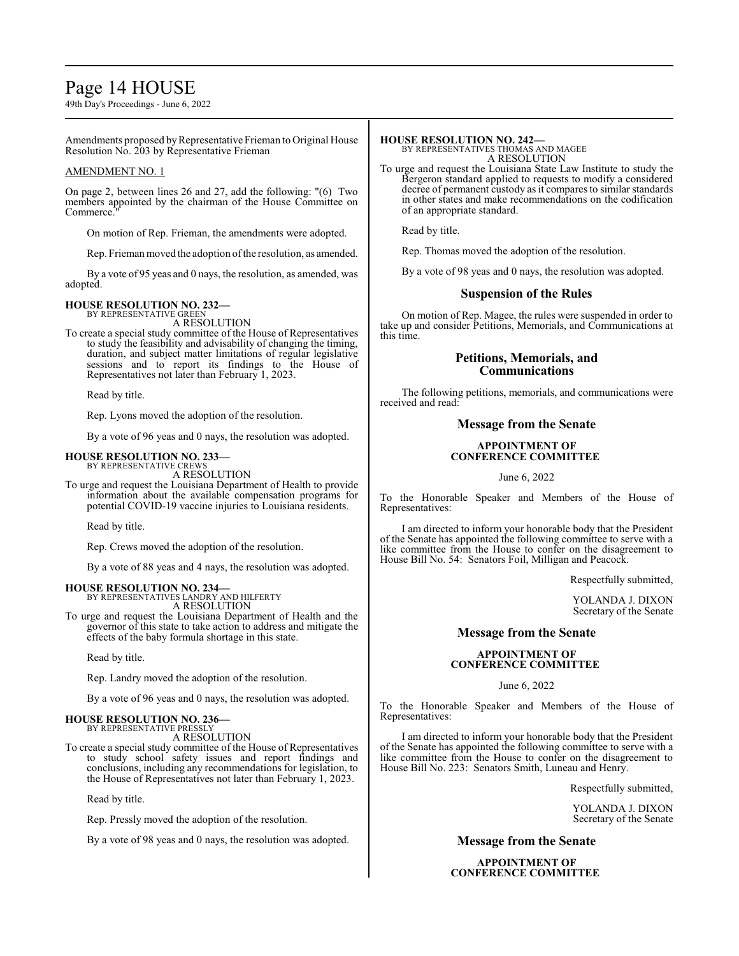# Page 14 HOUSE

49th Day's Proceedings - June 6, 2022

Amendments proposed by Representative Frieman to Original House Resolution No. 203 by Representative Frieman

## AMENDMENT NO. 1

On page 2, between lines 26 and 27, add the following: "(6) Two members appointed by the chairman of the House Committee on Commerce.

On motion of Rep. Frieman, the amendments were adopted.

Rep. Frieman moved the adoption of the resolution, as amended.

By a vote of 95 yeas and 0 nays, the resolution, as amended, was adopted.

#### **HOUSE RESOLUTION NO. 232—** BY REPRESENTATIVE GREEN

A RESOLUTION

To create a special study committee of the House of Representatives to study the feasibility and advisability of changing the timing, duration, and subject matter limitations of regular legislative sessions and to report its findings to the House of Representatives not later than February 1, 2023.

Read by title.

Rep. Lyons moved the adoption of the resolution.

By a vote of 96 yeas and 0 nays, the resolution was adopted.

#### **HOUSE RESOLUTION NO. 233—** BY REPRESENTATIVE CREWS

A RESOLUTION

To urge and request the Louisiana Department of Health to provide information about the available compensation programs for potential COVID-19 vaccine injuries to Louisiana residents.

Read by title.

Rep. Crews moved the adoption of the resolution.

By a vote of 88 yeas and 4 nays, the resolution was adopted.

#### **HOUSE RESOLUTION NO. 234—**

BY REPRESENTATIVES LANDRY AND HILFERTY A RESOLUTION

To urge and request the Louisiana Department of Health and the governor of this state to take action to address and mitigate the effects of the baby formula shortage in this state.

Read by title.

Rep. Landry moved the adoption of the resolution.

By a vote of 96 yeas and 0 nays, the resolution was adopted.

# **HOUSE RESOLUTION NO. 236—**

BY REPRESENTATIVE PRESSI A RESOLUTION

To create a special study committee of the House of Representatives to study school safety issues and report findings and conclusions, including any recommendations for legislation, to the House of Representatives not later than February 1, 2023.

Read by title.

Rep. Pressly moved the adoption of the resolution.

By a vote of 98 yeas and 0 nays, the resolution was adopted.

**HOUSE RESOLUTION NO. 242—** BY REPRESENTATIVES THOMAS AND MAGEE A RESOLUTION

To urge and request the Louisiana State Law Institute to study the Bergeron standard applied to requests to modify a considered decree of permanent custody as it compares to similar standards in other states and make recommendations on the codification of an appropriate standard.

Read by title.

Rep. Thomas moved the adoption of the resolution.

By a vote of 98 yeas and 0 nays, the resolution was adopted.

# **Suspension of the Rules**

On motion of Rep. Magee, the rules were suspended in order to take up and consider Petitions, Memorials, and Communications at this time.

# **Petitions, Memorials, and Communications**

The following petitions, memorials, and communications were received and read:

# **Message from the Senate**

# **APPOINTMENT OF CONFERENCE COMMITTEE**

June 6, 2022

To the Honorable Speaker and Members of the House of Representatives:

I am directed to inform your honorable body that the President of the Senate has appointed the following committee to serve with a like committee from the House to confer on the disagreement to House Bill No. 54: Senators Foil, Milligan and Peacock.

Respectfully submitted,

YOLANDA J. DIXON Secretary of the Senate

# **Message from the Senate**

#### **APPOINTMENT OF CONFERENCE COMMITTEE**

June 6, 2022

To the Honorable Speaker and Members of the House of Representatives:

I am directed to inform your honorable body that the President of the Senate has appointed the following committee to serve with a like committee from the House to confer on the disagreement to House Bill No. 223: Senators Smith, Luneau and Henry.

Respectfully submitted,

YOLANDA J. DIXON Secretary of the Senate

## **Message from the Senate**

**APPOINTMENT OF CONFERENCE COMMITTEE**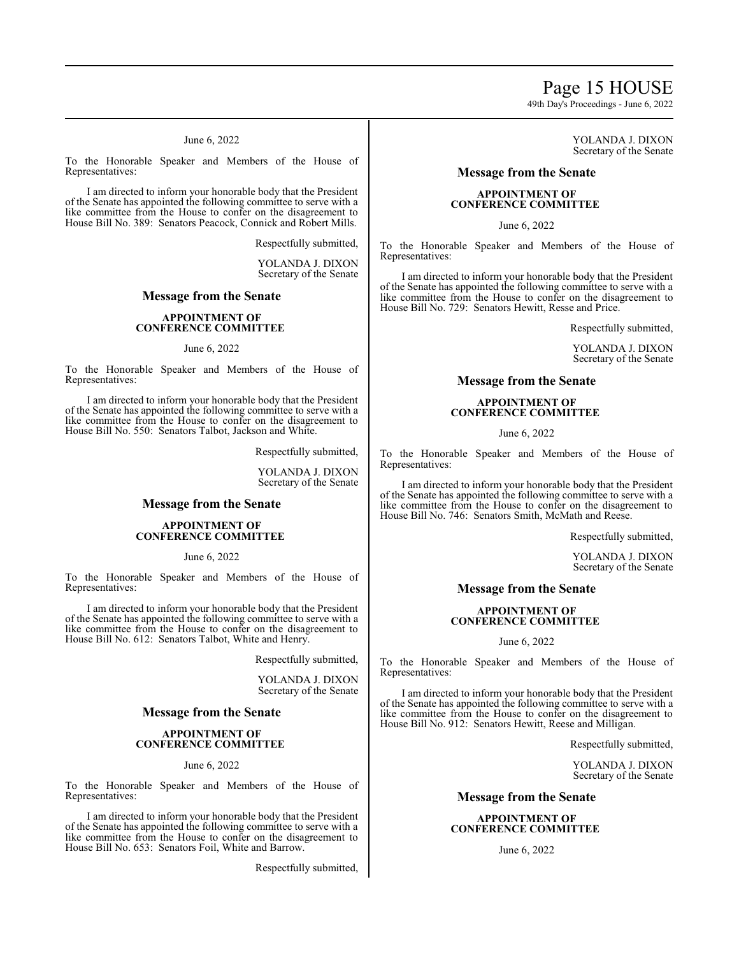# Page 15 HOUSE

49th Day's Proceedings - June 6, 2022

June 6, 2022

To the Honorable Speaker and Members of the House of Representatives:

I am directed to inform your honorable body that the President of the Senate has appointed the following committee to serve with a like committee from the House to confer on the disagreement to House Bill No. 389: Senators Peacock, Connick and Robert Mills.

Respectfully submitted,

YOLANDA J. DIXON Secretary of the Senate

# **Message from the Senate**

#### **APPOINTMENT OF CONFERENCE COMMITTEE**

#### June 6, 2022

To the Honorable Speaker and Members of the House of Representatives:

I am directed to inform your honorable body that the President of the Senate has appointed the following committee to serve with a like committee from the House to confer on the disagreement to House Bill No. 550: Senators Talbot, Jackson and White.

Respectfully submitted,

YOLANDA J. DIXON Secretary of the Senate

# **Message from the Senate**

#### **APPOINTMENT OF CONFERENCE COMMITTEE**

June 6, 2022

To the Honorable Speaker and Members of the House of Representatives:

I am directed to inform your honorable body that the President of the Senate has appointed the following committee to serve with a like committee from the House to confer on the disagreement to House Bill No. 612: Senators Talbot, White and Henry.

Respectfully submitted,

YOLANDA J. DIXON Secretary of the Senate

#### **Message from the Senate**

#### **APPOINTMENT OF CONFERENCE COMMITTEE**

#### June 6, 2022

To the Honorable Speaker and Members of the House of Representatives:

I am directed to inform your honorable body that the President of the Senate has appointed the following committee to serve with a like committee from the House to confer on the disagreement to House Bill No. 653: Senators Foil, White and Barrow.

Respectfully submitted,

YOLANDA J. DIXON Secretary of the Senate

# **Message from the Senate**

## **APPOINTMENT OF CONFERENCE COMMITTEE**

June 6, 2022

To the Honorable Speaker and Members of the House of Representatives:

I am directed to inform your honorable body that the President of the Senate has appointed the following committee to serve with a like committee from the House to confer on the disagreement to House Bill No. 729: Senators Hewitt, Resse and Price.

Respectfully submitted,

YOLANDA J. DIXON Secretary of the Senate

## **Message from the Senate**

### **APPOINTMENT OF CONFERENCE COMMITTEE**

June 6, 2022

To the Honorable Speaker and Members of the House of Representatives:

I am directed to inform your honorable body that the President of the Senate has appointed the following committee to serve with a like committee from the House to confer on the disagreement to House Bill No. 746: Senators Smith, McMath and Reese.

Respectfully submitted,

YOLANDA J. DIXON Secretary of the Senate

## **Message from the Senate**

### **APPOINTMENT OF CONFERENCE COMMITTEE**

#### June 6, 2022

To the Honorable Speaker and Members of the House of Representatives:

I am directed to inform your honorable body that the President of the Senate has appointed the following committee to serve with a like committee from the House to confer on the disagreement to House Bill No. 912: Senators Hewitt, Reese and Milligan.

Respectfully submitted,

YOLANDA J. DIXON Secretary of the Senate

## **Message from the Senate**

### **APPOINTMENT OF CONFERENCE COMMITTEE**

June 6, 2022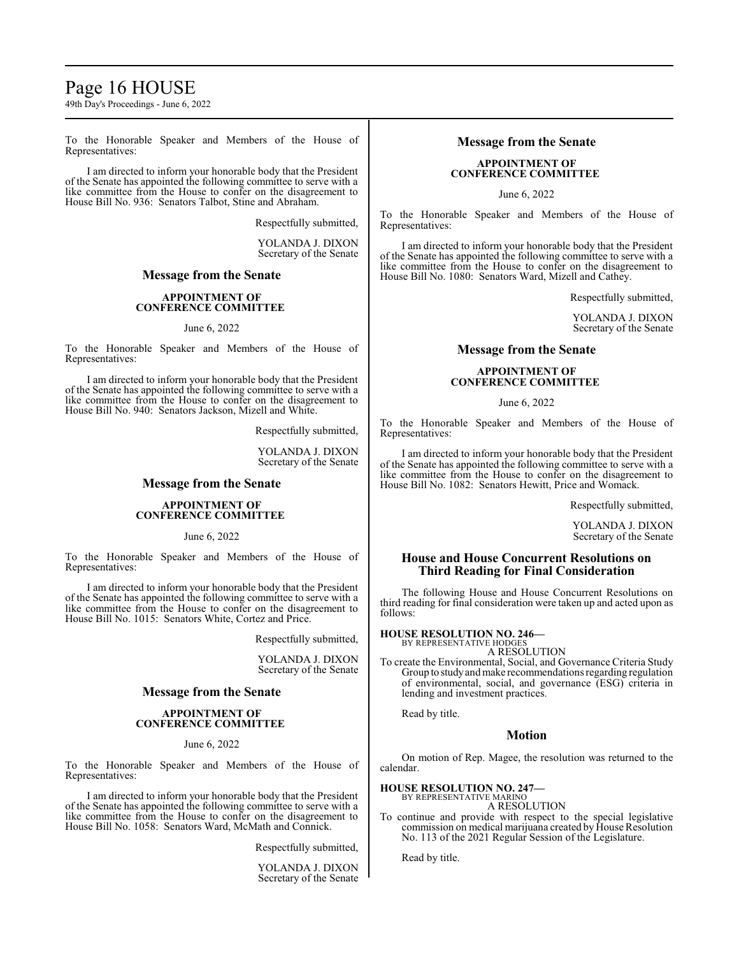# Page 16 HOUSE

49th Day's Proceedings - June 6, 2022

To the Honorable Speaker and Members of the House of Representatives:

I am directed to inform your honorable body that the President of the Senate has appointed the following committee to serve with a like committee from the House to confer on the disagreement to House Bill No. 936: Senators Talbot, Stine and Abraham.

Respectfully submitted,

YOLANDA J. DIXON Secretary of the Senate

### **Message from the Senate**

# **APPOINTMENT OF CONFERENCE COMMITTEE**

#### June 6, 2022

To the Honorable Speaker and Members of the House of Representatives:

I am directed to inform your honorable body that the President of the Senate has appointed the following committee to serve with a like committee from the House to confer on the disagreement to House Bill No. 940: Senators Jackson, Mizell and White.

Respectfully submitted,

YOLANDA J. DIXON Secretary of the Senate

# **Message from the Senate**

#### **APPOINTMENT OF CONFERENCE COMMITTEE**

June 6, 2022

To the Honorable Speaker and Members of the House of Representatives:

I am directed to inform your honorable body that the President of the Senate has appointed the following committee to serve with a like committee from the House to confer on the disagreement to House Bill No. 1015: Senators White, Cortez and Price.

Respectfully submitted,

YOLANDA J. DIXON Secretary of the Senate

# **Message from the Senate**

#### **APPOINTMENT OF CONFERENCE COMMITTEE**

#### June 6, 2022

To the Honorable Speaker and Members of the House of Representatives:

I am directed to inform your honorable body that the President of the Senate has appointed the following committee to serve with a like committee from the House to confer on the disagreement to House Bill No. 1058: Senators Ward, McMath and Connick.

Respectfully submitted,

YOLANDA J. DIXON Secretary of the Senate

# **Message from the Senate**

## **APPOINTMENT OF CONFERENCE COMMITTEE**

June 6, 2022

To the Honorable Speaker and Members of the House of Representatives:

I am directed to inform your honorable body that the President of the Senate has appointed the following committee to serve with a like committee from the House to confer on the disagreement to House Bill No. 1080: Senators Ward, Mizell and Cathey.

Respectfully submitted,

YOLANDA J. DIXON Secretary of the Senate

# **Message from the Senate**

### **APPOINTMENT OF CONFERENCE COMMITTEE**

June 6, 2022

To the Honorable Speaker and Members of the House of Representatives:

I am directed to inform your honorable body that the President of the Senate has appointed the following committee to serve with a like committee from the House to confer on the disagreement to House Bill No. 1082: Senators Hewitt, Price and Womack.

Respectfully submitted,

YOLANDA J. DIXON Secretary of the Senate

# **House and House Concurrent Resolutions on Third Reading for Final Consideration**

The following House and House Concurrent Resolutions on third reading for final consideration were taken up and acted upon as follows:

#### **HOUSE RESOLUTION NO. 246—** BY REPRESENTATIVE HODGES

A RESOLUTION

To create the Environmental, Social, and Governance Criteria Study Group to studyandmake recommendations regarding regulation of environmental, social, and governance (ESG) criteria in lending and investment practices.

Read by title.

# **Motion**

On motion of Rep. Magee, the resolution was returned to the calendar.

# **HOUSE RESOLUTION NO. 247—**

BY REPRESENTATIVE MARINO A RESOLUTION

To continue and provide with respect to the special legislative commission on medical marijuana created by House Resolution No. 113 of the 2021 Regular Session of the Legislature.

Read by title.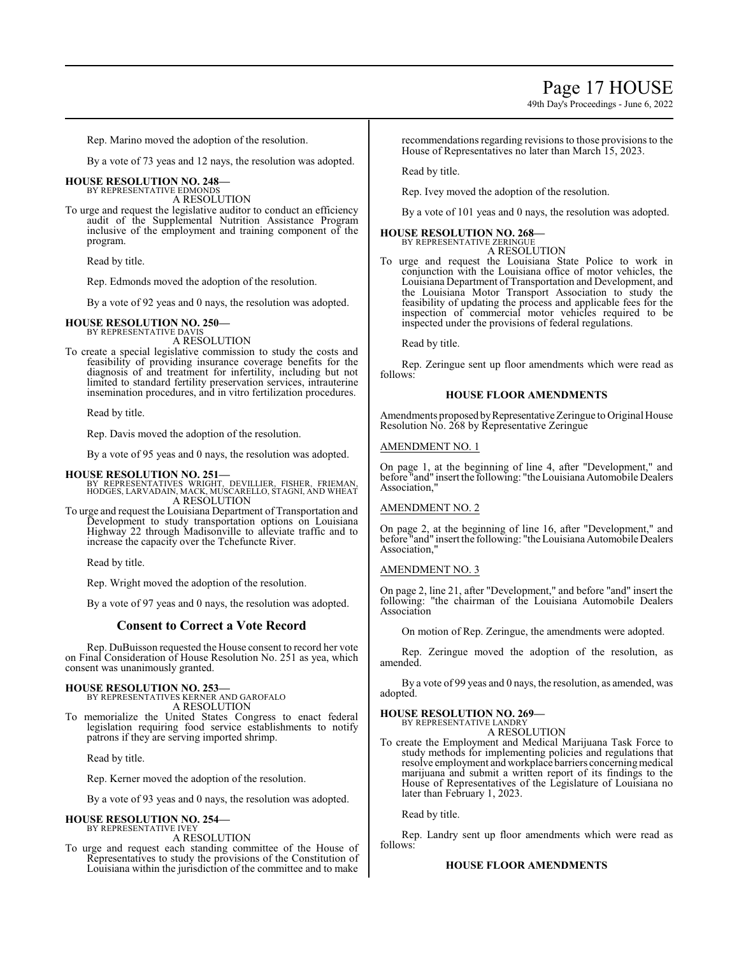49th Day's Proceedings - June 6, 2022

Rep. Marino moved the adoption of the resolution.

By a vote of 73 yeas and 12 nays, the resolution was adopted.

#### **HOUSE RESOLUTION NO. 248—** BY REPRESENTATIVE EDMONDS

A RESOLUTION

To urge and request the legislative auditor to conduct an efficiency audit of the Supplemental Nutrition Assistance Program inclusive of the employment and training component of the program.

Read by title.

Rep. Edmonds moved the adoption of the resolution.

By a vote of 92 yeas and 0 nays, the resolution was adopted.

# **HOUSE RESOLUTION NO. 250—** BY REPRESENTATIVE DAVIS

A RESOLUTION

To create a special legislative commission to study the costs and feasibility of providing insurance coverage benefits for the diagnosis of and treatment for infertility, including but not limited to standard fertility preservation services, intrauterine insemination procedures, and in vitro fertilization procedures.

Read by title.

Rep. Davis moved the adoption of the resolution.

By a vote of 95 yeas and 0 nays, the resolution was adopted.

#### **HOUSE RESOLUTION NO. 251—**

BY REPRESENTATIVES WRIGHT, DEVILLIER, FISHER, FRIEMAN, HODGES, LARVADAIN, MACK, MUSCARELLO, STAGNI, AND WHEAT A RESOLUTION

To urge and request the Louisiana Department of Transportation and Development to study transportation options on Louisiana Highway 22 through Madisonville to alleviate traffic and to increase the capacity over the Tchefuncte River.

Read by title.

Rep. Wright moved the adoption of the resolution.

By a vote of 97 yeas and 0 nays, the resolution was adopted.

# **Consent to Correct a Vote Record**

Rep. DuBuisson requested the House consent to record her vote on Final Consideration of House Resolution No. 251 as yea, which consent was unanimously granted.

#### **HOUSE RESOLUTION NO. 253—**

BY REPRESENTATIVES KERNER AND GAROFALO A RESOLUTION

To memorialize the United States Congress to enact federal legislation requiring food service establishments to notify patrons if they are serving imported shrimp.

Read by title.

Rep. Kerner moved the adoption of the resolution.

By a vote of 93 yeas and 0 nays, the resolution was adopted.

#### **HOUSE RESOLUTION NO. 254—** BY REPRESENTATIVE IVEY

A RESOLUTION

To urge and request each standing committee of the House of Representatives to study the provisions of the Constitution of Louisiana within the jurisdiction of the committee and to make

recommendations regarding revisions to those provisions to the House of Representatives no later than March 15, 2023.

Read by title.

Rep. Ivey moved the adoption of the resolution.

By a vote of 101 yeas and 0 nays, the resolution was adopted.

#### **HOUSE RESOLUTION NO. 268—** BY REPRESENTATIVE ZERINGUE

A RESOLUTION

To urge and request the Louisiana State Police to work in conjunction with the Louisiana office of motor vehicles, the Louisiana Department of Transportation and Development, and the Louisiana Motor Transport Association to study the feasibility of updating the process and applicable fees for the inspection of commercial motor vehicles required to be inspected under the provisions of federal regulations.

Read by title.

Rep. Zeringue sent up floor amendments which were read as follows:

#### **HOUSE FLOOR AMENDMENTS**

Amendments proposed by Representative Zeringue to Original House Resolution No. 268 by Representative Zeringue

### AMENDMENT NO. 1

On page 1, at the beginning of line 4, after "Development," and before "and" insert the following: "the Louisiana Automobile Dealers Association,"

#### AMENDMENT NO. 2

On page 2, at the beginning of line 16, after "Development," and before "and" insert the following: "the Louisiana Automobile Dealers Association,"

### AMENDMENT NO. 3

On page 2, line 21, after "Development," and before "and" insert the following: "the chairman of the Louisiana Automobile Dealers Association

On motion of Rep. Zeringue, the amendments were adopted.

Rep. Zeringue moved the adoption of the resolution, as amended.

By a vote of 99 yeas and 0 nays, the resolution, as amended, was adopted.

#### **HOUSE RESOLUTION NO. 269—**

BY REPRESENTATIVE LANDRY A RESOLUTION

To create the Employment and Medical Marijuana Task Force to study methods for implementing policies and regulations that resolve employment and workplace barriers concerning medical marijuana and submit a written report of its findings to the House of Representatives of the Legislature of Louisiana no later than February 1, 2023.

Read by title.

Rep. Landry sent up floor amendments which were read as follows:

### **HOUSE FLOOR AMENDMENTS**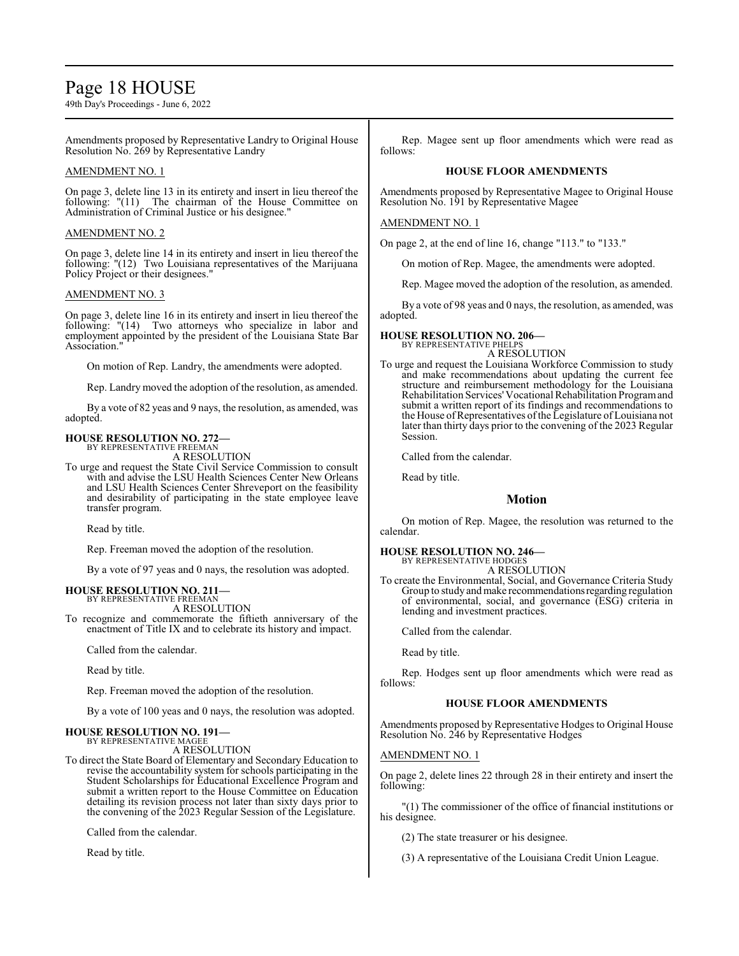# Page 18 HOUSE

49th Day's Proceedings - June 6, 2022

Amendments proposed by Representative Landry to Original House Resolution No. 269 by Representative Landry

### AMENDMENT NO. 1

On page 3, delete line 13 in its entirety and insert in lieu thereof the following: "(11) The chairman of the House Committee on Administration of Criminal Justice or his designee."

# AMENDMENT NO. 2

On page 3, delete line 14 in its entirety and insert in lieu thereof the following: "(12) Two Louisiana representatives of the Marijuana Policy Project or their designees."

### AMENDMENT NO. 3

On page 3, delete line 16 in its entirety and insert in lieu thereof the following: "(14) Two attorneys who specialize in labor and employment appointed by the president of the Louisiana State Bar Association."

On motion of Rep. Landry, the amendments were adopted.

Rep. Landry moved the adoption of the resolution, as amended.

By a vote of 82 yeas and 9 nays, the resolution, as amended, was adopted.

# **HOUSE RESOLUTION NO. 272—**

BY REPRESENTATIVE FREEMAN A RESOLUTION

To urge and request the State Civil Service Commission to consult with and advise the LSU Health Sciences Center New Orleans and LSU Health Sciences Center Shreveport on the feasibility and desirability of participating in the state employee leave transfer program.

Read by title.

Rep. Freeman moved the adoption of the resolution.

By a vote of 97 yeas and 0 nays, the resolution was adopted.

# **HOUSE RESOLUTION NO. 211—** BY REPRESENTATIVE FREEMAN

A RESOLUTION

To recognize and commemorate the fiftieth anniversary of the enactment of Title IX and to celebrate its history and impact.

Called from the calendar.

Read by title.

Rep. Freeman moved the adoption of the resolution.

By a vote of 100 yeas and 0 nays, the resolution was adopted.

# **HOUSE RESOLUTION NO. 191—**

BY REPRESENTATIVE MAGEE A RESOLUTION

To direct the State Board of Elementary and Secondary Education to revise the accountability system for schools participating in the Student Scholarships for Educational Excellence Program and submit a written report to the House Committee on Education detailing its revision process not later than sixty days prior to the convening of the 2023 Regular Session of the Legislature.

Called from the calendar.

Read by title.

Rep. Magee sent up floor amendments which were read as follows:

#### **HOUSE FLOOR AMENDMENTS**

Amendments proposed by Representative Magee to Original House Resolution No. 191 by Representative Magee

### AMENDMENT NO. 1

On page 2, at the end of line 16, change "113." to "133."

On motion of Rep. Magee, the amendments were adopted.

Rep. Magee moved the adoption of the resolution, as amended.

By a vote of 98 yeas and 0 nays, the resolution, as amended, was adopted.

#### **HOUSE RESOLUTION NO. 206—** BY REPRESENTATIVE PHELPS

A RESOLUTION

To urge and request the Louisiana Workforce Commission to study and make recommendations about updating the current fee structure and reimbursement methodology for the Louisiana Rehabilitation Services'Vocational Rehabilitation Programand submit a written report of its findings and recommendations to the House of Representatives of the Legislature of Louisiana not later than thirty days prior to the convening of the 2023 Regular Session.

Called from the calendar.

Read by title.

# **Motion**

On motion of Rep. Magee, the resolution was returned to the calendar.

# **HOUSE RESOLUTION NO. 246—** BY REPRESENTATIVE HODGES

A RESOLUTION

To create the Environmental, Social, and Governance Criteria Study Group to study and make recommendations regarding regulation of environmental, social, and governance (ESG) criteria in lending and investment practices.

Called from the calendar.

Read by title.

Rep. Hodges sent up floor amendments which were read as follows:

#### **HOUSE FLOOR AMENDMENTS**

Amendments proposed by Representative Hodges to Original House Resolution No. 246 by Representative Hodges

## AMENDMENT NO. 1

On page 2, delete lines 22 through 28 in their entirety and insert the following:

"(1) The commissioner of the office of financial institutions or his designee.

(2) The state treasurer or his designee.

(3) A representative of the Louisiana Credit Union League.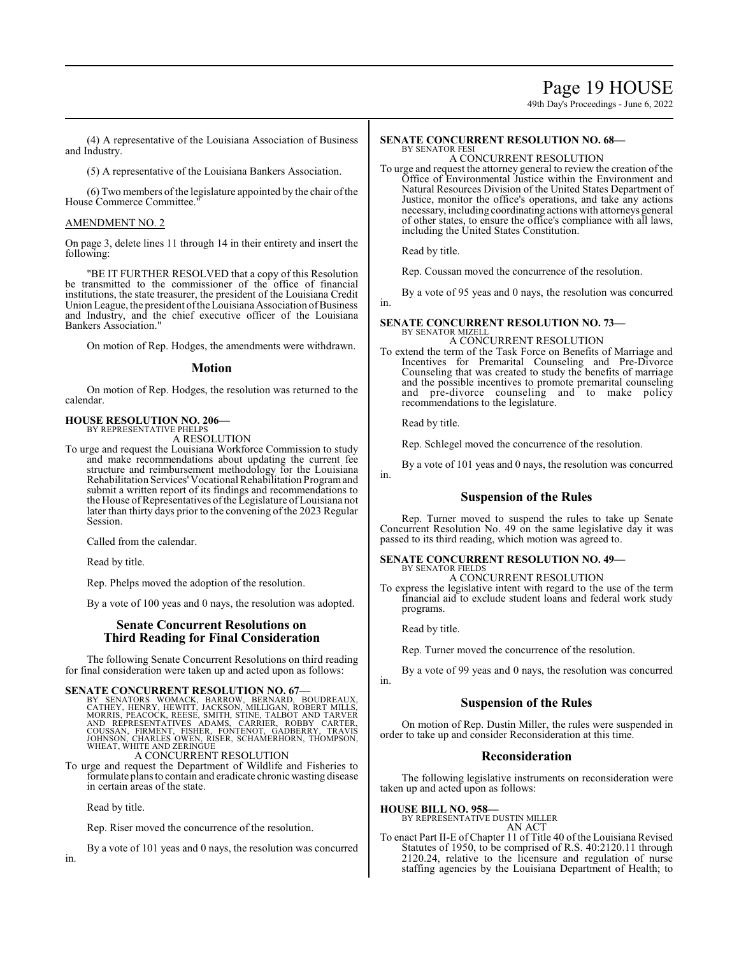# Page 19 HOUSE

49th Day's Proceedings - June 6, 2022

(4) A representative of the Louisiana Association of Business and Industry.

(5) A representative of the Louisiana Bankers Association.

 $(6)$  Two members of the legislature appointed by the chair of the House Commerce Committee."

# AMENDMENT NO. 2

On page 3, delete lines 11 through 14 in their entirety and insert the following:

"BE IT FURTHER RESOLVED that a copy of this Resolution be transmitted to the commissioner of the office of financial institutions, the state treasurer, the president of the Louisiana Credit Union League, the president of the Louisiana Association of Business and Industry, and the chief executive officer of the Louisiana Bankers Association."

On motion of Rep. Hodges, the amendments were withdrawn.

### **Motion**

On motion of Rep. Hodges, the resolution was returned to the calendar.

#### **HOUSE RESOLUTION NO. 206—** BY REPRESENTATIVE PHELPS

A RESOLUTION

To urge and request the Louisiana Workforce Commission to study and make recommendations about updating the current fee structure and reimbursement methodology for the Louisiana Rehabilitation Services' Vocational Rehabilitation Programand submit a written report of its findings and recommendations to the House ofRepresentatives ofthe Legislature ofLouisiana not later than thirty days prior to the convening of the 2023 Regular Session.

Called from the calendar.

Read by title.

Rep. Phelps moved the adoption of the resolution.

By a vote of 100 yeas and 0 nays, the resolution was adopted.

# **Senate Concurrent Resolutions on Third Reading for Final Consideration**

The following Senate Concurrent Resolutions on third reading for final consideration were taken up and acted upon as follows:

# **SENATE CONCURRENT RESOLUTION NO. 67—**

BY SENATORS WOMACK, BARROW, BERNARD, BOUDREAUX, CATHEY, HENRY, HEWITT, JACKSON, MILLIGAN, ROBERT MILLS, MORRIS, PEACOCK, REESE, SMITH, STINE, TALBOT AND TARVER<br>AND REPRESENTATIVES ADAMS, CARRIER, ROBBY CARTER,<br>COUSSAN, FIR

To urge and request the Department of Wildlife and Fisheries to formulate plans to contain and eradicate chronic wasting disease in certain areas of the state.

Read by title.

Rep. Riser moved the concurrence of the resolution.

By a vote of 101 yeas and 0 nays, the resolution was concurred

#### **SENATE CONCURRENT RESOLUTION NO. 68—** BY SENATOR FESI

A CONCURRENT RESOLUTION

To urge and request the attorney general to review the creation of the Office of Environmental Justice within the Environment and Natural Resources Division of the United States Department of Justice, monitor the office's operations, and take any actions necessary, including coordinating actions with attorneys general of other states, to ensure the office's compliance with all laws, including the United States Constitution.

Read by title.

Rep. Coussan moved the concurrence of the resolution.

By a vote of 95 yeas and 0 nays, the resolution was concurred in.

#### **SENATE CONCURRENT RESOLUTION NO. 73—** BY SENATOR MIZELL A CONCURRENT RESOLUTION

To extend the term of the Task Force on Benefits of Marriage and Incentives for Premarital Counseling and Pre-Divorce Counseling that was created to study the benefits of marriage and the possible incentives to promote premarital counseling and pre-divorce counseling and to make policy recommendations to the legislature.

Read by title.

Rep. Schlegel moved the concurrence of the resolution.

By a vote of 101 yeas and 0 nays, the resolution was concurred in.

# **Suspension of the Rules**

Rep. Turner moved to suspend the rules to take up Senate Concurrent Resolution No. 49 on the same legislative day it was passed to its third reading, which motion was agreed to.

#### **SENATE CONCURRENT RESOLUTION NO. 49—** BY SENATOR FIELDS

## A CONCURRENT RESOLUTION

To express the legislative intent with regard to the use of the term financial aid to exclude student loans and federal work study programs.

Read by title.

in.

Rep. Turner moved the concurrence of the resolution.

By a vote of 99 yeas and 0 nays, the resolution was concurred

# **Suspension of the Rules**

On motion of Rep. Dustin Miller, the rules were suspended in order to take up and consider Reconsideration at this time.

# **Reconsideration**

The following legislative instruments on reconsideration were taken up and acted upon as follows:

#### **HOUSE BILL NO. 958—**

BY REPRESENTATIVE DUSTIN MILLER AN ACT

To enact Part II-E of Chapter 11 of Title 40 of the Louisiana Revised Statutes of 1950, to be comprised of R.S. 40:2120.11 through 2120.24, relative to the licensure and regulation of nurse staffing agencies by the Louisiana Department of Health; to

in.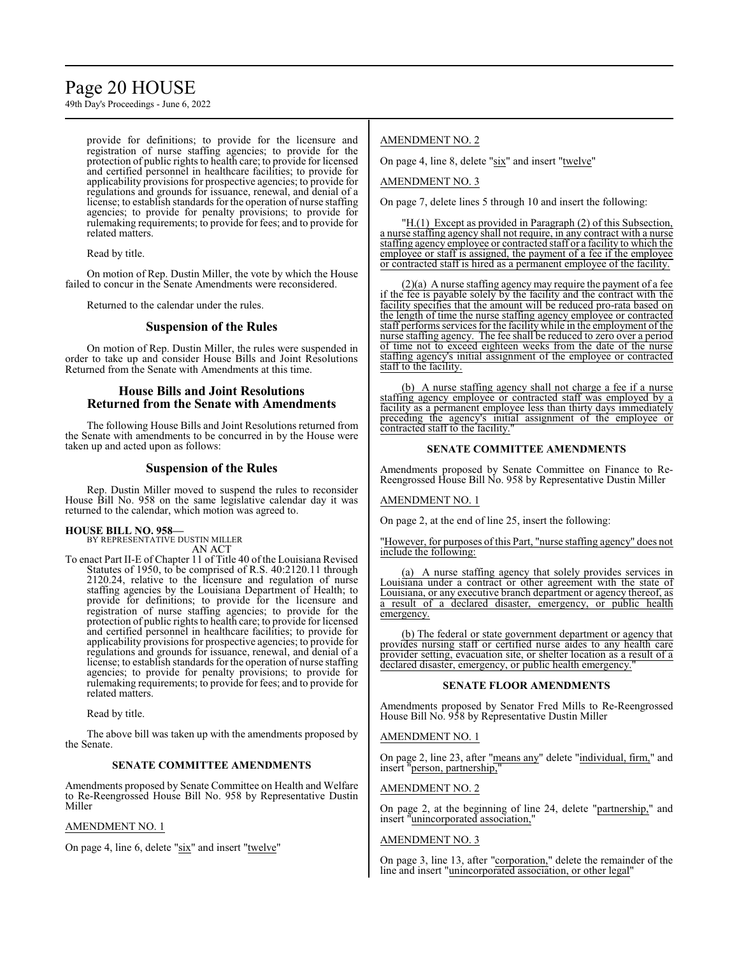# Page 20 HOUSE

49th Day's Proceedings - June 6, 2022

provide for definitions; to provide for the licensure and registration of nurse staffing agencies; to provide for the protection of public rights to health care; to provide for licensed and certified personnel in healthcare facilities; to provide for applicability provisions for prospective agencies; to provide for regulations and grounds for issuance, renewal, and denial of a license; to establish standards for the operation of nurse staffing agencies; to provide for penalty provisions; to provide for rulemaking requirements; to provide for fees; and to provide for related matters.

Read by title.

On motion of Rep. Dustin Miller, the vote by which the House failed to concur in the Senate Amendments were reconsidered.

Returned to the calendar under the rules.

# **Suspension of the Rules**

On motion of Rep. Dustin Miller, the rules were suspended in order to take up and consider House Bills and Joint Resolutions Returned from the Senate with Amendments at this time.

# **House Bills and Joint Resolutions Returned from the Senate with Amendments**

The following House Bills and Joint Resolutions returned from the Senate with amendments to be concurred in by the House were taken up and acted upon as follows:

# **Suspension of the Rules**

Rep. Dustin Miller moved to suspend the rules to reconsider House Bill No. 958 on the same legislative calendar day it was returned to the calendar, which motion was agreed to.

# **HOUSE BILL NO. 958—**

BY REPRESENTATIVE DUSTIN MILLER AN ACT

To enact Part II-E of Chapter 11 of Title 40 of the Louisiana Revised Statutes of 1950, to be comprised of R.S. 40:2120.11 through 2120.24, relative to the licensure and regulation of nurse staffing agencies by the Louisiana Department of Health; to provide for definitions; to provide for the licensure and registration of nurse staffing agencies; to provide for the protection of public rights to health care; to provide for licensed and certified personnel in healthcare facilities; to provide for applicability provisions for prospective agencies; to provide for regulations and grounds for issuance, renewal, and denial of a license; to establish standards for the operation of nurse staffing agencies; to provide for penalty provisions; to provide for rulemaking requirements; to provide for fees; and to provide for related matters.

Read by title.

The above bill was taken up with the amendments proposed by the Senate.

#### **SENATE COMMITTEE AMENDMENTS**

Amendments proposed by Senate Committee on Health and Welfare to Re-Reengrossed House Bill No. 958 by Representative Dustin Miller

# AMENDMENT NO. 1

On page 4, line 6, delete "six" and insert "twelve"

# AMENDMENT NO. 2

On page 4, line 8, delete "six" and insert "twelve"

AMENDMENT NO. 3

On page 7, delete lines 5 through 10 and insert the following:

"H.(1) Except as provided in Paragraph (2) of this Subsection, a nurse staffing agency shall not require, in any contract with a nurse staffing agency employee or contracted staff or a facility to which the employee or staff is assigned, the payment of a fee if the employee or contracted staff is hired as a permanent employee of the facility.

(2)(a) A nurse staffing agency may require the payment of a fee if the fee is payable solely by the facility and the contract with the facility specifies that the amount will be reduced pro-rata based on the length of time the nurse staffing agency employee or contracted staff performs services for the facility while in the employment of the nurse staffing agency. The fee shall be reduced to zero over a period of time not to exceed eighteen weeks from the date of the nurse staffing agency's initial assignment of the employee or contracted staff to the facility.

(b) A nurse staffing agency shall not charge a fee if a nurse staffing agency employee or contracted staff was employed by a facility as a permanent employee less than thirty days immediately preceding the agency's initial assignment of the employee or contracted staff to the facility.

### **SENATE COMMITTEE AMENDMENTS**

Amendments proposed by Senate Committee on Finance to Re-Reengrossed House Bill No. 958 by Representative Dustin Miller

#### AMENDMENT NO. 1

On page 2, at the end of line 25, insert the following:

However, for purposes of this Part, "nurse staffing agency" does not include the following:

(a) A nurse staffing agency that solely provides services in Louisiana under a contract or other agreement with the state of Louisiana, or any executive branch department or agency thereof, as a result of a declared disaster, emergency, or public health emergency.

(b) The federal or state government department or agency that provides nursing staff or certified nurse aides to any health care provider setting, evacuation site, or shelter location as a result of a declared disaster, emergency, or public health emergency.

#### **SENATE FLOOR AMENDMENTS**

Amendments proposed by Senator Fred Mills to Re-Reengrossed House Bill No. 958 by Representative Dustin Miller

#### AMENDMENT NO. 1

On page 2, line 23, after "means any" delete "individual, firm," and insert "person, partnership,

### AMENDMENT NO. 2

On page 2, at the beginning of line 24, delete "partnership," and insert "unincorporated association,"

#### AMENDMENT NO. 3

On page 3, line 13, after "corporation," delete the remainder of the line and insert "unincorporated association, or other legal"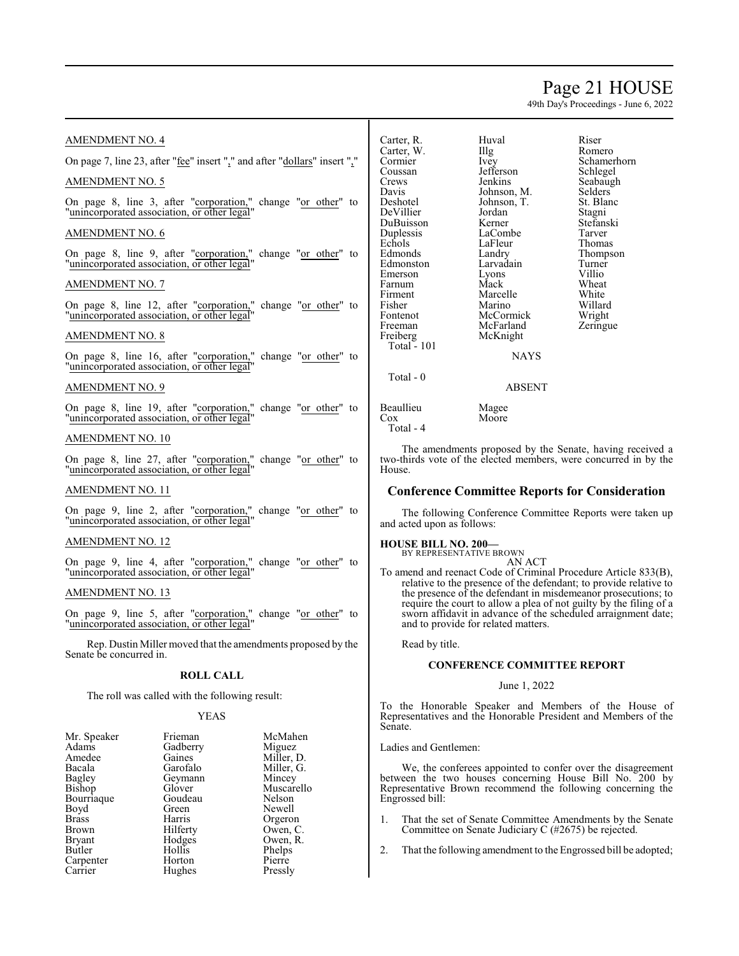# Page 21 HOUSE

49th Day's Proceedings - June 6, 2022

Romero Schamerhorn Schlegel Seabaugh Selders<sup>'</sup> St. Blanc Stagni Stefanski Tarver Thomas Thompson Turner<br>Villio

Willard Wright Zeringue

## AMENDMENT NO. 4

On page 7, line 23, after "fee" insert "," and after "dollars" insert ","

# AMENDMENT NO. 5

On page 8, line 3, after "corporation," change "or other" to "unincorporated association, or other legal"

## AMENDMENT NO. 6

On page 8, line 9, after "corporation," change "or other" to "unincorporated association, or other legal"

### AMENDMENT NO. 7

On page 8, line 12, after "corporation," change "or other" to "unincorporated association, or other legal"

# AMENDMENT NO. 8

On page 8, line 16, after "corporation," change "or other" to "unincorporated association, or other legal"

#### AMENDMENT NO. 9

On page 8, line 19, after "corporation," change "or other" to "unincorporated association, or other legal"

# AMENDMENT NO. 10

On page 8, line 27, after "corporation," change "or other" to "unincorporated association, or other legal"

### AMENDMENT NO. 11

On page 9, line 2, after "corporation," change "or other" to "unincorporated association, or other legal"

#### AMENDMENT NO. 12

On page 9, line 4, after "corporation," change "or other" to "unincorporated association, or other legal"

# AMENDMENT NO. 13

On page 9, line 5, after "corporation," change "or other" to "unincorporated association, or other legal"

Rep. Dustin Miller moved that the amendments proposed by the Senate be concurred in.

# **ROLL CALL**

The roll was called with the following result:

### YEAS

| Mr. Speaker   | Frieman  | McMahen    |
|---------------|----------|------------|
| Adams         | Gadberry | Miguez     |
| Amedee        | Gaines   | Miller, D. |
| Bacala        | Garofalo | Miller, G. |
| Bagley        | Geymann  | Mincey     |
| <b>Bishop</b> | Glover   | Muscarello |
| Bourriaque    | Goudeau  | Nelson     |
| Boyd          | Green    | Newell     |
| <b>Brass</b>  | Harris   | Orgeron    |
| <b>Brown</b>  | Hilferty | Owen, C.   |
| <b>Bryant</b> | Hodges   | Owen, R.   |
| Butler        | Hollis   | Phelps     |
| Carpenter     | Horton   | Pierre     |
| Carrier       | Hughes   | Pressly    |
|               |          |            |

| Carter, R.<br>Carter, W.<br>Cormier<br>Coussan<br>Crews<br>Davis<br>Deshotel<br>DeVillier<br>DuBuisson<br>Duplessis<br>Echols<br>Edmonds<br>Edmonston<br>Emerson<br>Farnum<br>Firment | Huval<br>Illg<br>Ivey<br>Jefferson<br>Jenkins<br>Johnson, M.<br>Johnson, T.<br>Jordan<br>Kerner<br>LaCombe<br>LaFleur<br>Landry<br>Larvadain<br>Lyons<br>Mack<br>Marcelle | Riser<br>Romer<br>Scham<br>Schleg<br>Seabat<br>Selder<br>St. Bla<br>Stagni<br>Stefan<br>Tarver<br>Thoma<br>Thomp<br>Turner<br>Villio<br>Wheat<br>White |
|---------------------------------------------------------------------------------------------------------------------------------------------------------------------------------------|---------------------------------------------------------------------------------------------------------------------------------------------------------------------------|--------------------------------------------------------------------------------------------------------------------------------------------------------|
| Fisher<br>Fontenot<br>Freeman<br>Freiberg<br><b>Total - 101</b>                                                                                                                       | Marino<br>McCormick<br>McFarland<br>McKnight<br><b>NAYS</b>                                                                                                               | Willar<br>Wrigh<br>Zering                                                                                                                              |
| Total - 0                                                                                                                                                                             | <b>ABSENT</b>                                                                                                                                                             |                                                                                                                                                        |
| Beaullieu<br>$\cos$<br>Total - 4                                                                                                                                                      | Magee<br>Moore                                                                                                                                                            |                                                                                                                                                        |

The amendments proposed by the Senate, having received a two-thirds vote of the elected members, were concurred in by the House.

## **Conference Committee Reports for Consideration**

The following Conference Committee Reports were taken up and acted upon as follows:

#### **HOUSE BILL NO. 200—**

BY REPRESENTATIVE BROWN AN ACT

To amend and reenact Code of Criminal Procedure Article 833(B), relative to the presence of the defendant; to provide relative to the presence of the defendant in misdemeanor prosecutions; to require the court to allow a plea of not guilty by the filing of a sworn affidavit in advance of the scheduled arraignment date; and to provide for related matters.

Read by title.

#### **CONFERENCE COMMITTEE REPORT**

#### June 1, 2022

To the Honorable Speaker and Members of the House of Representatives and the Honorable President and Members of the Senate.

Ladies and Gentlemen:

We, the conferees appointed to confer over the disagreement between the two houses concerning House Bill No. 200 by Representative Brown recommend the following concerning the Engrossed bill:

- 1. That the set of Senate Committee Amendments by the Senate Committee on Senate Judiciary C (#2675) be rejected.
- 2. That the following amendment to the Engrossed bill be adopted;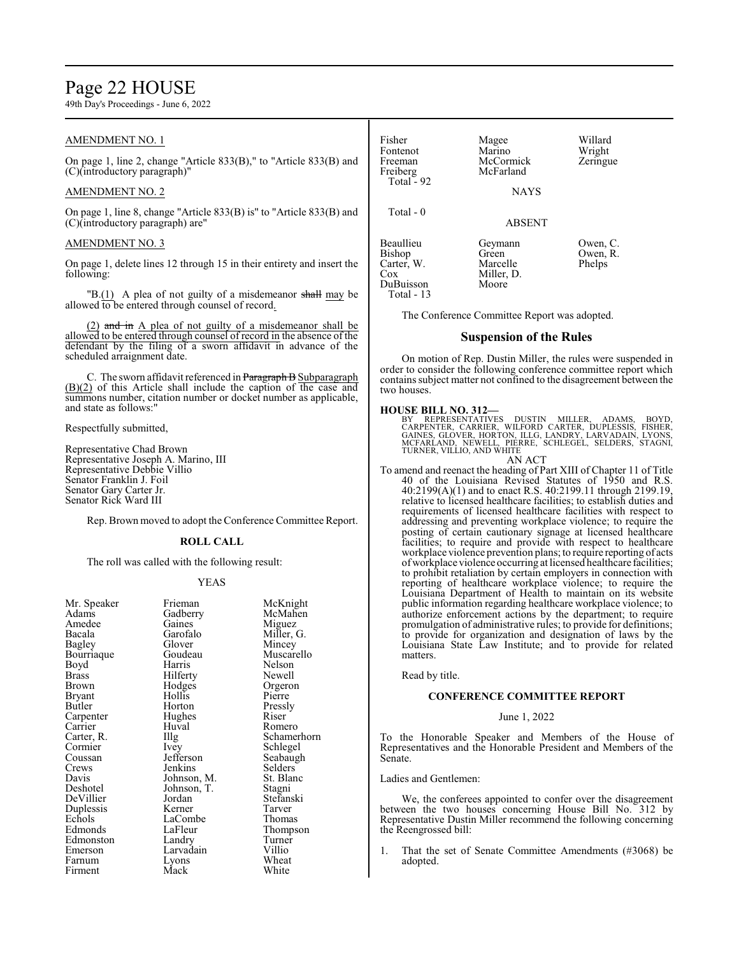# Page 22 HOUSE

49th Day's Proceedings - June 6, 2022

# AMENDMENT NO. 1

On page 1, line 2, change "Article 833(B)," to "Article 833(B) and (C)(introductory paragraph)"

# AMENDMENT NO. 2

On page 1, line 8, change "Article 833(B) is" to "Article 833(B) and (C)(introductory paragraph) are"

### AMENDMENT NO. 3

On page 1, delete lines 12 through 15 in their entirety and insert the following:

"B.(1) A plea of not guilty of a misdemeanor shall may be allowed to be entered through counsel of record.

(2) and in A plea of not guilty of a misdemeanor shall be allowed to be entered through counsel of record in the absence of the defendant by the filing of a sworn affidavit in advance of the scheduled arraignment date.

C. The sworn affidavit referenced in Paragraph B Subparagraph  $(B)(2)$  of this Article shall include the caption of the case and summons number, citation number or docket number as applicable, and state as follows:"

Respectfully submitted,

Representative Chad Brown Representative Joseph A. Marino, III Representative Debbie Villio Senator Franklin J. Foil Senator Gary Carter Jr. Senator Rick Ward III

Rep. Brown moved to adopt the Conference Committee Report.

#### **ROLL CALL**

The roll was called with the following result:

#### YEAS

| Mr. Speaker | Frieman     | McKnight    |
|-------------|-------------|-------------|
| Adams       | Gadberry    | McMahen     |
| Amedee      | Gaines      | Miguez      |
| Bacala      | Garofalo    | Miller, G.  |
| Bagley      | Glover      | Mincey      |
| Bourriaque  | Goudeau     | Muscarello  |
| Boyd        | Harris      | Nelson      |
| Brass       | Hilferty    | Newell      |
| Brown       | Hodges      | Orgeron     |
| Bryant      | Hollis      | Pierre      |
| Butler      | Horton      | Pressly     |
| Carpenter   | Hughes      | Riser       |
| Carrier     | Huval       | Romero      |
| Carter, R.  | Illg        | Schamerhorn |
| Cormier     | Ivey        | Schlegel    |
| Coussan     | Jefferson   | Seabaugh    |
| Crews       | Jenkins     | Selders     |
| Davis       | Johnson, M. | St. Blanc   |
| Deshotel    | Johnson, T. | Stagni      |
| DeVillier   | Jordan      | Stefanski   |
| Duplessis   | Kerner      | Tarver      |
| Echols      | LaCombe     | Thomas      |
| Edmonds     | LaFleur     | Thompson    |
| Edmonston   | Landry      | Turner      |
| Emerson     | Larvadain   | Villio      |
| Farnum      | Lyons       | Wheat       |
| Firment     | Mack        | White       |
|             |             |             |

| Fisher<br>Fontenot<br>Freeman<br>Freiberg<br>Total - $92$              | Magee<br>Marino<br>McCormick<br>McFarland<br><b>NAYS</b> | Willard<br>Wright<br>Zeringue  |
|------------------------------------------------------------------------|----------------------------------------------------------|--------------------------------|
| Total - 0                                                              | <b>ABSENT</b>                                            |                                |
| Beaullieu<br>Bishop<br>Carter, W.<br>$\cos$<br>DuBuisson<br>Total - 13 | Geymann<br>Green<br>Marcelle<br>Miller, D.<br>Moore      | Owen, C.<br>Owen, R.<br>Phelps |

The Conference Committee Report was adopted.

#### **Suspension of the Rules**

On motion of Rep. Dustin Miller, the rules were suspended in order to consider the following conference committee report which contains subject matter not confined to the disagreement between the two houses.

**HOUSE BILL NO. 312—**<br>BY REPRESENTATIVES DUSTIN MILLER, ADAMS, BOYD,<br>CARPENTER, CARRIER, WILFORD CARTER, DUPLESSIS, FISHER,<br>GAINES, GLÓVER, HORTON, ILLG, LANDRY, LARVADAIN, LYONS,<br>MCFARLAND, NEWELL, PIERRE, SCHLEGEL, SELDE

## AN ACT

To amend and reenact the heading of Part XIII of Chapter 11 of Title 40 of the Louisiana Revised Statutes of 1950 and R.S. 40:2199(A)(1) and to enact R.S. 40:2199.11 through 2199.19, relative to licensed healthcare facilities; to establish duties and requirements of licensed healthcare facilities with respect to addressing and preventing workplace violence; to require the posting of certain cautionary signage at licensed healthcare facilities; to require and provide with respect to healthcare workplace violence prevention plans; to require reporting of acts ofworkplace violence occurring at licensed healthcare facilities; to prohibit retaliation by certain employers in connection with reporting of healthcare workplace violence; to require the Louisiana Department of Health to maintain on its website public information regarding healthcare workplace violence; to authorize enforcement actions by the department; to require promulgation of administrative rules; to provide for definitions; to provide for organization and designation of laws by the Louisiana State Law Institute; and to provide for related matters.

Read by title.

#### **CONFERENCE COMMITTEE REPORT**

#### June 1, 2022

To the Honorable Speaker and Members of the House of Representatives and the Honorable President and Members of the Senate.

Ladies and Gentlemen:

We, the conferees appointed to confer over the disagreement between the two houses concerning House Bill No. 312 by Representative Dustin Miller recommend the following concerning the Reengrossed bill:

1. That the set of Senate Committee Amendments (#3068) be adopted.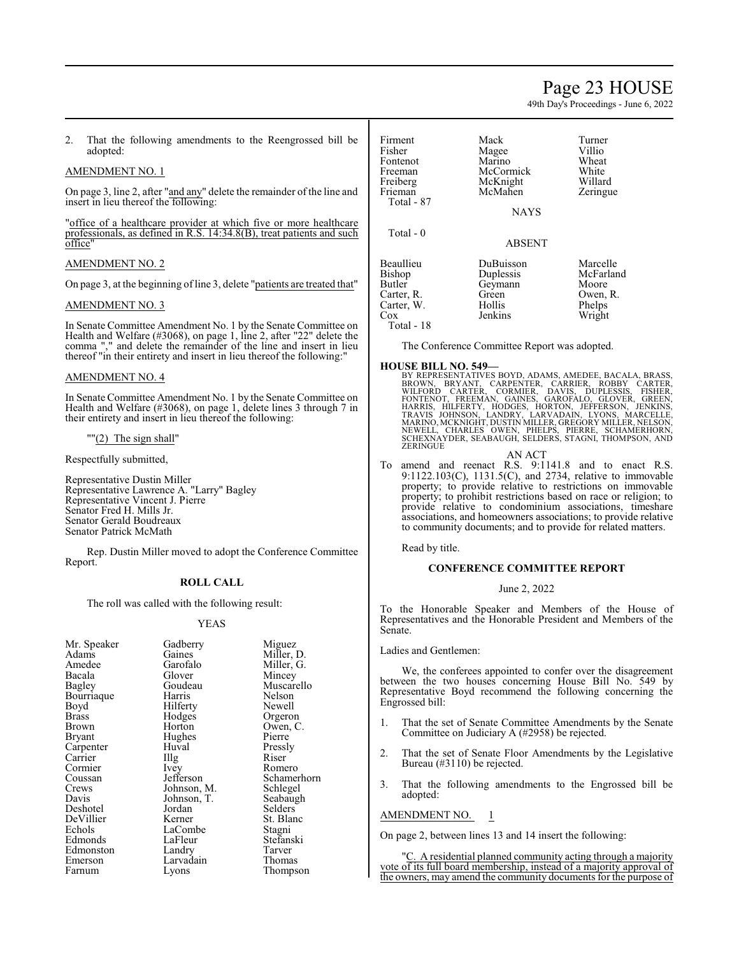# Page 23 HOUSE

49th Day's Proceedings - June 6, 2022

2. That the following amendments to the Reengrossed bill be adopted:

# AMENDMENT NO. 1

On page 3, line 2, after "and any" delete the remainder of the line and insert in lieu thereof the following:

"office of a healthcare provider at which five or more healthcare professionals, as defined in R.S. 14:34.8(B), treat patients and such office"

# AMENDMENT NO. 2

On page 3, at the beginning of line 3, delete "patients are treated that"

### AMENDMENT NO. 3

In Senate Committee Amendment No. 1 by the Senate Committee on Health and Welfare (#3068), on page 1, line 2, after "22" delete the comma "," and delete the remainder of the line and insert in lieu thereof "in their entirety and insert in lieu thereof the following:"

### AMENDMENT NO. 4

In Senate Committee Amendment No. 1 by the Senate Committee on Health and Welfare (#3068), on page 1, delete lines 3 through 7 in their entirety and insert in lieu thereof the following:

#### ""(2) The sign shall"

Respectfully submitted,

Representative Dustin Miller Representative Lawrence A. "Larry" Bagley Representative Vincent J. Pierre Senator Fred H. Mills Jr. Senator Gerald Boudreaux Senator Patrick McMath

Rep. Dustin Miller moved to adopt the Conference Committee Report.

# **ROLL CALL**

The roll was called with the following result:

# YEAS

|             | Miguez                                              |
|-------------|-----------------------------------------------------|
| Gaines      | Miller, D.                                          |
| Garofalo    | Miller, G.                                          |
| Glover      | Mincey                                              |
| Goudeau     | Muscarello                                          |
| Harris      | Nelson                                              |
| Hilferty    | Newell                                              |
|             | Orgeron                                             |
| Horton      | Owen, C.                                            |
|             | Pierre                                              |
| Huval       | Pressly                                             |
|             | Riser                                               |
| Ivey        | Romero                                              |
| Jefferson   | Schamerhorn                                         |
| Johnson, M. | Schlegel                                            |
|             | Seabaugh                                            |
| Jordan      | Selders                                             |
| Kerner      | St. Blanc                                           |
| LaCombe     | Stagni                                              |
| LaFleur     | Stefanski                                           |
| Landry      | Tarver                                              |
| Larvadain   | Thomas                                              |
| Lyons       | Thompson                                            |
|             | Gadberry<br>Hodges<br>Hughes<br>Illg<br>Johnson, T. |

| Firment<br>Fisher<br>Fontenot<br>Freeman<br>Freiberg<br>Frieman<br>Total - 87         | Mack<br>Magee<br>Marino<br>McCormick<br>McKnight<br>McMahen<br><b>NAYS</b> | Turner<br>Villio<br>Wheat<br>White<br>Willard<br>Zeringue      |
|---------------------------------------------------------------------------------------|----------------------------------------------------------------------------|----------------------------------------------------------------|
| Total - 0                                                                             | <b>ABSENT</b>                                                              |                                                                |
| Beaullieu<br>Bishop<br><b>Butler</b><br>Carter, R.<br>Carter, W.<br>Cox<br>Total - 18 | DuBuisson<br>Duplessis<br>Geymann<br>Green<br>Hollis<br>Jenkins            | Marcelle<br>McFarland<br>Moore<br>Owen, R.<br>Phelps<br>Wright |

The Conference Committee Report was adopted.

### **HOUSE BILL NO. 549—**

BY REPRESENTATIVES BOYD, ADAMS, AMEDEE, BACALA, BRASS, BROWN, BRYANT, CARPENTER, CARRIER, ROBBY CARTER,<br>WILFORD CARTER, CORMIER, DAVIS, DUPLESSIS, FISHER,<br>FONTENOT, FREEMAN, GAINES, GAROFALO, GLOVER, GREEN, HARRIS, HILFERTY, HODGES, HORTON, JEFFERSON, JENKINS,<br>TRAVIS JOHNSON, LANDRY, LARVADAIN, LYONS, MARCELLE,<br>MARINO,MCKNIGHT,DUSTIN MILLER,GREGORY MILLER,NELSON,<br>NEWELL, CHARLES OWEN, PHELPS, PIERRE, SCHAMERHORN,<br>SCHEXNAYDER, ZERINGUE

- AN ACT
- To amend and reenact R.S. 9:1141.8 and to enact R.S. 9:1122.103(C), 1131.5(C), and 2734, relative to immovable property; to provide relative to restrictions on immovable property; to prohibit restrictions based on race or religion; to provide relative to condominium associations, timeshare associations, and homeowners associations; to provide relative to community documents; and to provide for related matters.

Read by title.

#### **CONFERENCE COMMITTEE REPORT**

#### June 2, 2022

To the Honorable Speaker and Members of the House of Representatives and the Honorable President and Members of the Senate.

Ladies and Gentlemen:

We, the conferees appointed to confer over the disagreement between the two houses concerning House Bill No. 549 by Representative Boyd recommend the following concerning the Engrossed bill:

- 1. That the set of Senate Committee Amendments by the Senate Committee on Judiciary A (#2958) be rejected.
- 2. That the set of Senate Floor Amendments by the Legislative Bureau (#3110) be rejected.
- 3. That the following amendments to the Engrossed bill be adopted:

AMENDMENT NO. 1

On page 2, between lines 13 and 14 insert the following:

"C. A residential planned community acting through a majority vote of its full board membership, instead of a majority approval of the owners, may amend the community documents for the purpose of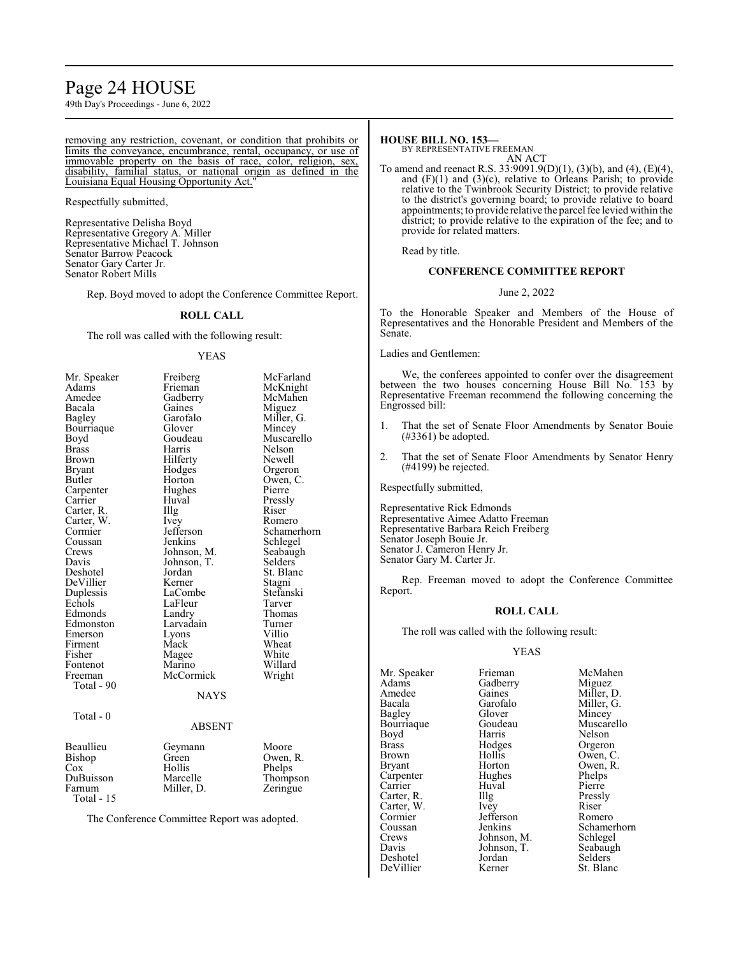# Page 24 HOUSE

49th Day's Proceedings - June 6, 2022

removing any restriction, covenant, or condition that prohibits or limits the conveyance, encumbrance, rental, occupancy, or use of immovable property on the basis of race, color, religion, sex, disability, familial status, or national origin as defined in the Louisiana Equal Housing Opportunity Act."

Respectfully submitted,

Representative Delisha Boyd Representative Gregory A. Miller Representative Michael T. Johnson Senator Barrow Peacock Senator Gary Carter Jr. Senator Robert Mills

Rep. Boyd moved to adopt the Conference Committee Report.

#### **ROLL CALL**

The roll was called with the following result:

#### YEAS

| Total - 0<br><b>ABSENT</b><br>Moore<br>Geymann<br>Green<br>Owen, R.<br>Hollis<br>Phelps<br>Marcelle<br>Miller, D.<br>Zeringue<br>Total - 15 | Mr. Speaker<br>Adams<br>Amedee<br>Bacala<br>Bagley<br>Bourriaque<br>Boyd<br><b>Brass</b><br>Brown<br>Bryant<br>Butler<br>Carpenter<br>Carrier<br>Carter, R.<br>Carter, W.<br>Cormier<br>Coussan<br>Crews<br>Davis<br>Deshotel<br>DeVillier<br>Duplessis<br>Echols<br>Edmonds<br>Edmonston<br>Emerson<br>Firment<br>Fisher<br>Fontenot<br>Freeman<br>Total - 90 | Freiberg<br>Frieman<br>Gadberry<br>Gaines<br>Garofalo<br>Glover<br>Goudeau<br>Harris<br>Hilferty<br>Hodges<br>Horton<br>Hughes<br>Huval<br>Illg<br>Ivey<br>Jefferson<br>Jenkins<br>Johnson, M.<br>Johnson, T.<br>Jordan<br>Kerner<br>LaCombe<br>LaFleur<br>Landry<br>Larvadain<br>Lyons<br>Mack<br>Magee<br>Marino<br>McCormick | McFarland<br>McKnight<br>McMahen<br>Miguez<br>Miller, G.<br>Mincey<br>Muscarello<br>Nelson<br>Newell<br>Orgeron<br>Owen, C.<br>Pierre<br>Pressly<br>Riser<br>Romero<br>Schamerhorn<br>Schlegel<br>Seabaugh<br>Selders<br>St. Blanc<br>Stagni<br>Stefanski<br>Tarver<br>Thomas<br>Turner<br>Villio<br>Wheat<br>White<br>Willard<br>Wright |
|---------------------------------------------------------------------------------------------------------------------------------------------|----------------------------------------------------------------------------------------------------------------------------------------------------------------------------------------------------------------------------------------------------------------------------------------------------------------------------------------------------------------|---------------------------------------------------------------------------------------------------------------------------------------------------------------------------------------------------------------------------------------------------------------------------------------------------------------------------------|------------------------------------------------------------------------------------------------------------------------------------------------------------------------------------------------------------------------------------------------------------------------------------------------------------------------------------------|
| Beaullieu<br>Bishop<br>Cox<br>DuBuisson<br>Farnum                                                                                           |                                                                                                                                                                                                                                                                                                                                                                | NAYS                                                                                                                                                                                                                                                                                                                            |                                                                                                                                                                                                                                                                                                                                          |
|                                                                                                                                             |                                                                                                                                                                                                                                                                                                                                                                |                                                                                                                                                                                                                                                                                                                                 |                                                                                                                                                                                                                                                                                                                                          |
|                                                                                                                                             |                                                                                                                                                                                                                                                                                                                                                                |                                                                                                                                                                                                                                                                                                                                 | Thompson                                                                                                                                                                                                                                                                                                                                 |

The Conference Committee Report was adopted.

#### **HOUSE BILL NO. 153—** BY REPRESENTATIVE FREEMAN

AN ACT

To amend and reenact R.S. 33:9091.9(D)(1), (3)(b), and (4), (E)(4), and (F)(1) and (3)(c), relative to Orleans Parish; to provide relative to the Twinbrook Security District; to provide relative to the district's governing board; to provide relative to board appointments; to provide relative the parcel fee levied within the district; to provide relative to the expiration of the fee; and to provide for related matters.

Read by title.

### **CONFERENCE COMMITTEE REPORT**

#### June 2, 2022

To the Honorable Speaker and Members of the House of Representatives and the Honorable President and Members of the Senate.

Ladies and Gentlemen:

We, the conferees appointed to confer over the disagreement between the two houses concerning House Bill No. 153 by Representative Freeman recommend the following concerning the Engrossed bill:

- 1. That the set of Senate Floor Amendments by Senator Bouie (#3361) be adopted.
- 2. That the set of Senate Floor Amendments by Senator Henry (#4199) be rejected.

Respectfully submitted,

Representative Rick Edmonds Representative Aimee Adatto Freeman Representative Barbara Reich Freiberg Senator Joseph Bouie Jr. Senator J. Cameron Henry Jr. Senator Gary M. Carter Jr.

Rep. Freeman moved to adopt the Conference Committee Report.

#### **ROLL CALL**

The roll was called with the following result:

#### YEAS

| Mr. Speaker   | Frieman     | McMahen     |
|---------------|-------------|-------------|
| Adams         | Gadberry    | Miguez      |
| Amedee        | Gaines      | Miller, D.  |
| Bacala        | Garofalo    | Miller, G.  |
| Bagley        | Glover      | Mincey      |
| Bourriaque    | Goudeau     | Muscarello  |
| Boyd          | Harris      | Nelson      |
| Brass         | Hodges      | Orgeron     |
| Brown         | Hollis      | Owen, C.    |
| <b>Bryant</b> | Horton      | Owen, R.    |
| Carpenter     | Hughes      | Phelps      |
| Carrier       | Huval       | Pierre      |
| Carter, R.    | Illg        | Pressly     |
| Carter, W.    | Ivey        | Riser       |
| Cormier       | Jefferson   | Romero      |
| Coussan       | Jenkins     | Schamerhorn |
| Crews         | Johnson, M. | Schlegel    |
| Davis         | Johnson, T. | Seabaugh    |
| Deshotel      | Jordan      | Selders     |
| DeVillier     | Kerner      | St. Blanc   |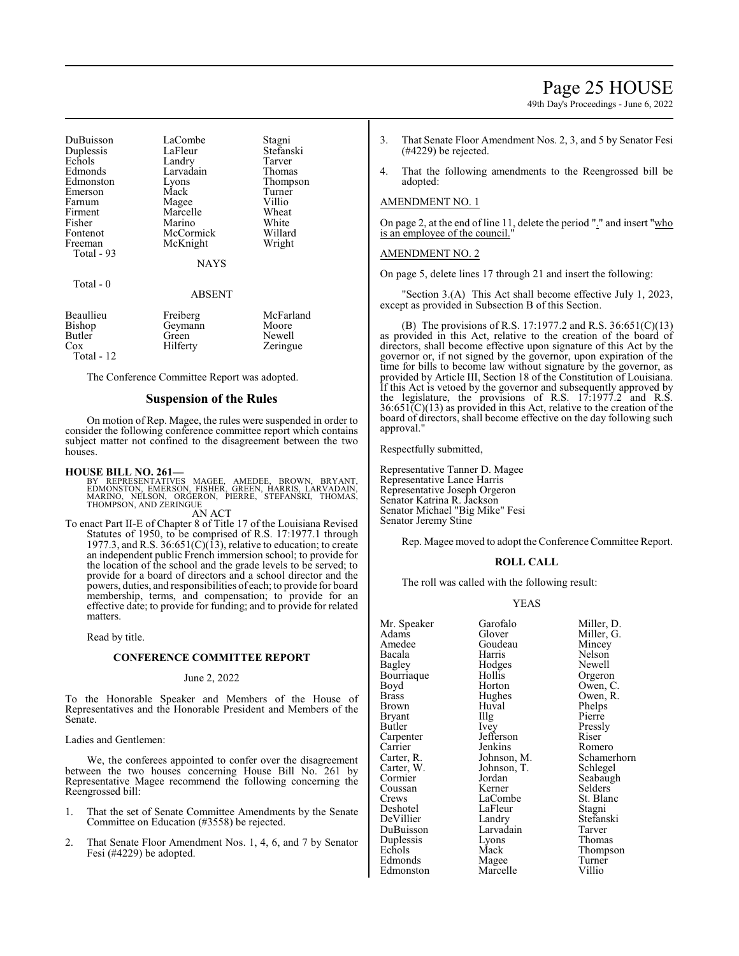# Page 25 HOUSE

49th Day's Proceedings - June 6, 2022

| DuBuisson  | LaCombe     | Stagni    |
|------------|-------------|-----------|
| Duplessis  | LaFleur     | Stefanski |
| Echols     | Landry      | Tarver    |
| Edmonds    | Larvadain   | Thomas    |
| Edmonston  | Lyons       | Thompson  |
| Emerson    | Mack        | Turner    |
| Farnum     | Magee       | Villio    |
| Firment    | Marcelle    | Wheat     |
| Fisher     | Marino      | White     |
| Fontenot   | McCormick   | Willard   |
| Freeman    | McKnight    | Wright    |
| Total - 93 | <b>NAYS</b> |           |

Total - 0

| Beaullieu         | Freiberg | McFarland |
|-------------------|----------|-----------|
| Bishop            | Geymann  | Moore     |
| Butler            | Green    | Newell    |
| Cox<br>Total - 12 | Hilferty | Zeringue  |

The Conference Committee Report was adopted.

# **Suspension of the Rules**

ABSENT

On motion of Rep. Magee, the rules were suspended in order to consider the following conference committee report which contains subject matter not confined to the disagreement between the two houses.

#### **HOUSE BILL NO. 261—**

BY REPRESENTATIVES MAGEE, AMEDEE, BROWN, BRYANT,<br>EDMONSTON, EMERSON, FISHER, GREEN, HARRIS, LARVADAIN,<br>MARINO, NELSON, ORGERON, PIERRE, STEFANSKI, THOMAS,<br>THOMPSON,AND ZERINGUE

#### AN ACT

To enact Part II-E of Chapter 8 of Title 17 of the Louisiana Revised Statutes of 1950, to be comprised of R.S. 17:1977.1 through 1977.3, and R.S.  $36:651(C)(13)$ , relative to education; to create an independent public French immersion school; to provide for the location of the school and the grade levels to be served; to provide for a board of directors and a school director and the powers, duties, and responsibilities of each; to provide for board membership, terms, and compensation; to provide for an effective date; to provide for funding; and to provide for related matters.

Read by title.

# **CONFERENCE COMMITTEE REPORT**

#### June 2, 2022

To the Honorable Speaker and Members of the House of Representatives and the Honorable President and Members of the Senate.

Ladies and Gentlemen:

We, the conferees appointed to confer over the disagreement between the two houses concerning House Bill No. 261 by Representative Magee recommend the following concerning the Reengrossed bill:

- That the set of Senate Committee Amendments by the Senate Committee on Education (#3558) be rejected.
- 2. That Senate Floor Amendment Nos. 1, 4, 6, and 7 by Senator Fesi (#4229) be adopted.
- 3. That Senate Floor Amendment Nos. 2, 3, and 5 by Senator Fesi (#4229) be rejected.
- 4. That the following amendments to the Reengrossed bill be adopted:

#### AMENDMENT NO. 1

On page 2, at the end of line 11, delete the period "." and insert "who is an employee of the council.

# AMENDMENT NO. 2

On page 5, delete lines 17 through 21 and insert the following:

"Section 3.(A) This Act shall become effective July 1, 2023, except as provided in Subsection B of this Section.

(B) The provisions of R.S. 17:1977.2 and R.S. 36:651(C)(13) as provided in this Act, relative to the creation of the board of directors, shall become effective upon signature of this Act by the governor or, if not signed by the governor, upon expiration of the time for bills to become law without signature by the governor, as provided by Article III, Section 18 of the Constitution of Louisiana. If this Act is vetoed by the governor and subsequently approved by the legislature, the provisions of R.S.  $17:1977.2$  and R.S.  $36:651\text{C}(13)$  as provided in this Act, relative to the creation of the board of directors, shall become effective on the day following such approval."

Respectfully submitted,

Representative Tanner D. Magee Representative Lance Harris Representative Joseph Orgeron Senator Katrina R. Jackson Senator Michael "Big Mike" Fesi Senator Jeremy Stine

Rep. Magee moved to adopt the Conference Committee Report.

## **ROLL CALL**

The roll was called with the following result:

#### YEAS

| Mr. Speaker   | Garofalo    | Miller, D.  |
|---------------|-------------|-------------|
| Adams         | Glover      | Miller, G.  |
| Amedee        | Goudeau     | Mincey      |
| Bacala        | Harris      | Nelson      |
| <b>Bagley</b> | Hodges      | Newell      |
| Bourriaque    | Hollis      | Orgeron     |
| Boyd          | Horton      | Owen, C.    |
| Brass         | Hughes      | Owen, R.    |
| Brown         | Huval       | Phelps      |
| Bryant        | Illg        | Pierre      |
| Butler        | Ivey        | Pressly     |
| Carpenter     | Jefferson   | Riser       |
| Carrier       | Jenkins     | Romero      |
| Carter, R.    | Johnson, M. | Schamerhorn |
| Carter, W.    | Johnson, T. | Schlegel    |
| Cormier       | Jordan      | Seabaugh    |
| Coussan       | Kerner      | Selders     |
| Crews         | LaCombe     | St. Blanc   |
| Deshotel      | LaFleur     | Stagni      |
| DeVillier     | Landry      | Stefanski   |
| DuBuisson     | Larvadain   | Tarver      |
| Duplessis     | Lyons       | Thomas      |
| Echols        | Mack        | Thompson    |
| Edmonds       | Magee       | Turner      |
| Edmonston     | Marcelle    | Villio      |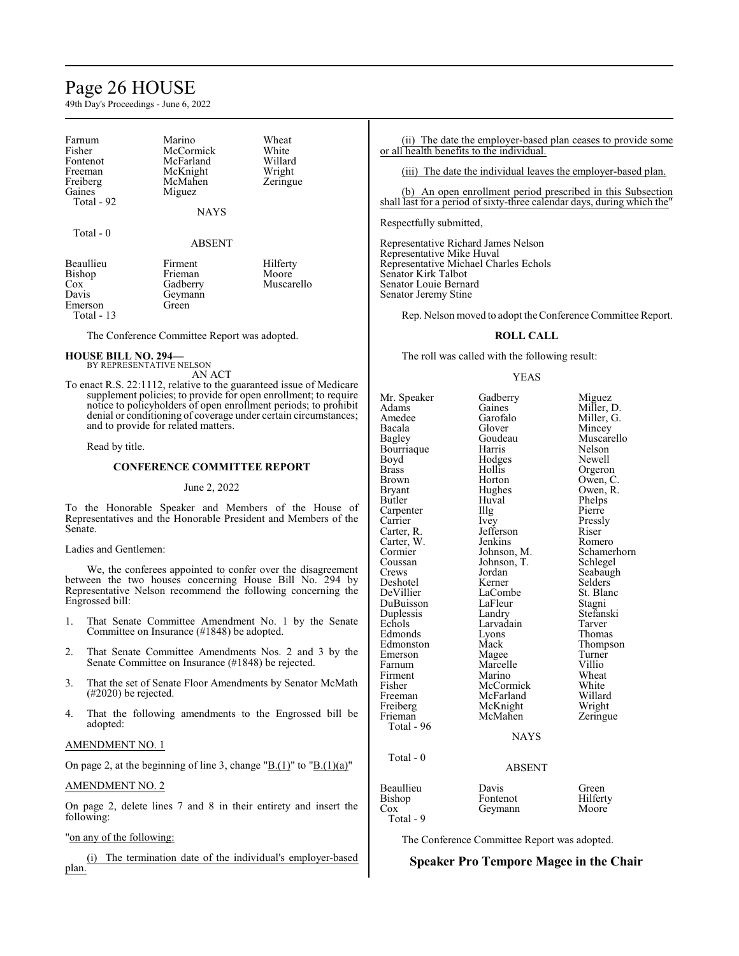# Page 26 HOUSE

49th Day's Proceedings - June 6, 2022

| Farnum           | Marino        | Wheat      |
|------------------|---------------|------------|
| Fisher           | McCormick     | White      |
| Fontenot         | McFarland     | Willard    |
| Freeman          | McKnight      | Wright     |
| Freiberg         | McMahen       | Zeringue   |
| Gaines           | Miguez        |            |
| Total - 92       |               |            |
|                  | <b>NAYS</b>   |            |
| Total - 0        |               |            |
|                  | <b>ABSENT</b> |            |
| <b>Beaullieu</b> | Firment       | Hilferty   |
| Bishop           | Frieman       | Moore      |
| $\cos$           | Gadberry      | Muscarello |
| Davis            | Geymann       |            |
| Emerson          | Green         |            |
| Total - 13       |               |            |

The Conference Committee Report was adopted.

**HOUSE BILL NO. 294—** BY REPRESENTATIVE NELSON

AN ACT To enact R.S. 22:1112, relative to the guaranteed issue of Medicare supplement policies; to provide for open enrollment; to require notice to policyholders of open enrollment periods; to prohibit denial or conditioning of coverage under certain circumstances; and to provide for related matters.

Read by title.

#### **CONFERENCE COMMITTEE REPORT**

#### June 2, 2022

To the Honorable Speaker and Members of the House of Representatives and the Honorable President and Members of the Senate.

#### Ladies and Gentlemen:

We, the conferees appointed to confer over the disagreement between the two houses concerning House Bill No. 294 by Representative Nelson recommend the following concerning the Engrossed bill:

- 1. That Senate Committee Amendment No. 1 by the Senate Committee on Insurance (#1848) be adopted.
- 2. That Senate Committee Amendments Nos. 2 and 3 by the Senate Committee on Insurance (#1848) be rejected.
- 3. That the set of Senate Floor Amendments by Senator McMath (#2020) be rejected.
- 4. That the following amendments to the Engrossed bill be adopted:

# AMENDMENT NO. 1

On page 2, at the beginning of line 3, change "B. $(1)$ " to "B. $(1)(a)$ "

#### AMENDMENT NO. 2

On page 2, delete lines 7 and 8 in their entirety and insert the following:

# "on any of the following:

(i) The termination date of the individual's employer-based plan.

(ii) The date the employer-based plan ceases to provide some or all health benefits to the individual.

(iii) The date the individual leaves the employer-based plan.

(b) An open enrollment period prescribed in this Subsection shall last for a period of sixty-three calendar days, during which the

Respectfully submitted,

Representative Richard James Nelson Representative Mike Huval Representative Michael Charles Echols Senator Kirk Talbot Senator Louie Bernard Senator Jeremy Stine

Rep. Nelson moved to adopt the Conference Committee Report.

### **ROLL CALL**

The roll was called with the following result:

#### YEAS

Mr. Speaker Gadberry Miguez<br>
Adams Gaines Miller I Adams Gaines Miller, D.<br>Amedee Garofalo Miller, G. Amedee Garofalo Miller, G.<br>Bacala Glover Mincey Bacala Glover Mincey Bourriaque Harris Nelson<br>Boyd Hodges Newell Boyd Hodges<br>Brass Hollis Brass Hollis Orgeron Brown Horton Owen, C<br>Bryant Hughes Owen, R Bryant Hughes Owen, R.<br>Butler Huval Phelps Carpenter Carrier Ivey Pressly Carter, R. Jefferson Riser Carter, W. Jenkins<br>Cormier Johnson, M. Cormier Johnson, M. Schamerhorn Coussan Johnson, T.<br>Crews Jordan Deshotel Kerner Selders<br>DeVillier LaCombe St. Blanc DuBuisson LaFleur Stagni<br>
Duplessis Landry Stefanski Duplessis Landry Stefans<br>Echols Larvadain Tarver Edmonds Lyons<br>Edmonston Mack Edmonston Mack Thompson<br>
Emerson Magee Turner Emerson Magee Turner<br>Farnum Marcelle Villio Farnum Marcelle Villio<br>Firment Marino Wheat Firment Marino Wheat<br>Fisher McCormick White Fisher McCormick White<br>Freeman McFarland Willard Freeman McFarland Willard<br>Freiberg McKnight Wright Freiberg McKnight Wright<br>
Frieman McMahen Zeringue McMahen Total - 96 Total - 0

Goudeau Muscarello<br>Harris Nelson Huval Phelps<br>Illg Pierre Jordan Seabaugh<br>Kerner Selders LaCombe<br>
LaFleur Stagni Larvadain Tarver<br>Lyons Thomas

# **NAYS**

# ABSENT

# Beaullieu Davis Green<br>Bishop Fontenot Hilferty Bishop Fontenot Hilfert<br>Cox Geymann Moore Geymann Total - 9

The Conference Committee Report was adopted.

# **Speaker Pro Tempore Magee in the Chair**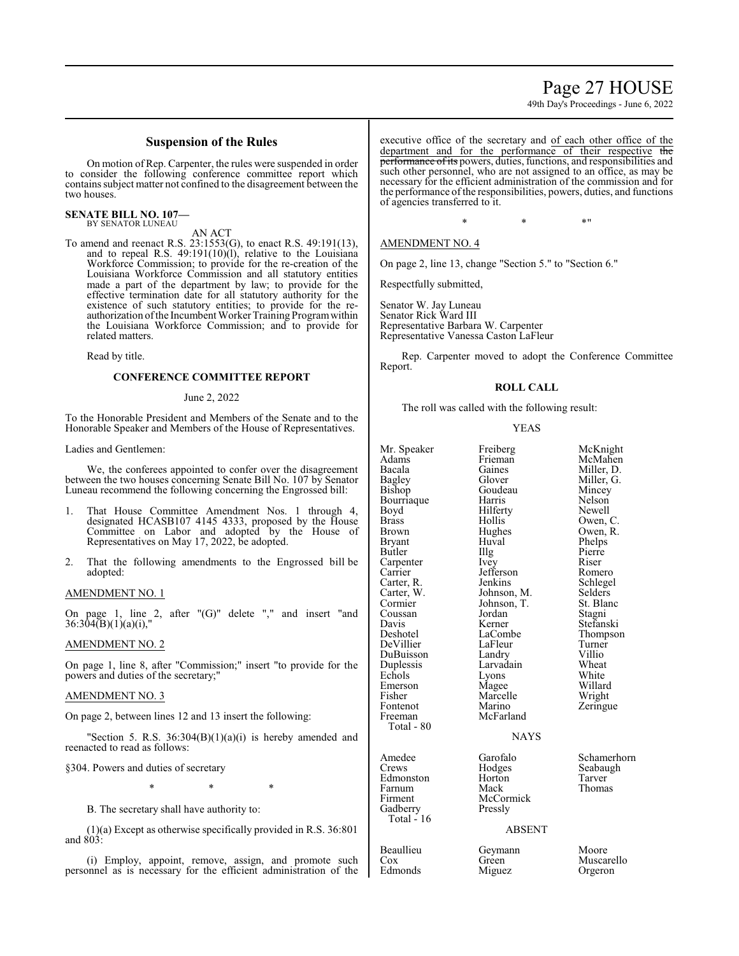# Page 27 HOUSE

49th Day's Proceedings - June 6, 2022

# **Suspension of the Rules**

On motion of Rep. Carpenter, the rules were suspended in order to consider the following conference committee report which containssubject matter not confined to the disagreement between the two houses.

#### **SENATE BILL NO. 107—** BY SENATOR LUNEAU

AN ACT

To amend and reenact R.S. 23:1553(G), to enact R.S. 49:191(13), and to repeal R.S. 49:191(10)(l), relative to the Louisiana Workforce Commission; to provide for the re-creation of the Louisiana Workforce Commission and all statutory entities made a part of the department by law; to provide for the effective termination date for all statutory authority for the existence of such statutory entities; to provide for the reauthorization ofthe Incumbent Worker Training Programwithin the Louisiana Workforce Commission; and to provide for related matters.

Read by title.

### **CONFERENCE COMMITTEE REPORT**

#### June 2, 2022

To the Honorable President and Members of the Senate and to the Honorable Speaker and Members of the House of Representatives.

#### Ladies and Gentlemen:

We, the conferees appointed to confer over the disagreement between the two houses concerning Senate Bill No. 107 by Senator Luneau recommend the following concerning the Engrossed bill:

- 1. That House Committee Amendment Nos. 1 through 4, designated HCASB107 4145 4333, proposed by the House Committee on Labor and adopted by the House of Representatives on May 17, 2022, be adopted.
- 2. That the following amendments to the Engrossed bill be adopted:

### AMENDMENT NO. 1

On page 1, line 2, after " $(G)$ " delete "," and insert "and  $36:304(B)(1)(a)(i)$ ,

### AMENDMENT NO. 2

On page 1, line 8, after "Commission;" insert "to provide for the powers and duties of the secretary;"

#### AMENDMENT NO. 3

On page 2, between lines 12 and 13 insert the following:

'Section 5. R.S.  $36:304(B)(1)(a)(i)$  is hereby amended and reenacted to read as follows:

#### §304. Powers and duties of secretary

\* \* \*

B. The secretary shall have authority to:

(1)(a) Except as otherwise specifically provided in R.S. 36:801 and 803:

(i) Employ, appoint, remove, assign, and promote such personnel as is necessary for the efficient administration of the executive office of the secretary and of each other office of the department and for the performance of their respective the performance of its powers, duties, functions, and responsibilities and such other personnel, who are not assigned to an office, as may be necessary for the efficient administration of the commission and for the performance of the responsibilities, powers, duties, and functions of agencies transferred to it.

 $*$  \*  $*$  \*

### AMENDMENT NO. 4

On page 2, line 13, change "Section 5." to "Section 6."

Respectfully submitted,

Senator W. Jay Luneau Senator Rick Ward III Representative Barbara W. Carpenter Representative Vanessa Caston LaFleur

Rep. Carpenter moved to adopt the Conference Committee Report.

#### **ROLL CALL**

The roll was called with the following result:

#### YEAS

| Mr. Speaker<br>Adams<br>Bacala<br>Bagley<br>Bishop<br>Bourriaque<br>Boyd<br>Brass<br>Brown<br>Bryant<br>Butler<br>Carpenter<br>Carrier<br>Carter, R.<br>Carter, W.<br>Cormier<br>Coussan<br>Davis<br>Deshotel<br>DeVillier<br>DuBuisson<br>Duplessis<br>Echols<br>Emerson<br>Fisher<br>Fontenot<br>Freeman<br>Total - 80 | Freiberg<br>Frieman<br>Gaines<br>Glover<br>Goudeau<br>Harris<br>Hilferty<br>Hollis<br>Hughes<br>Huval<br>Illg<br><i>lvey</i><br>Jefferson<br>Jenkins<br>Johnson, M.<br>Johnson, T.<br>Jordan<br>Kerner<br>LaCombe<br>LaFleur<br>Landry<br>Larvadain<br>Lyons<br>Magee<br>Marcelle<br>Marino<br>McFarland<br><b>NAYS</b> | McKnight<br>McMahen<br>Miller, D.<br>Miller, G.<br>Mincey<br>Nelson<br>Newell<br>Owen, C.<br>Owen, R.<br>Phelps<br>Pierre<br>Riser<br>Romero<br>Schlegel<br>Selders<br>St. Blanc<br>Stagni<br>Stefanski<br>Thompson<br>Turner<br>Villio<br>Wheat<br>White<br>Willard<br>Wright<br>Zeringue |
|--------------------------------------------------------------------------------------------------------------------------------------------------------------------------------------------------------------------------------------------------------------------------------------------------------------------------|-------------------------------------------------------------------------------------------------------------------------------------------------------------------------------------------------------------------------------------------------------------------------------------------------------------------------|--------------------------------------------------------------------------------------------------------------------------------------------------------------------------------------------------------------------------------------------------------------------------------------------|
| Amedee<br>Crews<br>Edmonston<br>Farnum<br>Firment<br>Gadberry<br>Total - 16                                                                                                                                                                                                                                              | Garofalo<br>Hodges<br>Horton<br>Mack<br>McCormick<br>Pressly<br><b>ABSENT</b>                                                                                                                                                                                                                                           | Schamerhorn<br>Seabaugh<br>Tarver<br>Thomas                                                                                                                                                                                                                                                |
| Beaullieu<br>Cox                                                                                                                                                                                                                                                                                                         | Geymann<br>Green                                                                                                                                                                                                                                                                                                        | Moore<br>Muscarello                                                                                                                                                                                                                                                                        |

Edmonds Miguez Orgeron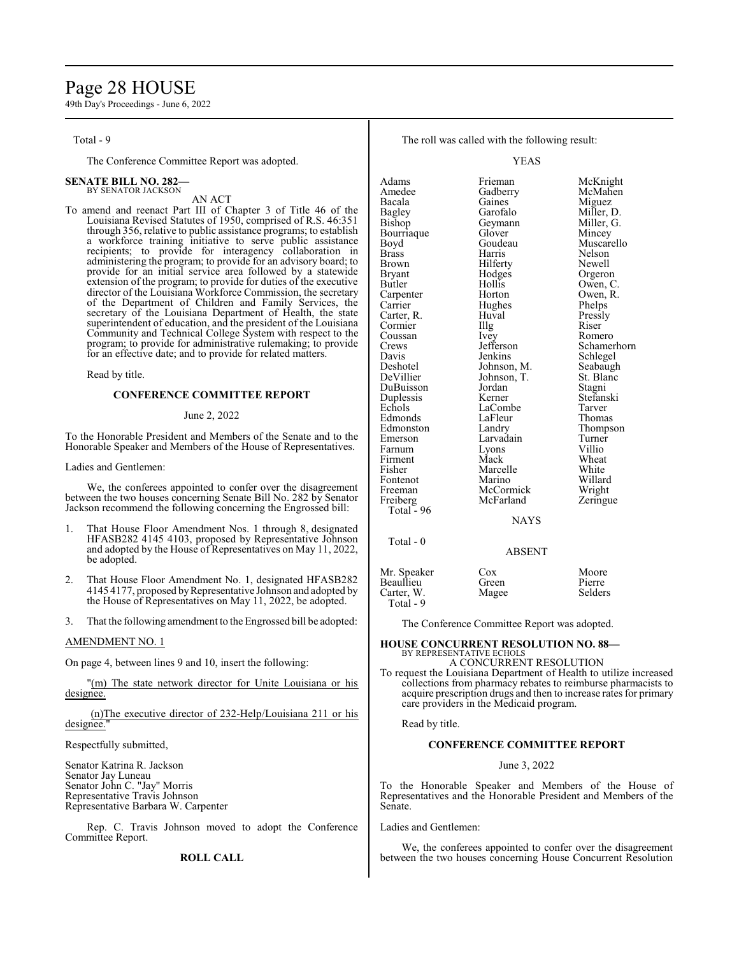# Page 28 HOUSE

49th Day's Proceedings - June 6, 2022

Total - 9

The Conference Committee Report was adopted.

#### **SENATE BILL NO. 282—** BY SENATOR JACKSON

AN ACT

To amend and reenact Part III of Chapter 3 of Title 46 of the Louisiana Revised Statutes of 1950, comprised of R.S. 46:351 through 356, relative to public assistance programs; to establish a workforce training initiative to serve public assistance recipients; to provide for interagency collaboration in administering the program; to provide for an advisory board; to provide for an initial service area followed by a statewide extension of the program; to provide for duties of the executive director of the Louisiana Workforce Commission, the secretary of the Department of Children and Family Services, the secretary of the Louisiana Department of Health, the state superintendent of education, and the president of the Louisiana Community and Technical College System with respect to the program; to provide for administrative rulemaking; to provide for an effective date; and to provide for related matters.

#### Read by title.

#### **CONFERENCE COMMITTEE REPORT**

#### June 2, 2022

To the Honorable President and Members of the Senate and to the Honorable Speaker and Members of the House of Representatives.

Ladies and Gentlemen:

We, the conferees appointed to confer over the disagreement between the two houses concerning Senate Bill No. 282 by Senator Jackson recommend the following concerning the Engrossed bill:

- 1. That House Floor Amendment Nos. 1 through 8, designated HFASB282 4145 4103, proposed by Representative Johnson and adopted by the House of Representatives on May 11, 2022, be adopted.
- 2. That House Floor Amendment No. 1, designated HFASB282 4145 4177, proposed byRepresentative Johnson and adopted by the House of Representatives on May 11, 2022, be adopted.
- 3. That the following amendment to the Engrossed bill be adopted:

#### AMENDMENT NO. 1

On page 4, between lines 9 and 10, insert the following:

"(m) The state network director for Unite Louisiana or his designee.

### (n)The executive director of 232-Help/Louisiana 211 or his designee.

Respectfully submitted,

Senator Katrina R. Jackson Senator Jay Luneau Senator John C. "Jay" Morris Representative Travis Johnson Representative Barbara W. Carpenter

Rep. C. Travis Johnson moved to adopt the Conference Committee Report.

**ROLL CALL**

The roll was called with the following result:

YEAS

Adams Frieman McKnight<br>
Amedee Gadberry McMahen Gadberry Bacala Gaines Miguez Bagley Garofalo Miller, D.<br>Bishop Geymann Miller, G. Geymann Miller,<br>Glover Mincey Bourriaque Glover<br>Boyd Goudeau Boyd Goudeau Muscarello<br>Brass Harris Nelson Brass Harris Nelson Brown Hilferty<br>Bryant Hodges Bryant Hodges Orgeron<br>Butler Hollis Owen Hollis Owen, C.<br>Horton Owen, R. Carpenter Horton Owen, R.<br>
Carrier Hughes Phelps Hughes Phelps<br>Huval Pressly Carter, R. Huval Pressly Cormier Illg Riser<br>Coussan Ivev Romero Coussan Ivey<br>Crews Jefferson Crews Jefferson Schamerhorn<br>
Davis Jenkins Schlegel Davis Jenkins Schlegel<br>Deshotel Johnson, M. Seabaugh Deshotel Johnson, M. Seabaugh<br>DeVillier Johnson, T. St. Blanc Johnson, T. St. Blanch<br>Jordan Stagni DuBuisson Jordan Stagni<br>
Duplessis Kerner Stefanski Duplessis Kerner Stefans<br>Echols LaCombe Tarver LaCombe Tarver<br>LaFleur Thomas Edmonds LaFleu<br>
Edmonston Landry Edmonston Landry Thompson<br>
Emerson Larvadain Turner Larvadain Turner<br>Lyons Villio Farnum Lyons Villio Firment Mack Wheat<br>
Fisher Marcelle White Fisher Marcelle White<br>Fontenot Marino Willard Fontenot Marino Willard<br>Freeman McCormick Wright McCormick Wright<br>
McFarland Zeringue Freiberg McFarland Zeringue Total - 96 NAYS Total - 0

#### ABSENT

| Mr. Speaker | Cox   | Moore   |
|-------------|-------|---------|
| Beaullieu   | Green | Pierre  |
| Carter, W.  | Magee | Selders |
| Total - 9   |       |         |

The Conference Committee Report was adopted.

# **HOUSE CONCURRENT RESOLUTION NO. 88—** BY REPRESENTATIVE ECHOLS A CONCURRENT RESOLUTION

To request the Louisiana Department of Health to utilize increased collections from pharmacy rebates to reimburse pharmacists to acquire prescription drugs and then to increase rates for primary care providers in the Medicaid program.

Read by title.

# **CONFERENCE COMMITTEE REPORT**

June 3, 2022

To the Honorable Speaker and Members of the House of Representatives and the Honorable President and Members of the Senate.

Ladies and Gentlemen:

We, the conferees appointed to confer over the disagreement between the two houses concerning House Concurrent Resolution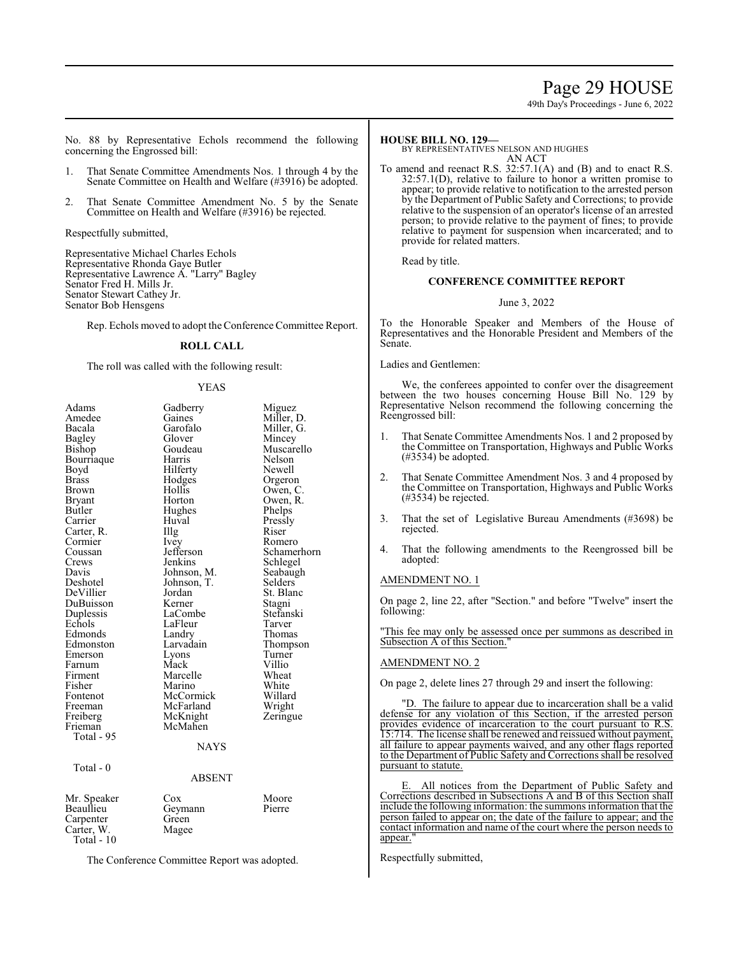# Page 29 HOUSE

49th Day's Proceedings - June 6, 2022

No. 88 by Representative Echols recommend the following concerning the Engrossed bill:

- 1. That Senate Committee Amendments Nos. 1 through 4 by the Senate Committee on Health and Welfare (#3916) be adopted.
- 2. That Senate Committee Amendment No. 5 by the Senate Committee on Health and Welfare (#3916) be rejected.

Respectfully submitted,

Representative Michael Charles Echols Representative Rhonda Gaye Butler Representative Lawrence A. "Larry" Bagley Senator Fred H. Mills Jr. Senator Stewart Cathey Jr. Senator Bob Hensgens

Rep. Echols moved to adopt theConference Committee Report.

# **ROLL CALL**

The roll was called with the following result:

#### YEAS

| Adams       | Gadberry    | Miguez      |
|-------------|-------------|-------------|
| Amedee      | Gaines      | Miller, D.  |
| Bacala      | Garofalo    | Miller, G.  |
| Bagley      | Glover      | Mincey      |
| Bishop      | Goudeau     | Muscarello  |
| Bourriaque  | Harris      | Nelson      |
| Boyd        | Hilferty    | Newell      |
| Brass       | Hodges      | Orgeron     |
| Brown       | Hollis      | Owen, C.    |
| Bryant      | Horton      | Owen, R.    |
| Butler      | Hughes      | Phelps      |
| Carrier     | Huval       | Pressly     |
| Carter, R.  | Illg        | Riser       |
| Cormier     | Ivey        | Romero      |
| Coussan     | Jefferson   | Schamerhorn |
| Crews       | Jenkins     | Schlegel    |
| Davis       | Johnson, M. | Seabaugh    |
| Deshotel    | Johnson, T. | Selders     |
| DeVillier   | Jordan      | St. Blanc   |
| DuBuisson   | Kerner      | Stagni      |
| Duplessis   | LaCombe     | Stefanski   |
| Echols      | LaFleur     | Tarver      |
| Edmonds     | Landry      | Thomas      |
| Edmonston   | Larvadain   | Thompson    |
| Emerson     | Lyons       | Turner      |
| Farnum      | Mack        | Villio      |
| Firment     | Marcelle    | Wheat       |
| Fisher      | Marino      | White       |
| Fontenot    | McCormick   | Willard     |
| Freeman     | McFarland   | Wright      |
| Freiberg    | McKnight    | Zeringue    |
| Frieman     | McMahen     |             |
| Total - 95  |             |             |
|             | <b>NAYS</b> |             |
| Total - 0   |             |             |
|             | ABSENT      |             |
|             |             |             |
| Mr. Speaker | Cox         | Moore       |
| Beaullieu   | Geymann     | Pierre      |
| Carpenter   | Green       |             |
| Carter, W.  | Magee       |             |
| Total - 10  |             |             |

The Conference Committee Report was adopted.

# **HOUSE BILL NO. 129—**

BY REPRESENTATIVES NELSON AND HUGHES AN ACT

To amend and reenact R.S. 32:57.1(A) and (B) and to enact R.S. 32:57.1(D), relative to failure to honor a written promise to appear; to provide relative to notification to the arrested person by the Department of Public Safety and Corrections; to provide relative to the suspension of an operator's license of an arrested person; to provide relative to the payment of fines; to provide relative to payment for suspension when incarcerated; and to provide for related matters.

Read by title.

### **CONFERENCE COMMITTEE REPORT**

#### June 3, 2022

To the Honorable Speaker and Members of the House of Representatives and the Honorable President and Members of the Senate.

Ladies and Gentlemen:

We, the conferees appointed to confer over the disagreement between the two houses concerning House Bill No. 129 by Representative Nelson recommend the following concerning the Reengrossed bill:

- 1. That Senate Committee Amendments Nos. 1 and 2 proposed by the Committee on Transportation, Highways and Public Works (#3534) be adopted.
- 2. That Senate Committee Amendment Nos. 3 and 4 proposed by the Committee on Transportation, Highways and Public Works (#3534) be rejected.
- 3. That the set of Legislative Bureau Amendments (#3698) be rejected.
- 4. That the following amendments to the Reengrossed bill be adopted:

### AMENDMENT NO. 1

On page 2, line 22, after "Section." and before "Twelve" insert the following:

"This fee may only be assessed once per summons as described in Subsection A of this Section."

#### AMENDMENT NO. 2

On page 2, delete lines 27 through 29 and insert the following:

"D. The failure to appear due to incarceration shall be a valid defense for any violation of this Section, if the arrested person provides evidence of incarceration to the court pursuant to R.S. 15:714. The license shall be renewed and reissued without payment, all failure to appear payments waived, and any other flags reported to the Department of Public Safety and Corrections shall be resolved pursuant to statute.

E. All notices from the Department of Public Safety and Corrections described in Subsections A and B of this Section shall include the following information: the summons information that the person failed to appear on; the date of the failure to appear; and the contact information and name of the court where the person needs to appear."

Respectfully submitted,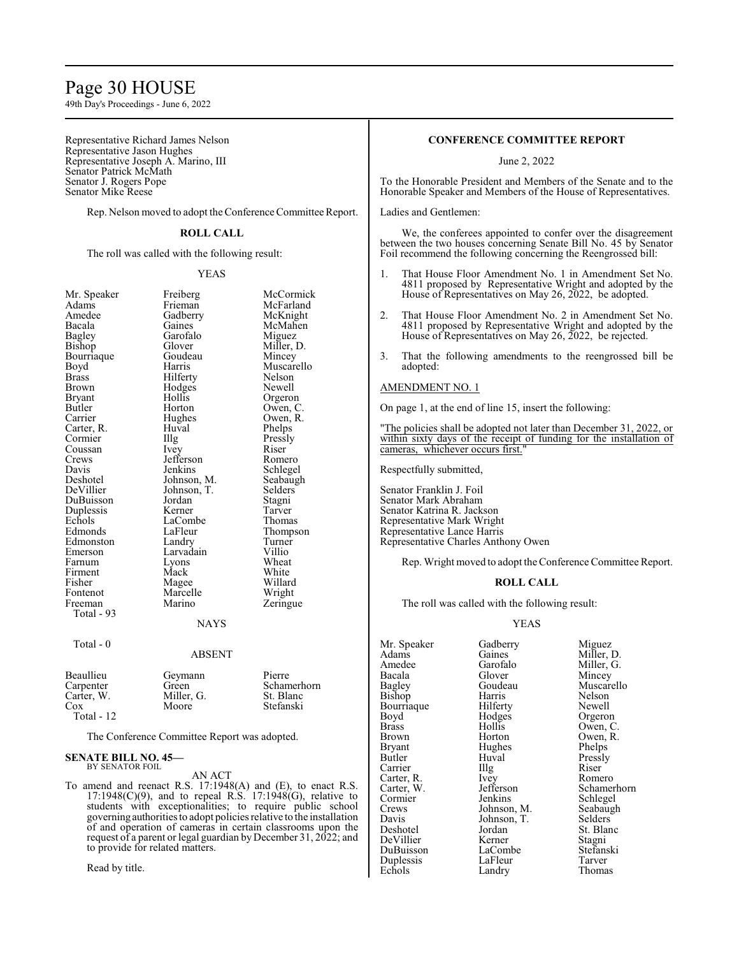# Page 30 HOUSE

49th Day's Proceedings - June 6, 2022

Representative Richard James Nelson Representative Jason Hughes Representative Joseph A. Marino, III Senator Patrick McMath Senator J. Rogers Pope Senator Mike Reese

Rep. Nelson moved to adopt the Conference Committee Report.

#### **ROLL CALL**

The roll was called with the following result:

#### YEAS

| Mr. Speaker         | Freiberg    | McCormick  |
|---------------------|-------------|------------|
| Adams               | Frieman     | McFarland  |
| Amedee              | Gadberry    | McKnight   |
| Bacala              | Gaines      | McMahen    |
| <b>Bagley</b>       | Garofalo    | Miguez     |
| Bishop              | Glover      | Miller, D. |
| Bourriaque          | Goudeau     | Mincey     |
| Boyd                | Harris      | Muscarello |
| <b>Brass</b>        | Hilferty    | Nelson     |
| Brown               | Hodges      | Newell     |
| Bryant              | Hollis      | Orgeron    |
| Butler              | Horton      | Owen, C.   |
| Carrier             | Hughes      | Owen, R.   |
| Carter, R.          | Huval       | Phelps     |
| Cormier             | Illg        | Pressly    |
| Coussan             | Ivey        | Riser      |
| Crews               | Jefferson   | Romero     |
| Davis               | Jenkins     | Schlegel   |
| Deshotel            | Johnson, M. | Seabaugh   |
| DeVillier           | Johnson, T. | Selders    |
| DuBuisson           | Jordan      | Stagni     |
| Duplessis           | Kerner      | Tarver     |
| Echols              | LaCombe     | Thomas     |
| Edmonds             | LaFleur     | Thompson   |
| Edmonston           | Landry      | Turner     |
| Emerson             | Larvadain   | Villio     |
| Farnum              | Lyons       | Wheat      |
| Firment             | Mack        | White      |
| Fisher              | Magee       | Willard    |
| Fontenot            | Marcelle    | Wright     |
| Freeman             | Marino      | Zeringue   |
| Total - 93          |             |            |
|                     | <b>NAYS</b> |            |
| Total - 0           |             |            |
|                     | ABSENT      |            |
| 11'<br><sub>D</sub> | ⌒           | n.         |

#### Beaullieu Geymann Pierre<br>Carpenter Green Schan Green Schamerhorn<br>Miller Green St. Blanc Carter, W. Miller, Cox Stefanski Total - 12

The Conference Committee Report was adopted.

#### **SENATE BILL NO. 45—** BY SENATOR FOIL

# AN ACT

To amend and reenact R.S. 17:1948(A) and (E), to enact R.S.  $17:1948(C)(9)$ , and to repeal R.S.  $17:1948(G)$ , relative to students with exceptionalities; to require public school governing authorities to adopt policies relative to the installation of and operation of cameras in certain classrooms upon the request of a parent or legal guardian by December 31, 2022; and to provide for related matters.

Read by title.

# **CONFERENCE COMMITTEE REPORT**

June 2, 2022

To the Honorable President and Members of the Senate and to the Honorable Speaker and Members of the House of Representatives.

### Ladies and Gentlemen:

We, the conferees appointed to confer over the disagreement between the two houses concerning Senate Bill No. 45 by Senator Foil recommend the following concerning the Reengrossed bill:

- 1. That House Floor Amendment No. 1 in Amendment Set No. 4811 proposed by Representative Wright and adopted by the House of Representatives on May 26, 2022, be adopted.
- 2. That House Floor Amendment No. 2 in Amendment Set No. 4811 proposed by Representative Wright and adopted by the House of Representatives on May 26, 2022, be rejected.
- 3. That the following amendments to the reengrossed bill be adopted:

#### AMENDMENT NO. 1

On page 1, at the end of line 15, insert the following:

"The policies shall be adopted not later than December 31, 2022, or within sixty days of the receipt of funding for the installation of cameras, whichever occurs first."

Respectfully submitted,

Senator Franklin J. Foil Senator Mark Abraham Senator Katrina R. Jackson Representative Mark Wright Representative Lance Harris Representative Charles Anthony Owen

Rep. Wright moved to adopt the Conference Committee Report.

#### **ROLL CALL**

The roll was called with the following result:

### YEAS

Mr. Speaker Gadberry Miguez<br>Adams Gaines Miller I Adams Gaines Miller, D.<br>Amedee Garofalo Miller. G. Amedee Garofalo Miller, G.<br>Bacala Glover Mincey Bacala Glover Mincey Bagley Goudeau Muscarello Bishop Harris Nelson Bourriaque Hilferty Newell Boyd Hodges Orgeron<br>Brass Hollis Owen, C Brass Hollis Owen, C.<br>Brown Horton Owen, R. Brown Horton Owen, R.<br>Bryant Hughes Phelps Phelps Bryant Hughes<br>Butler Huval Carrier IIIg Riser<br>Carter, R. Ivev Romero Carter, R. Ivey<br>Carter, W. Jefferson Cormier Jenkins Schlegel<br>Crews Johnson, M. Seabaugh Crews Johnson, M. Seabaughter Seabaughter Seabaughter Seabaughter Seabaughter Seabaughter Seabaughter Seabaughter Seabaughter Seabaughter Seabaughter Seabaughter Seabaughter Seabaughter Seabaughter Seabaughter Seabaughter Davis Johnson, T.<br>Deshotel Jordan DeVillier Kerner Stagni

Huval Pressly<br>Illg Riser LaCombe Stefans<br>LaFleur Tarver Duplessis LaFleur Tarver<br>
Echols Landry Thomas Landry

Carter, W. Jefferson Schamerhorn<br>
Cormier Jenkins Schlegel Jordan St. Blanc<br>Kerner Stagni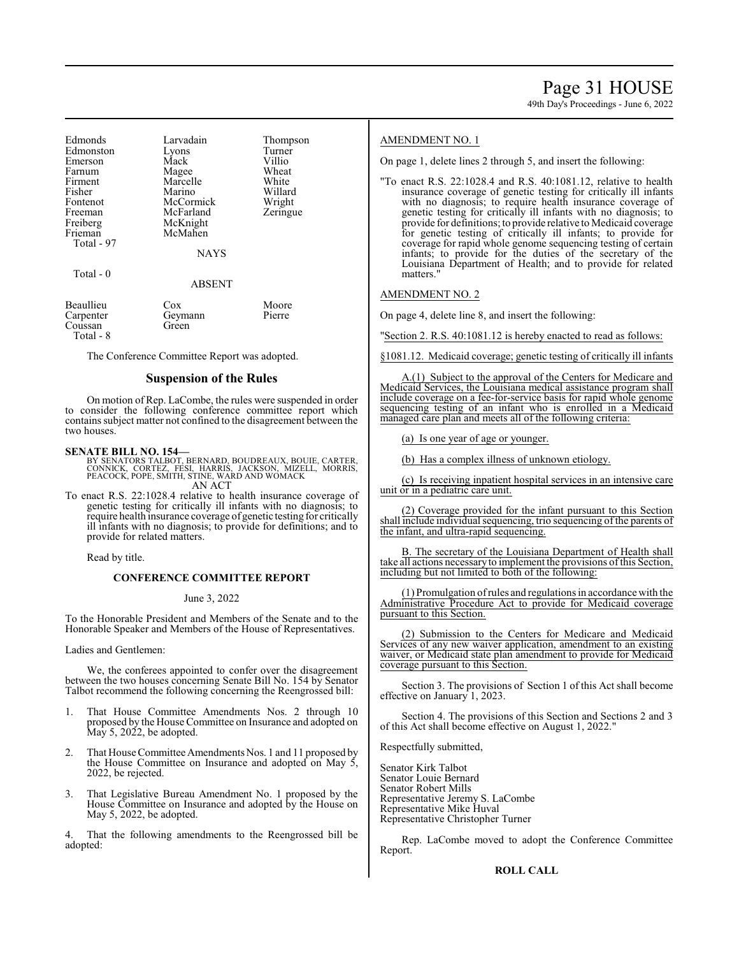49th Day's Proceedings - June 6, 2022

| Edmonds<br>Edmonston<br>Emerson<br>Farnum<br>Firment<br>Fisher<br>Fontenot<br>Freeman<br>Freiberg<br>Frieman<br>Total - 97 | Larvadain<br>Lyons<br>Mack<br>Magee<br>Marcelle<br>Marino<br>McCormick<br>McFarland<br>McKnight<br>McMahen<br><b>NAYS</b> | Thompson<br>Turner<br>Villio<br>Wheat<br>White<br>Willard<br>Wright<br>Zeringue |
|----------------------------------------------------------------------------------------------------------------------------|---------------------------------------------------------------------------------------------------------------------------|---------------------------------------------------------------------------------|
| Total $-0$                                                                                                                 | <b>ABSENT</b>                                                                                                             |                                                                                 |
| Beaullieu                                                                                                                  | Cox                                                                                                                       | Moore                                                                           |

Carpenter Geymann Pierre Coussan Total - 8

The Conference Committee Report was adopted.

# **Suspension of the Rules**

On motion of Rep. LaCombe, the rules were suspended in order to consider the following conference committee report which containssubject matter not confined to the disagreement between the two houses.

**SENATE BILL NO. 154—**<br>BY SENATORS TALBOT, BERNARD, BOUDREAUX, BOUIE, CARTER,<br>CONNICK, CORTEZ, FÉSI, HARRIS, JACKSON, MIZELL, MORRIS,<br>PEACOCK, POPE, SMITH, STINE, WARD AND WOMACK AN ACT

To enact R.S. 22:1028.4 relative to health insurance coverage of genetic testing for critically ill infants with no diagnosis; to require health insurance coverage of genetic testing for critically ill infants with no diagnosis; to provide for definitions; and to provide for related matters.

Read by title.

# **CONFERENCE COMMITTEE REPORT**

June 3, 2022

To the Honorable President and Members of the Senate and to the Honorable Speaker and Members of the House of Representatives.

Ladies and Gentlemen:

We, the conferees appointed to confer over the disagreement between the two houses concerning Senate Bill No. 154 by Senator Talbot recommend the following concerning the Reengrossed bill:

- 1. That House Committee Amendments Nos. 2 through 10 proposed by the House Committee on Insurance and adopted on  $\overline{May\ 5, 2022}$ , be adopted.
- 2. That House Committee Amendments Nos. 1 and 11 proposed by the House Committee on Insurance and adopted on May 5, 2022, be rejected.
- 3. That Legislative Bureau Amendment No. 1 proposed by the House Committee on Insurance and adopted by the House on May 5, 2022, be adopted.

That the following amendments to the Reengrossed bill be adopted:

### AMENDMENT NO. 1

On page 1, delete lines 2 through 5, and insert the following:

"To enact R.S. 22:1028.4 and R.S. 40:1081.12, relative to health insurance coverage of genetic testing for critically ill infants with no diagnosis; to require health insurance coverage of genetic testing for critically ill infants with no diagnosis; to provide for definitions; to provide relative to Medicaid coverage for genetic testing of critically ill infants; to provide for coverage for rapid whole genome sequencing testing of certain infants; to provide for the duties of the secretary of the Louisiana Department of Health; and to provide for related matters."

# AMENDMENT NO. 2

On page 4, delete line 8, and insert the following:

"Section 2. R.S. 40:1081.12 is hereby enacted to read as follows:

§1081.12. Medicaid coverage; genetic testing of critically ill infants

A.(1) Subject to the approval of the Centers for Medicare and Medicaid Services, the Louisiana medical assistance program shall include coverage on a fee-for-service basis for rapid whole genome sequencing testing of an infant who is enrolled in a Medicaid managed care plan and meets all of the following criteria:

(a) Is one year of age or younger.

(b) Has a complex illness of unknown etiology.

(c) Is receiving inpatient hospital services in an intensive care unit or in a pediatric care unit.

(2) Coverage provided for the infant pursuant to this Section shall include individual sequencing, trio sequencing of the parents of the infant, and ultra-rapid sequencing.

B. The secretary of the Louisiana Department of Health shall take all actions necessaryto implement the provisions ofthis Section, including but not limited to both of the following:

(1) Promulgation ofrules and regulations in accordance with the Administrative Procedure Act to provide for Medicaid coverage pursuant to this Section.

(2) Submission to the Centers for Medicare and Medicaid Services of any new waiver application, amendment to an existing waiver, or Medicaid state plan amendment to provide for Medicaid coverage pursuant to this Section.

Section 3. The provisions of Section 1 of this Act shall become effective on January 1, 2023.

Section 4. The provisions of this Section and Sections 2 and 3 of this Act shall become effective on August 1, 2022."

Respectfully submitted,

Senator Kirk Talbot Senator Louie Bernard Senator Robert Mills Representative Jeremy S. LaCombe Representative Mike Huval Representative Christopher Turner

Rep. LaCombe moved to adopt the Conference Committee Report.

#### **ROLL CALL**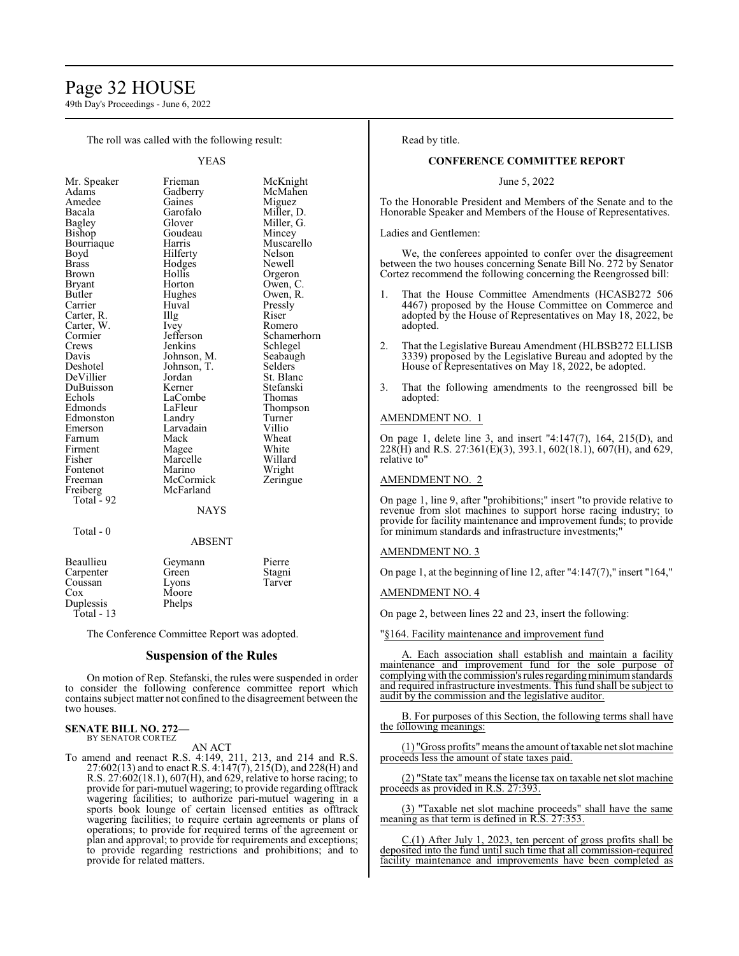# Page 32 HOUSE

49th Day's Proceedings - June 6, 2022

The roll was called with the following result:

YEAS

| Mr. Speaker   | Frieman     | McKnight    |
|---------------|-------------|-------------|
| Adams         | Gadberry    | McMahen     |
| Amedee        | Gaines      | Miguez      |
| Bacala        | Garofalo    | Miller, D.  |
| <b>Bagley</b> | Glover      | Miller, G.  |
| Bishop        | Goudeau     | Mincey      |
| Bourriaque    | Harris      | Muscarello  |
| Boyd          | Hilferty    | Nelson      |
| Brass         | Hodges      | Newell      |
| Brown         | Hollis      | Orgeron     |
| Bryant        | Horton      | Owen, C.    |
| Butler        | Hughes      | Owen, R.    |
| Carrier       | Huval       | Pressly     |
| Carter, R.    | Illg        | Riser       |
| Carter, W.    | <i>lvey</i> | Romero      |
| Cormier       | Jefferson   | Schamerhorn |
| Crews         | Jenkins     | Schlegel    |
| Davis         | Johnson, M. | Seabaugh    |
| Deshotel      | Johnson, T. | Selders     |
| DeVillier     | Jordan      | St. Blanc   |
| DuBuisson     | Kerner      | Stefanski   |
| Echols        | LaCombe     | Thomas      |
| Edmonds       | LaFleur     | Thompson    |
| Edmonston     | Landry      | Turner      |
| Emerson       | Larvadain   | Villio      |
| Farnum        | Mack        | Wheat       |
| Firment       | Magee       | White       |
| Fisher        | Marcelle    | Willard     |
| Fontenot      | Marino      | Wright      |
| Freeman       | McCormick   | Zeringue    |
| Freiberg      | McFarland   |             |
| Total - 92    | NAYS        |             |
|               |             |             |

Total - 0

#### ABSENT

| Beaullieu  | Geymann | Pierre |
|------------|---------|--------|
| Carpenter  | Green   | Stagni |
| Coussan    | Lyons   | Tarver |
| Cox        | Moore   |        |
| Duplessis  | Phelps  |        |
| Total - 13 |         |        |

The Conference Committee Report was adopted.

# **Suspension of the Rules**

On motion of Rep. Stefanski, the rules were suspended in order to consider the following conference committee report which containssubject matter not confined to the disagreement between the two houses.

#### **SENATE BILL NO. 272—** BY SENATOR CORTEZ

AN ACT

To amend and reenact R.S. 4:149, 211, 213, and 214 and R.S. 27:602(13) and to enact R.S. 4:147(7), 215(D), and 228(H) and R.S. 27:602(18.1), 607(H), and 629, relative to horse racing; to provide for pari-mutuel wagering; to provide regarding offtrack wagering facilities; to authorize pari-mutuel wagering in a sports book lounge of certain licensed entities as offtrack wagering facilities; to require certain agreements or plans of operations; to provide for required terms of the agreement or plan and approval; to provide for requirements and exceptions; to provide regarding restrictions and prohibitions; and to provide for related matters.

Read by title.

#### **CONFERENCE COMMITTEE REPORT**

June 5, 2022

To the Honorable President and Members of the Senate and to the Honorable Speaker and Members of the House of Representatives.

Ladies and Gentlemen:

We, the conferees appointed to confer over the disagreement between the two houses concerning Senate Bill No. 272 by Senator Cortez recommend the following concerning the Reengrossed bill:

- 1. That the House Committee Amendments (HCASB272 506 4467) proposed by the House Committee on Commerce and adopted by the House of Representatives on May 18, 2022, be adopted.
- 2. That the Legislative Bureau Amendment (HLBSB272 ELLISB 3339) proposed by the Legislative Bureau and adopted by the House of Representatives on May 18, 2022, be adopted.
- 3. That the following amendments to the reengrossed bill be adopted:

# AMENDMENT NO. 1

On page 1, delete line 3, and insert "4:147(7), 164, 215(D), and 228(H) and R.S. 27:361(E)(3), 393.1, 602(18.1), 607(H), and 629, relative to"

#### AMENDMENT NO. 2

On page 1, line 9, after "prohibitions;" insert "to provide relative to revenue from slot machines to support horse racing industry; to provide for facility maintenance and improvement funds; to provide for minimum standards and infrastructure investments;"

### AMENDMENT NO. 3

On page 1, at the beginning of line 12, after "4:147(7)," insert "164,"

#### AMENDMENT NO. 4

On page 2, between lines 22 and 23, insert the following:

"§164. Facility maintenance and improvement fund

Each association shall establish and maintain a facility maintenance and improvement fund for the sole purpose of complying with the commission's rules regarding minimum standards and required infrastructure investments. This fund shall be subject to audit by the commission and the legislative auditor.

B. For purposes of this Section, the following terms shall have the following meanings:

(1) "Gross profits"means the amount oftaxable net slot machine proceeds less the amount of state taxes paid.

(2) "State tax" means the license tax on taxable net slot machine proceeds as provided in R.S. 27:393.

(3) "Taxable net slot machine proceeds" shall have the same meaning as that term is defined in R.S. 27:353.

C.(1) After July 1, 2023, ten percent of gross profits shall be deposited into the fund until such time that all commission-required facility maintenance and improvements have been completed as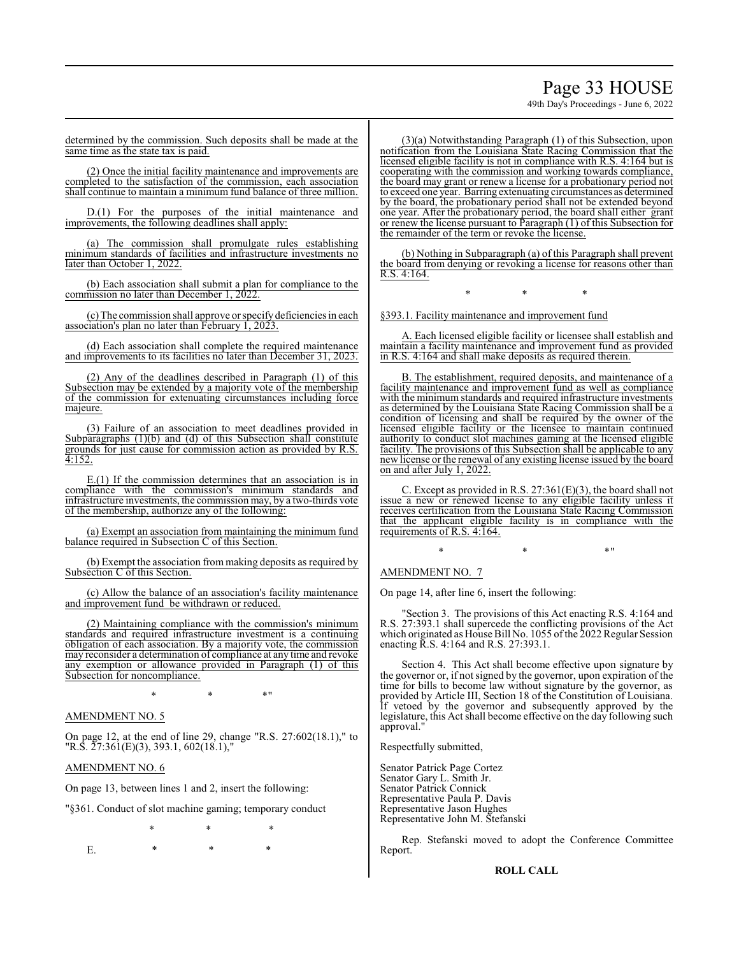# Page 33 HOUSE

49th Day's Proceedings - June 6, 2022

determined by the commission. Such deposits shall be made at the same time as the state tax is paid.

(2) Once the initial facility maintenance and improvements are completed to the satisfaction of the commission, each association shall continue to maintain a minimum fund balance of three million.

D.(1) For the purposes of the initial maintenance and improvements, the following deadlines shall apply:

(a) The commission shall promulgate rules establishing minimum standards of facilities and infrastructure investments no later than October 1, 2022.

(b) Each association shall submit a plan for compliance to the commission no later than December 1, 2022.

(c) The commission shall approve orspecify deficiencies in each association's plan no later than February 1, 2023.

(d) Each association shall complete the required maintenance and improvements to its facilities no later than December 31, 2023.

(2) Any of the deadlines described in Paragraph (1) of this Subsection may be extended by a majority vote of the membership of the commission for extenuating circumstances including force majeure.

(3) Failure of an association to meet deadlines provided in Subparagraphs  $(1)(b)$  and  $(d)$  of this Subsection shall constitute grounds for just cause for commission action as provided by R.S. 4:152.

E.(1) If the commission determines that an association is in compliance with the commission's minimum standards and infrastructure investments, the commission may, by a two-thirds vote of the membership, authorize any of the following:

(a) Exempt an association from maintaining the minimum fund balance required in Subsection C of this Section.

(b) Exempt the association from making deposits as required by Subsection C of this Section.

(c) Allow the balance of an association's facility maintenance and improvement fund be withdrawn or reduced.

(2) Maintaining compliance with the commission's minimum standards and required infrastructure investment is a continuing obligation of each association. By a majority vote, the commission may reconsider a determination of compliance at any time and revoke any exemption or allowance provided in Paragraph (1) of this Subsection for noncompliance.

\* \* \*"

# AMENDMENT NO. 5

On page 12, at the end of line 29, change "R.S. 27:602(18.1)," to "R.S. 27:361(E)(3), 393.1, 602(18.1),"

# AMENDMENT NO. 6

On page 13, between lines 1 and 2, insert the following:

"§361. Conduct of slot machine gaming; temporary conduct

\* \* \*

E. \* \* \* \*

(3)(a) Notwithstanding Paragraph (1) of this Subsection, upon notification from the Louisiana State Racing Commission that the licensed eligible facility is not in compliance with R.S. 4:164 but is cooperating with the commission and working towards compliance, the board may grant or renew a license for a probationary period not to exceed one year. Barring extenuating circumstances as determined by the board, the probationary period shall not be extended beyond one year. After the probationary period, the board shall either grant or renew the license pursuant to Paragraph (1) of this Subsection for the remainder of the term or revoke the license.

(b) Nothing in Subparagraph (a) of this Paragraph shall prevent the board from denying or revoking a license for reasons other than R.S. 4:164.

\* \* \*

§393.1. Facility maintenance and improvement fund

A. Each licensed eligible facility or licensee shall establish and maintain a facility maintenance and improvement fund as provided in R.S. 4:164 and shall make deposits as required therein.

B. The establishment, required deposits, and maintenance of a facility maintenance and improvement fund as well as compliance with the minimum standards and required infrastructure investments as determined by the Louisiana State Racing Commission shall be a condition of licensing and shall be required by the owner of the licensed eligible facility or the licensee to maintain continued authority to conduct slot machines gaming at the licensed eligible facility. The provisions of this Subsection shall be applicable to any new license or the renewal of any existing license issued by the board on and after July 1, 2022.

C. Except as provided in R.S. 27:361(E)(3), the board shall not issue a new or renewed license to any eligible facility unless it receives certification from the Louisiana State Racing Commission that the applicant eligible facility is in compliance with the requirements of R.S. 4:164.

 $*$  \*  $*$  \*

AMENDMENT NO. 7

On page 14, after line 6, insert the following:

"Section 3. The provisions of this Act enacting R.S. 4:164 and R.S. 27:393.1 shall supercede the conflicting provisions of the Act which originated as House Bill No. 1055 of the 2022 Regular Session enacting R.S. 4:164 and R.S. 27:393.1.

Section 4. This Act shall become effective upon signature by the governor or, if not signed by the governor, upon expiration of the time for bills to become law without signature by the governor, as provided by Article III, Section 18 of the Constitution of Louisiana. If vetoed by the governor and subsequently approved by the legislature, this Act shall become effective on the day following such approval."

Respectfully submitted,

Senator Patrick Page Cortez Senator Gary L. Smith Jr. Senator Patrick Connick Representative Paula P. Davis Representative Jason Hughes Representative John M. Stefanski

Rep. Stefanski moved to adopt the Conference Committee Report.

#### **ROLL CALL**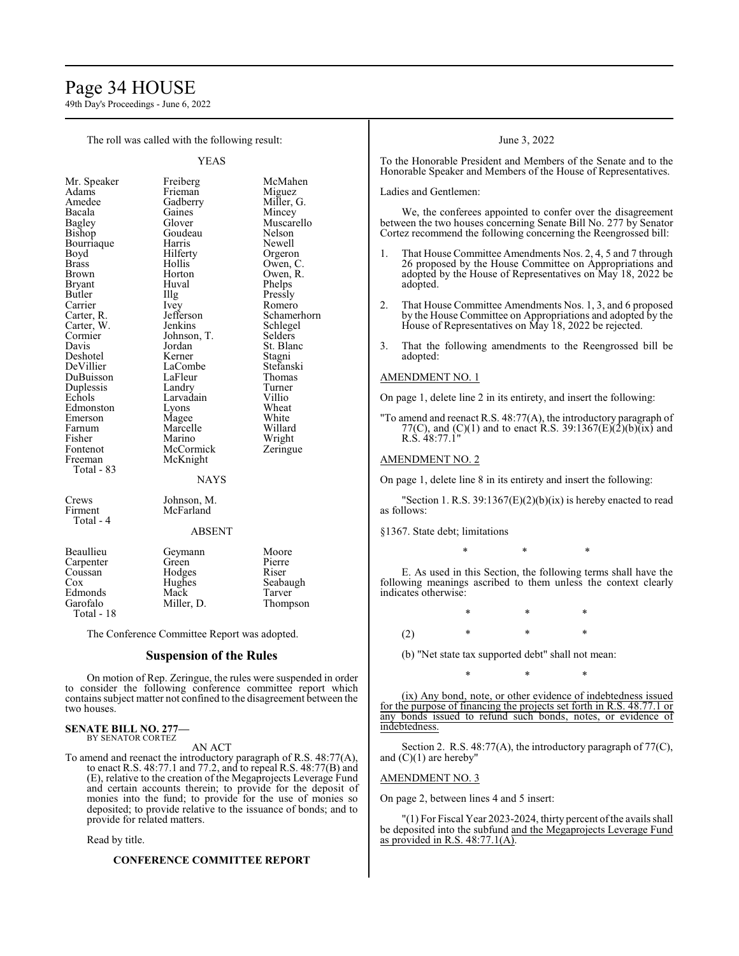# Page 34 HOUSE

49th Day's Proceedings - June 6, 2022

The roll was called with the following result:

YEAS

Muscarello<br>Nelson

Phelps

Schlegel<br>Selders

St. Blanc<br>Stagni

Wright<br>Zeringue

| Mr. Speaker           |
|-----------------------|
| Adams                 |
| Amedee                |
| Bacala                |
| <b>Bagley</b>         |
| Bishop                |
| Bourriaque            |
| Boyd                  |
| Brass                 |
| Brown                 |
| <b>Bryant</b>         |
| Butler                |
| Carrier               |
| Carter, R.            |
| Carter, W.<br>Cormier |
|                       |
| Davis                 |
| Deshotel              |
| DeVillier             |
| DuBuisson             |
| Duplessis             |
| Echols                |
| Edmonston             |
| Emerson               |
| Farnum                |
| Fisher                |
| Fontenot              |
| Freeman               |
| Total - 83            |
|                       |
|                       |

Freiberg McMahen<br>Frieman Miguez Frieman<br>Gadberry Gadberry Miller, G.<br>Gaines Mincey Gaines Mincey<br>Glover Muscar Goudeau<br>Harris Harris Newell<br>Hilferty Orgero Hilferty Orgeron<br>Hollis Owen, C Hollis Owen, C.<br>Horton Owen, R. Horton Owen, R.<br>Huval Phelps Illg Pressly<br>Ivey Romer Ivey Romero<br>Jefferson Schamer Jefferson Schamerhorn<br>Jenkins Schlegel Johnson, T.<br>Jordan Kerner Stagni<br>LaCombe Stefanski LaCombe<br>LaFleur Stefansk LaFleur Thoma<br>Landry Turner Landry Turner<br>
Larvadain Villio Larvadain Villio<br>
Lyons Wheat Lyons Wheat<br>Magee White Magee White<br>Marcelle Willard Marcelle<br>Marino McCormick McKnight NAYS

Crews Johnson, M.<br>Firment McFarland Total - 4

## ABSENT

McFarland

| Beaullieu  | Geymann    | Moore    |
|------------|------------|----------|
| Carpenter  | Green      | Pierre   |
| Coussan    | Hodges     | Riser    |
| $\cos$     | Hughes     | Seabaugh |
| Edmonds    | Mack       | Tarver   |
| Garofalo   | Miller, D. | Thompson |
| Total - 18 |            |          |

The Conference Committee Report was adopted.

# **Suspension of the Rules**

On motion of Rep. Zeringue, the rules were suspended in order to consider the following conference committee report which containssubject matter not confined to the disagreement between the two houses.

#### **SENATE BILL NO. 277—** BY SENATOR CORTEZ

AN ACT

To amend and reenact the introductory paragraph of R.S. 48:77(A), to enact R.S. 48:77.1 and 77.2, and to repeal R.S. 48:77(B) and (E), relative to the creation of the Megaprojects Leverage Fund and certain accounts therein; to provide for the deposit of monies into the fund; to provide for the use of monies so deposited; to provide relative to the issuance of bonds; and to provide for related matters.

Read by title.

#### **CONFERENCE COMMITTEE REPORT**

#### June 3, 2022

To the Honorable President and Members of the Senate and to the Honorable Speaker and Members of the House of Representatives.

Ladies and Gentlemen:

We, the conferees appointed to confer over the disagreement between the two houses concerning Senate Bill No. 277 by Senator Cortez recommend the following concerning the Reengrossed bill:

- That House Committee Amendments Nos. 2, 4, 5 and 7 through 26 proposed by the House Committee on Appropriations and adopted by the House of Representatives on May 18, 2022 be adopted.
- 2. That House Committee Amendments Nos. 1, 3, and 6 proposed by the House Committee on Appropriations and adopted by the House of Representatives on May 18, 2022 be rejected.
- 3. That the following amendments to the Reengrossed bill be adopted:

# AMENDMENT NO. 1

On page 1, delete line 2 in its entirety, and insert the following:

"To amend and reenact R.S. 48:77(A), the introductory paragraph of 77(C), and (C)(1) and to enact R.S. 39:1367(E)(2)(b)(ix) and R.S. 48:77.1"

### AMENDMENT NO. 2

On page 1, delete line 8 in its entirety and insert the following:

"Section 1. R.S.  $39:1367(E)(2)(b)(ix)$  is hereby enacted to read as follows:

§1367. State debt; limitations

E. As used in this Section, the following terms shall have the following meanings ascribed to them unless the context clearly indicates otherwise:

\* \* \*

\* \* \* (2) \* \* \*

(b) "Net state tax supported debt" shall not mean:

\* \* \*

(ix) Any bond, note, or other evidence of indebtedness issued for the purpose of financing the projects set forth in R.S. 48.77.1 or any bonds issued to refund such bonds, notes, or evidence of indebtedness.

Section 2. R.S. 48:77(A), the introductory paragraph of 77(C), and  $(C)(1)$  are hereby"

# AMENDMENT NO. 3

On page 2, between lines 4 and 5 insert:

"(1) For Fiscal Year 2023-2024, thirty percent ofthe avails shall be deposited into the subfund and the Megaprojects Leverage Fund as provided in R.S. 48:77.1(A).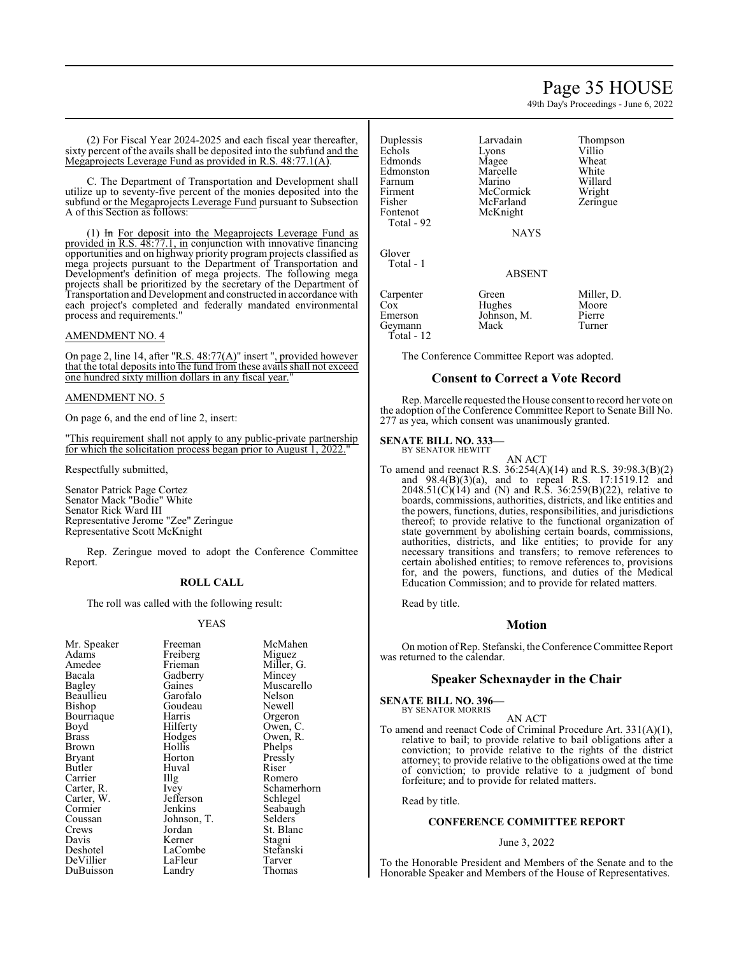# Page 35 HOUSE

49th Day's Proceedings - June 6, 2022

(2) For Fiscal Year 2024-2025 and each fiscal year thereafter, sixty percent of the avails shall be deposited into the subfund and the Megaprojects Leverage Fund as provided in R.S. 48:77.1(A).

C. The Department of Transportation and Development shall utilize up to seventy-five percent of the monies deposited into the subfund or the Megaprojects Leverage Fund pursuant to Subsection A of this Section as follows:

(1) In For deposit into the Megaprojects Leverage Fund as provided in R.S. 48:77.1, in conjunction with innovative financing opportunities and on highway priority program projects classified as mega projects pursuant to the Department of Transportation and Development's definition of mega projects. The following mega projects shall be prioritized by the secretary of the Department of Transportation and Development and constructed in accordance with each project's completed and federally mandated environmental process and requirements."

# AMENDMENT NO. 4

On page 2, line 14, after "R.S. 48:77(A)" insert ", provided however that the total deposits into the fund from these avails shall not exceed one hundred sixty million dollars in any fiscal year.

### AMENDMENT NO. 5

On page 6, and the end of line 2, insert:

"This requirement shall not apply to any public-private partnership for which the solicitation process began prior to August 1, 2022.

Respectfully submitted,

Senator Patrick Page Cortez Senator Mack "Bodie" White Senator Rick Ward III Representative Jerome "Zee" Zeringue Representative Scott McKnight

Rep. Zeringue moved to adopt the Conference Committee Report.

### **ROLL CALL**

The roll was called with the following result:

#### YEAS

| Freeman   | McMahen                                                           |
|-----------|-------------------------------------------------------------------|
|           | Miguez                                                            |
| Frieman   | Miller, G.                                                        |
|           | Mincey                                                            |
| Gaines    | Muscarello                                                        |
| Garofalo  | Nelson                                                            |
| Goudeau   | Newell                                                            |
| Harris    | Orgeron                                                           |
|           | Owen, C.                                                          |
|           | Owen, R.                                                          |
| Hollis    | Phelps                                                            |
| Horton    | Pressly                                                           |
| Huval     | Riser                                                             |
|           | Romero                                                            |
| Ivey      | Schamerhorn                                                       |
| Jefferson | Schlegel                                                          |
| Jenkins   | Seabaugh                                                          |
|           | Selders                                                           |
| Jordan    | St. Blanc                                                         |
| Kerner    | Stagni                                                            |
| LaCombe   | Stefanski                                                         |
| LaFleur   | Tarver                                                            |
| Landry    | Thomas                                                            |
|           | Freiberg<br>Gadberry<br>Hilferty<br>Hodges<br>Illg<br>Johnson, T. |

| Duplessis<br>Echols<br>Edmonds<br>Edmonston<br>Farnum<br>Firment | Larvadain<br>Lyons<br>Magee<br>Marcelle<br>Marino<br>McCormick | Thompson<br>Villio<br>Wheat<br>White<br>Willard<br>Wright |
|------------------------------------------------------------------|----------------------------------------------------------------|-----------------------------------------------------------|
| Fisher                                                           | McFarland                                                      | Zeringue                                                  |
| Fontenot<br>Total - 92                                           | McKnight                                                       |                                                           |
|                                                                  | <b>NAYS</b>                                                    |                                                           |
| Glover<br>Total - 1                                              |                                                                |                                                           |
|                                                                  | <b>ABSENT</b>                                                  |                                                           |
| Carpenter<br>$\cos$<br>Emerson                                   | Green<br>Hughes<br>Johnson, M.                                 | Miller, D.<br>Moore<br>Pierre                             |

Miller, D. Moore<br>Pierre Geymann Mack Turner

The Conference Committee Report was adopted.

# **Consent to Correct a Vote Record**

Rep. Marcelle requested the House consent to record her vote on the adoption of the Conference Committee Report to Senate Bill No. 277 as yea, which consent was unanimously granted.

# **SENATE BILL NO. 333—** BY SENATOR HEWITT

Total - 12

AN ACT

To amend and reenact R.S. 36:254(A)(14) and R.S. 39:98.3(B)(2) and 98.4(B)(3)(a), and to repeal R.S. 17:1519.12 and 2048.51(C)(14) and (N) and R.S. 36:259(B)(22), relative to boards, commissions, authorities, districts, and like entities and the powers, functions, duties, responsibilities, and jurisdictions thereof; to provide relative to the functional organization of state government by abolishing certain boards, commissions, authorities, districts, and like entities; to provide for any necessary transitions and transfers; to remove references to certain abolished entities; to remove references to, provisions for, and the powers, functions, and duties of the Medical Education Commission; and to provide for related matters.

Read by title.

#### **Motion**

On motion ofRep. Stefanski, the Conference Committee Report was returned to the calendar.

## **Speaker Schexnayder in the Chair**

**SENATE BILL NO. 396—** BY SENATOR MORRIS

AN ACT

To amend and reenact Code of Criminal Procedure Art. 331(A)(1), relative to bail; to provide relative to bail obligations after a conviction; to provide relative to the rights of the district attorney; to provide relative to the obligations owed at the time of conviction; to provide relative to a judgment of bond forfeiture; and to provide for related matters.

Read by title.

# **CONFERENCE COMMITTEE REPORT**

#### June 3, 2022

To the Honorable President and Members of the Senate and to the Honorable Speaker and Members of the House of Representatives.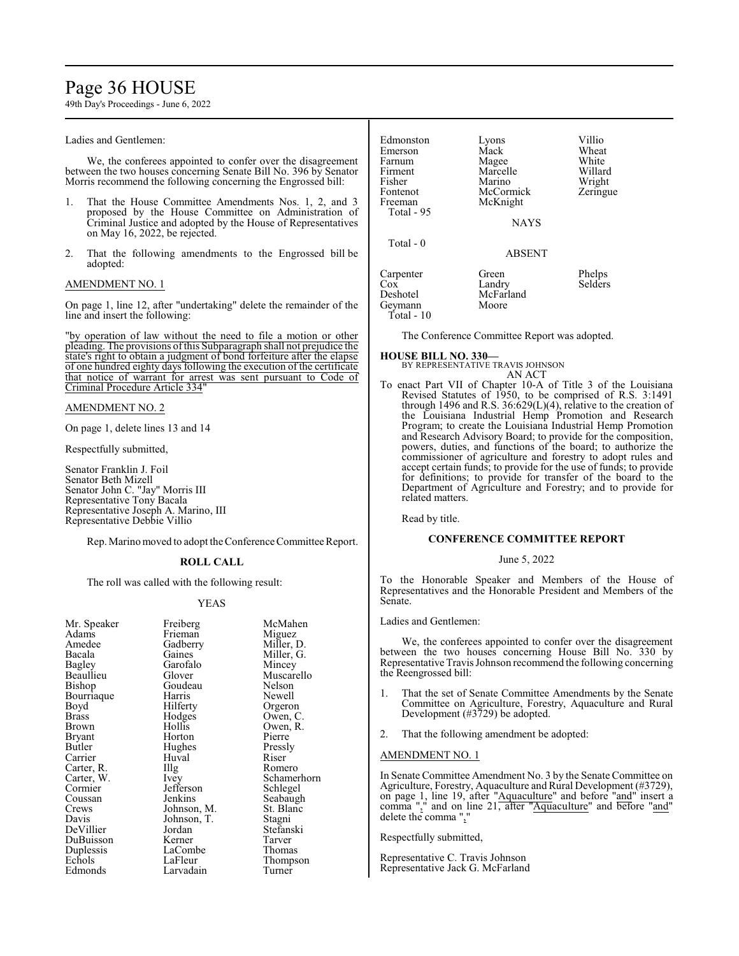# Page 36 HOUSE

49th Day's Proceedings - June 6, 2022

Ladies and Gentlemen:

We, the conferees appointed to confer over the disagreement between the two houses concerning Senate Bill No. 396 by Senator Morris recommend the following concerning the Engrossed bill:

- 1. That the House Committee Amendments Nos. 1, 2, and 3 proposed by the House Committee on Administration of Criminal Justice and adopted by the House of Representatives on May 16, 2022, be rejected.
- 2. That the following amendments to the Engrossed bill be adopted:

#### AMENDMENT NO. 1

On page 1, line 12, after "undertaking" delete the remainder of the line and insert the following:

"by operation of law without the need to file a motion or other pleading. The provisions ofthis Subparagraph shall not prejudice the state's right to obtain a judgment of bond forfeiture after the elapse of one hundred eighty days following the execution of the certificate that notice of warrant for arrest was sent pursuant to Code of Criminal Procedure Article 334"

#### AMENDMENT NO. 2

On page 1, delete lines 13 and 14

Respectfully submitted,

Senator Franklin J. Foil Senator Beth Mizell Senator John C. "Jay" Morris III Representative Tony Bacala Representative Joseph A. Marino, III Representative Debbie Villio

Rep. Marino moved to adopt the Conference Committee Report.

### **ROLL CALL**

The roll was called with the following result:

#### YEAS

| Mr. Speaker<br>Adams | Freiberg<br>Frieman | McMahen<br>Miguez |
|----------------------|---------------------|-------------------|
| Amedee               | Gadberry            | Miller, D.        |
| Bacala               | Gaines              | Miller, G.        |
| Bagley               | Garofalo            | Mincey            |
| Beaullieu            | Glover              | Muscarello        |
| Bishop               | Goudeau             | Nelson            |
| Bourriaque           | Harris              | Newell            |
| Boyd                 | Hilferty            | Orgeron           |
| Brass                | Hodges              | Owen, C.          |
| Brown                | Hollis              | Owen, R.          |
| Bryant               | Horton              | Pierre            |
| Butler               | Hughes              | Pressly           |
| Carrier              | Huval               | Riser             |
| Carter, R.           | Illg                | Romero            |
| Carter, W.           | <i>lvey</i>         | Schamerhorn       |
| Cormier              | Jefferson           | Schlegel          |
| Coussan              | Jenkins             | Seabaugh          |
| Crews                | Johnson, M.         | St. Blanc         |
| Davis                | Johnson, T.         | Stagni            |
| DeVillier            | Jordan              | Stefanski         |
| DuBuisson            | Kerner              | Tarver            |
| Duplessis            | LaCombe             | Thomas            |
| Echols               | LaFleur             | Thompson          |
| Edmonds              | Larvadain           | Turner            |

| Edmonston<br>Emerson<br>Farnum<br>Firment<br>Fisher<br>Fontenot<br>Freeman<br>Total - 95 | Lyons<br>Mack<br>Magee<br>Marcelle<br>Marino<br>McCormick<br>McKnight<br><b>NAYS</b> | Villio<br>Wheat<br>White<br>Willard<br>Wright<br>Zeringue |
|------------------------------------------------------------------------------------------|--------------------------------------------------------------------------------------|-----------------------------------------------------------|
| Total $-0$                                                                               | <b>ABSENT</b>                                                                        |                                                           |
| Carpenter<br>Cox<br>Deshotel<br>Geymann<br>$Total - 10$                                  | Green<br>Landry<br>McFarland<br>Moore                                                | Phelps<br><b>Selders</b>                                  |

The Conference Committee Report was adopted.

**HOUSE BILL NO. 330—** BY REPRESENTATIVE TRAVIS JOHNSON

- AN ACT
- To enact Part VII of Chapter 10-A of Title 3 of the Louisiana Revised Statutes of 1950, to be comprised of R.S. 3:1491 through 1496 and R.S. 36:629(L)(4), relative to the creation of the Louisiana Industrial Hemp Promotion and Research Program; to create the Louisiana Industrial Hemp Promotion and Research Advisory Board; to provide for the composition, powers, duties, and functions of the board; to authorize the commissioner of agriculture and forestry to adopt rules and accept certain funds; to provide for the use of funds; to provide for definitions; to provide for transfer of the board to the Department of Agriculture and Forestry; and to provide for related matters.

Read by title.

# **CONFERENCE COMMITTEE REPORT**

June 5, 2022

To the Honorable Speaker and Members of the House of Representatives and the Honorable President and Members of the Senate.

#### Ladies and Gentlemen:

We, the conferees appointed to confer over the disagreement between the two houses concerning House Bill No. 330 by Representative Travis Johnson recommend the following concerning the Reengrossed bill:

- 1. That the set of Senate Committee Amendments by the Senate Committee on Agriculture, Forestry, Aquaculture and Rural Development (#3729) be adopted.
- 2. That the following amendment be adopted:

#### AMENDMENT NO. 1

In Senate Committee Amendment No. 3 by the Senate Committee on Agriculture, Forestry, Aquaculture and Rural Development (#3729), on page 1, line 19, after "Aquaculture" and before "and" insert a comma "," and on line 21, after "Aquaculture" and before "and" delete the comma ",'

Respectfully submitted,

Representative C. Travis Johnson Representative Jack G. McFarland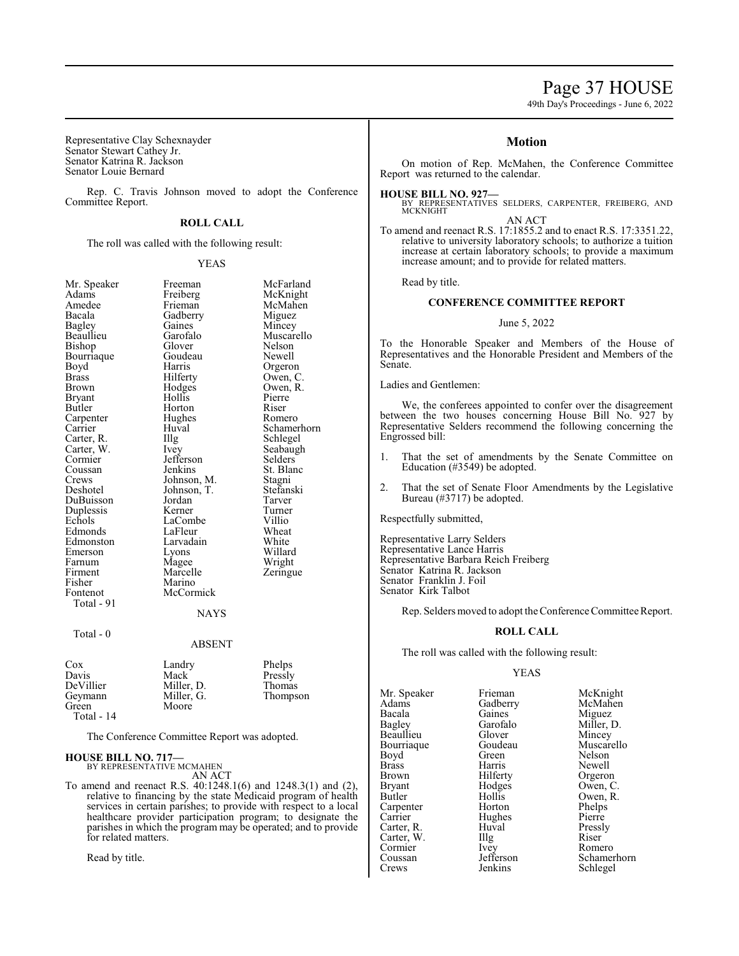# Page 37 HOUSE

49th Day's Proceedings - June 6, 2022

Representative Clay Schexnayder Senator Stewart Cathey Jr. Senator Katrina R. Jackson Senator Louie Bernard

Rep. C. Travis Johnson moved to adopt the Conference Committee Report.

# **ROLL CALL**

The roll was called with the following result:

YEAS

| Mr. Speaker<br>Adams<br>Amedee<br>Bacala<br>Bagley<br>Beaullieu<br>Bishop<br>Bourriaque<br>Boyd<br>Brass<br>Brown<br>Bryant<br>Butler<br>Carpenter<br>Carrier<br>Carter, R.<br>Carter, W.<br>Cormier<br>Coussan<br>Crews<br>Deshotel<br>DuBuisson<br>Duplessis<br>Echols<br>Edmonds<br>Edmonston<br>Emerson<br>Farnum<br>Firment<br>Fisher<br>Fontenot<br>Total - 91 | Freeman<br>Freiberg<br>Frieman<br>Gadberry<br>Gaines<br>Garofalo<br>Glover<br>Goudeau<br>Harris<br>Hilferty<br>Hodges<br>Hollis<br>Horton<br>Hughes<br>Huval<br>Illg<br>Ivey<br>Jefferson<br>Jenkins<br>Johnson, M.<br>Johnson, T.<br>Jordan<br>Kerner<br>LaCombe<br>LaFleur<br>Larvadain<br>Lyons<br>Magee<br>Marcelle<br>Marino<br>McCormick<br><b>NAYS</b> | McFarland<br>McKnight<br>McMahen<br>Miguez<br>Mincey<br>Muscarello<br>Nelson<br>Newell<br>Orgeron<br>Owen, C.<br>Owen, R.<br>Pierre<br>Riser<br>Romero<br>Schamerhorn<br>Schlegel<br>Seabaugh<br>Selders<br>St. Blanc<br>Stagni<br>Stefanski<br>Tarver<br>Turner<br>Villio<br>Wheat<br>White<br>Willard<br>Wright<br>Zeringue |
|----------------------------------------------------------------------------------------------------------------------------------------------------------------------------------------------------------------------------------------------------------------------------------------------------------------------------------------------------------------------|---------------------------------------------------------------------------------------------------------------------------------------------------------------------------------------------------------------------------------------------------------------------------------------------------------------------------------------------------------------|-------------------------------------------------------------------------------------------------------------------------------------------------------------------------------------------------------------------------------------------------------------------------------------------------------------------------------|
| Total - $0$                                                                                                                                                                                                                                                                                                                                                          | <b>ABSENT</b>                                                                                                                                                                                                                                                                                                                                                 |                                                                                                                                                                                                                                                                                                                               |
| Cox<br>Davis<br>DeVillier<br>Geymann<br>Green<br>Total - 14                                                                                                                                                                                                                                                                                                          | Landry<br>Mack<br>Miller, D.<br>Miller, G.<br>Moore                                                                                                                                                                                                                                                                                                           | Phelps<br>Pressly<br>Thomas<br>Thompson                                                                                                                                                                                                                                                                                       |

The Conference Committee Report was adopted.

# **HOUSE BILL NO. 717—**

BY REPRESENTATIVE MCMAHEN AN ACT

To amend and reenact R.S. 40:1248.1(6) and 1248.3(1) and (2), relative to financing by the state Medicaid program of health services in certain parishes; to provide with respect to a local healthcare provider participation program; to designate the parishes in which the program may be operated; and to provide for related matters.

Read by title.

# **Motion**

On motion of Rep. McMahen, the Conference Committee Report was returned to the calendar.

#### **HOUSE BILL NO. 927—**

BY REPRESENTATIVES SELDERS, CARPENTER, FREIBERG, AND MCKNIGHT

AN ACT

To amend and reenact R.S. 17:1855.2 and to enact R.S. 17:3351.22, relative to university laboratory schools; to authorize a tuition increase at certain laboratory schools; to provide a maximum increase amount; and to provide for related matters.

Read by title.

# **CONFERENCE COMMITTEE REPORT**

#### June 5, 2022

To the Honorable Speaker and Members of the House of Representatives and the Honorable President and Members of the Senate.

Ladies and Gentlemen:

We, the conferees appointed to confer over the disagreement between the two houses concerning House Bill No. 927 by Representative Selders recommend the following concerning the Engrossed bill:

- 1. That the set of amendments by the Senate Committee on Education (#3549) be adopted.
- 2. That the set of Senate Floor Amendments by the Legislative Bureau (#3717) be adopted.

Respectfully submitted,

Representative Larry Selders Representative Lance Harris Representative Barbara Reich Freiberg Senator Katrina R. Jackson Senator Franklin J. Foil Senator Kirk Talbot

Rep. Selders moved to adopt the Conference Committee Report.

#### **ROLL CALL**

The roll was called with the following result:

### YEAS

Mr. Speaker Frieman McKnight<br>Adams Gadberry McMahen Adams Gadberry<br>Bacala Gaines Bacala Gaines Miguez<br>Bagley Garofalo Miller, 1 Beaullieu Glover Mincey<br>Bourriaque Goudeau Muscarello Bourriaque Goude<br>Boyd Green Boyd Green Nelson<br>Brass Harris Newell Brass Harris Newell<br>Brown Hilferty Orgeror Brown Hilferty Orgeron<br>Bryant Hodges Owen, C Bryant Hodges Owen, C.<br>Butler Hollis Owen, R. Carpenter Horton Phelps<br>
Carrier Hughes Pierre Carrier Hughes Pierre<br>Carter, R. Huval Pressly Carter, R. Huval Press<br>Carter, W. Illg Riser Carter, W. Illg Riser Cormier New Romero Cormier Ivey<br>Coussan Jefferson

Garofalo Miller, D.<br>Glover Mincey Hollis Owen, R.<br>Horton Phelps Coussan Jefferson Schamerhorn<br>Crews Jenkins Schlegel Schlegel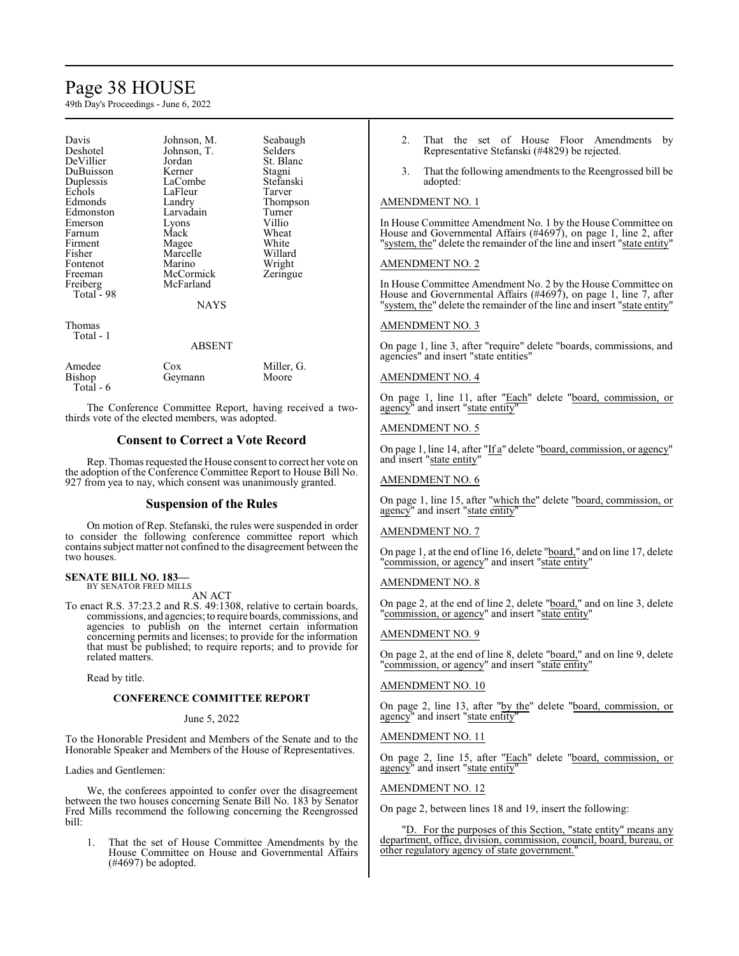# Page 38 HOUSE

49th Day's Proceedings - June 6, 2022

| Davis      | Johnson, M.   | Seabaugh   |
|------------|---------------|------------|
| Deshotel   | Johnson, T.   | Selders    |
| DeVillier  | Jordan        | St. Blanc  |
| DuBuisson  | Kerner        | Stagni     |
| Duplessis  | LaCombe       | Stefanski  |
| Echols     | LaFleur       | Tarver     |
| Edmonds    | Landry        | Thompson   |
| Edmonston  | Larvadain     | Turner     |
| Emerson    | Lyons         | Villio     |
| Farnum     | Mack          | Wheat      |
| Firment    | Magee         | White      |
| Fisher     | Marcelle      | Willard    |
| Fontenot   | Marino        | Wright     |
| Freeman    | McCormick     | Zeringue   |
| Freiberg   | McFarland     |            |
| Total - 98 |               |            |
|            | <b>NAYS</b>   |            |
| Thomas     |               |            |
| Total - 1  |               |            |
|            | <b>ABSENT</b> |            |
|            |               |            |
| Amedee     | Cox           | Miller, G. |

The Conference Committee Report, having received a twothirds vote of the elected members, was adopted.

Bishop Geymann Moore

# **Consent to Correct a Vote Record**

Rep. Thomas requested the House consent to correct her vote on the adoption of the Conference Committee Report to House Bill No. 927 from yea to nay, which consent was unanimously granted.

# **Suspension of the Rules**

On motion of Rep. Stefanski, the rules were suspended in order to consider the following conference committee report which containssubject matter not confined to the disagreement between the two houses.

# **SENATE BILL NO. 183—** BY SENATOR FRED MILLS

Total - 6

AN ACT

To enact R.S. 37:23.2 and R.S. 49:1308, relative to certain boards, commissions, and agencies; to require boards, commissions, and agencies to publish on the internet certain information concerning permits and licenses; to provide for the information that must be published; to require reports; and to provide for related matters.

Read by title.

# **CONFERENCE COMMITTEE REPORT**

#### June 5, 2022

To the Honorable President and Members of the Senate and to the Honorable Speaker and Members of the House of Representatives.

Ladies and Gentlemen:

We, the conferees appointed to confer over the disagreement between the two houses concerning Senate Bill No. 183 by Senator Fred Mills recommend the following concerning the Reengrossed bill:

1. That the set of House Committee Amendments by the House Committee on House and Governmental Affairs (#4697) be adopted.

- 2. That the set of House Floor Amendments by Representative Stefanski (#4829) be rejected.
- That the following amendments to the Reengrossed bill be adopted:

# AMENDMENT NO. 1

In House Committee Amendment No. 1 by the House Committee on House and Governmental Affairs (#4697), on page 1, line 2, after "system, the" delete the remainder of the line and insert "state entity"

# AMENDMENT NO. 2

In House Committee Amendment No. 2 by the House Committee on House and Governmental Affairs (#4697), on page 1, line 7, after "system, the" delete the remainder of the line and insert "state entity"

# AMENDMENT NO. 3

On page 1, line 3, after "require" delete "boards, commissions, and agencies" and insert "state entities"

# AMENDMENT NO. 4

On page 1, line 11, after "Each" delete "board, commission, or agency" and insert "state entity"

# AMENDMENT NO. 5

On page 1, line 14, after "If a" delete "board, commission, or agency" and insert "state entity"

### AMENDMENT NO. 6

On page 1, line 15, after "which the" delete "board, commission, or agency" and insert "state entity"

# AMENDMENT NO. 7

On page 1, at the end of line 16, delete "board," and on line 17, delete "commission, or agency" and insert "state entity"

#### AMENDMENT NO. 8

On page 2, at the end of line 2, delete "board," and on line 3, delete "commission, or agency" and insert "state entity"

#### AMENDMENT NO. 9

On page 2, at the end of line 8, delete "board," and on line 9, delete "commission, or agency" and insert "state entity"

# AMENDMENT NO. 10

On page 2, line 13, after "by the" delete "board, commission, or agency" and insert "state entity"

# AMENDMENT NO. 11

On page 2, line 15, after "Each" delete "board, commission, or agency" and insert "state entity"

# AMENDMENT NO. 12

On page 2, between lines 18 and 19, insert the following:

"D. For the purposes of this Section, "state entity" means any department, office, division, commission, council, board, bureau, or other regulatory agency of state government."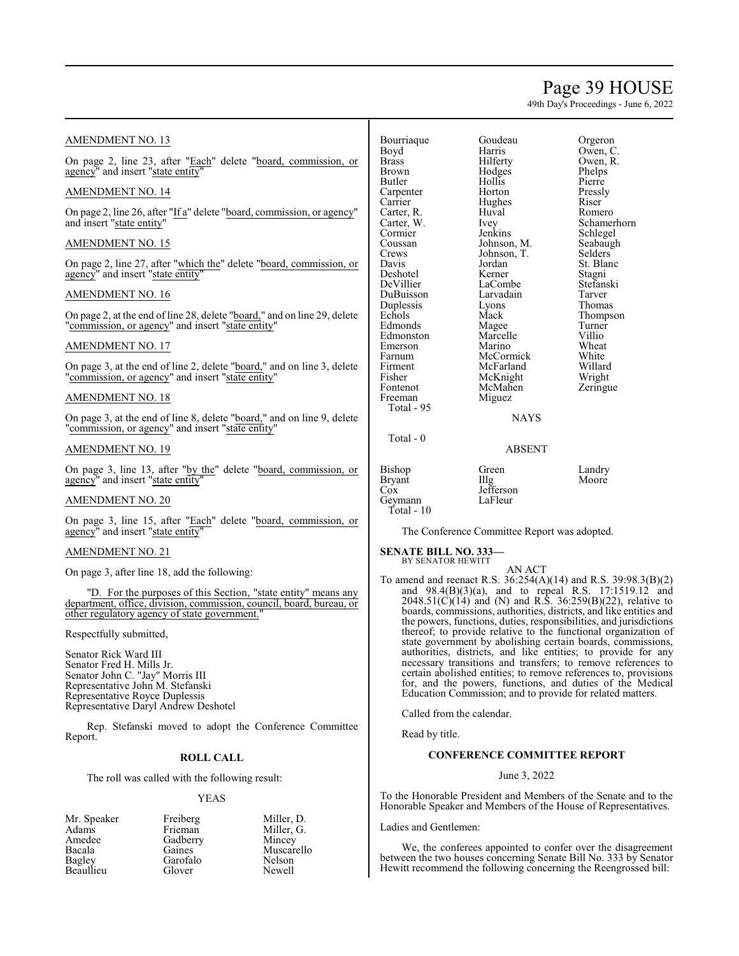# Page 39 HOUSE

49th Day's Proceedings - June 6, 2022

Honorable Speaker and Members of the House of Representatives.

We, the conferees appointed to confer over the disagreement between the two houses concerning Senate Bill No. 333 by Senator Hewitt recommend the following concerning the Reengrossed bill:

Ladies and Gentlemen:

| <b>AMENDMENT NO. 13</b>                                                  | Bourriaque                  | Goudeau                                      | Orgeron                                                                                                                 |
|--------------------------------------------------------------------------|-----------------------------|----------------------------------------------|-------------------------------------------------------------------------------------------------------------------------|
|                                                                          | Boyd                        | Harris                                       | Owen, C.                                                                                                                |
| On page 2, line 23, after "Each" delete "board, commission, or           | <b>Brass</b>                | Hilferty                                     | Owen, R.                                                                                                                |
| agency" and insert "state entity"                                        | <b>Brown</b>                | Hodges<br>Hollis                             | <b>Phelps</b>                                                                                                           |
|                                                                          | Butler                      | Horton                                       | Pierre                                                                                                                  |
| <b>AMENDMENT NO. 14</b>                                                  | Carpenter<br>Carrier        | Hughes                                       | Pressly<br>Riser                                                                                                        |
| On page 2, line 26, after "If a" delete "board, commission, or agency"   | Carter, R.                  | Huval                                        | Romero                                                                                                                  |
| and insert "state entity"                                                | Carter, W.                  |                                              | Schamerhorn                                                                                                             |
|                                                                          | Cormier                     | <i>lvey</i><br>Jenkins                       | Schlegel                                                                                                                |
| <b>AMENDMENT NO. 15</b>                                                  | Coussan                     | Johnson, M.                                  | Seabaugh                                                                                                                |
|                                                                          | Crews                       | Johnson, T.                                  | <b>Selders</b>                                                                                                          |
| On page 2, line 27, after "which the" delete "board, commission, or      | Davis                       | Jordan                                       | St. Blanc                                                                                                               |
| agency" and insert "state entity"                                        | Deshotel                    | Kerner                                       | Stagni                                                                                                                  |
|                                                                          | DeVillier                   | LaCombe                                      | Stefanski                                                                                                               |
| AMENDMENT NO. 16                                                         | DuBuisson                   | Larvadain                                    | Tarver                                                                                                                  |
|                                                                          | Duplessis                   | Lyons                                        | Thomas                                                                                                                  |
| On page 2, at the end of line 28, delete "board," and on line 29, delete | Echols                      | Mack                                         | Thompson                                                                                                                |
| "commission, or agency" and insert "state entity"                        | Edmonds                     | Magee                                        | Turner                                                                                                                  |
|                                                                          | Edmonston                   | Marcelle                                     | Villio                                                                                                                  |
| AMENDMENT NO. 17                                                         | Emerson                     | Marino                                       | Wheat                                                                                                                   |
|                                                                          | Farnum                      | McCormick                                    | White                                                                                                                   |
| On page 3, at the end of line 2, delete "board," and on line 3, delete   | Firment                     | McFarland                                    | Willard                                                                                                                 |
| "commission, or agency" and insert "state entity"                        | Fisher                      | McKnight                                     | Wright                                                                                                                  |
|                                                                          | Fontenot                    | McMahen                                      | Zeringue                                                                                                                |
| <b>AMENDMENT NO. 18</b>                                                  | Freeman                     | Miguez                                       |                                                                                                                         |
|                                                                          | Total - 95                  |                                              |                                                                                                                         |
| On page 3, at the end of line 8, delete "board," and on line 9, delete   |                             | <b>NAYS</b>                                  |                                                                                                                         |
| "commission, or agency" and insert "state entity"                        |                             |                                              |                                                                                                                         |
|                                                                          | Total - 0                   |                                              |                                                                                                                         |
| AMENDMENT NO. 19                                                         |                             | <b>ABSENT</b>                                |                                                                                                                         |
| On page 3, line 13, after "by the" delete "board, commission, or         | <b>Bishop</b>               | Green                                        | Landry                                                                                                                  |
| agency" and insert "state entity"                                        | <b>Bryant</b>               | Illg                                         | Moore                                                                                                                   |
|                                                                          | Cox                         | Jefferson                                    |                                                                                                                         |
| AMENDMENT NO. 20                                                         | Geymann                     | LaFleur                                      |                                                                                                                         |
|                                                                          | Total - 10                  |                                              |                                                                                                                         |
| On page 3, line 15, after "Each" delete "board, commission, or           |                             |                                              |                                                                                                                         |
| agency" and insert "state entity"                                        |                             | The Conference Committee Report was adopted. |                                                                                                                         |
|                                                                          |                             |                                              |                                                                                                                         |
| AMENDMENT NO. 21                                                         | <b>SENATE BILL NO. 333-</b> |                                              |                                                                                                                         |
|                                                                          | BY SENATOR HEWITT           |                                              |                                                                                                                         |
| On page 3, after line 18, add the following:                             |                             | AN ACT                                       |                                                                                                                         |
|                                                                          |                             |                                              | To amend and reenact R.S. $36:254(A)(14)$ and R.S. $39:98.3(B)(2)$                                                      |
| "D. For the purposes of this Section, "state entity" means any           |                             |                                              | and $98.4(B)(3)(a)$ , and to repeal R.S. 17:1519.12 and<br>$2048.51(C)(14)$ and (N) and R.S. 36:259(B)(22), relative to |
| department, office, division, commission, council, board, bureau, or     |                             |                                              | boards, commissions, authorities, districts, and like entities and                                                      |
| other regulatory agency of state government.                             |                             |                                              | the powers, functions, duties, responsibilities, and jurisdictions                                                      |
|                                                                          |                             |                                              | thereof; to provide relative to the functional organization of                                                          |
| Respectfully submitted,                                                  |                             |                                              | state government by abolishing certain boards, commissions,                                                             |
| Senator Rick Ward III                                                    |                             |                                              | authorities, districts, and like entities; to provide for any                                                           |
|                                                                          |                             |                                              | necessary transitions and transfers; to remove references to                                                            |
| Senator Fred H. Mills Jr.<br>Senator John C. "Jay" Morris III            |                             |                                              | certain abolished entities; to remove references to, provisions                                                         |
| Representative John M. Stefanski                                         |                             |                                              | for, and the powers, functions, and duties of the Medical                                                               |
| Representative Royce Duplessis                                           |                             |                                              | Education Commission; and to provide for related matters.                                                               |
| Representative Daryl Andrew Deshotel                                     |                             |                                              |                                                                                                                         |
|                                                                          |                             | Called from the calendar.                    |                                                                                                                         |
| Rep. Stefanski moved to adopt the Conference Committee                   |                             |                                              |                                                                                                                         |
| Report.                                                                  | Read by title.              |                                              |                                                                                                                         |
|                                                                          |                             |                                              |                                                                                                                         |
| <b>ROLL CALL</b>                                                         |                             | <b>CONFERENCE COMMITTEE REPORT</b>           |                                                                                                                         |
| The roll was called with the following result:                           |                             | June 3, 2022                                 |                                                                                                                         |
| <b>YEAS</b>                                                              |                             |                                              | To the Honorable President and Members of the Senate and to the                                                         |
|                                                                          |                             |                                              |                                                                                                                         |

Mr. Speaker Freiberg Miller, D. Adams Frieman Miller, G. Mr. Speaker Freiberg Miller, D.<br>
Adams Frieman Miller, G.<br>
Amedee Gadberry Mincey<br>
Bacala Gaines Muscarell Bacala Gaines Muscarello<br>
Bagley Garofalo Nelson Garofalo Nelson<br>Glover Newell Beaullieu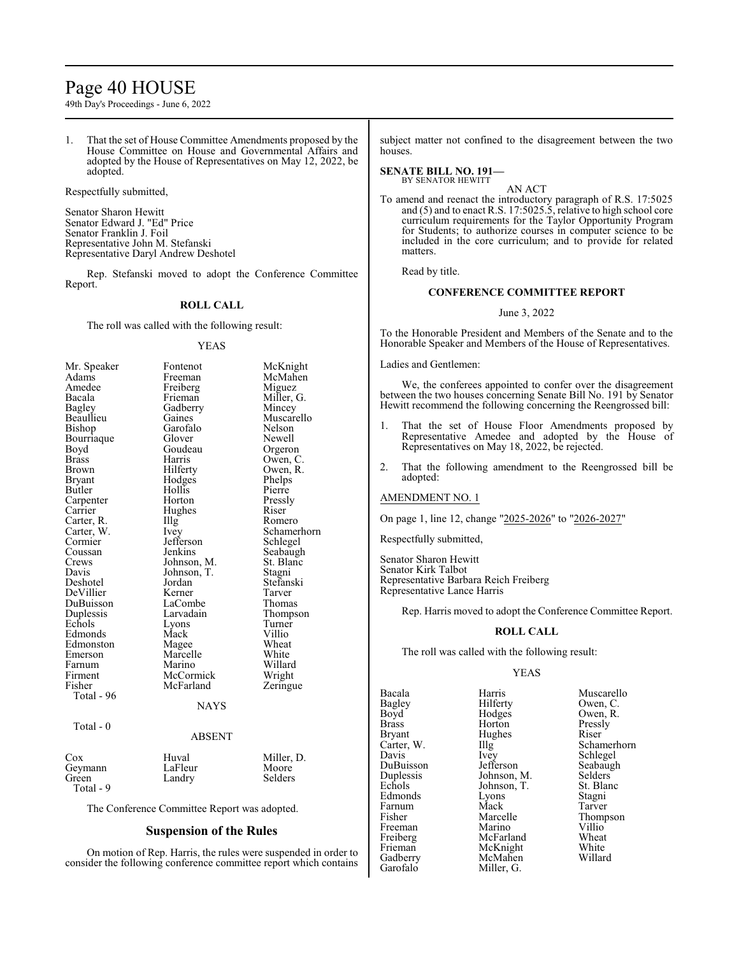# Page 40 HOUSE

49th Day's Proceedings - June 6, 2022

1. That the set of House Committee Amendments proposed by the House Committee on House and Governmental Affairs and adopted by the House of Representatives on May 12, 2022, be adopted.

Respectfully submitted,

Senator Sharon Hewitt Senator Edward J. "Ed" Price Senator Franklin J. Foil Representative John M. Stefanski Representative Daryl Andrew Deshotel

Rep. Stefanski moved to adopt the Conference Committee Report.

#### **ROLL CALL**

The roll was called with the following result:

#### YEAS

| Mr. Speaker   | Fontenot          | McKnight    |
|---------------|-------------------|-------------|
| Adams         | Freeman           | McMahen     |
| Amedee        | Freiberg          | Miguez      |
| Bacala        | Frieman           | Miller, G.  |
| <b>Bagley</b> | Gadberry          | Mincey      |
| Beaullieu     | Gaines            | Muscarello  |
| Bishop        | Garofalo          | Nelson      |
| Bourriaque    | Glover            | Newell      |
| Boyd          | Goudeau           | Orgeron     |
| <b>Brass</b>  | Harris            | Owen, C.    |
| Brown         | Hilferty          | Owen, R.    |
| Bryant        | Hodges            | Phelps      |
| Butler        | Hollis            | Pierre      |
| Carpenter     | Horton            | Pressly     |
| Carrier       | Hughes            | Riser       |
| Carter, R.    | $\prod_{i=1}^{n}$ | Romero      |
| Carter, W.    | <i>lvey</i>       | Schamerhorn |
| Cormier       | Jefferson         | Schlegel    |
| Coussan       | Jenkins           | Seabaugh    |
| Crews         | Johnson, M.       | St. Blanc   |
| Davis         | Johnson, T.       | Stagni      |
| Deshotel      | Jordan            | Stefanski   |
| DeVillier     | Kerner            | Tarver      |
| DuBuisson     | LaCombe           | Thomas      |
| Duplessis     | Larvadain         | Thompson    |
| Echols        | Lyons             | Turner      |
| Edmonds       | Mack              | Villio      |
| Edmonston     | Magee             | Wheat       |
| Emerson       | Marcelle          | White       |
| Farnum        | Marino            | Willard     |
| Firment       | McCormick         | Wright      |
| Fisher        | McFarland         | Zeringue    |
| Total - 96    |                   |             |
|               | <b>NAYS</b>       |             |
| Total - 0     |                   |             |
|               | ABSENT            |             |
| $\cos$        | Huval             | Miller, D.  |

The Conference Committee Report was adopted.

Geymann LaFleur Moore<br>Green Landry Selders Landry

Total - 9

# **Suspension of the Rules**

On motion of Rep. Harris, the rules were suspended in order to consider the following conference committee report which contains subject matter not confined to the disagreement between the two houses.

#### **SENATE BILL NO. 191—** BY SENATOR HEWITT

AN ACT

To amend and reenact the introductory paragraph of R.S. 17:5025 and (5) and to enact R.S. 17:5025.5, relative to high school core curriculum requirements for the Taylor Opportunity Program for Students; to authorize courses in computer science to be included in the core curriculum; and to provide for related matters.

Read by title.

# **CONFERENCE COMMITTEE REPORT**

#### June 3, 2022

To the Honorable President and Members of the Senate and to the Honorable Speaker and Members of the House of Representatives.

# Ladies and Gentlemen:

We, the conferees appointed to confer over the disagreement between the two houses concerning Senate Bill No. 191 by Senator Hewitt recommend the following concerning the Reengrossed bill:

- 1. That the set of House Floor Amendments proposed by Representative Amedee and adopted by the House of Representatives on May 18, 2022, be rejected.
- 2. That the following amendment to the Reengrossed bill be adopted:

AMENDMENT NO. 1

On page 1, line 12, change "2025-2026" to "2026-2027"

Respectfully submitted,

Senator Sharon Hewitt Senator Kirk Talbot Representative Barbara Reich Freiberg Representative Lance Harris

Rep. Harris moved to adopt the Conference Committee Report.

#### **ROLL CALL**

The roll was called with the following result:

Miller, G.

# YEAS

Bacala **Harris** Muscarello<br>Bagley Hilferty Owen, C. Bagley Hilferty Owen, C.<br>Boyd Hodges Owen, R. Boyd Hodges Owen, R.<br>Brass Horton Pressly Brass Horton Pressly<br>Bryant Hughes Riser Bryant Hughes<br>Carter, W. Illg Carter, W. Illg Schamerhorn<br>Davis Ivey Schlegel DuBuisson Jefferson Seabaugh<br>Duplessis Johnson, M. Selders Duplessis Johnson, M. Selders<br>Echols Johnson, T. St. Blanc Edmonds Lyons Stagni<br>
Farnum Mack Tarver Farnum Mack<br>Fisher Marcelle Freeman Marino Villio<br>
Freiberg McFarland Wheat Freiberg McFarland Wheat<br>Frieman McKnight White Gadberry<br>Garofalo

Ivey Schlegel<br>Jefferson Seabaugh Johnson, T. St. Blanck<br>Lyons Stagni Marcelle Thompson<br>Marino Villio McKnight White<br>
McMahen Willard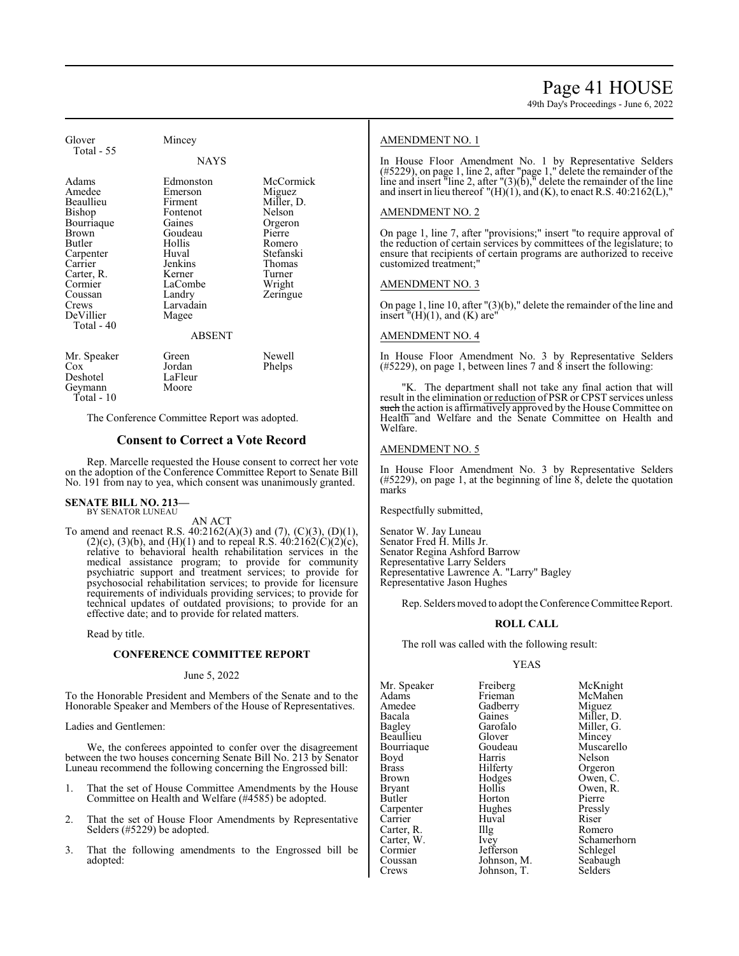49th Day's Proceedings - June 6, 2022

| Glover<br>Total - 55                                                                                                                                                           | Mincey                                                                                                                                                               |                                                                                                                                   |
|--------------------------------------------------------------------------------------------------------------------------------------------------------------------------------|----------------------------------------------------------------------------------------------------------------------------------------------------------------------|-----------------------------------------------------------------------------------------------------------------------------------|
|                                                                                                                                                                                | <b>NAYS</b>                                                                                                                                                          |                                                                                                                                   |
| Adams<br>Amedee<br>Beaullieu<br>Bishop<br>Bourriaque<br><b>Brown</b><br>Butler<br>Carpenter<br>Carrier<br>Carter, R.<br>Cormier<br>Coussan<br>Crews<br>DeVillier<br>Total - 40 | Edmonston<br>Emerson<br>Firment<br>Fontenot<br>Gaines<br>Goudeau<br>Hollis<br>Huval<br>Jenkins<br>Kerner<br>LaCombe<br>Landry<br>Larvadain<br>Magee<br><b>ABSENT</b> | McCormick<br>Miguez<br>Miller, D.<br>Nelson<br>Orgeron<br>Pierre<br>Romero<br>Stefanski<br>Thomas<br>Turner<br>Wright<br>Zeringue |
| Mr. Speaker<br>$\cos$<br>Deshotel<br>Geymann                                                                                                                                   | Green<br>Jordan<br>LaFleur<br>Moore                                                                                                                                  | Newell<br>Phelps                                                                                                                  |

Total - 10

The Conference Committee Report was adopted.

# **Consent to Correct a Vote Record**

Rep. Marcelle requested the House consent to correct her vote on the adoption of the Conference Committee Report to Senate Bill No. 191 from nay to yea, which consent was unanimously granted.

#### **SENATE BILL NO. 213—** BY SENATOR LUNEAU

AN ACT

To amend and reenact R.S. 40:2162(A)(3) and (7), (C)(3), (D)(1),  $(2)(c)$ ,  $(3)(b)$ , and  $(H)(1)$  and to repeal R.S.  $40:2162(C)(2)(c)$ , relative to behavioral health rehabilitation services in the medical assistance program; to provide for community psychiatric support and treatment services; to provide for psychosocial rehabilitation services; to provide for licensure requirements of individuals providing services; to provide for technical updates of outdated provisions; to provide for an effective date; and to provide for related matters.

Read by title.

### **CONFERENCE COMMITTEE REPORT**

June 5, 2022

To the Honorable President and Members of the Senate and to the Honorable Speaker and Members of the House of Representatives.

Ladies and Gentlemen:

We, the conferees appointed to confer over the disagreement between the two houses concerning Senate Bill No. 213 by Senator Luneau recommend the following concerning the Engrossed bill:

- 1. That the set of House Committee Amendments by the House Committee on Health and Welfare (#4585) be adopted.
- 2. That the set of House Floor Amendments by Representative Selders (#5229) be adopted.
- 3. That the following amendments to the Engrossed bill be adopted:

# AMENDMENT NO. 1

In House Floor Amendment No. 1 by Representative Selders (#5229), on page 1, line 2, after "page 1," delete the remainder of the line and insert "line 2, after " $(3)(b)$ ," delete the remainder of the line and insert in lieu thereof  $''(H)(1)$ , and (K), to enact R.S. 40:2162(L),"

#### AMENDMENT NO. 2

On page 1, line 7, after "provisions;" insert "to require approval of the reduction of certain services by committees of the legislature; to ensure that recipients of certain programs are authorized to receive customized treatment;"

#### AMENDMENT NO. 3

On page 1, line 10, after "(3)(b)," delete the remainder of the line and insert  $\mathbf{H}(H)(1)$ , and  $(K)$  are"

# AMENDMENT NO. 4

In House Floor Amendment No. 3 by Representative Selders  $(\text{\#5229})$ , on page 1, between lines 7 and 8 insert the following:

"K. The department shall not take any final action that will result in the elimination or reduction of PSR or CPST services unless such the action is affirmatively approved by the House Committee on Health and Welfare and the Senate Committee on Health and Welfare.

#### AMENDMENT NO. 5

In House Floor Amendment No. 3 by Representative Selders (#5229), on page 1, at the beginning of line 8, delete the quotation marks

Respectfully submitted,

Senator W. Jay Luneau Senator Fred H. Mills Jr. Senator Regina Ashford Barrow Representative Larry Selders Representative Lawrence A. "Larry" Bagley Representative Jason Hughes

Rep. Selders moved to adopt the Conference Committee Report.

#### **ROLL CALL**

The roll was called with the following result:

# YEAS

| Mr. Speaker   | Freiberg    | McKnight    |
|---------------|-------------|-------------|
| Adams         | Frieman     | McMahen     |
| Amedee        | Gadberry    | Miguez      |
| Bacala        | Gaines      | Miller, D.  |
| Bagley        | Garofalo    | Miller, G.  |
| Beaullieu     | Glover      | Mincey      |
| Bourriaque    | Goudeau     | Muscarello  |
| Boyd          | Harris      | Nelson      |
| <b>Brass</b>  | Hilferty    | Orgeron     |
| Brown         | Hodges      | Owen, C.    |
| <b>Bryant</b> | Hollis      | Owen, R.    |
| Butler        | Horton      | Pierre      |
| Carpenter     | Hughes      | Pressly     |
| Carrier       | Huval       | Riser       |
| Carter, R.    | $\prod$ llg | Romero      |
| Carter, W.    | <i>lvey</i> | Schamerhorn |
| Cormier       | Jefferson   | Schlegel    |
| Coussan       | Johnson, M. | Seabaugh    |
| Crews         | Johnson, T. | Selders     |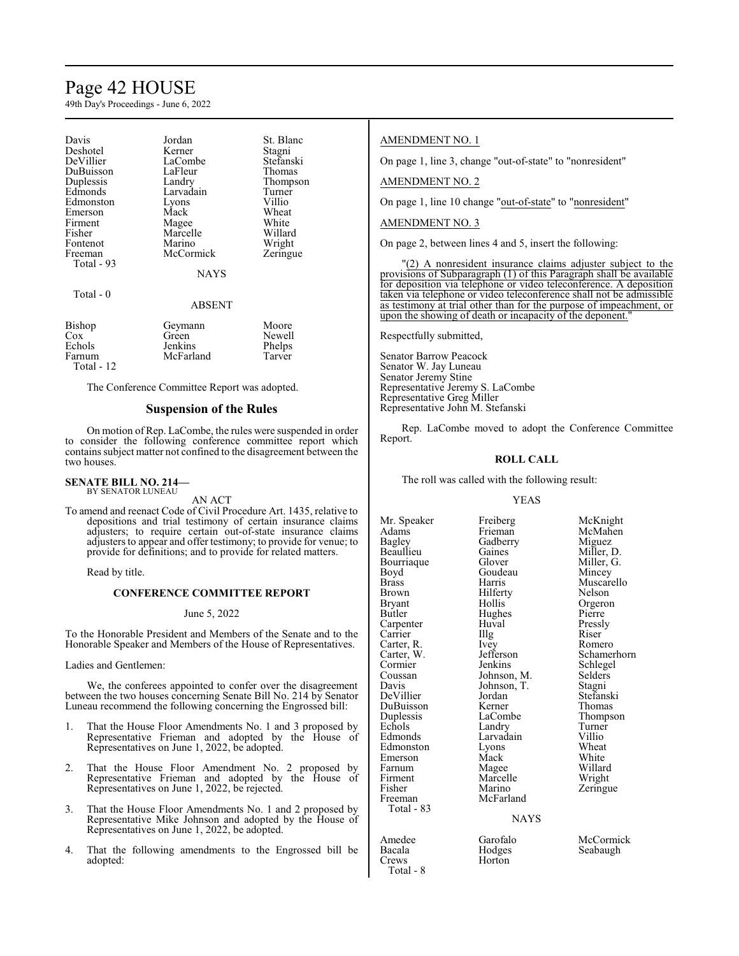# Page 42 HOUSE

49th Day's Proceedings - June 6, 2022

| Davis<br>Deshotel<br>DeVillier<br>DuBuisson<br>Duplessis<br>Edmonds<br>Edmonston<br>Emerson | Jordan<br>Kerner<br>LaCombe<br>LaFleur<br>Landry<br>Larvadain<br>Lyons<br>Mack | St. Blanc<br>Stagni<br>Stefanski<br>Thomas<br>Thompson<br>Turner<br>Villio<br>Wheat |
|---------------------------------------------------------------------------------------------|--------------------------------------------------------------------------------|-------------------------------------------------------------------------------------|
| Firment<br>Fisher<br>Fontenot                                                               | Magee<br>Marcelle<br>Marino                                                    | White<br>Willard<br>Wright                                                          |
| Freeman<br>Total - 93                                                                       | McCormick<br><b>NAYS</b>                                                       | Zeringue                                                                            |
| Total - 0                                                                                   | <b>ABSENT</b>                                                                  |                                                                                     |
| Bishop<br>$\cos$<br>Echols<br>Farnum<br>Total - 12                                          | Geymann<br>Green<br>Jenkins<br>McFarland                                       | Moore<br>Newell<br>Phelps<br>Tarver                                                 |

The Conference Committee Report was adopted.

# **Suspension of the Rules**

On motion of Rep. LaCombe, the rules were suspended in order to consider the following conference committee report which containssubject matter not confined to the disagreement between the two houses.

#### **SENATE BILL NO. 214—** BY SENATOR LUNEAU

AN ACT

To amend and reenact Code of Civil Procedure Art. 1435, relative to depositions and trial testimony of certain insurance claims adjusters; to require certain out-of-state insurance claims adjusters to appear and offer testimony; to provide for venue; to provide for definitions; and to provide for related matters.

Read by title.

# **CONFERENCE COMMITTEE REPORT**

#### June 5, 2022

To the Honorable President and Members of the Senate and to the Honorable Speaker and Members of the House of Representatives.

Ladies and Gentlemen:

We, the conferees appointed to confer over the disagreement between the two houses concerning Senate Bill No. 214 by Senator Luneau recommend the following concerning the Engrossed bill:

- 1. That the House Floor Amendments No. 1 and 3 proposed by Representative Frieman and adopted by the House of Representatives on June 1, 2022, be adopted.
- 2. That the House Floor Amendment No. 2 proposed by Representative Frieman and adopted by the House of Representatives on June 1, 2022, be rejected.
- 3. That the House Floor Amendments No. 1 and 2 proposed by Representative Mike Johnson and adopted by the House of Representatives on June 1, 2022, be adopted.
- 4. That the following amendments to the Engrossed bill be adopted:

### AMENDMENT NO. 1

On page 1, line 3, change "out-of-state" to "nonresident"

AMENDMENT NO. 2

On page 1, line 10 change "out-of-state" to "nonresident"

### AMENDMENT NO. 3

On page 2, between lines 4 and 5, insert the following:

"(2) A nonresident insurance claims adjuster subject to the provisions of Subparagraph (1) of this Paragraph shall be available for deposition via telephone or video teleconference. A deposition taken via telephone or video teleconference shall not be admissible as testimony at trial other than for the purpose of impeachment, or upon the showing of death or incapacity of the deponent."

Respectfully submitted,

Senator Barrow Peacock Senator W. Jay Luneau Senator Jeremy Stine Representative Jeremy S. LaCombe Representative Greg Miller Representative John M. Stefanski

Rep. LaCombe moved to adopt the Conference Committee Report.

# **ROLL CALL**

The roll was called with the following result:

#### YEAS

Adams Frieman McMahen<br>Bagley Gadberry Miguez Bagley Gadberry<br>Beaullieu Gaines Bourriaque Glover Miller, (<br>
Boyd Goudeau Mincey Boyd Goudeau<br>Brass Harris Brass Harris Muscarello Brown Hilferty<br>Bryant Hollis Bryant Hollis Orgeron<br>Butler Hughes Pierre Carpenter Huval Pressl<br>Carrier IIIg Riser Carrier IIIg Riser<br>Carter, R. Ivey Romero Carter, R. Ivey<br>Carter, W. Jefferson Cormier Jenkins Schlegel<br>
Coussan Johnson, M. Selders Coussan Johnson, M. Selders<br>Davis Johnson, T. Stagni Davis Johnson, T.<br>DeVillier Jordan DuBuisson Kerner<br>
Duplessis LaCombe Duplessis LaCombe Thompson<br>
Echols Landry Turner Echols Landry Turner<br>Edmonds Larvadain Villio Edmonston Lyons Wheat<br>Emerson Mack White Emerson Mack White<br>
Farnum Magee Willard Farnum Magee Willard<br>Firment Marcelle Wright Firment Marcelle<br>Fisher Marino Fisher Marino Zeringue<br>Freeman McFarland Total - 83

Total - 8

Hughes Pierre<br>
Huval Pressly Larvadain Villio<br>Lyons Wheat McFarland

Mr. Speaker Freiberg McKnight<br>Adams Frieman McMahen Gaines Miller, D.<br>Glover Miller, G. Carter, W. Jefferson Schamerhorn<br>
Cormier Jenkins Schlegel Jordan Stefanski<br>Kerner Thomas

#### NAYS

Bacala Hodges Seabaugh Horton

Amedee Garofalo McCormick<br>Bacala Hodges Seabaugh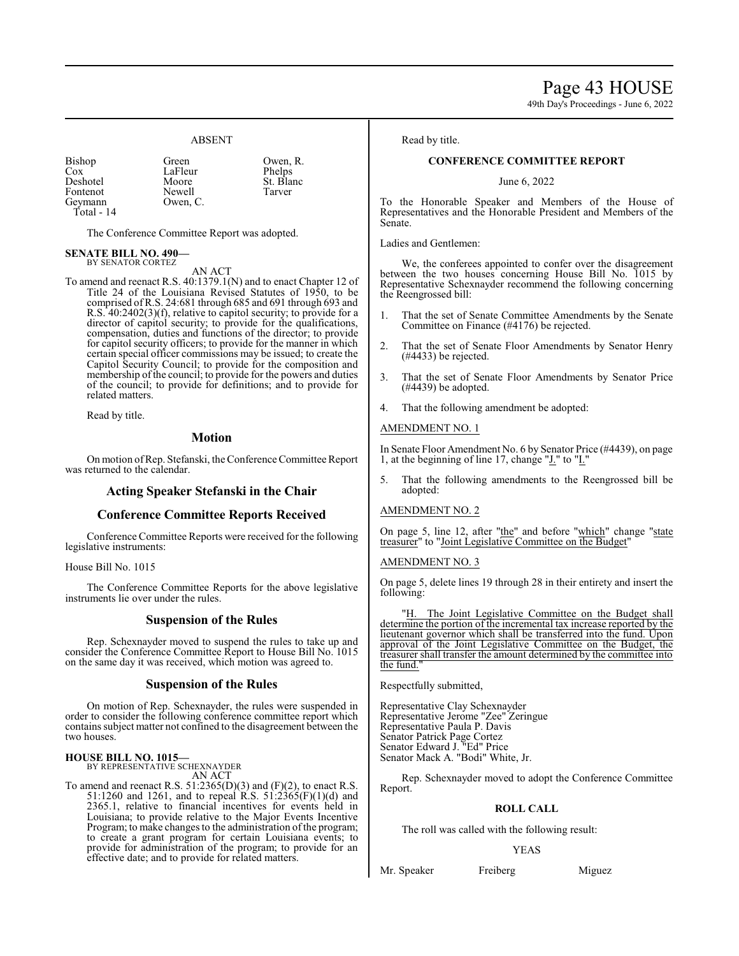Page 43 HOUSE

49th Day's Proceedings - June 6, 2022

# ABSENT

| <b>Bishop</b> | Green    | Owen, R.  |
|---------------|----------|-----------|
| Cox           | LaFleur  | Phelps    |
| Deshotel      | Moore    | St. Blanc |
| Fontenot      | Newell   | Tarver    |
| Geymann       | Owen, C. |           |
| Total - 14    |          |           |

The Conference Committee Report was adopted.

#### **SENATE BILL NO. 490—** BY SENATOR CORTEZ

AN ACT

To amend and reenact R.S. 40:1379.1(N) and to enact Chapter 12 of Title 24 of the Louisiana Revised Statutes of 1950, to be comprised ofR.S. 24:681 through 685 and 691 through 693 and R.S. 40:2402(3)(f), relative to capitol security; to provide for a director of capitol security; to provide for the qualifications, compensation, duties and functions of the director; to provide for capitol security officers; to provide for the manner in which certain special officer commissions may be issued; to create the Capitol Security Council; to provide for the composition and membership of the council; to provide for the powers and duties of the council; to provide for definitions; and to provide for related matters.

Read by title.

# **Motion**

On motion ofRep. Stefanski, the Conference Committee Report was returned to the calendar.

# **Acting Speaker Stefanski in the Chair**

#### **Conference Committee Reports Received**

Conference Committee Reports were received for the following legislative instruments:

#### House Bill No. 1015

The Conference Committee Reports for the above legislative instruments lie over under the rules.

# **Suspension of the Rules**

Rep. Schexnayder moved to suspend the rules to take up and consider the Conference Committee Report to House Bill No. 1015 on the same day it was received, which motion was agreed to.

#### **Suspension of the Rules**

On motion of Rep. Schexnayder, the rules were suspended in order to consider the following conference committee report which containssubject matter not confined to the disagreement between the two houses.

**HOUSE BILL NO. 1015—** BY REPRESENTATIVE SCHEXNAYDER AN ACT

To amend and reenact R.S. 51:2365(D)(3) and (F)(2), to enact R.S. 51:1260 and 1261, and to repeal R.S. 51:2365(F)(1)(d) and 2365.1, relative to financial incentives for events held in Louisiana; to provide relative to the Major Events Incentive Program; to make changes to the administration of the program; to create a grant program for certain Louisiana events; to provide for administration of the program; to provide for an effective date; and to provide for related matters.

# Read by title.

### **CONFERENCE COMMITTEE REPORT**

June 6, 2022

To the Honorable Speaker and Members of the House of Representatives and the Honorable President and Members of the Senate.

Ladies and Gentlemen:

We, the conferees appointed to confer over the disagreement between the two houses concerning House Bill No. 1015 by Representative Schexnayder recommend the following concerning the Reengrossed bill:

- That the set of Senate Committee Amendments by the Senate Committee on Finance (#4176) be rejected.
- 2. That the set of Senate Floor Amendments by Senator Henry (#4433) be rejected.
- 3. That the set of Senate Floor Amendments by Senator Price (#4439) be adopted.
- That the following amendment be adopted:

#### AMENDMENT NO. 1

In Senate Floor Amendment No. 6 by Senator Price (#4439), on page 1, at the beginning of line 17, change "J." to "I."

5. That the following amendments to the Reengrossed bill be adopted:

#### AMENDMENT NO. 2

On page 5, line 12, after "the" and before "which" change "state treasurer" to "Joint Legislative Committee on the Budget"

#### AMENDMENT NO. 3

On page 5, delete lines 19 through 28 in their entirety and insert the following:

"H. The Joint Legislative Committee on the Budget shall determine the portion of the incremental tax increase reported by the lieutenant governor which shall be transferred into the fund. Upon approval of the Joint Legislative Committee on the Budget, the treasurer shall transfer the amount determined by the committee into the fund."

Respectfully submitted,

Representative Clay Schexnayder Representative Jerome "Zee" Zeringue Representative Paula P. Davis Senator Patrick Page Cortez Senator Edward J. "Ed" Price Senator Mack A. "Bodi" White, Jr.

Rep. Schexnayder moved to adopt the Conference Committee Report.

#### **ROLL CALL**

The roll was called with the following result:

#### YEAS

Mr. Speaker Freiberg Miguez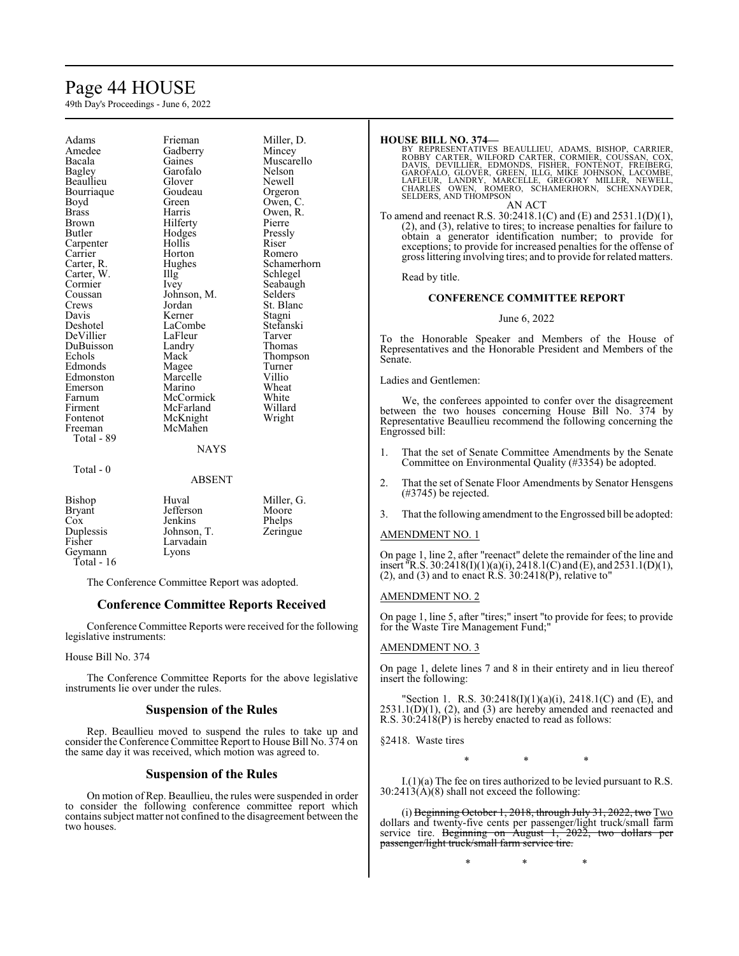# Page 44 HOUSE

49th Day's Proceedings - June 6, 2022

Adams Frieman Miller, D.<br>Amedee Gadberry Mincey Amedee Gadberry<br>Bacala Gaines Bacala Gaines Muscarello<br>
Bagley Garofalo Nelson Beaullieu Glover Newell Bourriaque Boyd Green Owen, C.<br>Brass Harris Owen, R. Brass Harris Owen, R. Brown Hilferty Pierre<br>Butler Hodges Pressly Carpenter Hollis Riser<br>Carrier Horton Romero Carrier Horton<br>Carter, R. Hughes Carter, W. Illg Cormier Coussan Johnson, M.<br>Crews Jordan Crews Jordan St. Blanc<br>
Davis Kerner Stagni Davis Kerner Stagni DeVillier LaFleur Tarver DuBuisson Landr<br>Echols Mack Edmonds Magee Turner<br>
Edmonston Marcelle Villio Edmonston Marcelle Villio<br>
Emerson Marino Wheat Emerson Marino Wheat<br>
Farnum McCormick White Farnum McCormick White Firment McFarland Willard Fontenot McKnight<br>Freeman McMahen Total - 89 Total - 0

Garofalo Nelson<br>Glover Newell Hodges Pressl<br>Hollis Riser LaCombe<br>
LaFleur Stefans<br>
Tarver Mack Thompson<br>
Magee Turner McMahen

Hughes Schamerhorn<br>Illg Schlegel Seabaugh<br>Selders

#### **NAYS**

ABSENT Bishop Huval Miller, G.<br>Brvant Jefferson Moore Bryant Cox Jenkins Phelps<br>Duplessis Johnson, T. Zeringue Duplessis Johnson, T.<br>Fisher Larvadain Larvadain<br>Lyons Geymann Total - 16

The Conference Committee Report was adopted.

# **Conference Committee Reports Received**

Conference Committee Reports were received for the following legislative instruments:

# House Bill No. 374

The Conference Committee Reports for the above legislative instruments lie over under the rules.

# **Suspension of the Rules**

Rep. Beaullieu moved to suspend the rules to take up and consider the Conference Committee Report to House Bill No. 374 on the same day it was received, which motion was agreed to.

# **Suspension of the Rules**

On motion of Rep. Beaullieu, the rules were suspended in order to consider the following conference committee report which containssubject matter not confined to the disagreement between the two houses.

# **HOUSE BILL NO. 374—**

BY REPRESENTATIVES BEAULLIEU, ADAMS, BISHOP, CARRIER,<br>ROBBY CARTER, WILFORD CARTER, CORMIER, COUSSAN, COX,<br>DAVIS, DEVILLIER, EDMONDS, FISHER, FONTENOT, FREIBERG,<br>GAROFALO, GLOVER, GREEN, ILLG, MIKE JOHNSON, LACOMBE,<br>LAFLEU SELDERS, AND THOMPSON AN ACT

To amend and reenact R.S. 30:2418.1(C) and (E) and 2531.1(D)(1), (2), and (3), relative to tires; to increase penalties for failure to obtain a generator identification number; to provide for exceptions; to provide for increased penalties for the offense of gross littering involving tires; and to provide for related matters.

Read by title.

# **CONFERENCE COMMITTEE REPORT**

# June 6, 2022

To the Honorable Speaker and Members of the House of Representatives and the Honorable President and Members of the Senate.

Ladies and Gentlemen:

We, the conferees appointed to confer over the disagreement between the two houses concerning House Bill No. 374 by Representative Beaullieu recommend the following concerning the Engrossed bill:

- 1. That the set of Senate Committee Amendments by the Senate Committee on Environmental Quality (#3354) be adopted.
- 2. That the set of Senate Floor Amendments by Senator Hensgens (#3745) be rejected.
- 3. That the following amendment to the Engrossed bill be adopted:

# AMENDMENT NO. 1

On page 1, line 2, after "reenact" delete the remainder of the line and insert "R.S. 30:2418(I)(1)(a)(i), 2418.1(C) and (E), and 2531.1(D)(1), (2), and (3) and to enact  $\hat{R}$ .  $\hat{S}$ .  $\hat{3}0:2418(P)$ , relative to"

# AMENDMENT NO. 2

On page 1, line 5, after "tires;" insert "to provide for fees; to provide for the Waste Tire Management Fund;"

# AMENDMENT NO. 3

On page 1, delete lines 7 and 8 in their entirety and in lieu thereof insert the following:

"Section 1. R.S. 30:2418(I)(1)(a)(i), 2418.1(C) and (E), and  $2531.1(D)(1)$ ,  $(2)$ , and  $(3)$  are hereby amended and reenacted and R.S. 30:2418(P) is hereby enacted to read as follows:

§2418. Waste tires

\* \* \*

I.(1)(a) The fee on tires authorized to be levied pursuant to R.S.  $30:2413(A)(8)$  shall not exceed the following:

(i) Beginning October 1, 2018, through July 31, 2022, two  $Two$ dollars and twenty-five cents per passenger/light truck/small farm service tire. Beginning on August  $1, 202\overline{2}$ , two dollars per passenger/light truck/small farm service tire.

\* \* \*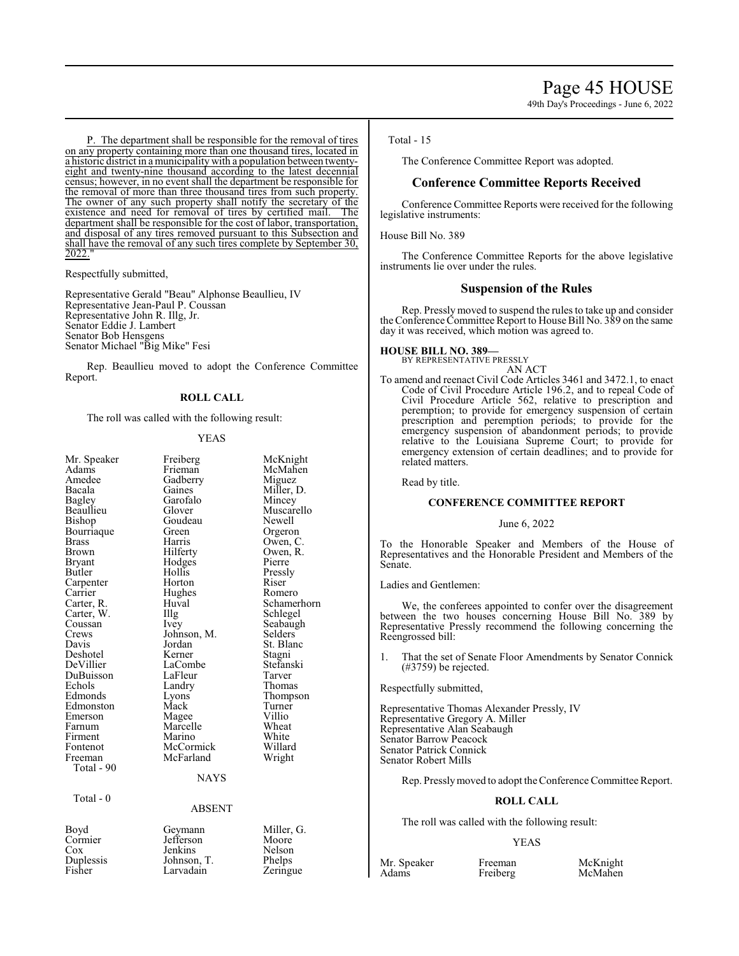P. The department shall be responsible for the removal of tires on any property containing more than one thousand tires, located in a historic district in a municipality with a population between twentyeight and twenty-nine thousand according to the latest decennial census; however, in no event shall the department be responsible for the removal of more than three thousand tires from such property. The owner of any such property shall notify the secretary of the existence and need for removal of tires by certified mail. The existence and need for removal of tires by certified mail. department shall be responsible for the cost of labor, transportation, and disposal of any tires removed pursuant to this Subsection and shall have the removal of any such tires complete by September 30, 2022."

Respectfully submitted,

Representative Gerald "Beau" Alphonse Beaullieu, IV Representative Jean-Paul P. Coussan Representative John R. Illg, Jr. Senator Eddie J. Lambert Senator Bob Hensgens Senator Michael "Big Mike" Fesi

Rep. Beaullieu moved to adopt the Conference Committee Report.

#### **ROLL CALL**

The roll was called with the following result:

#### YEAS

| Mr. Speaker   | Freiberg      | McKnight            |
|---------------|---------------|---------------------|
| Adams         | Frieman       | McMahen             |
| Amedee        | Gadberry      | Miguez              |
| Bacala        | Gaines        | Miller, D.          |
| Bagley        | Garofalo      | Mincey              |
| Beaullieu     | Glover        | Muscarello          |
| Bishop        | Goudeau       | Newell              |
| Bourriaque    | Green         | Orgeron             |
| <b>Brass</b>  | Harris        | Owen, C.            |
| Brown         | Hilferty      | Owen, R.            |
| <b>Bryant</b> | Hodges        | Pierre              |
| Butler        | Hollis        | Pressly             |
| Carpenter     | Horton        | Riser               |
| Carrier       | Hughes        | Romero              |
| Carter, R.    | Huval         | Schamerhorn         |
| Carter, W.    | Illg          | Schlegel            |
| Coussan       | <i>lvey</i>   | Seabaugh            |
| Crews         | Johnson, M.   | Selders             |
| Davis         | Jordan        | St. Blanc           |
| Deshotel      | Kerner        |                     |
| DeVillier     | LaCombe       | Stagni<br>Stefanski |
|               |               |                     |
| DuBuisson     | LaFleur       | Tarver              |
| Echols        | Landry        | Thomas              |
| Edmonds       | Lyons         | Thompson            |
| Edmonston     | Mack          | Turner              |
| Emerson       | Magee         | Villio              |
| Farnum        | Marcelle      | Wheat               |
| Firment       | Marino        | White               |
| Fontenot      | McCormick     | Willard             |
| Freeman       | McFarland     | Wright              |
| Total - 90    |               |                     |
|               | <b>NAYS</b>   |                     |
| Total - 0     |               |                     |
|               | <b>ABSENT</b> |                     |
| Boyd          | Geymann       | Miller, G.          |
| Cormier       | Jefferson     | Moore               |
| Cox           | Jenkins       | Nelson              |
| Duplessis     | Johnson, T.   | Phelps              |
| Fisher        | Larvadain     | Zeringue            |
|               |               |                     |

#### Total - 15

The Conference Committee Report was adopted.

# **Conference Committee Reports Received**

Conference Committee Reports were received for the following legislative instruments:

House Bill No. 389

The Conference Committee Reports for the above legislative instruments lie over under the rules.

# **Suspension of the Rules**

Rep. Pressly moved to suspend the rules to take up and consider the Conference Committee Report to House Bill No. 389 on the same day it was received, which motion was agreed to.

# **HOUSE BILL NO. 389—**

BY REPRESENTATIVE PRESSLY AN ACT

To amend and reenact Civil Code Articles 3461 and 3472.1, to enact Code of Civil Procedure Article 196.2, and to repeal Code of Civil Procedure Article 562, relative to prescription and peremption; to provide for emergency suspension of certain prescription and peremption periods; to provide for the emergency suspension of abandonment periods; to provide relative to the Louisiana Supreme Court; to provide for emergency extension of certain deadlines; and to provide for related matters.

Read by title.

#### **CONFERENCE COMMITTEE REPORT**

#### June 6, 2022

To the Honorable Speaker and Members of the House of Representatives and the Honorable President and Members of the Senate.

Ladies and Gentlemen:

We, the conferees appointed to confer over the disagreement between the two houses concerning House Bill No. 389 by Representative Pressly recommend the following concerning the Reengrossed bill:

1. That the set of Senate Floor Amendments by Senator Connick (#3759) be rejected.

Respectfully submitted,

Representative Thomas Alexander Pressly, IV Representative Gregory A. Miller Representative Alan Seabaugh Senator Barrow Peacock Senator Patrick Connick Senator Robert Mills

Rep. Presslymoved to adopt theConference Committee Report.

#### **ROLL CALL**

The roll was called with the following result:

#### YEAS

Mr. Speaker Freeman McKnight<br>
Adams Freiberg McMahen

McMahen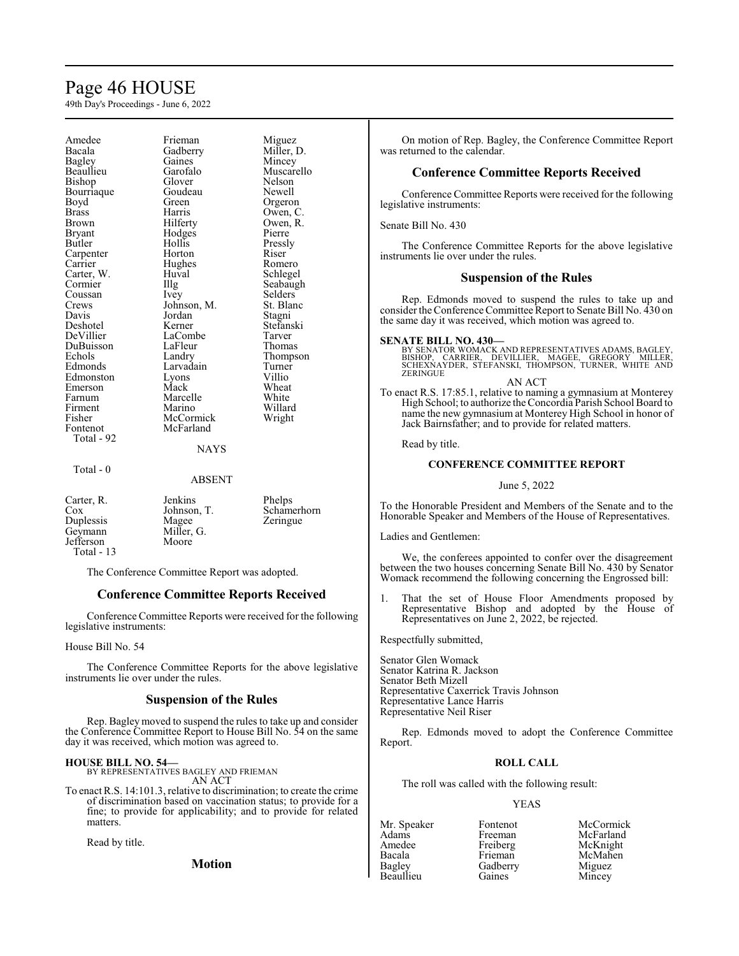# Page 46 HOUSE

49th Day's Proceedings - June 6, 2022

Amedee Frieman Miguez<br>Bacala Gadberry Miller, l Bacala Gadberry Miller, D.<br>Bagley Gaines Mincey Bagley Gaines Mincey Bishop Glover Nelson Bourriaque<br>Boyd Boyd Green Orgeron<br>Brass Harris Owen, C Brass Harris Owen, C. Brown **Hilferty** Owen, R.<br>Bryant Hodges Pierre Bryant Hodges<br>
Butler Hollis Carpenter Horton Riser<br>
Carrier Hughes Romero Carter, W. Huv<br>Cormier IIIg Coussan Ivey Selders<br>Crews Johnson, M. St. Blanc Crews Johnson, M. St. Blanch<br>Davis Jordan Stagni Deshotel Kerner Stefans<br>DeVillier LaCombe Tarver DuBuisson LaFleur<br>Echols Landry Echols Landry Thompson<br>Edmonds Larvadain Turner Edmonston Lyons Villio<br>
Emerson Mack Wheat Emerson Mack Wheat<br>
Farnum Marcelle White Farnum Marcelle White<br>Firment Marino Willard Firment Marino Willard<br>Fisher McCormick Wright Fisher McCormick<br>Fontenot McFarland Total - 92 Total - 0

Hollis Pressly<br>
Horton Riser Hughes Romero<br>Huval Schlegel Jordan Stagni<br>Kerner Stefanski LaCombe Tarver<br>
LaFleur Thomas Larvadain Turner<br>Lyons Villio McFarland

Garofalo Muscarello<br>Glover Nelson Seabaugh

#### **NAYS**

ABSENT Carter, R. Jenkins Phelps<br>Cox Johnson, T. Scham Cox Johnson, T. Schamerhorn<br>
Duplessis Magee Zeringue Duplessis Magee<br>Geymann Miller, G. Geymann Miller,<br>Jefferson Moore

The Conference Committee Report was adopted.

# **Conference Committee Reports Received**

Conference Committee Reports were received for the following legislative instruments:

#### House Bill No. 54

Jefferson Total - 13

The Conference Committee Reports for the above legislative instruments lie over under the rules.

#### **Suspension of the Rules**

Rep. Bagley moved to suspend the rules to take up and consider the Conference Committee Report to House Bill No. 54 on the same day it was received, which motion was agreed to.

# **HOUSE BILL NO. 54—**

BY REPRESENTATIVES BAGLEY AND FRIEMAN AN ACT

To enact R.S. 14:101.3, relative to discrimination; to create the crime of discrimination based on vaccination status; to provide for a fine; to provide for applicability; and to provide for related matters.

Read by title.

**Motion**

On motion of Rep. Bagley, the Conference Committee Report was returned to the calendar.

# **Conference Committee Reports Received**

Conference Committee Reports were received for the following legislative instruments:

Senate Bill No. 430

The Conference Committee Reports for the above legislative instruments lie over under the rules.

# **Suspension of the Rules**

Rep. Edmonds moved to suspend the rules to take up and consider the Conference Committee Report to Senate Bill No. 430 on the same day it was received, which motion was agreed to.

#### **SENATE BILL NO. 430—**

BY SENATOR WOMACK AND REPRESENTATIVES ADAMS, BAGLEY,<br>BISHOP, CARRIER, DEVILLIER, MAGEE, GREGORY MILLER,<br>SCHEXNAYDER, STEFANSKI, THOMPSON, TURNER, WHITE AND ZERINGUE

AN ACT

To enact R.S. 17:85.1, relative to naming a gymnasium at Monterey High School; to authorize the Concordia Parish School Board to name the new gymnasium at Monterey High School in honor of Jack Bairnsfather; and to provide for related matters.

Read by title.

### **CONFERENCE COMMITTEE REPORT**

#### June 5, 2022

To the Honorable President and Members of the Senate and to the Honorable Speaker and Members of the House of Representatives.

Ladies and Gentlemen:

We, the conferees appointed to confer over the disagreement between the two houses concerning Senate Bill No. 430 by Senator Womack recommend the following concerning the Engrossed bill:

1. That the set of House Floor Amendments proposed by Representative Bishop and adopted by the House of Representatives on June 2, 2022, be rejected.

Respectfully submitted,

Senator Glen Womack Senator Katrina R. Jackson Senator Beth Mizell Representative Caxerrick Travis Johnson Representative Lance Harris Representative Neil Riser

Rep. Edmonds moved to adopt the Conference Committee Report.

# **ROLL CALL**

The roll was called with the following result:

#### YEAS

| Mr. Speaker   | Fontenot | McCormick |
|---------------|----------|-----------|
| Adams         | Freeman  | McFarland |
| Amedee        | Freiberg | McKnight  |
| Bacala        | Frieman  | McMahen   |
| <b>Bagley</b> | Gadberry | Miguez    |
| Beaullieu     | Gaines   | Mincey    |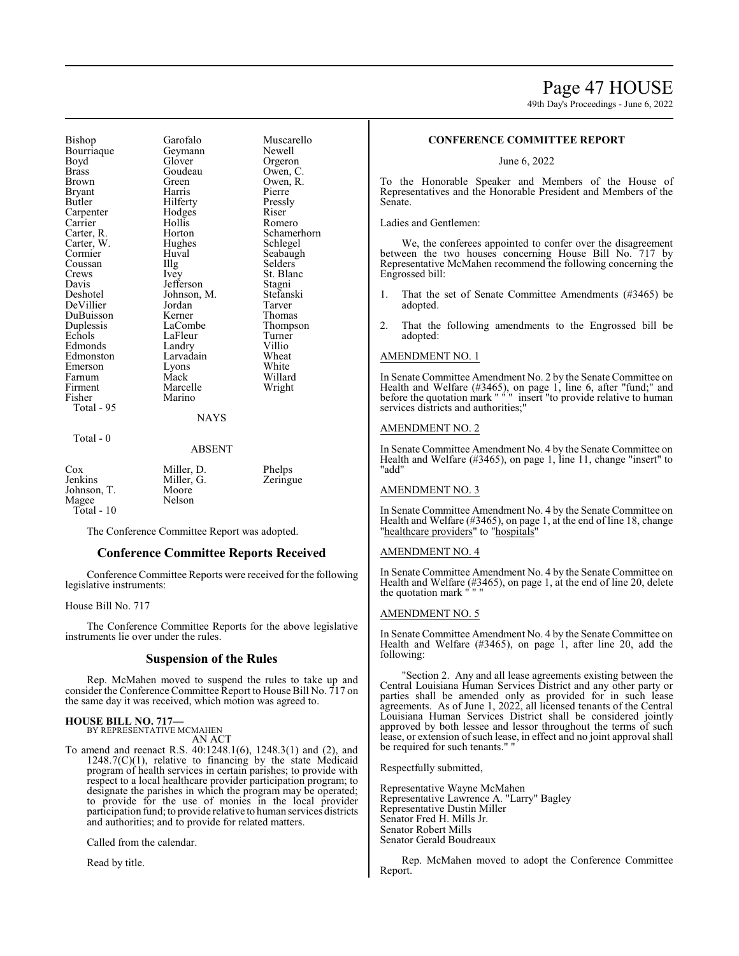# Page 47 HOUSE

49th Day's Proceedings - June 6, 2022

Bishop Garofalo Muscarello<br>Bourriaque Geymann Newell Bourriaque Geyma<br>Boyd Glover Boyd Glover Orgeron<br>Brass Goudeau Owen, C Brass Goudeau<br>Brown Green **Bryant** Butler Hilferty Pressly Carpenter Hodge<br>Carrier Hollis Carrier Hollis Romero<br>Carter, R. Horton Schamer Carter, W. Hughe<br>Cormier Huval Coussan Illg<br>Crews Ivey Crews Ivey St. Blanc<br>
Davis Jefferson Stagni Davis Jefferson<br>Deshotel Johnson DeVillier Jordan Tarver DuBuisson Kerner<br>
Duplessis LaCombe Duplessis LaCombe Thompson<br>
Echols LaFleur Turner Echols LaFleur Turner<br>Edmonds Landry Villio Edmonston Larvadain Wheat Emerson Lyons<br>Farnum Mack Farnum Mack Willard<br>Firment Marcelle Wright Firment Marcelle<br>
Fisher Marino Total - 95

Total - 0

Green Owen, R.<br>Harris Pierre Horton Schamerhorn<br>Hughes Schlegel Huval Seabaugh<br>Illg Selders Johnson, M. Stefanski<br>Jordan Tarver Landry Villio<br>Larvadain Wheat Marino

# **NAYS**

#### ABSENT

| $\cos$      | Miller, D. | Phelps   |
|-------------|------------|----------|
| Jenkins     | Miller, G. | Zeringue |
|             |            |          |
| Johnson, T. | Moore      |          |
| Magee       | Nelson     |          |
| Total - 10  |            |          |

The Conference Committee Report was adopted.

### **Conference Committee Reports Received**

Conference Committee Reports were received for the following legislative instruments:

House Bill No. 717

The Conference Committee Reports for the above legislative instruments lie over under the rules.

# **Suspension of the Rules**

Rep. McMahen moved to suspend the rules to take up and consider the Conference Committee Report to House Bill No. 717 on the same day it was received, which motion was agreed to.

# **HOUSE BILL NO. 717—** BY REPRESENTATIVE MCMAHEN

AN ACT

To amend and reenact R.S. 40:1248.1(6), 1248.3(1) and (2), and  $1248.7(C)(1)$ , relative to financing by the state Medicaid program of health services in certain parishes; to provide with respect to a local healthcare provider participation program; to designate the parishes in which the program may be operated; to provide for the use of monies in the local provider participation fund; to provide relative to human services districts and authorities; and to provide for related matters.

Called from the calendar.

Read by title.

# **CONFERENCE COMMITTEE REPORT**

June 6, 2022

To the Honorable Speaker and Members of the House of Representatives and the Honorable President and Members of the Senate.

Ladies and Gentlemen:

We, the conferees appointed to confer over the disagreement between the two houses concerning House Bill No. 717 by Representative McMahen recommend the following concerning the Engrossed bill:

- 1. That the set of Senate Committee Amendments (#3465) be adopted.
- 2. That the following amendments to the Engrossed bill be adopted:

#### AMENDMENT NO. 1

In Senate Committee Amendment No. 2 by the Senate Committee on Health and Welfare (#3465), on page 1, line 6, after "fund;" and before the quotation mark " " " insert "to provide relative to human services districts and authorities;"

#### AMENDMENT NO. 2

In Senate Committee Amendment No. 4 by the Senate Committee on Health and Welfare (#3465), on page 1, line 11, change "insert" to "add"

# AMENDMENT NO. 3

In Senate Committee Amendment No. 4 by the Senate Committee on Health and Welfare (#3465), on page 1, at the end of line 18, change "healthcare providers" to "hospitals"

### AMENDMENT NO. 4

In Senate Committee Amendment No. 4 by the Senate Committee on Health and Welfare (#3465), on page 1, at the end of line 20, delete the quotation mark " " "

#### AMENDMENT NO. 5

In Senate Committee Amendment No. 4 by the Senate Committee on Health and Welfare (#3465), on page 1, after line 20, add the following:

"Section 2. Any and all lease agreements existing between the Central Louisiana Human Services District and any other party or parties shall be amended only as provided for in such lease agreements. As of June 1, 2022, all licensed tenants of the Central Louisiana Human Services District shall be considered jointly approved by both lessee and lessor throughout the terms of such lease, or extension of such lease, in effect and no joint approval shall be required for such tenants." "

Respectfully submitted,

Representative Wayne McMahen Representative Lawrence A. "Larry" Bagley Representative Dustin Miller Senator Fred H. Mills Jr. Senator Robert Mills Senator Gerald Boudreaux

Rep. McMahen moved to adopt the Conference Committee Report.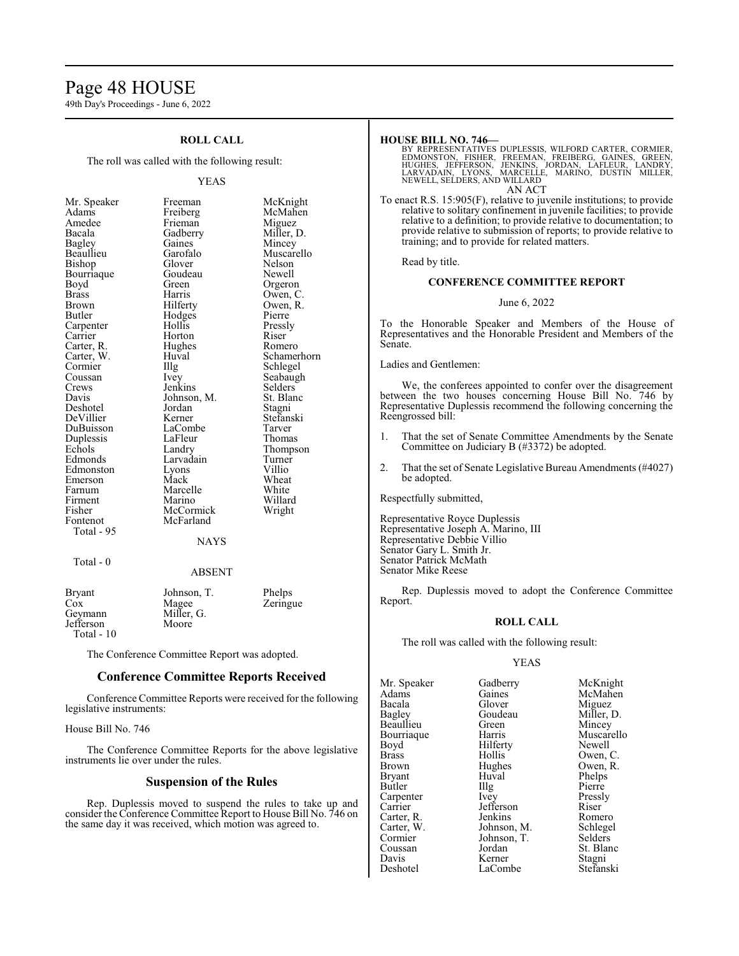# Page 48 HOUSE

49th Day's Proceedings - June 6, 2022

# **ROLL CALL**

The roll was called with the following result:

#### YEAS

| Mr. Speaker                                              |
|----------------------------------------------------------|
| Adams                                                    |
| Amedee                                                   |
| Bacala                                                   |
| Bagley                                                   |
|                                                          |
| – – – – – – – – – – – – – – – – –<br>Beaullieu<br>Bishop |
| Bourriaque                                               |
| Boyd                                                     |
| <b>Brass</b>                                             |
| Brown                                                    |
| Butler                                                   |
| Carpenter<br>Carpenter                                   |
|                                                          |
| Carter, R.                                               |
| Carter, W.                                               |
| Cormier                                                  |
| Coussan                                                  |
|                                                          |
| Coussan<br>Crews<br>Davis<br>Deshotel                    |
|                                                          |
| DeVillier                                                |
| DuBuisson                                                |
| Duplessis                                                |
| Echols                                                   |
| Edmonds                                                  |
| Edmonston                                                |
| Emerson                                                  |
| Farnum                                                   |
| Firment                                                  |
| Fisher                                                   |
| Fontenot<br>Total - 95                                   |
|                                                          |
|                                                          |
|                                                          |

Freeman McKnight<br>Freiberg McMahen McMahen<br>Miguez Frieman<br>Gadberry Gadberry Miller, D.<br>
Gaines Mincey Gaines Mincey<br>Garofalo Muscare Muscarello<br>Nelson Glover Nelson<br>Goudeau Newell Goudeau<br>Green Orgeron Harris Owen, C.<br>Hilferty Owen, R. Owen, R.<br>Pierre Hodges<br>Hollis Pressly<br>Riser Horton Riser<br>Hughes Romero Hughes<br>Huval Huval Schamerhorn<br>
Illg Schlegel The Schlegel<br>
Ivev Seabaugh Seabaugh<br>Selders Jenkins Selders<br>Johnson, M. St. Blanc Johnson, M. St. Blancon, M. St. Blancon, St. Blancon, St. Blancon, St. Blancon, St. Blancon, St. Blancon, St. Blancon, St. Blancon, St. Blancon, St. Blancon, St. Blancon, St. Blancon, St. Blancon, St. Blancon, St. Blancon, Jordan<br>Kerner Stefanski<br>Tarver LaCombe Tarver<br>LaFleur Thomas LaFleur<br>Landry Thompson<br>Turner Larvadain<br>Lyons Extends Lyons Villio<br>
Mack Wheat Wheat<br>White Marcelle White<br>
Marino Willard Marino Willard<br>
McCormick Wright McCormick McFarland **NAYS** 

# $Total - 0$

#### ABSENT

| Bryant     | Johnson, T. | Phelps   |
|------------|-------------|----------|
| Cox        | Magee       | Zeringue |
| Geymann    | Miller, G.  |          |
| Jefferson  | Moore       |          |
| Total - 10 |             |          |

The Conference Committee Report was adopted.

# **Conference Committee Reports Received**

Conference Committee Reports were received for the following legislative instruments:

House Bill No. 746

The Conference Committee Reports for the above legislative instruments lie over under the rules.

# **Suspension of the Rules**

Rep. Duplessis moved to suspend the rules to take up and consider the Conference Committee Report to House Bill No. 746 on the same day it was received, which motion was agreed to.

#### **HOUSE BILL NO. 746—**

BY REPRESENTATIVES DUPLESSIS, WILFORD CARTER, CORMIER,<br>EDMONSTON, FISHER, FREEMAN, FREIBERG, GAINES, GREEN,<br>HUGHES, JEFFERSON, JENKINS, JORDAN, LAFLEUR, LANDRY,<br>LARVADAIN, LYONS, MARCELLE, MARINO, DUSTIN MILLER,<br>NEWELL, SE AN ACT

To enact R.S. 15:905(F), relative to juvenile institutions; to provide relative to solitary confinement in juvenile facilities; to provide relative to a definition; to provide relative to documentation; to provide relative to submission of reports; to provide relative to training; and to provide for related matters.

Read by title.

#### **CONFERENCE COMMITTEE REPORT**

June 6, 2022

To the Honorable Speaker and Members of the House of Representatives and the Honorable President and Members of the Senate.

Ladies and Gentlemen:

We, the conferees appointed to confer over the disagreement between the two houses concerning House Bill No. 746 by Representative Duplessis recommend the following concerning the Reengrossed bill:

- 1. That the set of Senate Committee Amendments by the Senate Committee on Judiciary B (#3372) be adopted.
- 2. That the set of Senate Legislative Bureau Amendments (#4027) be adopted.

Respectfully submitted,

Representative Royce Duplessis Representative Joseph A. Marino, III Representative Debbie Villio Senator Gary L. Smith Jr. Senator Patrick McMath Senator Mike Reese

Rep. Duplessis moved to adopt the Conference Committee Report.

#### **ROLL CALL**

The roll was called with the following result:

# YEAS

| Mr. Speaker   | Gadberry                                | McKnight           |
|---------------|-----------------------------------------|--------------------|
| Adams         | Gaines                                  | McMahen            |
| Bacala        | Glover                                  | Miguez             |
| <b>Bagley</b> | Goudeau                                 | Miller, D.         |
| Beaullieu     | Green                                   | Mincey             |
| Bourriaque    | Harris                                  | Muscarello         |
| Boyd          | Hilferty                                | Newell             |
| <b>Brass</b>  | Hollis                                  | Owen, C.           |
| <b>Brown</b>  | Hughes                                  | Owen, R.           |
| <b>Bryant</b> | Huval                                   | Phelps             |
| Butler        | $\prod$ llg                             | Pierre             |
| Carpenter     | Ivey                                    | Pressly            |
| Carrier       | Jefferson                               | Riser              |
| Carter, R.    | Jenkins                                 | Romero             |
| Carter, W.    | Johnson, M.                             | Schlegel           |
| Cormier       | Johnson, T.                             | Selders            |
| Coussan       | Jordan                                  | St. Blanc          |
| Davis         | Kerner                                  | Stagni             |
| $D$ askatal   | $L_{\alpha}$ $C_{\alpha}$ with $\alpha$ | $C_{\text{total}}$ |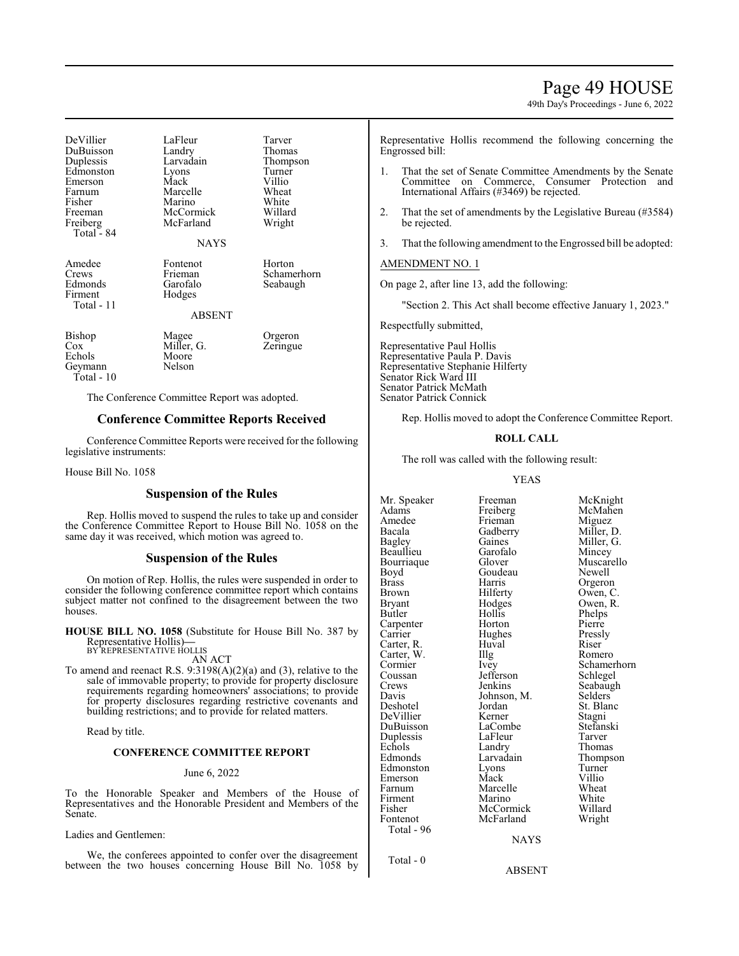# Page 49 HOUSE

49th Day's Proceedings - June 6, 2022

| DeVillier<br>DuBuisson<br>Duplessis<br>Edmonston<br>Emerson<br>Farnum<br>Fisher<br>Freeman<br>Freiberg<br>Total - 84 | LaFleur<br>Landry<br>Larvadain<br>Lyons<br>Mack<br>Marcelle<br>Marino<br>McCormick<br>McFarland<br><b>NAYS</b> | Tarver<br>Thomas<br>Thompson<br>Turner<br>Villio<br>Wheat<br>White<br>Willard<br>Wright |
|----------------------------------------------------------------------------------------------------------------------|----------------------------------------------------------------------------------------------------------------|-----------------------------------------------------------------------------------------|
| Amedee<br>Crews<br>Edmonds<br>Firment<br>Total - 11                                                                  | Fontenot<br>Frieman<br>Garofalo<br>Hodges<br><b>ABSENT</b>                                                     | Horton<br>Schamerhorn<br>Seabaugh                                                       |
| Bishop<br>Cox<br>Echols<br>Geymann<br>Total - 10                                                                     | Magee<br>Miller, G.<br>Moore<br>Nelson                                                                         | Orgeron<br>Zeringue                                                                     |

The Conference Committee Report was adopted.

# **Conference Committee Reports Received**

Conference Committee Reports were received for the following legislative instruments:

House Bill No. 1058

### **Suspension of the Rules**

Rep. Hollis moved to suspend the rules to take up and consider the Conference Committee Report to House Bill No. 1058 on the same day it was received, which motion was agreed to.

# **Suspension of the Rules**

On motion of Rep. Hollis, the rules were suspended in order to consider the following conference committee report which contains subject matter not confined to the disagreement between the two houses.

**HOUSE BILL NO. 1058** (Substitute for House Bill No. 387 by Representative Hollis)**—** BY REPRESENTATIVE HOLLIS

AN ACT

To amend and reenact R.S. 9:3198(A)(2)(a) and (3), relative to the sale of immovable property; to provide for property disclosure requirements regarding homeowners' associations; to provide for property disclosures regarding restrictive covenants and building restrictions; and to provide for related matters.

Read by title.

#### **CONFERENCE COMMITTEE REPORT**

#### June 6, 2022

To the Honorable Speaker and Members of the House of Representatives and the Honorable President and Members of the Senate.

Ladies and Gentlemen:

We, the conferees appointed to confer over the disagreement between the two houses concerning House Bill No. 1058 by

Representative Hollis recommend the following concerning the Engrossed bill:

- 1. That the set of Senate Committee Amendments by the Senate Committee on Commerce, Consumer Protection and International Affairs (#3469) be rejected.
- 2. That the set of amendments by the Legislative Bureau (#3584) be rejected.
- 3. That the following amendment to the Engrossed bill be adopted:

#### AMENDMENT NO. 1

On page 2, after line 13, add the following:

"Section 2. This Act shall become effective January 1, 2023."

Respectfully submitted,

Representative Paul Hollis Representative Paula P. Davis Representative Stephanie Hilferty Senator Rick Ward III Senator Patrick McMath Senator Patrick Connick

Rep. Hollis moved to adopt the Conference Committee Report.

# **ROLL CALL**

The roll was called with the following result:

Freiberg

YEAS

Amedee Frieman Miguez<br>Bacala Gadberry Miller, 1 Bacala Gadberry Miller, D. Beaullieu Garofalo Mincey Bourriaque Glover Muscar<br>Boyd Goudeau Newell Boyd Goudeau<br>Brass Harris Brass Harris Orgeron<br>Brown Hilferty Owen, C Brown Hilferty Owen, C.<br>Bryant Hodges Owen, R. Bryant Hodges Owen, R.<br>Butler Hollis Phelps Carpenter Horton Pierre<br>Carrier Hughes Pressly Carter, R. Huval Riser<br>Carter, W. Illg Romero Carter, W. Illg<br>Cormier Ivey Coussan Jefferson<br>Crews Jenkins Crews Jenkins Seabaugh<br>
Davis Johnson M. Selders Davis Johnson, M.<br>Deshotel Jordan DeVillier Kerner Stagni<br>DuBuisson LaCombe Stefanski DuBuisson LaCombe Stefans<br>
Duplessis LaFleur Tarver Duplessis LaFleur Tarver<br>
Echols Landry Thomas Echols Landry<br>Edmonds Larvadain Edmonston Lyons Turner<br>Emerson Mack Villio Emerson Mack Villio<br>
Farnum Marcelle Wheat Farnum Marcelle Wheat<br>
Firment Marino White Firment Marino White<br>Fisher McCormick Willard Fisher McCormick Willard Total - 96

Total - 0

Hollis Phelps<br>Horton Pierre Hughes Pressl<br>Huval Riser McFarland

Mr. Speaker Freeman McKnight<br>
Adams Freiberg McMahen Gaines Miller, G.<br>Garofalo Mincey Cormier Ivey Schamerhorn<br>
Coussan Jefferson Schlegel Jordan St. Blanc<br>Kerner Stagni Larvadain Thompson<br>
Lyons Turner

NAYS

ABSENT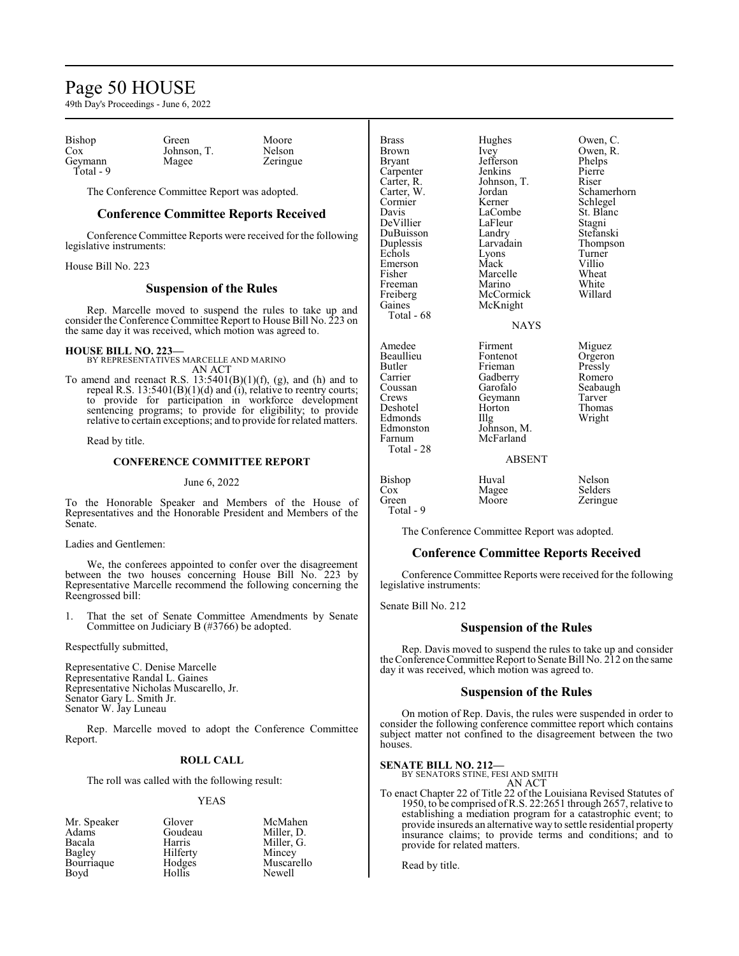# Page 50 HOUSE

49th Day's Proceedings - June 6, 2022

| Bishop               | Green       | Moore    |  |
|----------------------|-------------|----------|--|
| Cox                  | Johnson, T. | Nelson   |  |
| Geymann<br>Total - 9 | Magee       | Zeringue |  |

The Conference Committee Report was adopted.

# **Conference Committee Reports Received**

Conference Committee Reports were received for the following legislative instruments:

House Bill No. 223

# **Suspension of the Rules**

Rep. Marcelle moved to suspend the rules to take up and consider the Conference Committee Report to House Bill No. 223 on the same day it was received, which motion was agreed to.

# **HOUSE BILL NO. 223—**

BY REPRESENTATIVES MARCELLE AND MARINO AN ACT

To amend and reenact R.S.  $13:5401(B)(1)(f)$ , (g), and (h) and to repeal R.S. 13:5401(B)(1)(d) and (i), relative to reentry courts; to provide for participation in workforce development sentencing programs; to provide for eligibility; to provide relative to certain exceptions; and to provide for related matters.

Read by title.

# **CONFERENCE COMMITTEE REPORT**

#### June 6, 2022

To the Honorable Speaker and Members of the House of Representatives and the Honorable President and Members of the Senate.

Ladies and Gentlemen:

We, the conferees appointed to confer over the disagreement between the two houses concerning House Bill No. 223 by Representative Marcelle recommend the following concerning the Reengrossed bill:

1. That the set of Senate Committee Amendments by Senate Committee on Judiciary B (#3766) be adopted.

Respectfully submitted,

Representative C. Denise Marcelle Representative Randal L. Gaines Representative Nicholas Muscarello, Jr. Senator Gary L. Smith Jr. Senator W. Jay Luneau

Rep. Marcelle moved to adopt the Conference Committee Report.

#### **ROLL CALL**

The roll was called with the following result:

#### YEAS

| Mr. Speaker | Glover   | McMahen    |
|-------------|----------|------------|
| Adams       | Goudeau  | Miller. D. |
| Bacala      | Harris   | Miller, G. |
| Bagley      | Hilferty | Mincey     |
| Bourriaque  | Hodges   | Muscarello |
| Boyd        | Hollis   | Newell     |

| <b>Brass</b><br>Brown<br><b>Bryant</b><br>Carpenter<br>Carter, R.<br>Carter, W.<br>Cormier<br>Davis<br>DeVillier<br>DuBuisson<br>Duplessis<br>Echols<br>Emerson<br>Fisher<br>Freeman<br>Freiberg<br>Gaines<br>Total - 68 | Hughes<br>Ivey<br>Jefferson<br>Jenkins<br>Johnson, T.<br>Jordan<br>Kerner<br>LaCombe<br>LaFleur<br>Landry<br>Larvadain<br>Lyons<br>Mack<br>Marcelle<br>Marino<br>McCormick<br>McKnight | Owen, C.<br>Owen, R.<br>Phelps<br>Pierre<br>Riser<br>Schamerhorn<br>Schlegel<br>St. Blanc<br>Stagni<br>Stefanski<br>Thompson<br>Turner<br>Villio<br>Wheat<br>White<br>Willard |
|--------------------------------------------------------------------------------------------------------------------------------------------------------------------------------------------------------------------------|----------------------------------------------------------------------------------------------------------------------------------------------------------------------------------------|-------------------------------------------------------------------------------------------------------------------------------------------------------------------------------|
| Amedee<br>Beaullieu<br>Butler<br>Carrier<br>Coussan<br>Crews<br>Deshotel<br>Edmonds<br>Edmonston<br>Farnum<br>Total - 28                                                                                                 | <b>NAYS</b><br>Firment<br>Fontenot<br>Frieman<br>Gadberry<br>Garofalo<br>Geymann<br>Horton<br>Illg<br>Johnson, M.<br>McFarland<br>ABSENT                                               | Miguez<br>Orgeron<br>Pressly<br>Romero<br>Seabaugh<br>Tarver<br>Thomas<br>Wright                                                                                              |
| $\mathbf{B}$ ichon                                                                                                                                                                                                       | $\mathbf{u}_{\text{true}}$                                                                                                                                                             | <b>Nalson</b>                                                                                                                                                                 |

| Bishop    | Huval | Nelson   |
|-----------|-------|----------|
| Cox       | Magee | Selders  |
| Green     | Moore | Zeringue |
| Total - 9 |       |          |

The Conference Committee Report was adopted.

#### **Conference Committee Reports Received**

Conference Committee Reports were received for the following legislative instruments:

Senate Bill No. 212

# **Suspension of the Rules**

Rep. Davis moved to suspend the rules to take up and consider the Conference Committee Report to Senate Bill No. 212 on the same day it was received, which motion was agreed to.

# **Suspension of the Rules**

On motion of Rep. Davis, the rules were suspended in order to consider the following conference committee report which contains subject matter not confined to the disagreement between the two houses.

#### **SENATE BILL NO. 212—**

BY SENATORS STINE, FESI AND SMITH

AN ACT To enact Chapter 22 of Title 22 of the Louisiana Revised Statutes of 1950, to be comprised of R.S. 22:2651 through 2657, relative to establishing a mediation program for a catastrophic event; to provide insureds an alternative way to settle residential property insurance claims; to provide terms and conditions; and to provide for related matters.

Read by title.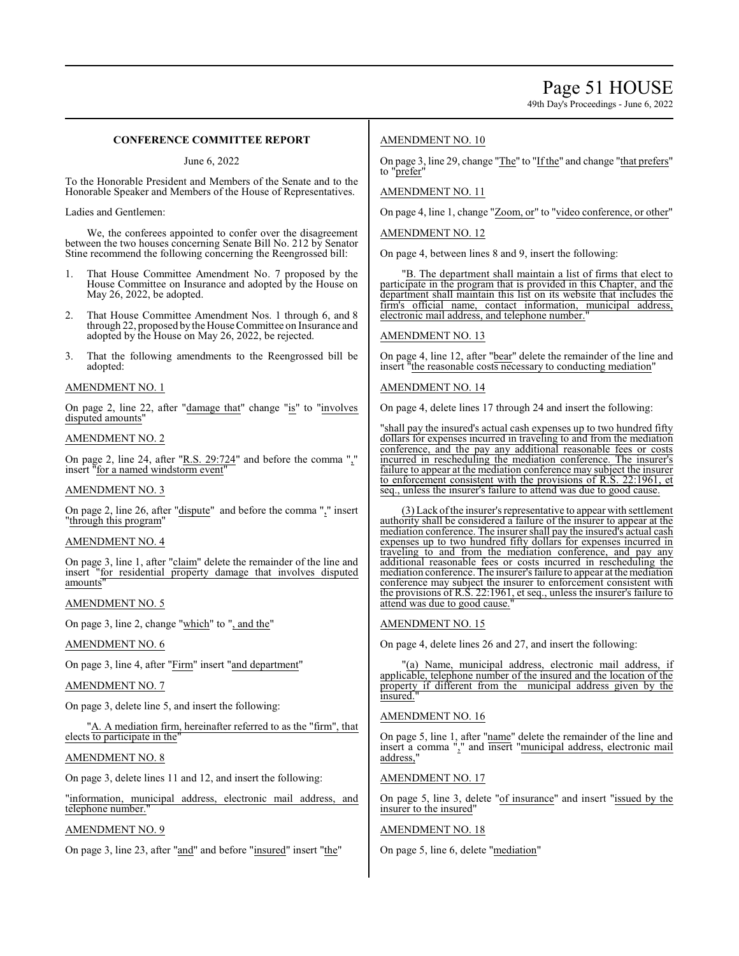# **CONFERENCE COMMITTEE REPORT**

June 6, 2022

To the Honorable President and Members of the Senate and to the Honorable Speaker and Members of the House of Representatives.

Ladies and Gentlemen:

We, the conferees appointed to confer over the disagreement between the two houses concerning Senate Bill No. 212 by Senator Stine recommend the following concerning the Reengrossed bill:

- 1. That House Committee Amendment No. 7 proposed by the House Committee on Insurance and adopted by the House on May 26, 2022, be adopted.
- That House Committee Amendment Nos. 1 through 6, and 8 through 22, proposed bythe House Committee on Insurance and adopted by the House on May 26, 2022, be rejected.
- 3. That the following amendments to the Reengrossed bill be adopted:

#### AMENDMENT NO. 1

On page 2, line 22, after "damage that" change "is" to "involves disputed amounts"

# AMENDMENT NO. 2

On page 2, line 24, after "R.S. 29:724" and before the comma "," insert "for a named windstorm event"

### AMENDMENT NO. 3

On page 2, line 26, after "dispute" and before the comma "," insert "through this program"

# AMENDMENT NO. 4

On page 3, line 1, after "claim" delete the remainder of the line and insert "for residential property damage that involves disputed amounts"

# AMENDMENT NO. 5

On page 3, line 2, change "which" to ", and the"

# AMENDMENT NO. 6

On page 3, line 4, after "Firm" insert "and department"

### AMENDMENT NO. 7

On page 3, delete line 5, and insert the following:

A. A mediation firm, hereinafter referred to as the "firm", that elects to participate in the

### AMENDMENT NO. 8

On page 3, delete lines 11 and 12, and insert the following:

"information, municipal address, electronic mail address, and telephone number."

# AMENDMENT NO. 9

On page 3, line 23, after "and" and before "insured" insert "the"

# AMENDMENT NO. 10

On page 3, line 29, change "The" to "If the" and change "that prefers" to "prefer"

# AMENDMENT NO. 11

On page 4, line 1, change "Zoom, or" to "video conference, or other"

#### AMENDMENT NO. 12

On page 4, between lines 8 and 9, insert the following:

'B. The department shall maintain a list of firms that elect to participate in the program that is provided in this Chapter, and the department shall maintain this list on its website that includes the firm's official name, contact information, municipal address, firm's official name, contact information, municipal electronic mail address, and telephone number."

# AMENDMENT NO. 13

On page 4, line 12, after "bear" delete the remainder of the line and insert "the reasonable costs necessary to conducting mediation"

#### AMENDMENT NO. 14

On page 4, delete lines 17 through 24 and insert the following:

"shall pay the insured's actual cash expenses up to two hundred fifty dollars for expenses incurred in traveling to and from the mediation conference, and the pay any additional reasonable fees or costs incurred in rescheduling the mediation conference. The insurer's failure to appear at the mediation conference may subject the insurer to enforcement consistent with the provisions of R.S. 22:1961, et seq., unless the insurer's failure to attend was due to good cause.

(3) Lack ofthe insurer's representative to appear with settlement authority shall be considered a failure of the insurer to appear at the mediation conference. The insurer shall pay the insured's actual cash expenses up to two hundred fifty dollars for expenses incurred in traveling to and from the mediation conference, and pay any additional reasonable fees or costs incurred in rescheduling the mediation conference. The insurer's failure to appear at the mediation conference may subject the insurer to enforcement consistent with the provisions of R.S. 22:1961, et seq., unless the insurer's failure to attend was due to good cause.

#### AMENDMENT NO. 15

On page 4, delete lines 26 and 27, and insert the following:

"(a) Name, municipal address, electronic mail address, if applicable, telephone number of the insured and the location of the property if different from the municipal address given by the insured.

### AMENDMENT NO. 16

On page 5, line 1, after "name" delete the remainder of the line and insert a comma "," and insert "municipal address, electronic mail address,

#### AMENDMENT NO. 17

On page 5, line 3, delete "of insurance" and insert "issued by the insurer to the insured"

# AMENDMENT NO. 18

On page 5, line 6, delete "mediation"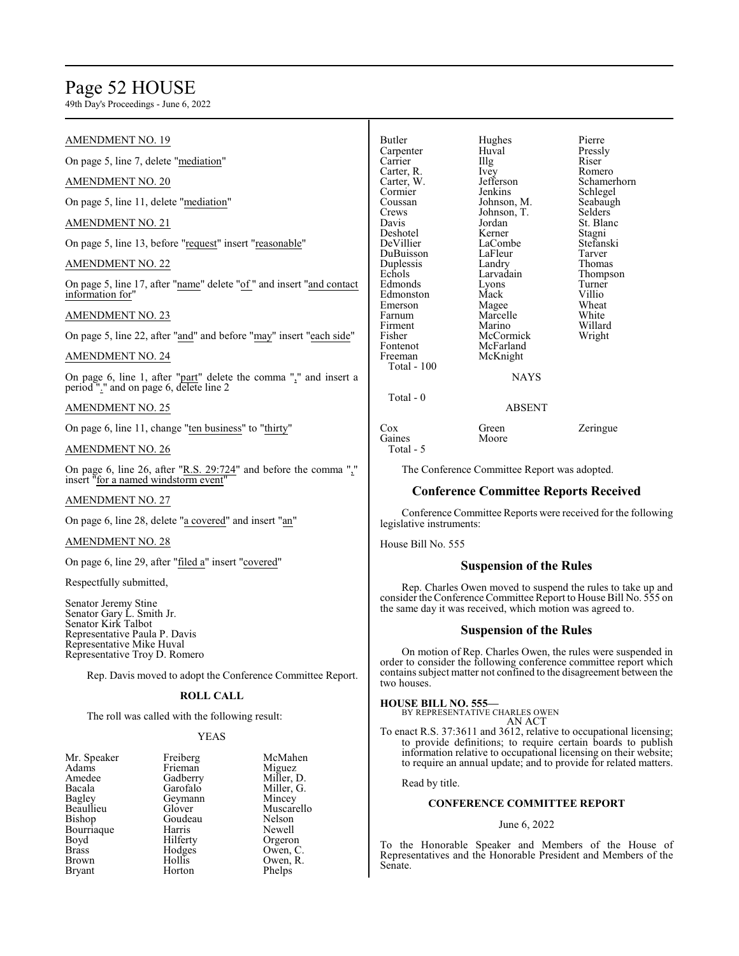# Page 52 HOUSE

49th Day's Proceedings - June 6, 2022

#### AMENDMENT NO. 19 On page 5, line 7, delete "mediation" AMENDMENT NO. 20 On page 5, line 11, delete "mediation" AMENDMENT NO. 21 On page 5, line 13, before "request" insert "reasonable" AMENDMENT NO. 22 On page 5, line 17, after "name" delete "of " and insert "and contact information for" AMENDMENT NO. 23 On page 5, line 22, after "and" and before "may" insert "each side" AMENDMENT NO. 24 On page 6, line 1, after "part" delete the comma "," and insert a period "." and on page 6, delete line 2 AMENDMENT NO. 25 On page 6, line 11, change "ten business" to "thirty" Butler Hughes Pierre Carpenter Huval Pressl<br>Carrier Hughes Riser Carrier IIIg Riser<br>Carter, R. Ivey Romero Carter, R. Ivey<br>Carter, W. Jefferson Carter, W. Jefferson Schamerhorn Schlegel Coussan Johnson, M. Seabaugh<br>Crews Johnson, T. Selders Crews Johnson, T.<br>Davis Jordan Jordan St. Blanc<br>Kerner Stagni Deshotel Kerner Stagni<br>
DeVillier LaCombe Stefanski LaCombe Stefans<br>LaFleur Tarver DuBuisson LaFleur Tarver<br>
Duplessis Landry Thomas Duplessis Landry<br>Echols Larvadain Larvadain Thompson<br>Lyons Turner Edmonds Lyons<br>Edmonston Mack Edmonston Mack Villio<br>Emerson Magee Wheat Emerson Magee Wheat<br>
Farnum Marcelle White Farnum Marcelle<br>Firment Marino Firment Marino Willard<br>Fisher McCormick Wright Fisher McCormick<br>Fontenot McFarland Fontenot McFarland<br>Freeman McKnight McKnight Total - 100 NAYS Total - 0 ABSENT Cox Green Zeringue<br>
Gaines Moore Zeringue

# AMENDMENT NO. 26

On page 6, line 26, after "R.S. 29:724" and before the comma "," insert "for a named windstorm event"

# AMENDMENT NO. 27

On page 6, line 28, delete "a covered" and insert "an"

#### AMENDMENT NO. 28

On page 6, line 29, after "filed a" insert "covered"

### Respectfully submitted,

Senator Jeremy Stine Senator Gary L. Smith Jr. Senator Kirk Talbot Representative Paula P. Davis Representative Mike Huval Representative Troy D. Romero

Rep. Davis moved to adopt the Conference Committee Report.

# **ROLL CALL**

The roll was called with the following result:

# YEAS

| Mr. Speaker   | Freiberg | McMah     |
|---------------|----------|-----------|
| Adams         | Frieman  | Miguez    |
| Amedee        | Gadberry | Miller, I |
| Bacala        | Garofalo | Miller, O |
| Bagley        | Geymann  | Mincey    |
| Beaullieu     | Glover   | Muscare   |
| Bishop        | Goudeau  | Nelson    |
| Bourriaque    | Harris   | Newell    |
| Boyd          | Hilferty | Orgeron   |
| <b>Brass</b>  | Hodges   | Owen, C   |
| <b>Brown</b>  | Hollis   | Owen, F   |
| <b>Bryant</b> | Horton   | Phelps    |
|               |          |           |

cMahen iguez<br>iller, D. iller, G.<br>incey uscarello<br>elson wen, C. wen, R.

Gaines Total - 5 The Conference Committee Report was adopted.

# **Conference Committee Reports Received**

Conference Committee Reports were received for the following legislative instruments:

House Bill No. 555

#### **Suspension of the Rules**

Rep. Charles Owen moved to suspend the rules to take up and consider the Conference Committee Report to House Bill No. 555 on the same day it was received, which motion was agreed to.

# **Suspension of the Rules**

On motion of Rep. Charles Owen, the rules were suspended in order to consider the following conference committee report which contains subject matter not confined to the disagreement between the two houses.

### **HOUSE BILL NO. 555**

BY REPRESENTATIVE CHARLES OWEN AN ACT

To enact R.S. 37:3611 and 3612, relative to occupational licensing; to provide definitions; to require certain boards to publish information relative to occupational licensing on their website; to require an annual update; and to provide for related matters.

Read by title.

# **CONFERENCE COMMITTEE REPORT**

#### June 6, 2022

To the Honorable Speaker and Members of the House of Representatives and the Honorable President and Members of the Senate.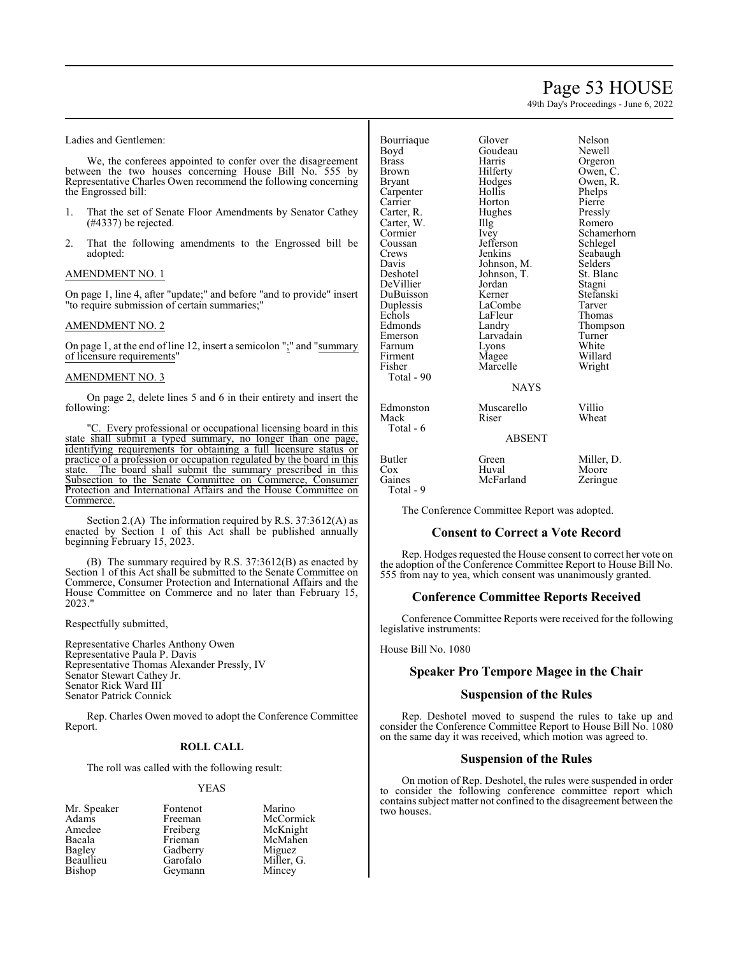# Page 53 HOUSE

49th Day's Proceedings - June 6, 2022

Ladies and Gentlemen:

We, the conferees appointed to confer over the disagreement between the two houses concerning House Bill No. 555 by Representative Charles Owen recommend the following concerning the Engrossed bill:

- 1. That the set of Senate Floor Amendments by Senator Cathey (#4337) be rejected.
- 2. That the following amendments to the Engrossed bill be adopted:

# AMENDMENT NO. 1

On page 1, line 4, after "update;" and before "and to provide" insert "to require submission of certain summaries;"

# AMENDMENT NO. 2

On page 1, at the end of line 12, insert a semicolon ";" and "summary of licensure requirements"

# AMENDMENT NO. 3

On page 2, delete lines 5 and 6 in their entirety and insert the following:

. Every professional or occupational licensing board in this state shall submit a typed summary, no longer than one page, identifying requirements for obtaining a full licensure status or practice of a profession or occupation regulated by the board in this state. The board shall submit the summary prescribed in this Subsection to the Senate Committee on Commerce, Consumer Protection and International Affairs and the House Committee on Commerce.

Section 2.(A) The information required by R.S. 37:3612(A) as enacted by Section 1 of this Act shall be published annually beginning February 15, 2023.

(B) The summary required by R.S. 37:3612(B) as enacted by Section 1 of this Act shall be submitted to the Senate Committee on Commerce, Consumer Protection and International Affairs and the House Committee on Commerce and no later than February 15, 2023."

Respectfully submitted,

Representative Charles Anthony Owen Representative Paula P. Davis Representative Thomas Alexander Pressly, IV Senator Stewart Cathey Jr. Senator Rick Ward III Senator Patrick Connick

Rep. Charles Owen moved to adopt the Conference Committee Report.

### **ROLL CALL**

The roll was called with the following result:

#### YEAS

| Mr. Speaker | Fontenot | Marino     |
|-------------|----------|------------|
| Adams       | Freeman  | McCormick  |
| Amedee      | Freiberg | McKnight   |
| Bacala      | Frieman  | McMahen    |
| Bagley      | Gadberry | Miguez     |
| Beaullieu   | Garofalo | Miller, G. |
| Bishop      | Geymann  | Mincey     |

| Bourriaque | Glover        | Nelson      |
|------------|---------------|-------------|
| Boyd       | Goudeau       | Newell      |
| Brass      | Harris        | Orgeron     |
| Brown      | Hilferty      | Owen, C.    |
| Bryant     | Hodges        | Owen, R.    |
| Carpenter  | Hollis        | Phelps      |
| Carrier    | Horton        | Pierre      |
| Carter, R. | Hughes        | Pressly     |
| Carter, W. | Illg          | Romero      |
| Cormier    | Ivey          | Schamerhorn |
| Coussan    | Jefferson     | Schlegel    |
| Crews      | Jenkins       | Seabaugh    |
| Davis      | Johnson, M.   | Selders     |
| Deshotel   | Johnson, T.   | St. Blanc   |
| DeVillier  | Jordan        | Stagni      |
| DuBuisson  | Kerner        | Stefanski   |
| Duplessis  | LaCombe       | Tarver      |
| Echols     | LaFleur       | Thomas      |
| Edmonds    | Landry        | Thompson    |
| Emerson    | Larvadain     | Turner      |
| Farnum     | Lyons         | White       |
| Firment    | Magee         | Willard     |
| Fisher     | Marcelle      | Wright      |
| Total - 90 |               |             |
|            | <b>NAYS</b>   |             |
| Edmonston  | Muscarello    | Villio      |
| Mack       | Riser         | Wheat       |
| Total - 6  |               |             |
|            | <b>ABSENT</b> |             |
| Butler     | Green         | Miller, D.  |
| Cox        | Huval         | Moore       |
| Gaines     | McFarland     |             |
| Total - 9  |               | Zeringue    |
|            |               |             |

The Conference Committee Report was adopted.

#### **Consent to Correct a Vote Record**

Rep. Hodges requested the House consent to correct her vote on the adoption of the Conference Committee Report to House Bill No. 555 from nay to yea, which consent was unanimously granted.

# **Conference Committee Reports Received**

Conference Committee Reports were received for the following legislative instruments:

House Bill No. 1080

# **Speaker Pro Tempore Magee in the Chair**

# **Suspension of the Rules**

Rep. Deshotel moved to suspend the rules to take up and consider the Conference Committee Report to House Bill No. 1080 on the same day it was received, which motion was agreed to.

### **Suspension of the Rules**

On motion of Rep. Deshotel, the rules were suspended in order to consider the following conference committee report which contains subject matter not confined to the disagreement between the two houses.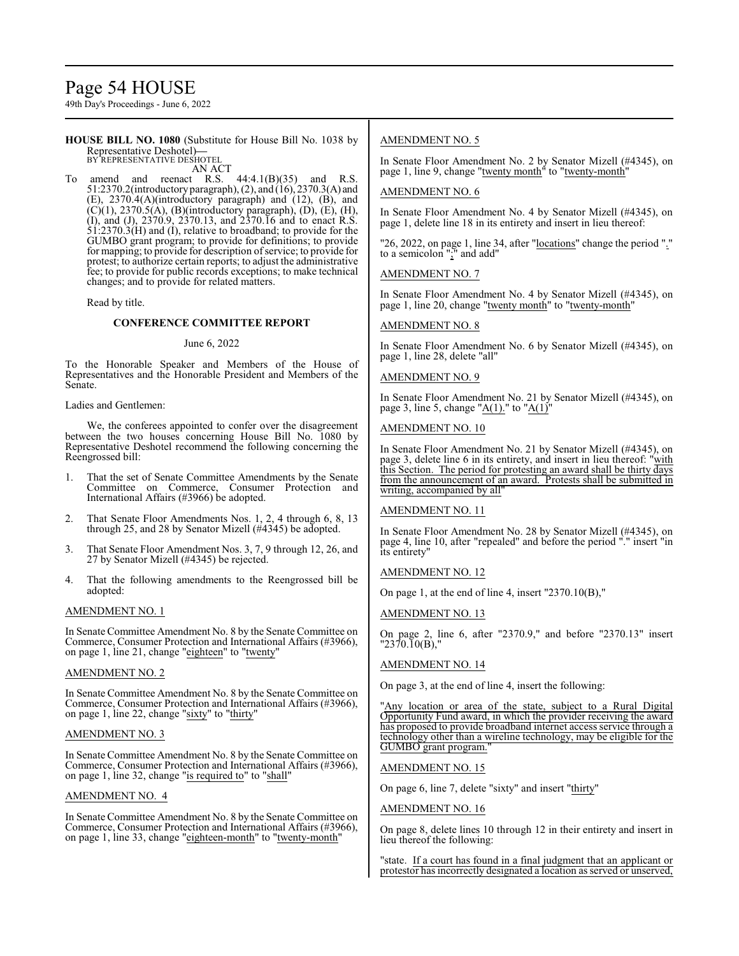# Page 54 HOUSE

49th Day's Proceedings - June 6, 2022

**HOUSE BILL NO. 1080** (Substitute for House Bill No. 1038 by Representative Deshotel)**—** BY REPRESENTATIVE DESHOTEL

AN ACT

To amend and reenact R.S.  $44:4.1(B)(35)$  and R.S. 51:2370.2(introductory paragraph), (2), and (16), 2370.3(A) and (E), 2370.4(A)(introductory paragraph) and (12), (B), and  $(C)(1)$ , 2370.5(A), (B)(introductory paragraph), (D), (E), (H), (I), and (J), 2370.9, 2370.13, and 2370.16 and to enact R.S.  $\overline{51:}2370.\overline{3(H)}$  and (I), relative to broadband; to provide for the GUMBO grant program; to provide for definitions; to provide for mapping; to provide for description of service; to provide for protest; to authorize certain reports; to adjust the administrative fee; to provide for public records exceptions; to make technical changes; and to provide for related matters.

Read by title.

# **CONFERENCE COMMITTEE REPORT**

#### June 6, 2022

To the Honorable Speaker and Members of the House of Representatives and the Honorable President and Members of the Senate.

Ladies and Gentlemen:

We, the conferees appointed to confer over the disagreement between the two houses concerning House Bill No. 1080 by Representative Deshotel recommend the following concerning the Reengrossed bill:

- 1. That the set of Senate Committee Amendments by the Senate Committee on Commerce, Consumer Protection and International Affairs (#3966) be adopted.
- 2. That Senate Floor Amendments Nos. 1, 2, 4 through 6, 8, 13 through 25, and 28 by Senator Mizell (#4345) be adopted.
- 3. That Senate Floor Amendment Nos. 3, 7, 9 through 12, 26, and 27 by Senator Mizell (#4345) be rejected.
- 4. That the following amendments to the Reengrossed bill be adopted:

#### AMENDMENT NO. 1

In Senate Committee Amendment No. 8 by the Senate Committee on Commerce, Consumer Protection and International Affairs (#3966), on page 1, line 21, change "eighteen" to "twenty"

#### AMENDMENT NO. 2

In Senate Committee Amendment No. 8 by the Senate Committee on Commerce, Consumer Protection and International Affairs (#3966), on page 1, line 22, change "sixty" to "thirty"

# AMENDMENT NO. 3

In Senate Committee Amendment No. 8 by the Senate Committee on Commerce, Consumer Protection and International Affairs (#3966), on page 1, line 32, change "is required to" to "shall"

# AMENDMENT NO. 4

In Senate Committee Amendment No. 8 by the Senate Committee on Commerce, Consumer Protection and International Affairs (#3966), on page 1, line 33, change "eighteen-month" to "twenty-month"

# AMENDMENT NO. 5

In Senate Floor Amendment No. 2 by Senator Mizell (#4345), on page 1, line 9, change "twenty month" to "twenty-month"

# AMENDMENT NO. 6

In Senate Floor Amendment No. 4 by Senator Mizell (#4345), on page 1, delete line 18 in its entirety and insert in lieu thereof:

"26, 2022, on page 1, line 34, after "locations" change the period "." to a semicolon ";" and add"

# AMENDMENT NO. 7

In Senate Floor Amendment No. 4 by Senator Mizell (#4345), on page 1, line 20, change "twenty month" to "twenty-month"

# AMENDMENT NO. 8

In Senate Floor Amendment No. 6 by Senator Mizell (#4345), on page 1, line 28, delete "all"

# AMENDMENT NO. 9

In Senate Floor Amendment No. 21 by Senator Mizell (#4345), on page 3, line 5, change " $A(1)$ ." to " $A(1)$ "

# AMENDMENT NO. 10

In Senate Floor Amendment No. 21 by Senator Mizell (#4345), on page 3, delete line 6 in its entirety, and insert in lieu thereof: "with this Section. The period for protesting an award shall be thirty days from the announcement of an award. Protests shall be submitted in writing, accompanied by all"

#### AMENDMENT NO. 11

In Senate Floor Amendment No. 28 by Senator Mizell (#4345), on page 4, line 10, after "repealed" and before the period "." insert "in its entirety"

AMENDMENT NO. 12

On page 1, at the end of line 4, insert "2370.10(B),"

AMENDMENT NO. 13

On page 2, line 6, after "2370.9," and before "2370.13" insert  $"2370.10(B)$ ,"

# AMENDMENT NO. 14

On page 3, at the end of line 4, insert the following:

"Any location or area of the state, subject to a Rural Digital Opportunity Fund award, in which the provider receiving the award has proposed to provide broadband internet access service through a technology other than a wireline technology, may be eligible for the GUMBO grant program.

#### AMENDMENT NO. 15

On page 6, line 7, delete "sixty" and insert "thirty"

#### AMENDMENT NO. 16

On page 8, delete lines 10 through 12 in their entirety and insert in lieu thereof the following:

"state. If a court has found in a final judgment that an applicant or protestor has incorrectly designated a location as served or unserved,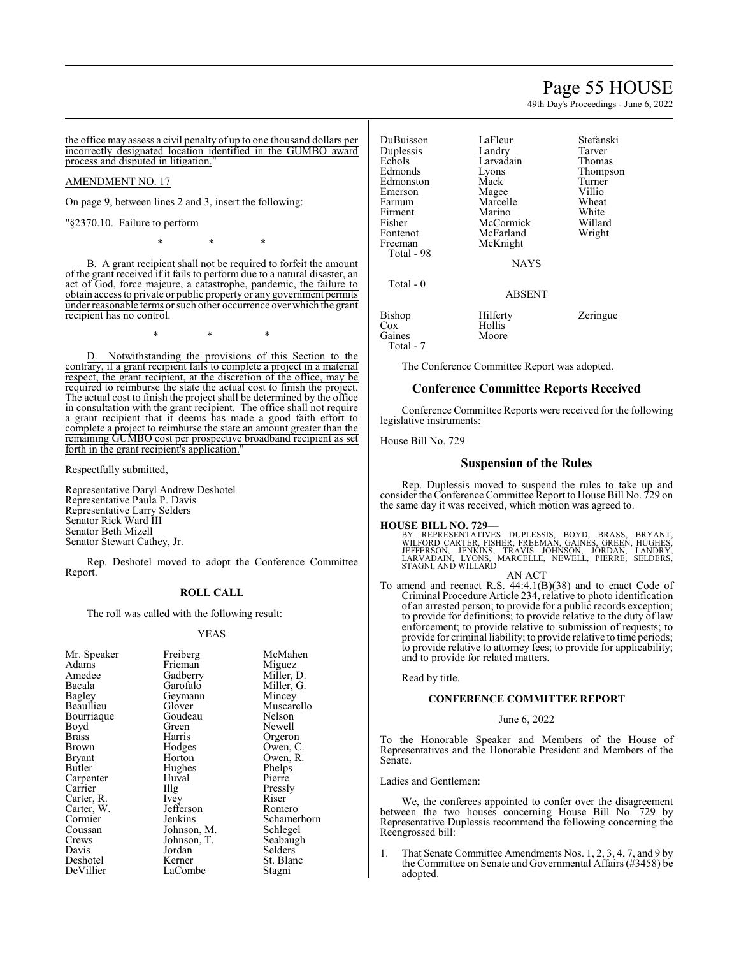# Page 55 HOUSE

49th Day's Proceedings - June 6, 2022

the office may assess a civil penalty of up to one thousand dollars per incorrectly designated location identified in the GUMBO award process and disputed in litigation."

# AMENDMENT NO. 17

On page 9, between lines 2 and 3, insert the following:

"§2370.10. Failure to perform

\* \* \*

B. A grant recipient shall not be required to forfeit the amount of the grant received if it fails to perform due to a natural disaster, an act of God, force majeure, a catastrophe, pandemic, the failure to obtain access to private or public property or any government permits under reasonable terms or such other occurrence over which the grant recipient has no control.

\* \* \*

D. Notwithstanding the provisions of this Section to the contrary, if a grant recipient fails to complete a project in a material respect, the grant recipient, at the discretion of the office, may be required to reimburse the state the actual cost to finish the project. The actual cost to finish the project shall be determined by the office in consultation with the grant recipient. The office shall not require a grant recipient that it deems has made a good faith effort to complete a project to reimburse the state an amount greater than the remaining GUMBO cost per prospective broadband recipient as set forth in the grant recipient's application."

Respectfully submitted,

Representative Daryl Andrew Deshotel Representative Paula P. Davis Representative Larry Selders Senator Rick Ward III Senator Beth Mizell Senator Stewart Cathey, Jr.

Rep. Deshotel moved to adopt the Conference Committee Report.

#### **ROLL CALL**

The roll was called with the following result:

#### YEAS

McMahen Miguez Miller, D. Miller, G. Mincey Muscarello Nelson Newell Orgeron Owen, C. Owen, R. Phelps Pierre Pressly<br>Riser

Romero Schamerhorn Schlegel Seabaugh Selders<sup>1</sup> St. Blanc Stagni

| Freiberg<br>Frieman<br>Gadberry<br>Garofalo | McM<br>Migu<br>Mille<br>Mille |
|---------------------------------------------|-------------------------------|
| Geymann                                     | Minc                          |
|                                             | Musc                          |
| Goudeau                                     | Nelso                         |
| Green                                       | Newe                          |
| Harris                                      | Orge                          |
| Hodges                                      | Ower                          |
| Horton                                      | Owei                          |
| Hughes                                      | Phelp                         |
| Huval                                       | Pierro                        |
| $\prod_{i=1}^{n}$                           | Press                         |
| Ivey                                        | Riser                         |
| Jefferson                                   | Rom                           |
| Jenkins                                     | Schai                         |
| Johnson, M.                                 | Schle                         |
| Johnson, T.                                 | <b>Seab</b>                   |
| Jordan                                      | Selde                         |
|                                             | St. Bl                        |
| LaCombe                                     | Stagr                         |
|                                             | Glover<br>Kerner              |

DuBuisson LaFleur Stefanski Duplessis Landry Tarver<br>
Echols Larvadain Thomas Echols Larvadain<br>Edmonds Lyons Eyons Thompson<br>
Mack Turner Edmonston Mack Turner<br>Emerson Magee Villio Magee Villio<br>
Marcelle Wheat Farnum Marcelle Wheat<br>Firment Marino White Firment Marino White<br>Fisher McCormick Willard Fisher McCormick Willard Fontenot McFarland<br>Freeman McKnight McKnight Total - 98 NAYS Total - 0 ABSENT Bishop Hilferty Zeringue<br>
Cox Hollis Hollis<sup>T</sup><br>Moore Gaines

The Conference Committee Report was adopted.

# **Conference Committee Reports Received**

Conference Committee Reports were received for the following legislative instruments:

House Bill No. 729

Total - 7

# **Suspension of the Rules**

Rep. Duplessis moved to suspend the rules to take up and consider the Conference Committee Report to House Bill No. 729 on the same day it was received, which motion was agreed to.

#### **HOUSE BILL NO. 729—**

BY REPRESENTATIVES DUPLESSIS, BOYD, BRASS, BRYANT,<br>WILFORD CARTER, FISHER, FREEMAN, GAINES, GREEN, HUGHES,<br>VEFFERSON, JENKINS, TRAVIS JOHNSON, JORDAN, LANDRY,<br>LARVADAIN, LYONS, MARCELLE, NEWELL, PIERRE, SELDERS, STAGNI, AND WILLARD

AN ACT

To amend and reenact R.S. 44:4.1(B)(38) and to enact Code of Criminal Procedure Article 234, relative to photo identification of an arrested person; to provide for a public records exception; to provide for definitions; to provide relative to the duty of law enforcement; to provide relative to submission of requests; to provide for criminal liability; to provide relative to time periods; to provide relative to attorney fees; to provide for applicability; and to provide for related matters.

Read by title.

# **CONFERENCE COMMITTEE REPORT**

June 6, 2022

To the Honorable Speaker and Members of the House of Representatives and the Honorable President and Members of the Senate.

Ladies and Gentlemen:

We, the conferees appointed to confer over the disagreement between the two houses concerning House Bill No. 729 by Representative Duplessis recommend the following concerning the Reengrossed bill:

1. That Senate Committee Amendments Nos. 1, 2, 3, 4, 7, and 9 by the Committee on Senate and Governmental Affairs (#3458) be adopted.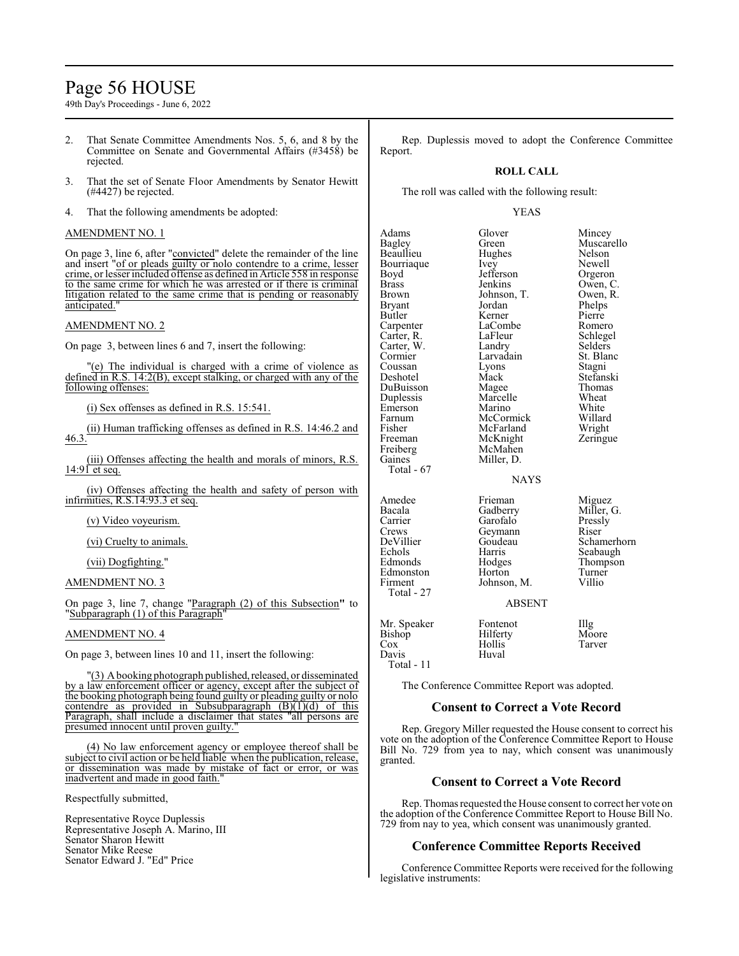# Page 56 HOUSE

49th Day's Proceedings - June 6, 2022

- 2. That Senate Committee Amendments Nos. 5, 6, and 8 by the Committee on Senate and Governmental Affairs (#3458) be rejected.
- 3. That the set of Senate Floor Amendments by Senator Hewitt (#4427) be rejected.
- 4. That the following amendments be adopted:

# AMENDMENT NO. 1

On page 3, line 6, after "convicted" delete the remainder of the line and insert "of or pleads guilty or nolo contendre to a crime, lesser crime, or lesser included offense as defined in Article 558 in response to the same crime for which he was arrested or if there is criminal litigation related to the same crime that is pending or reasonably anticipated."

### AMENDMENT NO. 2

On page 3, between lines 6 and 7, insert the following:

"(e) The individual is charged with a crime of violence as defined in R.S. 14:2(B), except stalking, or charged with any of the following offenses:

(i) Sex offenses as defined in R.S. 15:541.

(ii) Human trafficking offenses as defined in R.S. 14:46.2 and 46.3.

(iii) Offenses affecting the health and morals of minors, R.S. 14:91 et seq.

(iv) Offenses affecting the health and safety of person with infirmities, R.S.14:93.3 et seq.

(v) Video voyeurism.

(vi) Cruelty to animals.

(vii) Dogfighting."

#### AMENDMENT NO. 3

On page 3, line 7, change "Paragraph (2) of this Subsection**"** to "Subparagraph (1) of this Paragraph"

#### AMENDMENT NO. 4

On page 3, between lines 10 and 11, insert the following:

(3) A booking photograph published, released, or disseminated by a law enforcement officer or agency, except after the subject of the booking photograph being found guilty or pleading guilty or nolo contendre as provided in Subsubparagraph  $(B)(1)(d)$  of this Paragraph, shall include a disclaimer that states "all persons are presumed innocent until proven guilty."

(4) No law enforcement agency or employee thereof shall be subject to civil action or be held liable when the publication, release, or dissemination was made by mistake of fact or error, or was inadvertent and made in good faith."

Respectfully submitted,

Representative Royce Duplessis Representative Joseph A. Marino, III Senator Sharon Hewitt Senator Mike Reese Senator Edward J. "Ed" Price

Rep. Duplessis moved to adopt the Conference Committee Report.

#### **ROLL CALL**

The roll was called with the following result:

#### YEAS

Adams Glover Mincey<br>
Bagley Green Muscar Beaullieu Hughes Nelson Bourriaque Ivey<br>
Boyd Jefferson Orgeron Boyd Jefferson<br>Brass Jenkins Brown Johnson, T. Owen,<br>Bryant Jordan Phelps Bryant Jordan Phelps<br>Butler Kerner Pierre Carpenter LaCombe Romero<br>Carter, R. LaFleur Schlegel Carter, R. LaFleur Schlege<br>Carter, W. Landry Selders Carter, W. Landry Selders<br>
Cormier Larvadain St. Blanc Coussan Lyons<br>Deshotel Mack DuBuisson Magee Thoma<br>
Duplessis Marcelle Wheat Duplessis Marcelle Wheat Emerson Marino White<br>
Farnum McCormick Willard Farnum McCormick Willard<br>Fisher McFarland Wright Fisher McFarland Wright<br>
Freeman McKnight Zeringue Freeman McKnight<br>Freiberg McMahen Freiberg McMahen<br>Gaines Miller, D. Total - 67 Amedee Frieman Miguez<br>Bacala Gadberry Miller, Carrier Garofalo Pressly<br>Crews Geymann Riser Crews Geymann<br>DeVillier Goudeau DeVillier Goudeau Schamerhorn<br>
Schaugh Harris Seabaugh Echols Harris Seabaugh<br>Edmonds Hodges Thompson Edmonston Horton Turner<br>Firment Johnson, M. Villio

Larvadain St. Bla<br>Lyons Stagni Miller, D.

Green Muscarello<br>Hughes Nelson Owen, C.<br>Owen, R. Kerner Pierre<br>LaCombe Romero Mack Stefanski<br>
Magee Thomas

#### NAYS

Total - 27

Miller, G. Hodges Thompson<br>Horton Turner Johnson, M.

#### ABSENT

| Mr. Speaker<br>Bishop<br>Cox<br>Davis<br>Total - 11 | Fontenot<br>Hilferty<br>Hollis<br>Huval | $\prod_{i=1}^{n}$<br>Moore<br>Tarver |
|-----------------------------------------------------|-----------------------------------------|--------------------------------------|
|-----------------------------------------------------|-----------------------------------------|--------------------------------------|

The Conference Committee Report was adopted.

# **Consent to Correct a Vote Record**

Rep. Gregory Miller requested the House consent to correct his vote on the adoption of the Conference Committee Report to House Bill No. 729 from yea to nay, which consent was unanimously granted.

# **Consent to Correct a Vote Record**

Rep. Thomas requested the House consent to correct her vote on the adoption of the Conference Committee Report to House Bill No. 729 from nay to yea, which consent was unanimously granted.

# **Conference Committee Reports Received**

Conference Committee Reports were received for the following legislative instruments: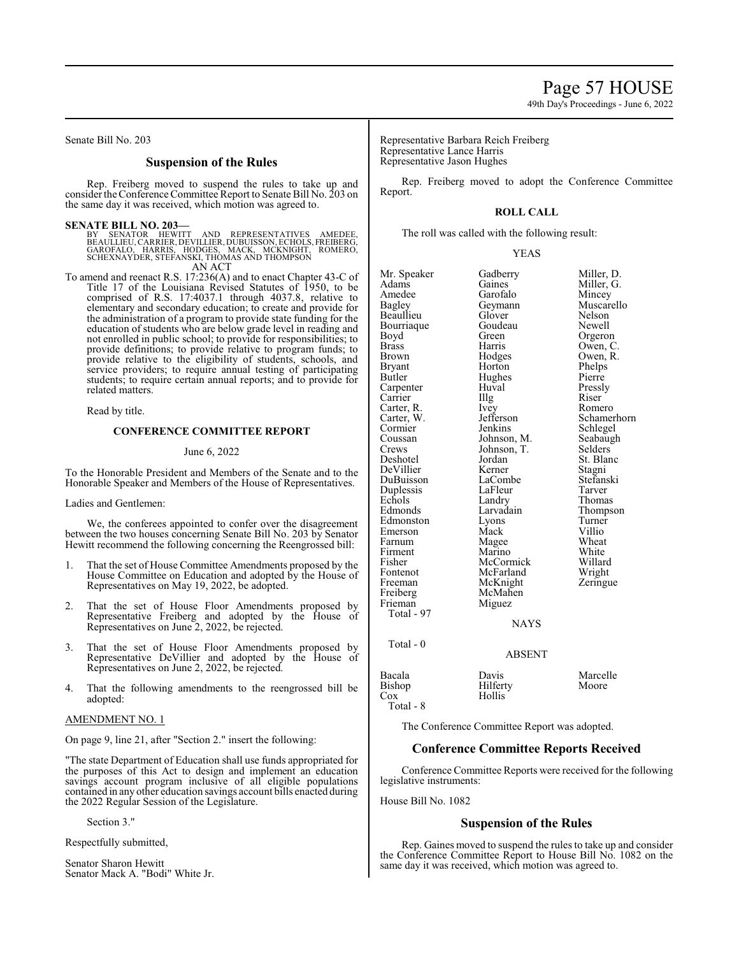Senate Bill No. 203

# **Suspension of the Rules**

Rep. Freiberg moved to suspend the rules to take up and consider theConference Committee Report to Senate Bill No. 203 on the same day it was received, which motion was agreed to.

#### **SENATE BILL NO. 203—**

BY SENATOR HEWITT AND REPRESENTATIVES AMEDEE,<br>BEAULLIEU,CARRIER,DEVILLIER,DUBUISSON,ECHOLS,FREIBERG,<br>GAROFALO, HARRIS, HODGES, MACK, MCKNIGHT, ROMERO,<br>SCHEXNAYDER,STEFANSKI,THOMAS AND THOMPSON AN ACT

To amend and reenact R.S. 17:236(A) and to enact Chapter 43-C of Title 17 of the Louisiana Revised Statutes of 1950, to be comprised of R.S. 17:4037.1 through 4037.8, relative to elementary and secondary education; to create and provide for the administration of a program to provide state funding for the education of students who are below grade level in reading and not enrolled in public school; to provide for responsibilities; to provide definitions; to provide relative to program funds; to provide relative to the eligibility of students, schools, and service providers; to require annual testing of participating students; to require certain annual reports; and to provide for related matters.

Read by title.

# **CONFERENCE COMMITTEE REPORT**

#### June 6, 2022

To the Honorable President and Members of the Senate and to the Honorable Speaker and Members of the House of Representatives.

Ladies and Gentlemen:

We, the conferees appointed to confer over the disagreement between the two houses concerning Senate Bill No. 203 by Senator Hewitt recommend the following concerning the Reengrossed bill:

- 1. That the set of House Committee Amendments proposed by the House Committee on Education and adopted by the House of Representatives on May 19, 2022, be adopted.
- 2. That the set of House Floor Amendments proposed by Representative Freiberg and adopted by the House of Representatives on June 2, 2022, be rejected.
- 3. That the set of House Floor Amendments proposed by Representative DeVillier and adopted by the House of Representatives on June 2, 2022, be rejected.
- 4. That the following amendments to the reengrossed bill be adopted:

#### AMENDMENT NO. 1

On page 9, line 21, after "Section 2." insert the following:

"The state Department of Education shall use funds appropriated for the purposes of this Act to design and implement an education savings account program inclusive of all eligible populations contained in any other education savings account bills enacted during the 2022 Regular Session of the Legislature.

Section 3."

Respectfully submitted,

Senator Sharon Hewitt Senator Mack A. "Bodi" White Jr. Representative Barbara Reich Freiberg Representative Lance Harris Representative Jason Hughes

Rep. Freiberg moved to adopt the Conference Committee Report.

#### **ROLL CALL**

The roll was called with the following result:

#### YEAS

| Mr. Speaker   | Gadberry      | Miller, D.  |
|---------------|---------------|-------------|
| Adams         | Gaines        | Miller, G.  |
| Amedee        | Garofalo      | Mincey      |
| <b>Bagley</b> | Geymann       | Muscarello  |
| Beaullieu     | Glover        | Nelson      |
| Bourriaque    | Goudeau       | Newell      |
| Boyd          | Green         | Orgeron     |
| <b>Brass</b>  | Harris        | Owen, C.    |
| <b>Brown</b>  | Hodges        | Owen, R.    |
| Bryant        | Horton        | Phelps      |
| Butler        | Hughes        | Pierre      |
| Carpenter     | Huval         | Pressly     |
| Carrier       | Illg          | Riser       |
| Carter, R.    | Ivey          | Romero      |
| Carter, W.    | Jefferson     | Schamerhorn |
| Cormier       | Jenkins       | Schlegel    |
| Coussan       | Johnson, M.   | Seabaugh    |
| Crews         | Johnson, T.   | Selders     |
| Deshotel      | Jordan        | St. Blanc   |
| DeVillier     | Kerner        | Stagni      |
| DuBuisson     | LaCombe       | Stefanski   |
| Duplessis     | LaFleur       | Tarver      |
| Echols        | Landry        | Thomas      |
| Edmonds       | Larvadain     | Thompson    |
| Edmonston     | Lyons         | Turner      |
| Emerson       | Mack          | Villio      |
| Farnum        | Magee         | Wheat       |
| Firment       | Marino        | White       |
| Fisher        | McCormick     | Willard     |
| Fontenot      | McFarland     | Wright      |
| Freeman       | McKnight      | Zeringue    |
| Freiberg      | McMahen       |             |
| Frieman       | Miguez        |             |
| Total - 97    |               |             |
|               | <b>NAYS</b>   |             |
|               |               |             |
| Total - $0$   |               |             |
|               | <b>ABSENT</b> |             |
| Bacala        | Davis         | Marcelle    |
| Bishop        | Hilferty      | Moore       |
| $\cos$        | Hollis        |             |
| Total - 8     |               |             |

The Conference Committee Report was adopted.

# **Conference Committee Reports Received**

Conference Committee Reports were received for the following legislative instruments:

House Bill No. 1082

# **Suspension of the Rules**

Rep. Gaines moved to suspend the rules to take up and consider the Conference Committee Report to House Bill No. 1082 on the same day it was received, which motion was agreed to.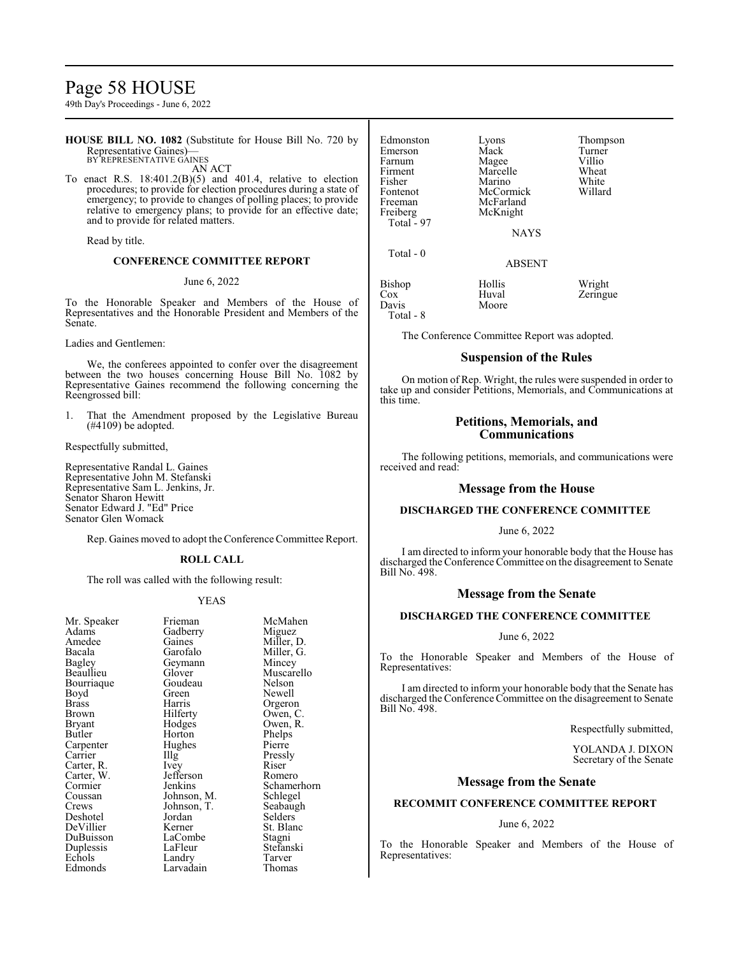# Page 58 HOUSE

49th Day's Proceedings - June 6, 2022

**HOUSE BILL NO. 1082** (Substitute for House Bill No. 720 by Representative Gaines)— BY REPRESENTATIVE GAINES

AN ACT To enact R.S. 18:401.2(B)(5) and 401.4, relative to election procedures; to provide for election procedures during a state of emergency; to provide to changes of polling places; to provide relative to emergency plans; to provide for an effective date; and to provide for related matters.

Read by title.

# **CONFERENCE COMMITTEE REPORT**

#### June 6, 2022

To the Honorable Speaker and Members of the House of Representatives and the Honorable President and Members of the Senate.

Ladies and Gentlemen:

We, the conferees appointed to confer over the disagreement between the two houses concerning House Bill No. 1082 by Representative Gaines recommend the following concerning the Reengrossed bill:

1. That the Amendment proposed by the Legislative Bureau (#4109) be adopted.

Respectfully submitted,

Representative Randal L. Gaines Representative John M. Stefanski Representative Sam L. Jenkins, Jr. Senator Sharon Hewitt Senator Edward J. "Ed" Price Senator Glen Womack

Rep. Gaines moved to adopt theConference Committee Report.

#### **ROLL CALL**

The roll was called with the following result:

#### YEAS

| Mr. Speaker | Frieman     | McMa    |
|-------------|-------------|---------|
| Adams       | Gadberry    | Migue   |
| Amedee      | Gaines      | Miller, |
| Bacala      | Garofalo    | Miller. |
| Bagley      | Geymann     | Mince   |
| Beaullieu   | Glover      | Musca   |
| Bourriaque  | Goudeau     | Nelsor  |
| Boyd        | Green       | Newel   |
| Brass       | Harris      | Orgerc  |
| Brown       | Hilferty    | Owen,   |
| Bryant      | Hodges      | Owen,   |
| Butler      | Horton      | Phelps  |
| Carpenter   | Hughes      | Pierre  |
| Carrier     | Illg        | Pressly |
| Carter, R.  | Ivey        | Riser   |
| Carter, W.  | Jefferson   | Romer   |
| Cormier     | Jenkins     | Scham   |
| Coussan     | Johnson, M. | Schleg  |
| Crews       | Johnson, T. | Seabau  |
| Deshotel    | Jordan      | Selder  |
| DeVillier   | Kerner      | St. Bla |
| DuBuisson   | LaCombe     | Stagni  |
| Duplessis   | LaFleur     | Stefan  |
| Echols      | Landry      | Tarver  |
| Edmonds     | Larvadain   | Thoma   |

McMahen Miguez Miller, D. Miller, G. Mincey Muscarello Nelson Newell Orgeron Owen, C. Owen, R. Phelps Pierre Pressly<br>Riser Romero Schamerhorn Schlegel Seabaugh Selders<sup>7</sup> St. Blanc Stagni Stefanski<br>Tarver Thomas

| Edmonston<br>Emerson<br>Farnum<br>Firment<br>Fisher<br>Fontenot | Lyons<br>Mack<br>Magee<br>Marcelle<br>Marino<br>McCormick | Thompson<br>Turner<br>Villio<br>Wheat<br>White<br>Willard |
|-----------------------------------------------------------------|-----------------------------------------------------------|-----------------------------------------------------------|
| Freeman<br>Freiberg<br>Total - 97                               | McFarland<br>McKnight<br><b>NAYS</b>                      |                                                           |
| Total - 0                                                       | <b>ABSENT</b>                                             |                                                           |
| Bishop<br>$\cos$<br>Davis                                       | Hollis<br>Huval<br>Moore                                  | Wright<br>Zeringue                                        |

Total - 8

The Conference Committee Report was adopted.

# **Suspension of the Rules**

On motion of Rep. Wright, the rules were suspended in order to take up and consider Petitions, Memorials, and Communications at this time.

# **Petitions, Memorials, and Communications**

The following petitions, memorials, and communications were received and read:

### **Message from the House**

# **DISCHARGED THE CONFERENCE COMMITTEE**

#### June 6, 2022

I am directed to inform your honorable body that the House has discharged the Conference Committee on the disagreement to Senate Bill No. 498.

# **Message from the Senate**

# **DISCHARGED THE CONFERENCE COMMITTEE**

#### June 6, 2022

To the Honorable Speaker and Members of the House of Representatives:

I am directed to inform your honorable body that the Senate has discharged the Conference Committee on the disagreement to Senate Bill No. 498.

Respectfully submitted,

YOLANDA J. DIXON Secretary of the Senate

#### **Message from the Senate**

# **RECOMMIT CONFERENCE COMMITTEE REPORT**

# June 6, 2022

To the Honorable Speaker and Members of the House of Representatives: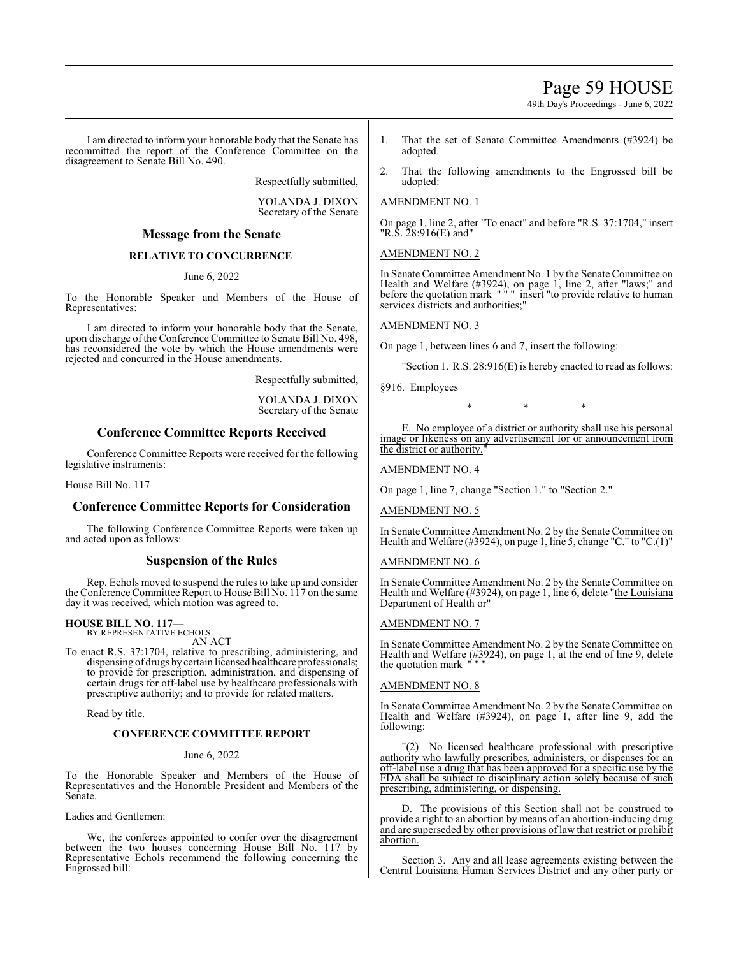# Page 59 HOUSE

49th Day's Proceedings - June 6, 2022

I am directed to inform your honorable body that the Senate has recommitted the report of the Conference Committee on the disagreement to Senate Bill No. 490.

Respectfully submitted,

YOLANDA J. DIXON Secretary of the Senate

# **Message from the Senate**

# **RELATIVE TO CONCURRENCE**

June 6, 2022

To the Honorable Speaker and Members of the House of Representatives:

I am directed to inform your honorable body that the Senate, upon discharge of the Conference Committee to Senate Bill No. 498, has reconsidered the vote by which the House amendments were rejected and concurred in the House amendments.

Respectfully submitted,

YOLANDA J. DIXON Secretary of the Senate

# **Conference Committee Reports Received**

Conference Committee Reports were received for the following legislative instruments:

House Bill No. 117

# **Conference Committee Reports for Consideration**

The following Conference Committee Reports were taken up and acted upon as follows:

# **Suspension of the Rules**

Rep. Echols moved to suspend the rules to take up and consider the Conference Committee Report to House Bill No. 117 on the same day it was received, which motion was agreed to.

# **HOUSE BILL NO. 117—** BY REPRESENTATIVE ECHOLS

AN ACT

To enact R.S. 37:1704, relative to prescribing, administering, and dispensing of drugs by certain licensed healthcare professionals; to provide for prescription, administration, and dispensing of certain drugs for off-label use by healthcare professionals with prescriptive authority; and to provide for related matters.

Read by title.

# **CONFERENCE COMMITTEE REPORT**

June 6, 2022

To the Honorable Speaker and Members of the House of Representatives and the Honorable President and Members of the Senate.

Ladies and Gentlemen:

We, the conferees appointed to confer over the disagreement between the two houses concerning House Bill No. 117 by Representative Echols recommend the following concerning the Engrossed bill:

- 1. That the set of Senate Committee Amendments (#3924) be adopted.
- 2. That the following amendments to the Engrossed bill be adopted:

# AMENDMENT NO. 1

On page 1, line 2, after "To enact" and before "R.S. 37:1704," insert "R.S. 28:916(E) and"

AMENDMENT NO. 2

In Senate Committee Amendment No. 1 by the Senate Committee on Health and Welfare (#3924), on page 1, line 2, after "laws;" and before the quotation mark " " " insert "to provide relative to human services districts and authorities;"

# AMENDMENT NO. 3

On page 1, between lines 6 and 7, insert the following:

"Section 1. R.S. 28:916(E) is hereby enacted to read as follows:

§916. Employees

\* \* \*

E. No employee of a district or authority shall use his personal image or likeness on any advertisement for or announcement from the district or authority."

# AMENDMENT NO. 4

On page 1, line 7, change "Section 1." to "Section 2."

AMENDMENT NO. 5

In Senate Committee Amendment No. 2 by the Senate Committee on Health and Welfare (#3924), on page 1, line 5, change "C." to "C.(1)"

# AMENDMENT NO. 6

In Senate Committee Amendment No. 2 by the Senate Committee on Health and Welfare (#3924), on page 1, line 6, delete "the Louisiana Department of Health or"

### AMENDMENT NO. 7

In Senate Committee Amendment No. 2 by the Senate Committee on Health and Welfare (#3924), on page 1, at the end of line 9, delete the quotation mark

# AMENDMENT NO. 8

In Senate Committee Amendment No. 2 by the Senate Committee on Health and Welfare (#3924), on page 1, after line 9, add the following:

No licensed healthcare professional with prescriptive authority who lawfully prescribes, administers, or dispenses for an off-label use a drug that has been approved for a specific use by the FDA shall be subject to disciplinary action solely because of such prescribing, administering, or dispensing.

D. The provisions of this Section shall not be construed to provide a right to an abortion by means of an abortion-inducing drug and are superseded by other provisions of law that restrict or prohibit abortion.

Section 3. Any and all lease agreements existing between the Central Louisiana Human Services District and any other party or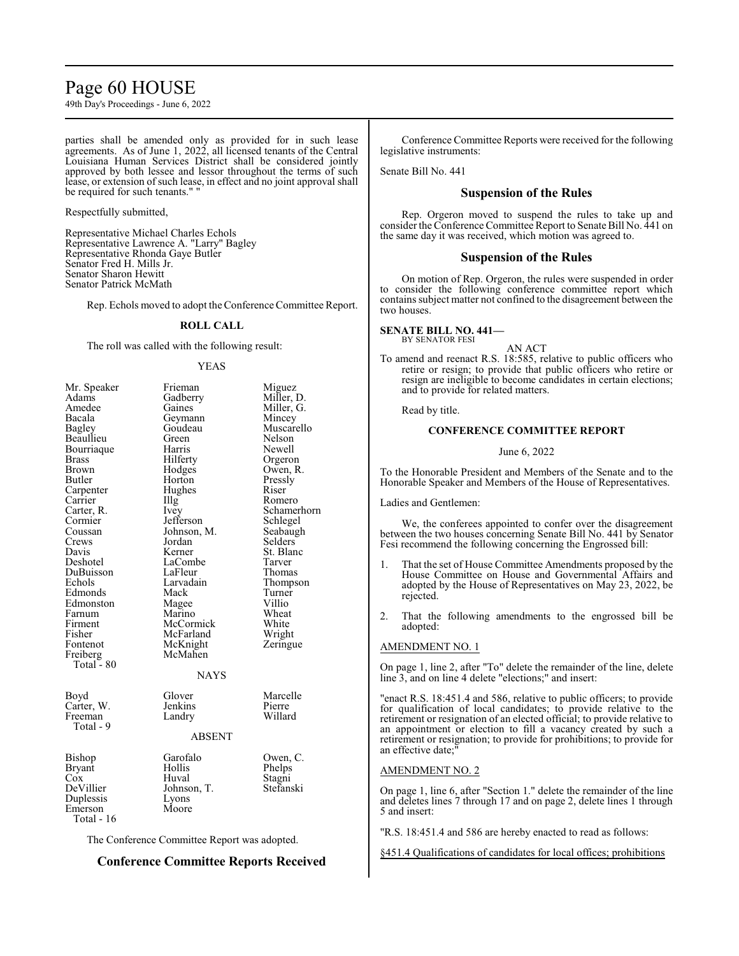# Page 60 HOUSE

49th Day's Proceedings - June 6, 2022

parties shall be amended only as provided for in such lease agreements. As of June 1, 2022, all licensed tenants of the Central Louisiana Human Services District shall be considered jointly approved by both lessee and lessor throughout the terms of such lease, or extension of such lease, in effect and no joint approval shall be required for such tenants." "

#### Respectfully submitted,

Representative Michael Charles Echols Representative Lawrence A. "Larry" Bagley Representative Rhonda Gaye Butler Senator Fred H. Mills Jr. Senator Sharon Hewitt Senator Patrick McMath

Rep. Echols moved to adopt theConference Committee Report.

# **ROLL CALL**

The roll was called with the following result:

#### YEAS

| Mr. Speaker   | Frieman     | Miguez      |
|---------------|-------------|-------------|
| Adams         | Gadberry    | Miller, D.  |
| Amedee        | Gaines      | Miller, G.  |
| Bacala        | Geymann     | Mincey      |
| Bagley        | Goudeau     | Muscarello  |
| Beaullieu     | Green       | Nelson      |
| Bourriaque    | Harris      | Newell      |
| <b>Brass</b>  | Hilferty    | Orgeron     |
| <b>Brown</b>  | Hodges      | Owen, R.    |
| Butler        | Horton      | Pressly     |
| Carpenter     | Hughes      | Riser       |
| Carrier       | Illg        | Romero      |
| Carter, R.    | Ivey        | Schamerhorn |
| Cormier       | Jefferson   | Schlegel    |
| Coussan       | Johnson, M. | Seabaugh    |
| Crews         | Jordan      | Selders     |
| Davis         | Kerner      | St. Blanc   |
| Deshotel      | LaCombe     | Tarver      |
| DuBuisson     | LaFleur     | Thomas      |
| Echols        | Larvadain   | Thompson    |
| Edmonds       | Mack        | Turner      |
| Edmonston     | Magee       | Villio      |
| Farnum        | Marino      | Wheat       |
| Firment       | McCormick   | White       |
| Fisher        | McFarland   | Wright      |
| Fontenot      | McKnight    | Zeringue    |
| Freiberg      | McMahen     |             |
| Total - 80    |             |             |
|               | <b>NAYS</b> |             |
| Boyd          | Glover      | Marcelle    |
| Carter, W.    | Jenkins     | Pierre      |
| Freeman       | Landry      | Willard     |
| Total - 9     |             |             |
|               | ABSENT      |             |
| Bishop        | Garofalo    | Owen, C.    |
| <b>Bryant</b> | Hollis      | Phelps      |
| Cox           | Huval       | Stagni      |
| DeVillier     | Johnson, T. | Stefanski   |
| Duplessis     | Lyons       |             |
| Emerson       | Moore       |             |
| Total - 16    |             |             |
|               |             |             |

The Conference Committee Report was adopted.

# **Conference Committee Reports Received**

Conference Committee Reports were received for the following legislative instruments:

Senate Bill No. 441

# **Suspension of the Rules**

Rep. Orgeron moved to suspend the rules to take up and consider the Conference Committee Report to Senate Bill No. 441 on the same day it was received, which motion was agreed to.

# **Suspension of the Rules**

On motion of Rep. Orgeron, the rules were suspended in order to consider the following conference committee report which contains subject matter not confined to the disagreement between the two houses.

### **SENATE BILL NO. 441—**

BY SENATOR FESI

AN ACT To amend and reenact R.S. 18:585, relative to public officers who retire or resign; to provide that public officers who retire or resign are ineligible to become candidates in certain elections; and to provide for related matters.

Read by title.

# **CONFERENCE COMMITTEE REPORT**

### June 6, 2022

To the Honorable President and Members of the Senate and to the Honorable Speaker and Members of the House of Representatives.

Ladies and Gentlemen:

We, the conferees appointed to confer over the disagreement between the two houses concerning Senate Bill No. 441 by Senator Fesi recommend the following concerning the Engrossed bill:

- 1. That the set of House Committee Amendments proposed by the House Committee on House and Governmental Affairs and adopted by the House of Representatives on May 23, 2022, be rejected.
- 2. That the following amendments to the engrossed bill be adopted:

#### AMENDMENT NO. 1

On page 1, line 2, after "To" delete the remainder of the line, delete line 3, and on line 4 delete "elections;" and insert:

"enact R.S. 18:451.4 and 586, relative to public officers; to provide for qualification of local candidates; to provide relative to the retirement or resignation of an elected official; to provide relative to an appointment or election to fill a vacancy created by such a retirement or resignation; to provide for prohibitions; to provide for an effective date;

#### AMENDMENT NO. 2

On page 1, line 6, after "Section 1." delete the remainder of the line and deletes lines 7 through 17 and on page 2, delete lines 1 through 5 and insert:

"R.S. 18:451.4 and 586 are hereby enacted to read as follows:

§451.4 Qualifications of candidates for local offices; prohibitions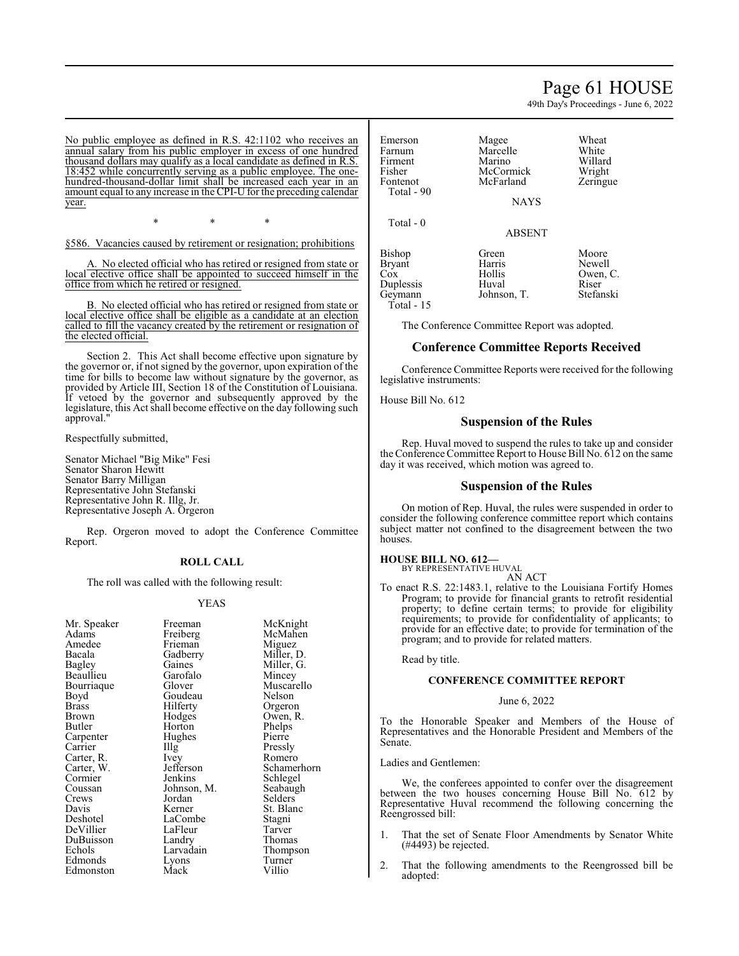# Page 61 HOUSE

49th Day's Proceedings - June 6, 2022

No public employee as defined in R.S. 42:1102 who receives an annual salary from his public employer in excess of one hundred thousand dollars may qualify as a local candidate as defined in R.S. 18:452 while concurrently serving as a public employee. The onehundred-thousand-dollar limit shall be increased each year in an amount equal to any increase in the CPI-U for the preceding calendar year.

\* \* \*

§586. Vacancies caused by retirement or resignation; prohibitions

A. No elected official who has retired or resigned from state or local elective office shall be appointed to succeed himself in the office from which he retired or resigned.

B. No elected official who has retired or resigned from state or local elective office shall be eligible as a candidate at an election called to fill the vacancy created by the retirement or resignation of the elected official.

Section 2. This Act shall become effective upon signature by the governor or, if not signed by the governor, upon expiration of the time for bills to become law without signature by the governor, as provided by Article III, Section 18 of the Constitution of Louisiana. If vetoed by the governor and subsequently approved by the legislature, this Act shall become effective on the day following such approval."

Respectfully submitted,

Senator Michael "Big Mike" Fesi Senator Sharon Hewitt Senator Barry Milligan Representative John Stefanski Representative John R. Illg, Jr. Representative Joseph A. Orgeron

Rep. Orgeron moved to adopt the Conference Committee Report.

#### **ROLL CALL**

The roll was called with the following result:

#### YEAS

| Mr. Speaker  | Freeman     | McKnight    |
|--------------|-------------|-------------|
| Adams        | Freiberg    | McMahen     |
| Amedee       | Frieman     | Miguez      |
| Bacala       | Gadberry    | Miller, D.  |
| Bagley       | Gaines      | Miller, G.  |
| Beaullieu    | Garofalo    | Mincey      |
| Bourriaque   | Glover      | Muscarello  |
| Boyd         | Goudeau     | Nelson      |
| <b>Brass</b> | Hilferty    | Orgeron     |
| Brown        | Hodges      | Owen, R.    |
| Butler       | Horton      | Phelps      |
| Carpenter    | Hughes      | Pierre      |
| Carrier      | Illg        | Pressly     |
| Carter, R.   | Ivey        | Romero      |
| Carter, W.   | Jefferson   | Schamerhorn |
| Cormier      | Jenkins     | Schlegel    |
| Coussan      | Johnson, M. | Seabaugh    |
| Crews        | Jordan      | Selders     |
| Davis        | Kerner      | St. Blanc   |
| Deshotel     | LaCombe     | Stagni      |
| DeVillier    | LaFleur     | Tarver      |
| DuBuisson    | Landry      | Thomas      |
| Echols       | Larvadain   | Thompson    |
| Edmonds      | Lyons       | Turner      |
| Edmonston    | Mack        | Villio      |
|              |             |             |

Emerson Magee Wheat<br>
Farnum Marcelle White Farnum Marcelle White<br>Firment Marino Willard Firment Marino Willard Fisher McCormick Wright<br>Fontenot McFarland Zeringue McFarland Total - 90 NAYS Total - 0 ABSENT Bishop Green Moore<br>Bryant Harris Newell Bryant Harris<br>Cox Hollis Hollis Owen, C.<br>Huval Riser Duplessis Huval Riser<br>Geymann Johnson, T. Stefanski Johnson, T. Total - 15

The Conference Committee Report was adopted.

# **Conference Committee Reports Received**

Conference Committee Reports were received for the following legislative instruments:

House Bill No. 612

# **Suspension of the Rules**

Rep. Huval moved to suspend the rules to take up and consider the Conference Committee Report to House Bill No. 612 on the same day it was received, which motion was agreed to.

#### **Suspension of the Rules**

On motion of Rep. Huval, the rules were suspended in order to consider the following conference committee report which contains subject matter not confined to the disagreement between the two houses.

#### **HOUSE BILL NO. 612—**

BY REPRESENTATIVE HUVAL AN ACT

To enact R.S. 22:1483.1, relative to the Louisiana Fortify Homes Program; to provide for financial grants to retrofit residential property; to define certain terms; to provide for eligibility requirements; to provide for confidentiality of applicants; to provide for an effective date; to provide for termination of the program; and to provide for related matters.

Read by title.

#### **CONFERENCE COMMITTEE REPORT**

#### June 6, 2022

To the Honorable Speaker and Members of the House of Representatives and the Honorable President and Members of the Senate.

Ladies and Gentlemen:

We, the conferees appointed to confer over the disagreement between the two houses concerning House Bill No. 612 by Representative Huval recommend the following concerning the Reengrossed bill:

- 1. That the set of Senate Floor Amendments by Senator White (#4493) be rejected.
- 2. That the following amendments to the Reengrossed bill be adopted: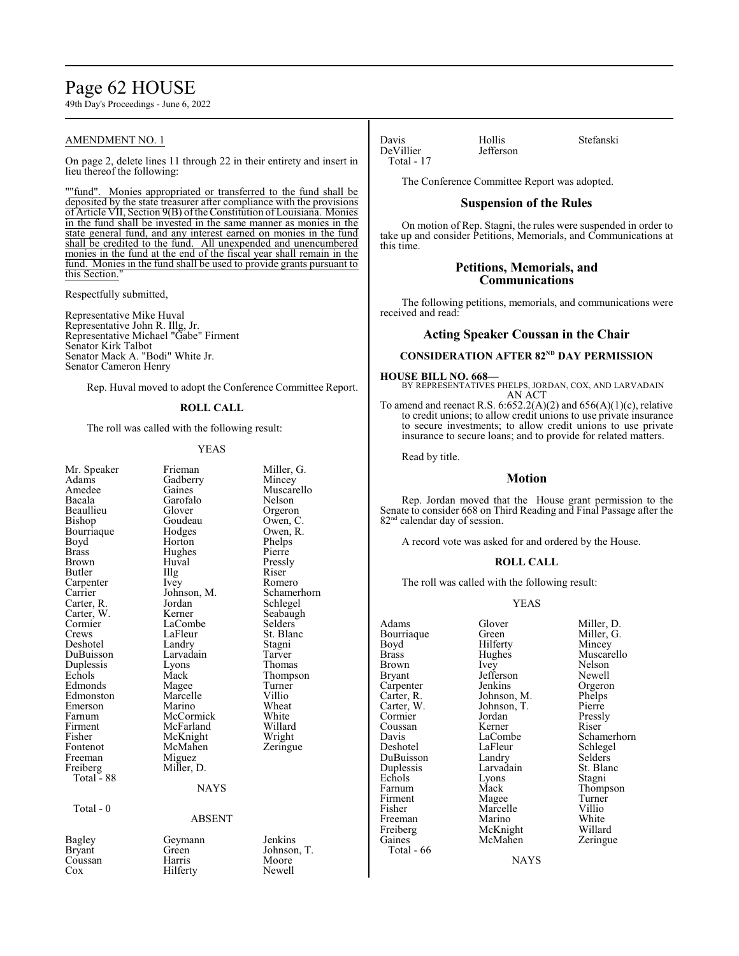# Page 62 HOUSE

49th Day's Proceedings - June 6, 2022

# AMENDMENT NO. 1

On page 2, delete lines 11 through 22 in their entirety and insert in lieu thereof the following:

""fund". Monies appropriated or transferred to the fund shall be deposited by the state treasurer after compliance with the provisions of Article VII, Section 9(B) ofthe Constitution ofLouisiana. Monies in the fund shall be invested in the same manner as monies in the state general fund, and any interest earned on monies in the fund shall be credited to the fund. All unexpended and unencumbered monies in the fund at the end of the fiscal year shall remain in the fund. Monies in the fund shall be used to provide grants pursuant to this Section."

Respectfully submitted,

Representative Mike Huval Representative John R. Illg, Jr. Representative Michael "Gabe" Firment Senator Kirk Talbot Senator Mack A. "Bodi" White Jr. Senator Cameron Henry

Rep. Huval moved to adopt the Conference Committee Report.

# **ROLL CALL**

The roll was called with the following result:

#### YEAS

| Mr. Speaker<br>Adams<br>Amedee<br>Bacala<br>Beaullieu<br>Bishop<br>Bourriaque<br>Boyd<br><b>Brass</b><br>Brown<br>Butler<br>Carpenter<br>Carrier<br>Carter, R.<br>Carter, W.<br>Cormier<br>Crews<br>Deshotel<br>DuBuisson<br>Duplessis<br>Echols<br>Edmonds<br>Edmonston<br>Emerson<br>Farnum<br>Firment<br>Fisher<br>Fontenot<br>Freeman | Frieman<br>Gadberry<br>Gaines<br>Garofalo<br>Glover<br>Goudeau<br>Hodges<br>Horton<br>Hughes<br>Huval<br>Illg<br>Ivey<br>Johnson, M.<br>Jordan<br>Kerner<br>LaCombe<br>LaFleur<br>Landry<br>Larvadain<br>Lyons<br>Mack<br>Magee<br>Marcelle<br>Marino<br>McCormick<br>McFarland<br>McKnight<br>McMahen<br>Miguez | Miller, G.<br>Mincey<br>Muscarello<br>Nelson<br>Orgeron<br>Owen, C.<br>Owen, R.<br>Phelps<br>Pierre<br>Pressly<br>Riser<br>Romero<br>Schamerhorn<br>Schlegel<br>Seabaugh<br>Selders<br>St. Blanc<br>Stagni<br>Tarver<br>Thomas<br>Thompson<br>Turner<br>Villio<br>Wheat<br>White<br>Willard<br>Wright<br>Zeringue |
|-------------------------------------------------------------------------------------------------------------------------------------------------------------------------------------------------------------------------------------------------------------------------------------------------------------------------------------------|------------------------------------------------------------------------------------------------------------------------------------------------------------------------------------------------------------------------------------------------------------------------------------------------------------------|-------------------------------------------------------------------------------------------------------------------------------------------------------------------------------------------------------------------------------------------------------------------------------------------------------------------|
| Freiberg<br>Total - 88                                                                                                                                                                                                                                                                                                                    | Miller, D.                                                                                                                                                                                                                                                                                                       |                                                                                                                                                                                                                                                                                                                   |
|                                                                                                                                                                                                                                                                                                                                           | <b>NAYS</b>                                                                                                                                                                                                                                                                                                      |                                                                                                                                                                                                                                                                                                                   |
| Total - 0                                                                                                                                                                                                                                                                                                                                 | <b>ABSENT</b>                                                                                                                                                                                                                                                                                                    |                                                                                                                                                                                                                                                                                                                   |
| Bagley<br>Bryant<br>Coussan<br>Cox                                                                                                                                                                                                                                                                                                        | Geymann<br>Green<br>Harris<br>Hilferty                                                                                                                                                                                                                                                                           | Jenkins<br>Johnson, T.<br>Moore<br>Newell                                                                                                                                                                                                                                                                         |

Davis Hollis Stefanski DeVillier Total - 17

The Conference Committee Report was adopted.

#### **Suspension of the Rules**

On motion of Rep. Stagni, the rules were suspended in order to take up and consider Petitions, Memorials, and Communications at this time.

# **Petitions, Memorials, and Communications**

The following petitions, memorials, and communications were received and read:

# **Acting Speaker Coussan in the Chair**

# **CONSIDERATION AFTER 82<sup>ND</sup> DAY PERMISSION**

**HOUSE BILL NO. 668—** BY REPRESENTATIVES PHELPS, JORDAN, COX, AND LARVADAIN AN ACT

To amend and reenact R.S.  $6.652.2(A)(2)$  and  $656(A)(1)(c)$ , relative to credit unions; to allow credit unions to use private insurance to secure investments; to allow credit unions to use private insurance to secure loans; and to provide for related matters.

Read by title.

# **Motion**

Rep. Jordan moved that the House grant permission to the Senate to consider 668 on Third Reading and Final Passage after the 82<sup>nd</sup> calendar day of session.

A record vote was asked for and ordered by the House.

# **ROLL CALL**

The roll was called with the following result:

# YEAS

| Adams      | Glover       | Miller, D.  |
|------------|--------------|-------------|
| Bourriaque | Green        | Miller, G.  |
| Boyd       | Hilferty     | Mincey      |
| Brass      | Hughes       | Muscarello  |
| Brown      | Ivey         | Nelson      |
| Bryant     | Jefferson    | Newell      |
| Carpenter  | Jenkins      | Orgeron     |
| Carter, R. | Johnson, M.  | Phelps      |
| Carter, W. | Johnson, T.  | Pierre      |
| Cormier    | Jordan       | Pressly     |
| Coussan    | Kerner       | Riser       |
| Davis      | LaCombe      | Schamerhorn |
| Deshotel   | LaFleur      | Schlegel    |
| DuBuisson  | Landry       | Selders     |
| Duplessis  | Larvadain    | St. Blanc   |
| Echols     | Lyons        | Stagni      |
| Farnum     | Mack         | Thompson    |
| Firment    | Magee        | Turner      |
| Fisher     | Marcelle     | Villio      |
| Freeman    | Marino       | White       |
| Freiberg   | McKnight     | Willard     |
| Gaines     | McMahen      | Zeringue    |
| Total - 66 |              |             |
|            | <b>NIAVC</b> |             |

NAYS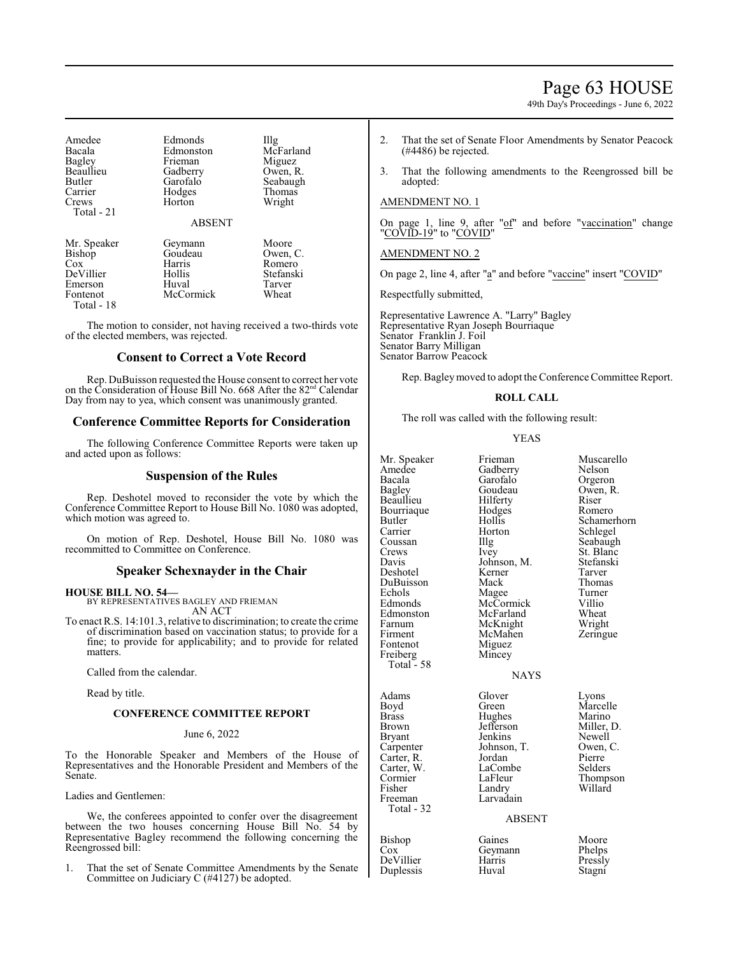# Page 63 HOUSE

49th Day's Proceedings - June 6, 2022

| Amedee<br>Bacala<br>Bagley<br>Beaullieu<br>Butler<br>Carrier<br>Crews | Edmonds<br>Edmonston<br>Frieman<br>Gadberry<br>Garofalo<br>Hodges<br>Horton | Illg<br>McFarland<br>Miguez<br>Owen, R.<br>Seabaugh<br>Thomas<br>Wright |
|-----------------------------------------------------------------------|-----------------------------------------------------------------------------|-------------------------------------------------------------------------|
| Total - 21                                                            | <b>ABSENT</b>                                                               |                                                                         |
| Mr. Speaker                                                           | Geymann                                                                     | Moore                                                                   |
| Bishop                                                                | Goudeau                                                                     | Owen, C.                                                                |
| Cox                                                                   | Harris                                                                      | Romero                                                                  |
| DeVillier                                                             | Hollis                                                                      | Stefanski                                                               |
| Emerson                                                               | Huval                                                                       | Tarver                                                                  |
| Fontenot                                                              | McCormick                                                                   | Wheat                                                                   |

Total - 18

The motion to consider, not having received a two-thirds vote of the elected members, was rejected.

# **Consent to Correct a Vote Record**

Rep. DuBuisson requested the House consent to correct her vote on the Consideration of House Bill No. 668 After the 82<sup>nd</sup> Calendar Day from nay to yea, which consent was unanimously granted.

# **Conference Committee Reports for Consideration**

The following Conference Committee Reports were taken up and acted upon as follows:

# **Suspension of the Rules**

Rep. Deshotel moved to reconsider the vote by which the Conference Committee Report to House Bill No. 1080 was adopted, which motion was agreed to.

On motion of Rep. Deshotel, House Bill No. 1080 was recommitted to Committee on Conference.

# **Speaker Schexnayder in the Chair**

#### **HOUSE BILL NO. 54—** BY REPRESENTATIVES BAGLEY AND FRIEMAN AN ACT

To enact R.S. 14:101.3, relative to discrimination; to create the crime of discrimination based on vaccination status; to provide for a fine; to provide for applicability; and to provide for related matters.

Called from the calendar.

Read by title.

# **CONFERENCE COMMITTEE REPORT**

#### June 6, 2022

To the Honorable Speaker and Members of the House of Representatives and the Honorable President and Members of the Senate.

Ladies and Gentlemen:

We, the conferees appointed to confer over the disagreement between the two houses concerning House Bill No. 54 by Representative Bagley recommend the following concerning the Reengrossed bill:

1. That the set of Senate Committee Amendments by the Senate Committee on Judiciary C (#4127) be adopted.

- 2. That the set of Senate Floor Amendments by Senator Peacock (#4486) be rejected.
- 3. That the following amendments to the Reengrossed bill be adopted:

# AMENDMENT NO. 1

On page 1, line 9, after "of" and before "vaccination" change "COVID-19" to "COVID"

# AMENDMENT NO. 2

On page 2, line 4, after "a" and before "vaccine" insert "COVID"

Respectfully submitted,

Representative Lawrence A. "Larry" Bagley Representative Ryan Joseph Bourriaque Senator Franklin J. Foil Senator Barry Milligan Senator Barrow Peacock

Rep. Bagleymoved to adopt the Conference Committee Report.

# **ROLL CALL**

The roll was called with the following result:

# YEAS

| Mr. Speaker<br>Amedee<br>Bacala<br>Bagley<br>Beaullieu<br>Bourriaque<br>Butler<br>Carrier<br>Coussan<br>Crews<br>Davis<br>Deshotel<br>DuBuisson<br>Echols<br>Edmonds<br>Edmonston<br>Farnum<br>Firment<br>Fontenot<br>Freiberg | Frieman<br>Gadberry<br>Garofalo<br>Goudeau<br>Hilferty<br>Hodges<br>Hollis<br>Horton<br>Illg<br>Ivey<br>Johnson, M.<br>Kerner<br>Mack<br>Magee<br>McCormick<br>McFarland<br>McKnight<br>McMahen<br>Miguez<br>Mincey | Muscarello<br>Nelson<br>Orgeron<br>Owen, R.<br>Riser<br>Romero<br>Schamerhorn<br>Schlegel<br>Seabaugh<br>St. Blanc<br>Stefanski<br>Tarver<br>Thomas<br>Turner<br>Villio<br>Wheat<br>Wright<br>Zeringue |
|--------------------------------------------------------------------------------------------------------------------------------------------------------------------------------------------------------------------------------|---------------------------------------------------------------------------------------------------------------------------------------------------------------------------------------------------------------------|--------------------------------------------------------------------------------------------------------------------------------------------------------------------------------------------------------|
| Total $-58$                                                                                                                                                                                                                    | <b>NAYS</b>                                                                                                                                                                                                         |                                                                                                                                                                                                        |
| Adams<br>Boyd<br><b>Brass</b><br>Brown<br>Bryant<br>Carpenter<br>Carter, R.<br>Carter, W.<br>Cormier<br>Fisher<br>Freeman<br>Total - 32                                                                                        | Glover<br>Green<br>Hughes<br>Jefferson<br>Jenkins<br>Johnson, T.<br>Jordan<br>LaCombe<br>LaFleur<br>Landry<br>Larvadain<br><b>ABSENT</b>                                                                            | Lyons<br>Marcelle<br>Marino<br>Miller, D.<br>Newell<br>Owen, C.<br>Pierre<br>Selders<br>Thompson<br>Willard                                                                                            |
|                                                                                                                                                                                                                                |                                                                                                                                                                                                                     |                                                                                                                                                                                                        |

Duplessis Huval

Bishop Gaines Moore<br>
Cox Geymann Phelps Geymann Phelps<br>Harris Pressly DeVillier Harris Pressly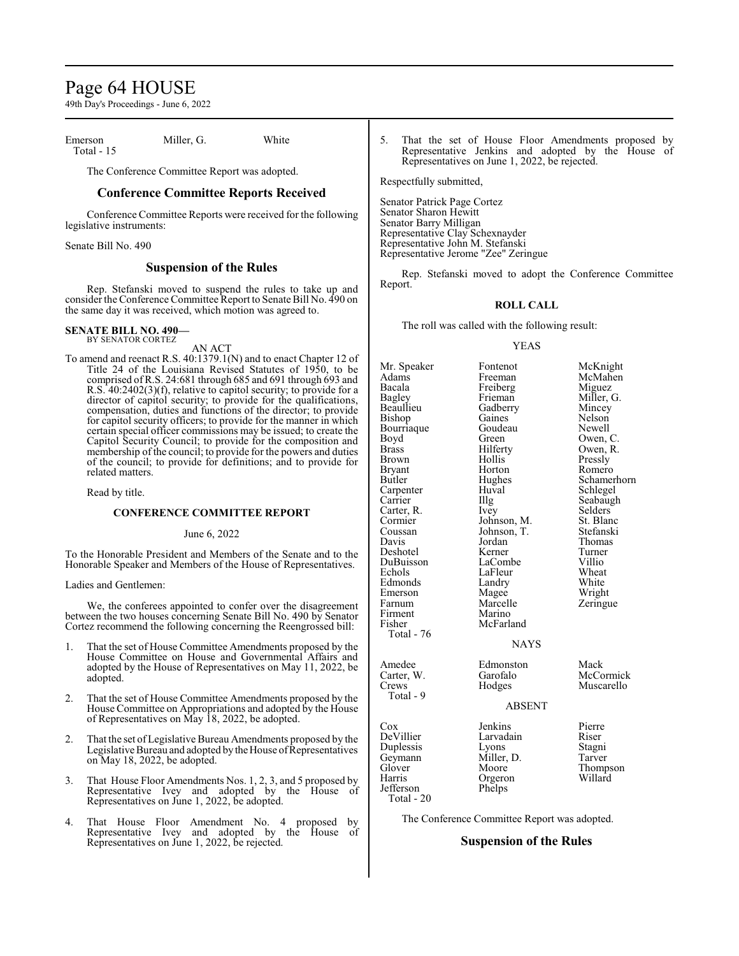# Page 64 HOUSE

49th Day's Proceedings - June 6, 2022

Emerson Miller, G. White Total - 15

The Conference Committee Report was adopted.

# **Conference Committee Reports Received**

Conference Committee Reports were received for the following legislative instruments:

Senate Bill No. 490

# **Suspension of the Rules**

Rep. Stefanski moved to suspend the rules to take up and consider the Conference Committee Report to Senate Bill No. 490 on the same day it was received, which motion was agreed to.

#### **SENATE BILL NO. 490—** BY SENATOR CORTEZ

AN ACT

To amend and reenact R.S. 40:1379.1(N) and to enact Chapter 12 of Title 24 of the Louisiana Revised Statutes of 1950, to be comprised ofR.S. 24:681 through 685 and 691 through 693 and R.S. 40:2402(3)(f), relative to capitol security; to provide for a director of capitol security; to provide for the qualifications, compensation, duties and functions of the director; to provide for capitol security officers; to provide for the manner in which certain special officer commissions may be issued; to create the Capitol Security Council; to provide for the composition and membership of the council; to provide for the powers and duties of the council; to provide for definitions; and to provide for related matters.

Read by title.

# **CONFERENCE COMMITTEE REPORT**

June 6, 2022

To the Honorable President and Members of the Senate and to the Honorable Speaker and Members of the House of Representatives.

#### Ladies and Gentlemen:

We, the conferees appointed to confer over the disagreement between the two houses concerning Senate Bill No. 490 by Senator Cortez recommend the following concerning the Reengrossed bill:

- 1. That the set of House Committee Amendments proposed by the House Committee on House and Governmental Affairs and adopted by the House of Representatives on May 11, 2022, be adopted.
- 2. That the set of House Committee Amendments proposed by the House Committee on Appropriations and adopted by the House of Representatives on May 18, 2022, be adopted.
- 2. That the set ofLegislative Bureau Amendments proposed by the Legislative Bureau and adopted by the House of Representatives on May 18, 2022, be adopted.
- 3. That House Floor Amendments Nos. 1, 2, 3, and 5 proposed by Representative Ivey and adopted by the House of Representatives on June 1, 2022, be adopted.
- 4. That House Floor Amendment No. 4 proposed by Representative Ivey and adopted by the House of Representatives on June 1, 2022, be rejected.

5. That the set of House Floor Amendments proposed by Representative Jenkins and adopted by the House of Representatives on June 1, 2022, be rejected.

Respectfully submitted,

Senator Patrick Page Cortez Senator Sharon Hewitt Senator Barry Milligan Representative Clay Schexnayder Representative John M. Stefanski Representative Jerome "Zee" Zeringue

Rep. Stefanski moved to adopt the Conference Committee Report.

#### **ROLL CALL**

The roll was called with the following result:

#### YEAS

Gadberry Mincey<br>Gaines Nelson

Hughes Schamerhorn<br>Huval Schlegel

Jordan Thomas<br>
Kerner Turner

LaFleur Wheat<br>Landry White

Marcelle Zeringue<br>Marino

Mr. Speaker Fontenot McKnight<br>
Adams Freeman McMahen Adams Freeman McMahen<br>Bacala Freiberg Miguez Bacala Freiberg Miguez Bagley Frieman Miller, G. Bishop Gaines Nelson<br>Bourriaque Goudeau Newell Bourriaque Goude<br>Boyd Green Boyd Green Owen, C.<br>Brass Hilferty Owen, R. Brass Hilferty Owen, R. Brown Hollis Pressly<br>Bryant Horton Romerc Bryant Horton Romero<br>Butler Hughes Schamer Carpenter Huval Schwarz<br>
Carrier Hug Carter, R. Ivey Selders Cormier Johnson, M. St. Blanc Cormier Johnson, M. St. Blanc<br>Coussan Johnson, T. Stefanski Coussan Johnson, T.<br>Davis Jordan Deshotel Kerner Turner DuBuisson LaCombe Villio Edmonds Landry White<br>
Emerson Magee Wright Emerson Magee<br>Farnum Marcelle Firment<br>Fisher Total - 76 Amedee Edmonston Mack<br>Carter, W. Garofalo McCc Carter, W. Garofalo McCormick<br>Crews Hodges Muscarello Total - 9 Cox Jenkins Pierre

Jefferson Total - 20

Larvadain Riser<br>
Lyons Stagni Duplessis Lyons Stagni<br>Geymann Miller, D. Tarver Geymann Miller,<br>Glover Moore Orgeron<br>Phelps

McFarland

Muscarello

Seabaugh<br>Selders

# ABSENT

NAYS

Glover Moore Thompson<br>
Harris Orgeron Willard

The Conference Committee Report was adopted.

# **Suspension of the Rules**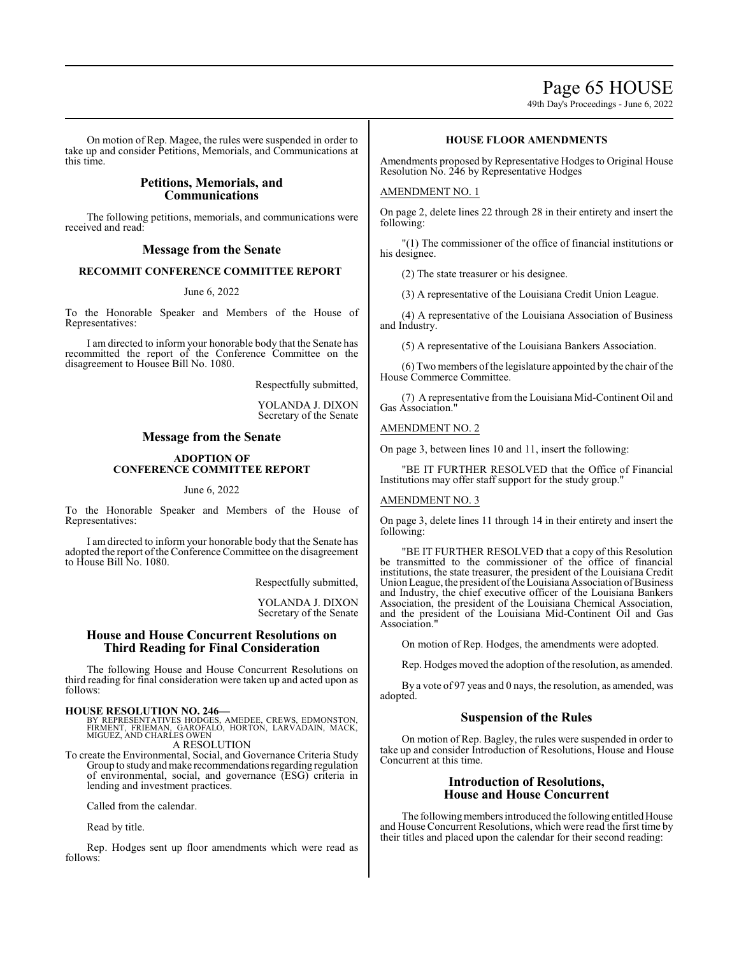49th Day's Proceedings - June 6, 2022

On motion of Rep. Magee, the rules were suspended in order to take up and consider Petitions, Memorials, and Communications at this time.

# **Petitions, Memorials, and Communications**

The following petitions, memorials, and communications were received and read:

# **Message from the Senate**

# **RECOMMIT CONFERENCE COMMITTEE REPORT**

#### June 6, 2022

To the Honorable Speaker and Members of the House of Representatives:

I am directed to inform your honorable body that the Senate has recommitted the report of the Conference Committee on the disagreement to Housee Bill No. 1080.

Respectfully submitted,

YOLANDA J. DIXON Secretary of the Senate

# **Message from the Senate**

### **ADOPTION OF CONFERENCE COMMITTEE REPORT**

### June 6, 2022

To the Honorable Speaker and Members of the House of Representatives:

I am directed to inform your honorable body that the Senate has adopted the report of the Conference Committee on the disagreement to House Bill No. 1080.

Respectfully submitted,

YOLANDA J. DIXON Secretary of the Senate

# **House and House Concurrent Resolutions on Third Reading for Final Consideration**

The following House and House Concurrent Resolutions on third reading for final consideration were taken up and acted upon as follows:

- **HOUSE RESOLUTION NO. 246—**<br>BY REPRESENTATIVES HODGES, AMEDEE, CREWS, EDMONSTON,<br>FIRMENT, FRIEMAN, GAROFALÓ, HORTON, LARVADAIN, MACK,<br>MIGUEZ, AND CHARLES OWEN A RESOLUTION
- To create the Environmental, Social, and Governance Criteria Study Group to study andmake recommendations regarding regulation of environmental, social, and governance (ESG) criteria in lending and investment practices.

Called from the calendar.

Read by title.

Rep. Hodges sent up floor amendments which were read as follows:

# **HOUSE FLOOR AMENDMENTS**

Amendments proposed by Representative Hodges to Original House Resolution No. 246 by Representative Hodges

# AMENDMENT NO. 1

On page 2, delete lines 22 through 28 in their entirety and insert the following:

"(1) The commissioner of the office of financial institutions or his designee.

(2) The state treasurer or his designee.

(3) A representative of the Louisiana Credit Union League.

(4) A representative of the Louisiana Association of Business and Industry.

(5) A representative of the Louisiana Bankers Association.

(6) Two members ofthe legislature appointed by the chair of the House Commerce Committee.

(7) A representative from the Louisiana Mid-Continent Oil and Gas Association."

# AMENDMENT NO. 2

On page 3, between lines 10 and 11, insert the following:

"BE IT FURTHER RESOLVED that the Office of Financial Institutions may offer staff support for the study group."

# AMENDMENT NO. 3

On page 3, delete lines 11 through 14 in their entirety and insert the following:

"BE IT FURTHER RESOLVED that a copy of this Resolution be transmitted to the commissioner of the office of financial institutions, the state treasurer, the president of the Louisiana Credit Union League, the president of the Louisiana Association of Business and Industry, the chief executive officer of the Louisiana Bankers Association, the president of the Louisiana Chemical Association, and the president of the Louisiana Mid-Continent Oil and Gas Association.

On motion of Rep. Hodges, the amendments were adopted.

Rep. Hodges moved the adoption of the resolution, as amended.

By a vote of 97 yeas and 0 nays, the resolution, as amended, was adopted.

# **Suspension of the Rules**

On motion of Rep. Bagley, the rules were suspended in order to take up and consider Introduction of Resolutions, House and House Concurrent at this time.

# **Introduction of Resolutions, House and House Concurrent**

The following members introduced the following entitled House and House Concurrent Resolutions, which were read the first time by their titles and placed upon the calendar for their second reading: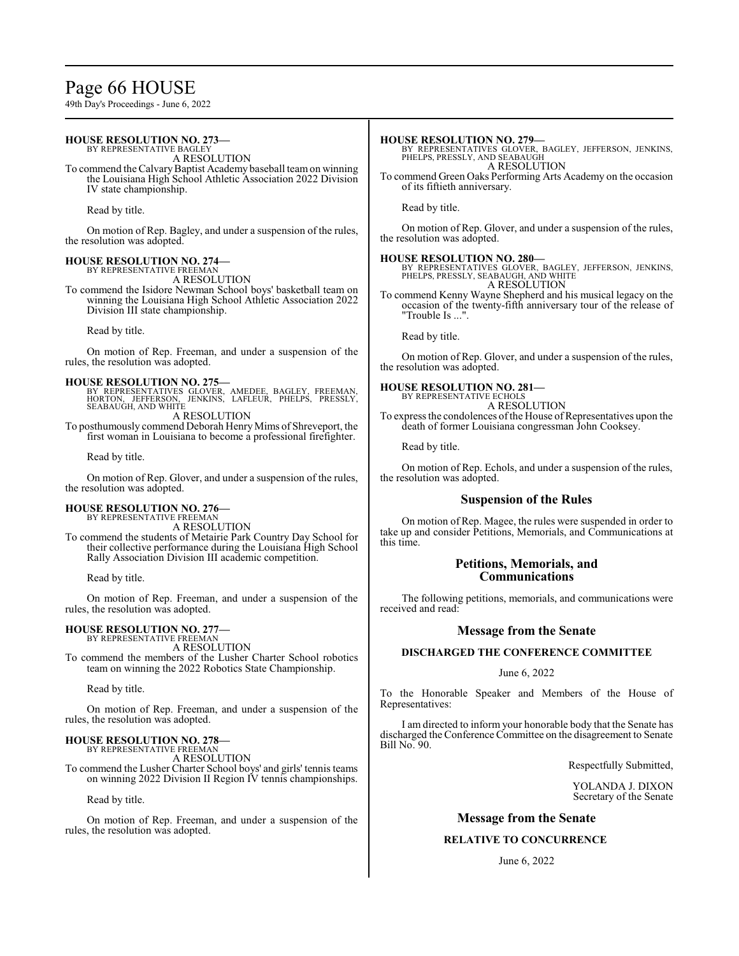# Page 66 HOUSE

49th Day's Proceedings - June 6, 2022

#### **HOUSE RESOLUTION NO. 273—** BY REPRESENTATIVE BAGLEY A RESOLUTION To commend the Calvary Baptist Academy baseball team on winning the Louisiana High School Athletic Association 2022 Division IV state championship. Read by title. On motion of Rep. Bagley, and under a suspension of the rules, the resolution was adopted. **HOUSE RESOLUTION NO. 274—** BY REPRESENTATIVE FREEMAN A RESOLUTION To commend the Isidore Newman School boys' basketball team on winning the Louisiana High School Athletic Association 2022 Division III state championship. Read by title. On motion of Rep. Freeman, and under a suspension of the rules, the resolution was adopted. **HOUSE RESOLUTION NO. 275** BY REPRESENTATIVES GLOVER, AMEDEE, BAGLEY, FREEMAN, HORTON, JEFFERSON, JENKINS, LAFLEUR, PHELPS, PRESSLY, SEABAUGH, AND WHITE A RESOLUTION To posthumously commend Deborah Henry Mims of Shreveport, the first woman in Louisiana to become a professional firefighter. Read by title. On motion of Rep. Glover, and under a suspension of the rules, the resolution was adopted. **HOUSE RESOLUTION NO. 276—** BY REPRESENTATIVE FREEMAN A RESOLUTION To commend the students of Metairie Park Country Day School for their collective performance during the Louisiana High School Rally Association Division III academic competition. **HOUSE RESOLUTION NO. 279—** BY REPRESENTATIVES GLOVER, BAGLEY, JEFFERSON, JENKINS, PHELPS, PRESSLY, AND SEABAUGH A RESOLUTION To commend Green Oaks Performing Arts Academy on the occasion of its fiftieth anniversary. Read by title. On motion of Rep. Glover, and under a suspension of the rules, the resolution was adopted. **HOUSE RESOLUTION NO. 280—** BY REPRESENTATIVES GLOVER, BAGLEY, JEFFERSON, JENKINS, PHELPS, PRESSLY, SEABAUGH, AND WHITE A RESOLUTION To commend Kenny Wayne Shepherd and his musical legacy on the occasion of the twenty-fifth anniversary tour of the release of "Trouble Is ...". Read by title. On motion of Rep. Glover, and under a suspension of the rules, the resolution was adopted. **HOUSE RESOLUTION NO. 281—** BY REPRESENTATIVE ECHOLS A RESOLUTION To express the condolences of the House of Representatives upon the death of former Louisiana congressman John Cooksey. Read by title. On motion of Rep. Echols, and under a suspension of the rules, the resolution was adopted. **Suspension of the Rules** On motion of Rep. Magee, the rules were suspended in order to take up and consider Petitions, Memorials, and Communications at this time. **Petitions, Memorials, and**

Read by title.

On motion of Rep. Freeman, and under a suspension of the rules, the resolution was adopted.

# **HOUSE RESOLUTION NO. 277—** BY REPRESENTATIVE FREEMAN

A RESOLUTION

To commend the members of the Lusher Charter School robotics team on winning the 2022 Robotics State Championship.

Read by title.

On motion of Rep. Freeman, and under a suspension of the rules, the resolution was adopted.

# **HOUSE RESOLUTION NO. 278—** BY REPRESENTATIVE FREEMAN

A RESOLUTION

To commend the Lusher Charter School boys' and girls' tennis teams on winning 2022 Division II Region IV tennis championships.

Read by title.

On motion of Rep. Freeman, and under a suspension of the rules, the resolution was adopted.

# **Communications**

The following petitions, memorials, and communications were received and read:

# **Message from the Senate**

# **DISCHARGED THE CONFERENCE COMMITTEE**

June 6, 2022

To the Honorable Speaker and Members of the House of Representatives:

I am directed to inform your honorable body that the Senate has discharged the Conference Committee on the disagreement to Senate Bill No. 90.

Respectfully Submitted,

YOLANDA J. DIXON Secretary of the Senate

# **Message from the Senate**

# **RELATIVE TO CONCURRENCE**

June 6, 2022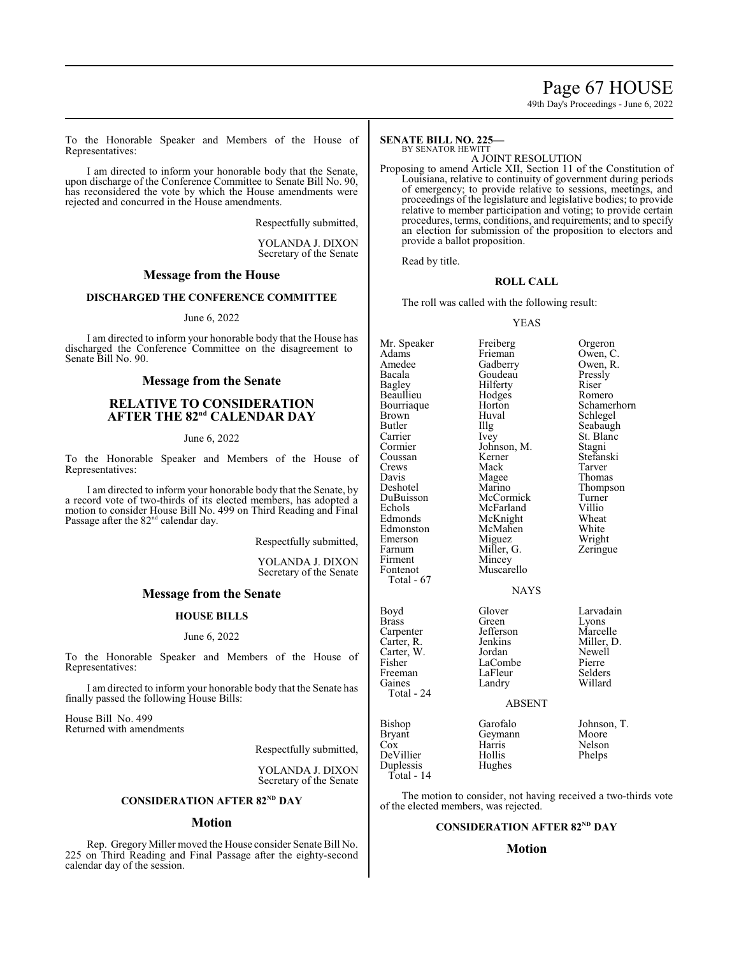# Page 67 HOUSE

49th Day's Proceedings - June 6, 2022

To the Honorable Speaker and Members of the House of Representatives:

I am directed to inform your honorable body that the Senate, upon discharge of the Conference Committee to Senate Bill No. 90, has reconsidered the vote by which the House amendments were rejected and concurred in the House amendments.

Respectfully submitted,

YOLANDA J. DIXON Secretary of the Senate

# **Message from the House**

# **DISCHARGED THE CONFERENCE COMMITTEE**

June 6, 2022

I am directed to inform your honorable body that the House has discharged the Conference Committee on the disagreement to Senate Bill No. 90.

# **Message from the Senate**

# **RELATIVE TO CONSIDERATION**  $A$ **FTER THE**  $82^{nd}$  **CALENDAR DAY**

June 6, 2022

To the Honorable Speaker and Members of the House of Representatives:

I am directed to inform your honorable body that the Senate, by a record vote of two-thirds of its elected members, has adopted a motion to consider House Bill No. 499 on Third Reading and Final Passage after the 82<sup>nd</sup> calendar day.

Respectfully submitted,

YOLANDA J. DIXON Secretary of the Senate

# **Message from the Senate**

# **HOUSE BILLS**

#### June 6, 2022

To the Honorable Speaker and Members of the House of Representatives:

I am directed to inform your honorable body that the Senate has finally passed the following House Bills:

House Bill No. 499 Returned with amendments

Respectfully submitted,

YOLANDA J. DIXON Secretary of the Senate

### **CONSIDERATION AFTER 82<sup>ND</sup> DAY**

# **Motion**

Rep. Gregory Miller moved the House consider Senate Bill No. 225 on Third Reading and Final Passage after the eighty-second calendar day of the session.

#### **SENATE BILL NO. 225—** BY SENATOR HEWITT

A JOINT RESOLUTION

Proposing to amend Article XII, Section 11 of the Constitution of Louisiana, relative to continuity of government during periods of emergency; to provide relative to sessions, meetings, and proceedings of the legislature and legislative bodies; to provide relative to member participation and voting; to provide certain procedures, terms, conditions, and requirements; and to specify an election for submission of the proposition to electors and provide a ballot proposition.

Read by title.

# **ROLL CALL**

The roll was called with the following result:

#### YEAS

Mr. Speaker Freiberg Grgeron<br>Adams Frieman Owen, C Adams Frieman Owen, C.<br>Amedee Gadberry Owen, R. Amedee Gadberry Owen, Recala Goudeau Pressly Bacala Goudeau Pressly Beaullieu Hodges<br>Bourriaque Horton Bourriaque Horton Schamerhorn<br>Brown Huval Schlegel Brown Huval Schlegel<br>Butler IIIg Seabaugl Butler Illg Seabaugh<br>Carrier Ivey St. Blanc Carrier Ivey St. Blanc<br>Cormier Johnson, M. Stagni Cormier Johnson, M.<br>Coussan Kerner Coussan Kerner Stefanski Crews Mack Tarver<br>
Davis Magee Thomas Davis Magee<br>Deshotel Marino Deshotel Marino Thompson DuBuisson McCormick Turner Echols McFarland Villio<br>Edmonds McKnight Wheat Edmonston McMahen White<br>
Emerson Miguez Wright Emerson Miguez Wright<br>
Farnum Miller, G. Zeringue Firment<br>Fontenot

Total - 67

McKnight Wheat<br>
McMahen White Miller, G.<br>Mincey Muscarello

Hilferty<br>
Hodges Romero

# **NAYS**

| Boyd       | Glover        | Larvadain   |
|------------|---------------|-------------|
| Brass      | Green         | Lyons       |
| Carpenter  | Jefferson     | Marcelle    |
| Carter, R. | Jenkins       | Miller, D.  |
| Carter, W. | Jordan        | Newell      |
| Fisher     | LaCombe       | Pierre      |
| Freeman    | LaFleur       | Selders     |
| Gaines     | Landry        | Willard     |
| Total - 24 |               |             |
|            | <b>ABSENT</b> |             |
| Bishop     | Garofalo      | Johnson, T. |
| Bryant     | Geymann       | Moore       |
| Cox        | Harris        | Nelson      |
| DeVillier  | Hollis        | Phelps      |
| Duplessis  | Hughes        |             |

Total - 14

The motion to consider, not having received a two-thirds vote of the elected members, was rejected.

# **CONSIDERATION AFTER 82ND DAY**

# **Motion**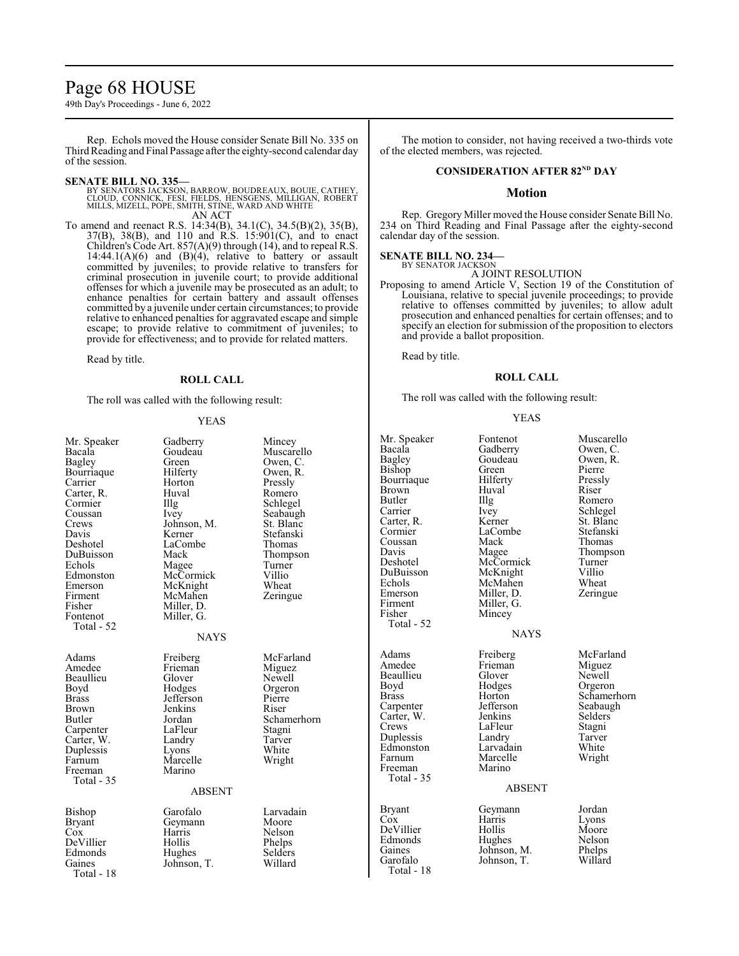# Page 68 HOUSE

49th Day's Proceedings - June 6, 2022

Rep. Echols moved the House consider Senate Bill No. 335 on Third Reading and Final Passage after the eighty-second calendar day of the session.

#### **SENATE BILL NO. 335—**

BY SENATORS JACKSON, BARROW, BOUDREAUX, BOUIE, CATHEY,<br>CLOUD, CONNICK, FESI, FIELDS, HENSGENS, MILLIGAN, ROBERT<br>MILLS, MIZELL, POPE, SMITH, STINE, WARD AND WHITE AN ACT

To amend and reenact R.S. 14:34(B), 34.1(C), 34.5(B)(2), 35(B), 37(B), 38(B), and 110 and R.S. 15:901(C), and to enact Children's Code Art.  $857(A)(9)$  through (14), and to repeal R.S. 14:44.1(A)(6) and (B)(4), relative to battery or assault committed by juveniles; to provide relative to transfers for criminal prosecution in juvenile court; to provide additional offenses for which a juvenile may be prosecuted as an adult; to enhance penalties for certain battery and assault offenses committed by a juvenile under certain circumstances; to provide relative to enhanced penalties for aggravated escape and simple escape; to provide relative to commitment of juveniles; to provide for effectiveness; and to provide for related matters.

Read by title.

# **ROLL CALL**

The roll was called with the following result:

YEAS

| Mr. Speaker<br>Bacala<br>Bagley<br>Bourriaque<br>Carrier<br>Carter, R.<br>Cormier<br>Coussan<br>Crews<br>Davis<br>Deshotel<br>DuBuisson<br>Echols<br>Edmonston<br>Emerson<br>Firment<br>Fisher<br>Fontenot<br>Total - 52 | Gadberry<br>Goudeau<br>Green<br>Hilferty<br>Horton<br>Huval<br>Illg<br>Ivey<br>Johnson, M.<br>Kerner<br>LaCombe<br>Mack<br>Magee<br>McCormick<br>McKnight<br>McMahen<br>Miller, D.<br>Miller, G.<br><b>NAYS</b> | Mincey<br>Muscarello<br>Owen, C.<br>Owen, R.<br>Pressly<br>Romero<br>Schlegel<br>Seabaugh<br>St. Blanc<br>Stefanski<br>Thomas<br>Thompson<br>Turner<br>Villio<br>Wheat<br>Zeringue | Mr. Speaker<br>Bacala<br>Bagley<br><b>Bishop</b><br>Bourriaque<br>Brown<br>Butler<br>Carrier<br>Carter, R.<br>Cormier<br>Coussan<br>Davis<br>Deshotel<br>DuBuisson<br>Echols<br>Emerson<br>Firment<br>Fisher<br>Total - 52 |
|--------------------------------------------------------------------------------------------------------------------------------------------------------------------------------------------------------------------------|-----------------------------------------------------------------------------------------------------------------------------------------------------------------------------------------------------------------|------------------------------------------------------------------------------------------------------------------------------------------------------------------------------------|----------------------------------------------------------------------------------------------------------------------------------------------------------------------------------------------------------------------------|
| Adams<br>Amedee<br>Beaullieu<br>Boyd<br><b>Brass</b><br>Brown<br>Butler<br>Carpenter<br>Carter, W.<br>Duplessis<br>Farnum<br>Freeman<br>Total - 35                                                                       | Freiberg<br>Frieman<br>Glover<br>Hodges<br>Jefferson<br>Jenkins<br>Jordan<br>LaFleur<br>Landry<br>Lyons<br>Marcelle<br>Marino<br><b>ABSENT</b>                                                                  | McFarland<br>Miguez<br>Newell<br>Orgeron<br>Pierre<br>Riser<br>Schamerhorn<br>Stagni<br>Tarver<br>White<br>Wright                                                                  | Adams<br>Amedee<br>Beaullieu<br>Boyd<br><b>Brass</b><br>Carpenter<br>Carter, W.<br>Crews<br>Duplessis<br>Edmonston<br>Farnum<br>Freeman<br>Total - 35                                                                      |
| Bishop<br>Bryant<br>Cox<br>DeVillier<br>Edmonds<br>Gaines<br>Total - 18                                                                                                                                                  | Garofalo<br>Geymann<br>Harris<br>Hollis<br>Hughes<br>Johnson, T.                                                                                                                                                | Larvadain<br>Moore<br>Nelson<br>Phelps<br>Selders<br>Willard                                                                                                                       | <b>Bryant</b><br>$\cos$<br>DeVillier<br>Edmonds<br>Gaines<br>Garofalo<br>Total - 18                                                                                                                                        |

The motion to consider, not having received a two-thirds vote of the elected members, was rejected.

### **CONSIDERATION AFTER 82<sup>ND</sup> DAY**

#### **Motion**

Rep. Gregory Miller moved the House consider Senate Bill No. 234 on Third Reading and Final Passage after the eighty-second calendar day of the session.

# **SENATE BILL NO. 234—** BY SENATOR JACKSON

A JOINT RESOLUTION

Proposing to amend Article V, Section 19 of the Constitution of Louisiana, relative to special juvenile proceedings; to provide relative to offenses committed by juveniles; to allow adult prosecution and enhanced penalties for certain offenses; and to specify an election for submission of the proposition to electors and provide a ballot proposition.

Read by title.

#### **ROLL CALL**

The roll was called with the following result:

YEAS

| Mr. Speaker   | Fontenot      | Muscarello  |
|---------------|---------------|-------------|
| Bacala        | Gadberry      | Owen, C.    |
| Bagley        | Goudeau       | Owen, R.    |
| Bishop        | Green         | Pierre      |
| Bourriaque    | Hilferty      | Pressly     |
| Brown         | Huval         | Riser       |
| Butler        | Illg          | Romero      |
| Carrier       | Ivey          | Schlegel    |
| Carter, R.    | Kerner        | St. Blanc   |
| Cormier       | LaCombe       | Stefanski   |
| Coussan       | Mack          | Thomas      |
| Davis         | Magee         | Thompson    |
| Deshotel      | McCormick     | Turner      |
| DuBuisson     | McKnight      | Villio      |
| Echols        | McMahen       | Wheat       |
| Emerson       | Miller, D.    | Zeringue    |
| Firment       | Miller, G.    |             |
| Fisher        | Mincey        |             |
| Total - 52    |               |             |
|               | <b>NAYS</b>   |             |
| Adams         | Freiberg      | McFarland   |
| Amedee        | Frieman       | Miguez      |
| Beaullieu     | Glover        | Newell      |
| Boyd          | Hodges        | Orgeron     |
| <b>Brass</b>  | Horton        | Schamerhorn |
| Carpenter     | Jefferson     | Seabaugh    |
| Carter, W.    | Jenkins       | Selders     |
| Crews         | LaFleur       | Stagni      |
| Duplessis     | Landry        | Tarver      |
| Edmonston     | Larvadain     | White       |
| Farnum        | Marcelle      | Wright      |
| Freeman       | Marino        |             |
| Total - 35    |               |             |
|               | <b>ABSENT</b> |             |
| <b>Bryant</b> | Geymann       | Jordan      |
| Cox           | Harris        | Lyons       |
| DeVillier     | Hollis        | Moore       |
| Edmonds       | Hughes        | Nelson      |
| Gaines        | Johnson, M.   | Phelps      |
| Garofalo      | Johnson. T.   | Willard     |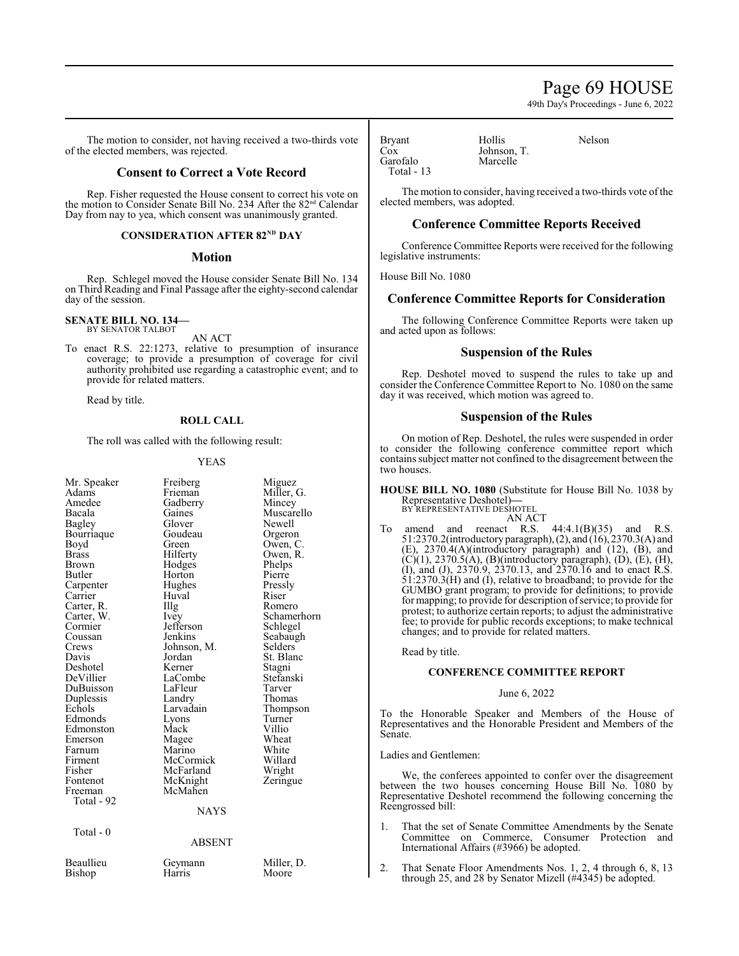# Page 69 HOUSE

49th Day's Proceedings - June 6, 2022

The motion to consider, not having received a two-thirds vote of the elected members, was rejected.

# **Consent to Correct a Vote Record**

Rep. Fisher requested the House consent to correct his vote on the motion to Consider Senate Bill No. 234 After the 82<sup>nd</sup> Calendar Day from nay to yea, which consent was unanimously granted.

# **CONSIDERATION AFTER 82<sup>ND</sup> DAY**

# **Motion**

Rep. Schlegel moved the House consider Senate Bill No. 134 on Third Reading and Final Passage after the eighty-second calendar day of the session.

#### **SENATE BILL NO. 134—** BY SENATOR TALBOT

AN ACT

To enact R.S. 22:1273, relative to presumption of insurance coverage; to provide a presumption of coverage for civil authority prohibited use regarding a catastrophic event; and to provide for related matters.

Read by title.

#### **ROLL CALL**

The roll was called with the following result:

#### YEAS

| Mr. Speaker<br>Adams<br>Amedee<br>Bacala<br>Bagley<br>Bourriaque<br>Boyd<br><b>Brass</b><br>Brown<br>Butler<br>Carpenter<br>Carrier<br>Carter, R.<br>Carter, W.<br>Cormier<br>Coussan<br>Crews<br>Davis<br>Deshotel<br>DeVillier<br>DuBuisson<br>Duplessis<br>Echols<br>Edmonds<br>Edmonston<br>Emerson<br>Farnum | Freiberg<br>Frieman<br>Gadberry<br>Gaines<br>Glover<br>Goudeau<br>Green<br>Hilferty<br>Hodges<br>Horton<br>Hughes<br>Huval<br>Illg<br>Ivey<br>Jefferson<br>Jenkins<br>Johnson, M.<br>Jordan<br>Kerner<br>LaCombe<br>LaFleur<br>Landry<br>Larvadain<br>Lyons<br>Mack<br>Magee<br>Marino | Miguez<br>Miller, G.<br>Mincey<br>Muscarello<br>Newell<br>Orgeron<br>Owen, C.<br>Owen, R.<br>Phelps<br>Pierre<br>Pressly<br>Riser<br>Romero<br>Schamerhorn<br>Schlegel<br>Seabaugh<br>Selders<br>St. Blanc<br>Stagni<br>Stefanski<br>Tarver<br>Thomas<br>Thompson<br>Turner<br>Villio<br>Wheat<br>White |  |
|-------------------------------------------------------------------------------------------------------------------------------------------------------------------------------------------------------------------------------------------------------------------------------------------------------------------|----------------------------------------------------------------------------------------------------------------------------------------------------------------------------------------------------------------------------------------------------------------------------------------|---------------------------------------------------------------------------------------------------------------------------------------------------------------------------------------------------------------------------------------------------------------------------------------------------------|--|
|                                                                                                                                                                                                                                                                                                                   |                                                                                                                                                                                                                                                                                        |                                                                                                                                                                                                                                                                                                         |  |
|                                                                                                                                                                                                                                                                                                                   |                                                                                                                                                                                                                                                                                        |                                                                                                                                                                                                                                                                                                         |  |
|                                                                                                                                                                                                                                                                                                                   |                                                                                                                                                                                                                                                                                        |                                                                                                                                                                                                                                                                                                         |  |
|                                                                                                                                                                                                                                                                                                                   |                                                                                                                                                                                                                                                                                        |                                                                                                                                                                                                                                                                                                         |  |
|                                                                                                                                                                                                                                                                                                                   |                                                                                                                                                                                                                                                                                        |                                                                                                                                                                                                                                                                                                         |  |
|                                                                                                                                                                                                                                                                                                                   |                                                                                                                                                                                                                                                                                        |                                                                                                                                                                                                                                                                                                         |  |
|                                                                                                                                                                                                                                                                                                                   |                                                                                                                                                                                                                                                                                        |                                                                                                                                                                                                                                                                                                         |  |
|                                                                                                                                                                                                                                                                                                                   |                                                                                                                                                                                                                                                                                        |                                                                                                                                                                                                                                                                                                         |  |
|                                                                                                                                                                                                                                                                                                                   |                                                                                                                                                                                                                                                                                        |                                                                                                                                                                                                                                                                                                         |  |
|                                                                                                                                                                                                                                                                                                                   |                                                                                                                                                                                                                                                                                        |                                                                                                                                                                                                                                                                                                         |  |
|                                                                                                                                                                                                                                                                                                                   |                                                                                                                                                                                                                                                                                        |                                                                                                                                                                                                                                                                                                         |  |
|                                                                                                                                                                                                                                                                                                                   |                                                                                                                                                                                                                                                                                        |                                                                                                                                                                                                                                                                                                         |  |
|                                                                                                                                                                                                                                                                                                                   |                                                                                                                                                                                                                                                                                        |                                                                                                                                                                                                                                                                                                         |  |
|                                                                                                                                                                                                                                                                                                                   |                                                                                                                                                                                                                                                                                        |                                                                                                                                                                                                                                                                                                         |  |
| Firment                                                                                                                                                                                                                                                                                                           | McCormick                                                                                                                                                                                                                                                                              | Willard                                                                                                                                                                                                                                                                                                 |  |
| Fisher                                                                                                                                                                                                                                                                                                            | McFarland                                                                                                                                                                                                                                                                              | Wright                                                                                                                                                                                                                                                                                                  |  |
| Fontenot                                                                                                                                                                                                                                                                                                          | McKnight                                                                                                                                                                                                                                                                               | Zeringue                                                                                                                                                                                                                                                                                                |  |
| Freeman                                                                                                                                                                                                                                                                                                           | McMahen                                                                                                                                                                                                                                                                                |                                                                                                                                                                                                                                                                                                         |  |
| Total - 92                                                                                                                                                                                                                                                                                                        |                                                                                                                                                                                                                                                                                        |                                                                                                                                                                                                                                                                                                         |  |
|                                                                                                                                                                                                                                                                                                                   | <b>NAYS</b>                                                                                                                                                                                                                                                                            |                                                                                                                                                                                                                                                                                                         |  |
| Total - $0$                                                                                                                                                                                                                                                                                                       |                                                                                                                                                                                                                                                                                        |                                                                                                                                                                                                                                                                                                         |  |
| <b>ABSENT</b>                                                                                                                                                                                                                                                                                                     |                                                                                                                                                                                                                                                                                        |                                                                                                                                                                                                                                                                                                         |  |
| Beaullieu                                                                                                                                                                                                                                                                                                         | Geymann                                                                                                                                                                                                                                                                                | Miller, D.                                                                                                                                                                                                                                                                                              |  |
| Bishop                                                                                                                                                                                                                                                                                                            | Harris                                                                                                                                                                                                                                                                                 | Moore                                                                                                                                                                                                                                                                                                   |  |
|                                                                                                                                                                                                                                                                                                                   |                                                                                                                                                                                                                                                                                        |                                                                                                                                                                                                                                                                                                         |  |

Bryant Hollis Nelson<br>Cox Iohnson T Garofalo Total - 13

The motion to consider, having received a two-thirds vote of the elected members, was adopted.

# **Conference Committee Reports Received**

Johnson, T.<br>Marcelle

Conference Committee Reports were received for the following legislative instruments:

House Bill No. 1080

# **Conference Committee Reports for Consideration**

The following Conference Committee Reports were taken up and acted upon as follows:

# **Suspension of the Rules**

Rep. Deshotel moved to suspend the rules to take up and consider the Conference Committee Report to No. 1080 on the same day it was received, which motion was agreed to.

# **Suspension of the Rules**

On motion of Rep. Deshotel, the rules were suspended in order to consider the following conference committee report which contains subject matter not confined to the disagreement between the two houses.

**HOUSE BILL NO. 1080** (Substitute for House Bill No. 1038 by Representative Deshotel)**—**

BY REPRESENTATIVE DESHOTEL AN ACT

To amend and reenact R.S.  $44:4.1(B)(35)$  and R.S. 51:2370.2(introductory paragraph),(2), and (16), 2370.3(A) and (E), 2370.4(A)(introductory paragraph) and (12), (B), and  $(C)(1)$ , 2370.5(A), (B)(introductory paragraph), (D), (E), (H), (I), and (J), 2370.9, 2370.13, and 2370.16 and to enact R.S. 51:2370.3(H) and (I), relative to broadband; to provide for the GUMBO grant program; to provide for definitions; to provide for mapping; to provide for description ofservice; to provide for protest; to authorize certain reports; to adjust the administrative fee; to provide for public records exceptions; to make technical changes; and to provide for related matters.

Read by title.

### **CONFERENCE COMMITTEE REPORT**

#### June 6, 2022

To the Honorable Speaker and Members of the House of Representatives and the Honorable President and Members of the Senate.

#### Ladies and Gentlemen:

We, the conferees appointed to confer over the disagreement between the two houses concerning House Bill No. 1080 by Representative Deshotel recommend the following concerning the Reengrossed bill:

- 1. That the set of Senate Committee Amendments by the Senate Committee on Commerce, Consumer Protection and International Affairs (#3966) be adopted.
- 2. That Senate Floor Amendments Nos. 1, 2, 4 through 6, 8, 13 through 25, and 28 by Senator Mizell (#4345) be adopted.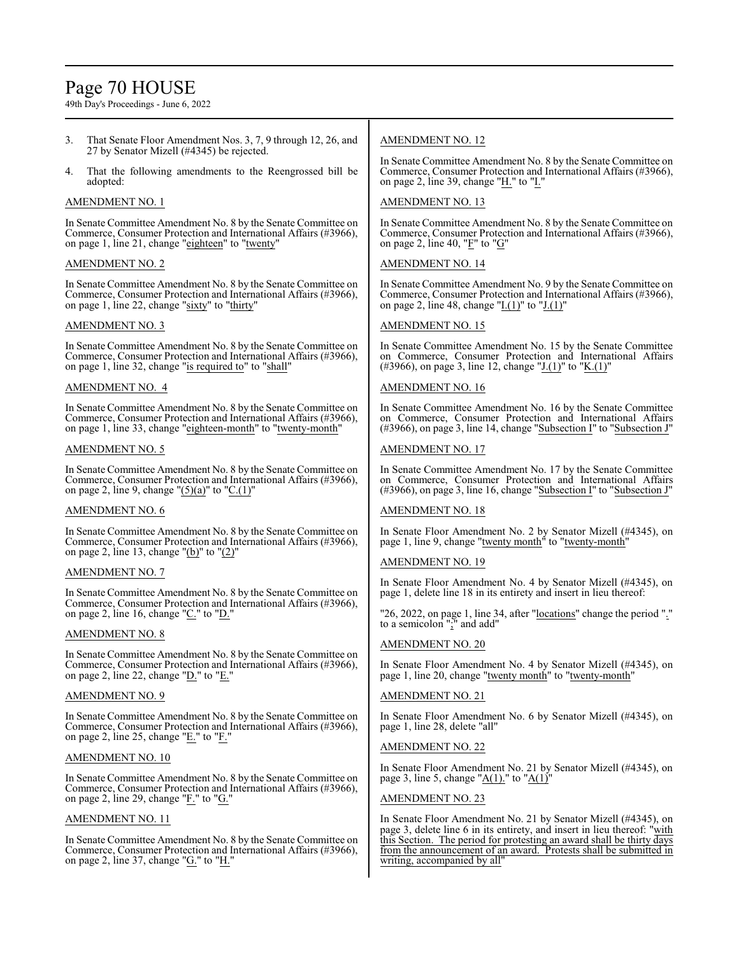# Page 70 HOUSE

49th Day's Proceedings - June 6, 2022

- 3. That Senate Floor Amendment Nos. 3, 7, 9 through 12, 26, and 27 by Senator Mizell (#4345) be rejected.
- 4. That the following amendments to the Reengrossed bill be adopted:

# AMENDMENT NO. 1

In Senate Committee Amendment No. 8 by the Senate Committee on Commerce, Consumer Protection and International Affairs (#3966), on page 1, line 21, change "eighteen" to "twenty"

# AMENDMENT NO. 2

In Senate Committee Amendment No. 8 by the Senate Committee on Commerce, Consumer Protection and International Affairs (#3966), on page 1, line 22, change "sixty" to "thirty"

# AMENDMENT NO. 3

In Senate Committee Amendment No. 8 by the Senate Committee on Commerce, Consumer Protection and International Affairs (#3966), on page 1, line 32, change "is required to" to "shall"

# AMENDMENT NO. 4

In Senate Committee Amendment No. 8 by the Senate Committee on Commerce, Consumer Protection and International Affairs (#3966), on page 1, line 33, change "eighteen-month" to "twenty-month"

# AMENDMENT NO. 5

In Senate Committee Amendment No. 8 by the Senate Committee on Commerce, Consumer Protection and International Affairs (#3966), on page 2, line 9, change " $(5)(a)$ " to "C.(1)"

# AMENDMENT NO. 6

In Senate Committee Amendment No. 8 by the Senate Committee on Commerce, Consumer Protection and International Affairs (#3966), on page 2, line 13, change " $(b)$ " to " $(2)$ "

# AMENDMENT NO. 7

In Senate Committee Amendment No. 8 by the Senate Committee on Commerce, Consumer Protection and International Affairs (#3966), on page 2, line 16, change " $C$ ." to " $D$ ."

# AMENDMENT NO. 8

In Senate Committee Amendment No. 8 by the Senate Committee on Commerce, Consumer Protection and International Affairs (#3966), on page 2, line 22, change " $\underline{D}$ ." to " $\underline{E}$ ."

# AMENDMENT NO. 9

In Senate Committee Amendment No. 8 by the Senate Committee on Commerce, Consumer Protection and International Affairs (#3966), on page 2, line 25, change " $E$ ." to " $F$ ."

# AMENDMENT NO. 10

In Senate Committee Amendment No. 8 by the Senate Committee on Commerce, Consumer Protection and International Affairs (#3966), on page 2, line 29, change "F." to "G."

# AMENDMENT NO. 11

In Senate Committee Amendment No. 8 by the Senate Committee on Commerce, Consumer Protection and International Affairs (#3966), on page 2, line 37, change " $G$ ." to " $H$ ."

# AMENDMENT NO. 12

In Senate Committee Amendment No. 8 by the Senate Committee on Commerce, Consumer Protection and International Affairs (#3966), on page 2, line 39, change "H." to "I."

# AMENDMENT NO. 13

In Senate Committee Amendment No. 8 by the Senate Committee on Commerce, Consumer Protection and International Affairs (#3966), on page 2, line 40, " $\underline{F}$ " to " $\underline{G}$ "

# AMENDMENT NO. 14

In Senate Committee Amendment No. 9 by the Senate Committee on Commerce, Consumer Protection and International Affairs (#3966), on page 2, line 48, change "I.(1)" to "J.(1)"

# AMENDMENT NO. 15

In Senate Committee Amendment No. 15 by the Senate Committee on Commerce, Consumer Protection and International Affairs (#3966), on page 3, line 12, change "J.(1)" to "K.(1)"

# AMENDMENT NO. 16

In Senate Committee Amendment No. 16 by the Senate Committee on Commerce, Consumer Protection and International Affairs (#3966), on page 3, line 14, change "Subsection I" to "Subsection J"

# AMENDMENT NO. 17

In Senate Committee Amendment No. 17 by the Senate Committee on Commerce, Consumer Protection and International Affairs (#3966), on page 3, line 16, change "Subsection I" to "Subsection J"

# AMENDMENT NO. 18

In Senate Floor Amendment No. 2 by Senator Mizell (#4345), on page 1, line 9, change "twenty month" to "twenty-month"

# AMENDMENT NO. 19

In Senate Floor Amendment No. 4 by Senator Mizell (#4345), on page 1, delete line 18 in its entirety and insert in lieu thereof:

"26, 2022, on page 1, line 34, after "locations" change the period "." to a semicolon ";" and add"

# AMENDMENT NO. 20

In Senate Floor Amendment No. 4 by Senator Mizell (#4345), on page 1, line 20, change "twenty month" to "twenty-month"

# AMENDMENT NO. 21

In Senate Floor Amendment No. 6 by Senator Mizell (#4345), on page 1, line 28, delete "all"

# AMENDMENT NO. 22

In Senate Floor Amendment No. 21 by Senator Mizell (#4345), on page 3, line 5, change "A(1)." to "A(1)"

# AMENDMENT NO. 23

In Senate Floor Amendment No. 21 by Senator Mizell (#4345), on page 3, delete line 6 in its entirety, and insert in lieu thereof: "with this Section. The period for protesting an award shall be thirty days from the announcement of an award. Protests shall be submitted in writing, accompanied by all"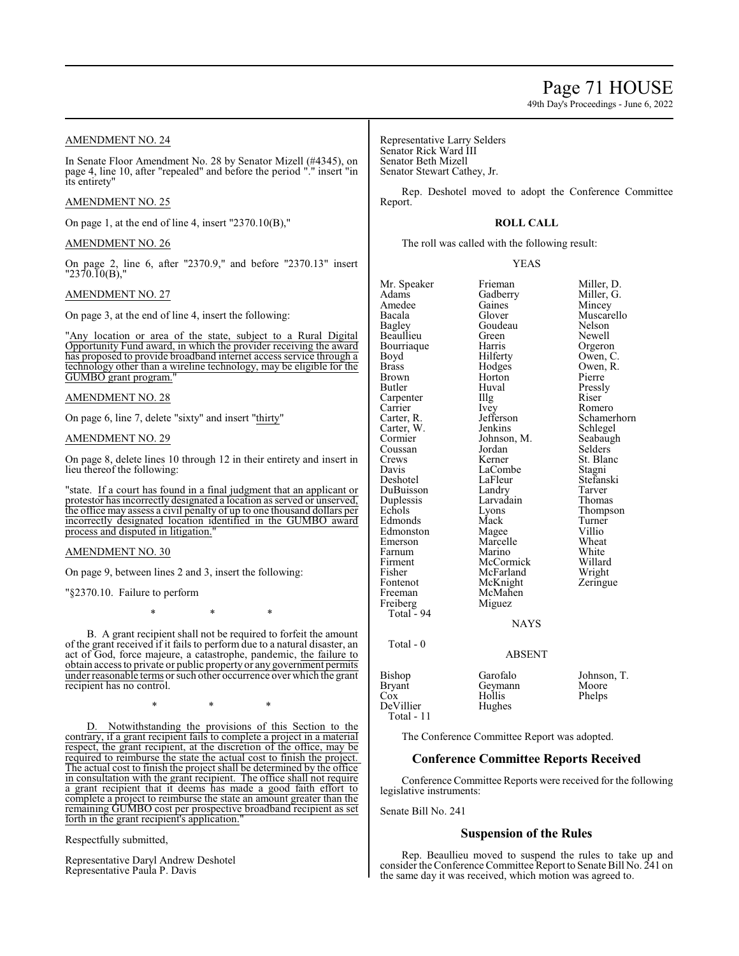49th Day's Proceedings - June 6, 2022

# AMENDMENT NO. 24

In Senate Floor Amendment No. 28 by Senator Mizell (#4345), on page 4, line 10, after "repealed" and before the period "." insert "in its entirety"

# AMENDMENT NO. 25

On page 1, at the end of line 4, insert "2370.10(B),"

#### AMENDMENT NO. 26

On page 2, line 6, after "2370.9," and before "2370.13" insert "2370.10(B),"

# AMENDMENT NO. 27

On page 3, at the end of line 4, insert the following:

"Any location or area of the state, subject to a Rural Digital Opportunity Fund award, in which the provider receiving the award has proposed to provide broadband internet access service through a technology other than a wireline technology, may be eligible for the GUMBO grant program.

AMENDMENT NO. 28

On page 6, line 7, delete "sixty" and insert "thirty"

AMENDMENT NO. 29

On page 8, delete lines 10 through 12 in their entirety and insert in lieu thereof the following:

"state. If a court has found in a final judgment that an applicant or protestor has incorrectly designated a location as served or unserved, the office may assess a civil penalty of up to one thousand dollars per incorrectly designated location identified in the GUMBO award process and disputed in litigation."

### AMENDMENT NO. 30

On page 9, between lines 2 and 3, insert the following:

"§2370.10. Failure to perform

\* \* \*

B. A grant recipient shall not be required to forfeit the amount of the grant received if it fails to perform due to a natural disaster, an act of God, force majeure, a catastrophe, pandemic, the failure to obtain access to private or public property or any government permits under reasonable terms or such other occurrence over which the grant recipient has no control.

\* \* \*

D. Notwithstanding the provisions of this Section to the contrary, if a grant recipient fails to complete a project in a material respect, the grant recipient, at the discretion of the office, may be required to reimburse the state the actual cost to finish the project. The actual cost to finish the project shall be determined by the office in consultation with the grant recipient. The office shall not require a grant recipient that it deems has made a good faith effort to complete a project to reimburse the state an amount greater than the remaining GUMBO cost per prospective broadband recipient as set forth in the grant recipient's application.

Respectfully submitted,

Representative Daryl Andrew Deshotel Representative Paula P. Davis

Representative Larry Selders Senator Rick Ward III Senator Beth Mizell Senator Stewart Cathey, Jr.

Rep. Deshotel moved to adopt the Conference Committee Report.

# **ROLL CALL**

The roll was called with the following result:

YEAS

| Mr. Speaker<br>Adams<br>Amedee<br>Bacala<br>Bagley<br>Beaullieu<br>Bourriaque<br>Boyd<br><b>Brass</b><br>Brown<br>Butler<br>Carpenter<br>Carrier<br>Carter, R.<br>Carter, W.<br>Cormier<br>Coussan<br>Crews<br>Davis<br>Deshotel<br>DuBuisson<br>Duplessis<br>Echols<br>Edmonds<br>Edmonston<br>Emerson<br>Farnum<br>Firment<br>Fisher<br>Fontenot<br>Freeman<br>Freiberg<br>Total - 94<br>Total - 0 | Frieman<br>Gadberry<br>Gaines<br>Glover<br>Goudeau<br>Green<br>Harris<br>Hilferty<br>Hodges<br>Horton<br>Huval<br>Illg<br>Ivey<br>Jefferson<br>Jenkins<br>Johnson, M.<br>Jordan<br>Kerner<br>LaCombe<br>LaFleur<br>Landry<br>Larvadain<br>Lyons<br>Mack<br>Magee<br>Marcelle<br>Marino<br>McCormick<br>McFarland<br>McKnight<br>McMahen<br>Miguez<br><b>NAYS</b><br><b>ABSENT</b> | Miller, D.<br>Miller, G.<br>Mincey<br>Muscarello<br>Nelson<br>Newell<br>Orgeron<br>Owen, C.<br>Owen, R.<br>Pierre<br>Pressly<br>Riser<br>Romero<br>Schamerhorn<br>Schlegel<br>Seabaugh<br>Selders<br>St. Blanc<br>Stagni<br>Stefanski<br>Tarver<br>Thomas<br>Thompson<br>Turner<br>Villio<br>Wheat<br>White<br>Willard<br>Wright<br>Zeringue |
|------------------------------------------------------------------------------------------------------------------------------------------------------------------------------------------------------------------------------------------------------------------------------------------------------------------------------------------------------------------------------------------------------|-----------------------------------------------------------------------------------------------------------------------------------------------------------------------------------------------------------------------------------------------------------------------------------------------------------------------------------------------------------------------------------|----------------------------------------------------------------------------------------------------------------------------------------------------------------------------------------------------------------------------------------------------------------------------------------------------------------------------------------------|
| Bishop<br>Bryant<br>Cox                                                                                                                                                                                                                                                                                                                                                                              | Garofalo<br>Geymann<br>Hollis                                                                                                                                                                                                                                                                                                                                                     | Johnson, T.<br>Moore                                                                                                                                                                                                                                                                                                                         |
| DeVillier<br>Total - 11                                                                                                                                                                                                                                                                                                                                                                              | Hughes                                                                                                                                                                                                                                                                                                                                                                            | Phelps                                                                                                                                                                                                                                                                                                                                       |

The Conference Committee Report was adopted.

# **Conference Committee Reports Received**

Conference Committee Reports were received for the following legislative instruments:

Senate Bill No. 241

# **Suspension of the Rules**

Rep. Beaullieu moved to suspend the rules to take up and consider the Conference Committee Report to Senate Bill No. 241 on the same day it was received, which motion was agreed to.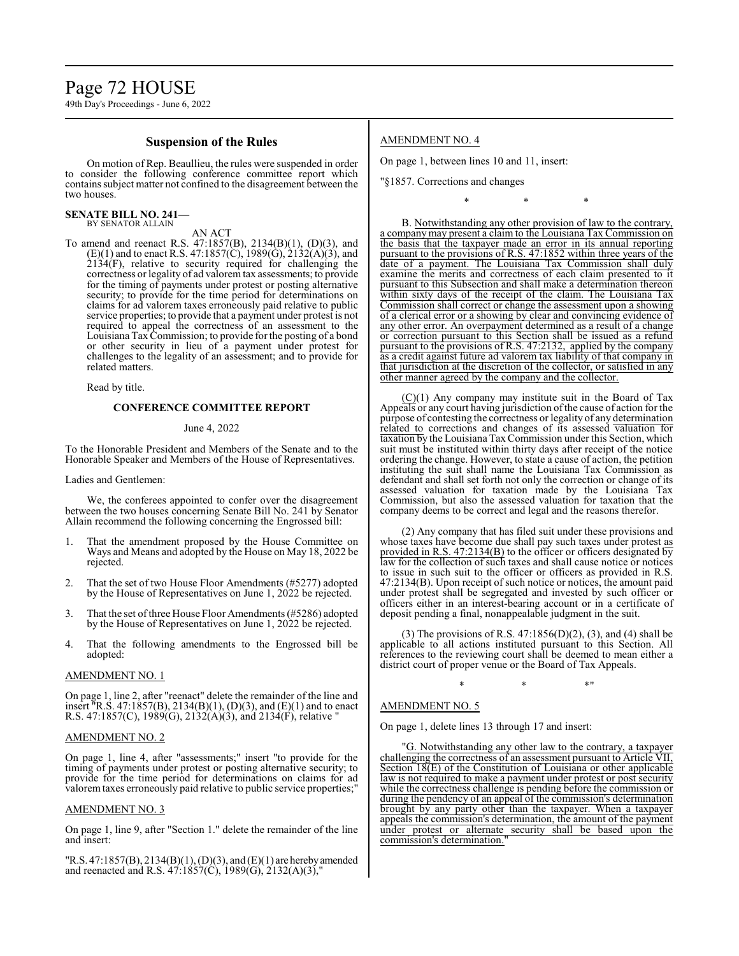#### **Suspension of the Rules**

On motion of Rep. Beaullieu, the rules were suspended in order to consider the following conference committee report which containssubject matter not confined to the disagreement between the two houses.

#### **SENATE BILL NO. 241—** BY SENATOR ALLAIN

AN ACT

To amend and reenact R.S. 47:1857(B), 2134(B)(1), (D)(3), and  $(E)(1)$  and to enact R.S. 47:1857(C), 1989(G), 2132(A)(3), and 2134(F), relative to security required for challenging the correctness or legality of ad valorem tax assessments; to provide for the timing of payments under protest or posting alternative security; to provide for the time period for determinations on claims for ad valorem taxes erroneously paid relative to public service properties; to provide that a payment under protest is not required to appeal the correctness of an assessment to the Louisiana TaxCommission; to provide for the posting of a bond or other security in lieu of a payment under protest for challenges to the legality of an assessment; and to provide for related matters.

Read by title.

#### **CONFERENCE COMMITTEE REPORT**

#### June 4, 2022

To the Honorable President and Members of the Senate and to the Honorable Speaker and Members of the House of Representatives.

Ladies and Gentlemen:

We, the conferees appointed to confer over the disagreement between the two houses concerning Senate Bill No. 241 by Senator Allain recommend the following concerning the Engrossed bill:

- 1. That the amendment proposed by the House Committee on Ways and Means and adopted by the House on May 18, 2022 be rejected.
- 2. That the set of two House Floor Amendments (#5277) adopted by the House of Representatives on June 1, 2022 be rejected.
- 3. That the set of three House Floor Amendments (#5286) adopted by the House of Representatives on June 1, 2022 be rejected.
- 4. That the following amendments to the Engrossed bill be adopted:

#### AMENDMENT NO. 1

On page 1, line 2, after "reenact" delete the remainder of the line and insert "R.S. 47:1857(B), 2134(B)(1), (D)(3), and (E)(1) and to enact R.S. 47:1857(C), 1989(G), 2132(A)(3), and 2134(F), relative "

#### AMENDMENT NO. 2

On page 1, line 4, after "assessments;" insert "to provide for the timing of payments under protest or posting alternative security; to provide for the time period for determinations on claims for ad valoremtaxes erroneously paid relative to public service properties;"

#### AMENDMENT NO. 3

On page 1, line 9, after "Section 1." delete the remainder of the line and insert:

"R.S. 47:1857(B), 2134(B)(1), (D)(3), and (E)(1) are herebyamended and reenacted and R.S.  $47:1857(C)$ ,  $1989(G)$ ,  $2132(A)(3)$ ,"

# AMENDMENT NO. 4

On page 1, between lines 10 and 11, insert:

"§1857. Corrections and changes

B. Notwithstanding any other provision of law to the contrary, a company may present a claim to the Louisiana Tax Commission on the basis that the taxpayer made an error in its annual reporting pursuant to the provisions of R.S. 47:1852 within three years of the date of a payment. The Louisiana Tax Commission shall duly examine the merits and correctness of each claim presented to it pursuant to this Subsection and shall make a determination thereon within sixty days of the receipt of the claim. The Louisiana Tax Commission shall correct or change the assessment upon a showing of a clerical error or a showing by clear and convincing evidence of any other error. An overpayment determined as a result of a change or correction pursuant to this Section shall be issued as a refund pursuant to the provisions of R.S. 47:2132, applied by the company as a credit against future ad valorem tax liability of that company in that jurisdiction at the discretion of the collector, or satisfied in any other manner agreed by the company and the collector.

\* \* \*

 $(C)(1)$  Any company may institute suit in the Board of Tax Appeals or any court having jurisdiction of the cause of action for the purpose of contesting the correctness or legality of any determination related to corrections and changes of its assessed valuation for taxation by the Louisiana TaxCommission under this Section, which suit must be instituted within thirty days after receipt of the notice ordering the change. However, to state a cause of action, the petition instituting the suit shall name the Louisiana Tax Commission as defendant and shall set forth not only the correction or change of its assessed valuation for taxation made by the Louisiana Tax Commission, but also the assessed valuation for taxation that the company deems to be correct and legal and the reasons therefor.

(2) Any company that has filed suit under these provisions and whose taxes have become due shall pay such taxes under protest as provided in R.S. 47:2134(B) to the officer or officers designated  $\overline{by}$ law for the collection of such taxes and shall cause notice or notices to issue in such suit to the officer or officers as provided in R.S. 47:2134(B). Upon receipt of such notice or notices, the amount paid under protest shall be segregated and invested by such officer or officers either in an interest-bearing account or in a certificate of deposit pending a final, nonappealable judgment in the suit.

(3) The provisions of R.S. 47:1856(D)(2), (3), and (4) shall be applicable to all actions instituted pursuant to this Section. All references to the reviewing court shall be deemed to mean either a district court of proper venue or the Board of Tax Appeals.

 $*$  \*  $*$  \*

#### AMENDMENT NO. 5

On page 1, delete lines 13 through 17 and insert:

"G. Notwithstanding any other law to the contrary, a taxpayer challenging the correctness of an assessment pursuant to Article VII, Section 18(E) of the Constitution of Louisiana or other applicable law is not required to make a payment under protest or post security while the correctness challenge is pending before the commission or during the pendency of an appeal of the commission's determination brought by any party other than the taxpayer. When a taxpayer appeals the commission's determination, the amount of the payment under protest or alternate security shall be based upon the commission's determination."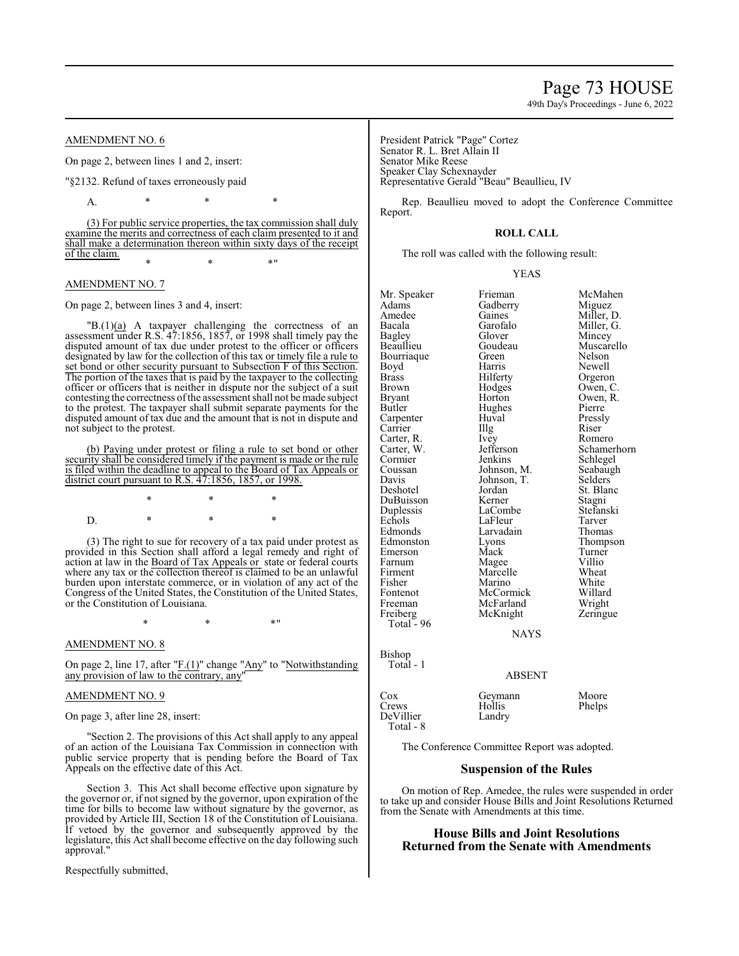AMENDMENT NO. 6

On page 2, between lines 1 and 2, insert:

"§2132. Refund of taxes erroneously paid

A. \* \* \* \*

(3) For public service properties, the tax commission shall duly examine the merits and correctness of each claim presented to it and shall make a determination thereon within sixty days of the receipt of the claim.

 $*$  \*  $*$  \*  $*$  "

### AMENDMENT NO. 7

On page 2, between lines 3 and 4, insert:

 $IB(1)(a)$  A taxpayer challenging the correctness of an assessment under R.S. 47:1856, 1857, or 1998 shall timely pay the disputed amount of tax due under protest to the officer or officers designated by law for the collection of this tax or timely file a rule to set bond or other security pursuant to Subsection F of this Section. The portion of the taxes that is paid by the taxpayer to the collecting officer or officers that is neither in dispute nor the subject of a suit contesting the correctness ofthe assessment shall not be made subject to the protest. The taxpayer shall submit separate payments for the disputed amount of tax due and the amount that is not in dispute and not subject to the protest.

(b) Paying under protest or filing a rule to set bond or other security shall be considered timely if the payment is made or the rule is filed within the deadline to appeal to the Board of Tax Appeals or district court pursuant to R.S. 47:1856, 1857, or 1998.

\* \* \* D. \* \* \* \*

(3) The right to sue for recovery of a tax paid under protest as provided in this Section shall afford a legal remedy and right of action at law in the Board of Tax Appeals or state or federal courts where any tax or the collection thereof is claimed to be an unlawful burden upon interstate commerce, or in violation of any act of the Congress of the United States, the Constitution of the United States, or the Constitution of Louisiana.

 $*$  \*  $*$  \*

### AMENDMENT NO. 8

On page 2, line 17, after "F.(1)" change "Any" to "Notwithstanding any provision of law to the contrary, any"

### AMENDMENT NO. 9

On page 3, after line 28, insert:

"Section 2. The provisions of this Act shall apply to any appeal of an action of the Louisiana Tax Commission in connection with public service property that is pending before the Board of Tax Appeals on the effective date of this Act.

Section 3. This Act shall become effective upon signature by the governor or, if not signed by the governor, upon expiration of the time for bills to become law without signature by the governor, as provided by Article III, Section 18 of the Constitution of Louisiana. If vetoed by the governor and subsequently approved by the legislature, this Act shall become effective on the day following such approval."

Respectfully submitted,

President Patrick "Page" Cortez Senator R. L. Bret Allain II Senator Mike Reese Speaker Clay Schexnayder Representative Gerald "Beau" Beaullieu, IV

Rep. Beaullieu moved to adopt the Conference Committee Report.

# **ROLL CALL**

The roll was called with the following result:

YEAS

| Mr. Speaker<br>Adams<br>Amedee<br>Bacala<br>Bagley<br>Beaullieu<br>Bourriaque<br>Boyd<br>Brass<br>Brown<br>Bryant<br>Butler<br>Carpenter<br>Carrier<br>Carter, R.<br>Carter, W.<br>Cormier<br>Coussan<br>Davis<br>Deshotel<br>DuBuisson<br>Duplessis<br>Echols<br>Edmonds<br>Edmonston<br>Emerson<br>Farnum<br>Firment<br>Fisher<br>Fontenot<br>Freeman<br>Freiberg<br>Total - 96 | Frieman<br>Gadberry<br>Gaines<br>Garofalo<br>Glover<br>Goudeau<br>Green<br>Harris<br>Hilferty<br>Hodges<br>Horton<br>Hughes<br>Huval<br>Illg<br>Ivey<br>Jefferson<br>Jenkins<br>Johnson, M.<br>Johnson, T.<br>Jordan<br>Kerner<br>LaCombe<br>LaFleur<br>Larvadain<br>Lyons<br>Mack<br>Magee<br>Marcelle<br>Marino<br>McCormick<br>McFarland<br>McKnight<br>NAYS | McMahen<br>Miguez<br>Miller, D.<br>Miller, G.<br>Mincey<br>Muscarello<br>Nelson<br>Newell<br>Orgeron<br>Owen, C.<br>Owen, R.<br>Pierre<br>Pressly<br>Riser<br>Romero<br>Schamerhorn<br>Schlegel<br>Seabaugh<br>Selders<br>St. Blanc<br>Stagni<br>Stefanski<br>Tarver<br>Thomas<br>Thompson<br>Turner<br>Villio<br>Wheat<br>White<br>Willard<br>Wright<br>Zeringue |
|-----------------------------------------------------------------------------------------------------------------------------------------------------------------------------------------------------------------------------------------------------------------------------------------------------------------------------------------------------------------------------------|-----------------------------------------------------------------------------------------------------------------------------------------------------------------------------------------------------------------------------------------------------------------------------------------------------------------------------------------------------------------|-------------------------------------------------------------------------------------------------------------------------------------------------------------------------------------------------------------------------------------------------------------------------------------------------------------------------------------------------------------------|
|                                                                                                                                                                                                                                                                                                                                                                                   |                                                                                                                                                                                                                                                                                                                                                                 |                                                                                                                                                                                                                                                                                                                                                                   |
| Bishop<br>Total - 1                                                                                                                                                                                                                                                                                                                                                               | <b>ABSENT</b>                                                                                                                                                                                                                                                                                                                                                   |                                                                                                                                                                                                                                                                                                                                                                   |
| Cox                                                                                                                                                                                                                                                                                                                                                                               | Geymann                                                                                                                                                                                                                                                                                                                                                         | Moore                                                                                                                                                                                                                                                                                                                                                             |

The Conference Committee Report was adopted.

Crews Hollis Phelps

 $\overline{B}$ 

DeVillier Total - 8

### **Suspension of the Rules**

On motion of Rep. Amedee, the rules were suspended in order to take up and consider House Bills and Joint Resolutions Returned from the Senate with Amendments at this time.

# **House Bills and Joint Resolutions Returned from the Senate with Amendments**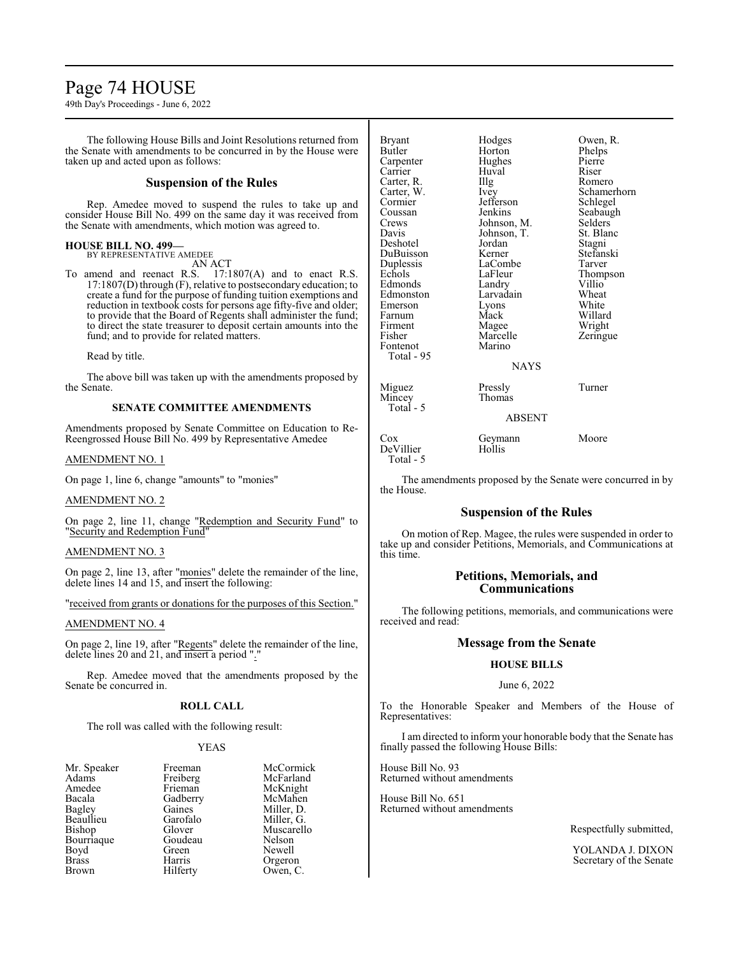# Page 74 HOUSE

49th Day's Proceedings - June 6, 2022

The following House Bills and Joint Resolutions returned from the Senate with amendments to be concurred in by the House were taken up and acted upon as follows:

## **Suspension of the Rules**

Rep. Amedee moved to suspend the rules to take up and consider House Bill No. 499 on the same day it was received from the Senate with amendments, which motion was agreed to.

#### **HOUSE BILL NO. 499—** BY REPRESENTATIVE AMEDEE

AN ACT

To amend and reenact R.S. 17:1807(A) and to enact R.S. 17:1807(D) through (F), relative to postsecondary education; to create a fund for the purpose of funding tuition exemptions and reduction in textbook costs for persons age fifty-five and older; to provide that the Board of Regents shall administer the fund; to direct the state treasurer to deposit certain amounts into the fund; and to provide for related matters.

Read by title.

The above bill was taken up with the amendments proposed by the Senate.

### **SENATE COMMITTEE AMENDMENTS**

Amendments proposed by Senate Committee on Education to Re-Reengrossed House Bill No. 499 by Representative Amedee

### AMENDMENT NO. 1

On page 1, line 6, change "amounts" to "monies"

### AMENDMENT NO. 2

On page 2, line 11, change "Redemption and Security Fund" to "Security and Redemption Fund"

## AMENDMENT NO. 3

On page 2, line 13, after "monies" delete the remainder of the line, delete lines 14 and 15, and insert the following:

"received from grants or donations for the purposes of this Section."

### AMENDMENT NO. 4

On page 2, line 19, after "Regents" delete the remainder of the line, delete lines 20 and 21, and insert a period "."

Rep. Amedee moved that the amendments proposed by the Senate be concurred in.

### **ROLL CALL**

The roll was called with the following result:

### YEAS

| Freeman  | McCormick  |
|----------|------------|
|          | McFarland  |
| Frieman  | McKnight   |
| Gadberry | McMahen    |
| Gaines   | Miller, D. |
| Garofalo | Miller, G. |
| Glover   | Muscarello |
| Goudeau  | Nelson     |
| Green    | Newell     |
| Harris   | Orgeron    |
| Hilferty | Owen, C.   |
|          | Freiberg   |

| <b>Bryant</b> | Hodges        | Owen, R.    |
|---------------|---------------|-------------|
| <b>Butler</b> | Horton        | Phelps      |
| Carpenter     | Hughes        | Pierre      |
| Carrier       | Huval         | Riser       |
| Carter, R.    | Illg          | Romero      |
| Carter, W.    | Ivey          | Schamerhorn |
| Cormier       | Jefferson     | Schlegel    |
| Coussan       | Jenkins       | Seabaugh    |
| Crews         | Johnson, M.   | Selders     |
| Davis         | Johnson, T.   | St. Blanc   |
| Deshotel      | Jordan        | Stagni      |
| DuBuisson     | Kerner        | Stefanski   |
| Duplessis     | LaCombe       | Tarver      |
| Echols        | LaFleur       | Thompson    |
| Edmonds       | Landry        | Villio      |
| Edmonston     | Larvadain     | Wheat       |
| Emerson       | Lyons         | White       |
| Farnum        | Mack          | Willard     |
| Firment       | Magee         | Wright      |
| Fisher        | Marcelle      | Zeringue    |
| Fontenot      | Marino        |             |
| Total - 95    |               |             |
|               | <b>NAYS</b>   |             |
| Miguez        | Pressly       | Turner      |
| Mincey        | Thomas        |             |
| Total - 5     |               |             |
|               | <b>ABSENT</b> |             |
| $\cos$        | Geymann       | Moore       |
| DeVillier     | Hollis        |             |

The amendments proposed by the Senate were concurred in by the House.

### **Suspension of the Rules**

On motion of Rep. Magee, the rules were suspended in order to take up and consider Petitions, Memorials, and Communications at this time.

# **Petitions, Memorials, and Communications**

The following petitions, memorials, and communications were received and read:

# **Message from the Senate**

# **HOUSE BILLS**

### June 6, 2022

To the Honorable Speaker and Members of the House of Representatives:

I am directed to inform your honorable body that the Senate has finally passed the following House Bills:

House Bill No. 93 Returned without amendments

Total - 5

House Bill No. 651 Returned without amendments

Respectfully submitted,

YOLANDA J. DIXON Secretary of the Senate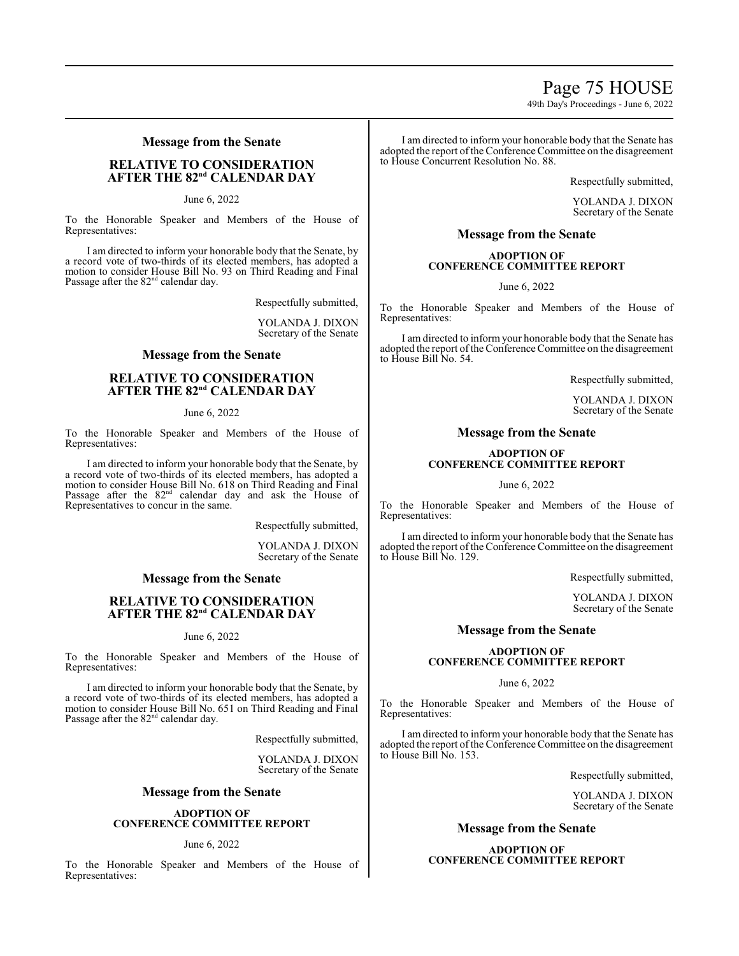# Page 75 HOUSE

49th Day's Proceedings - June 6, 2022

## **Message from the Senate**

# **RELATIVE TO CONSIDERATION**  $A$ **FTER THE 82<sup>nd</sup> CALENDAR DAY**

June 6, 2022

To the Honorable Speaker and Members of the House of Representatives:

I am directed to inform your honorable body that the Senate, by a record vote of two-thirds of its elected members, has adopted a motion to consider House Bill No. 93 on Third Reading and Final Passage after the 82<sup>nd</sup> calendar day.

Respectfully submitted,

YOLANDA J. DIXON Secretary of the Senate

# **Message from the Senate**

# **RELATIVE TO CONSIDERATION**  $A$ **FTER THE 82<sup>nd</sup> CALENDAR DAY**

June 6, 2022

To the Honorable Speaker and Members of the House of Representatives:

I am directed to inform your honorable body that the Senate, by a record vote of two-thirds of its elected members, has adopted a motion to consider House Bill No. 618 on Third Reading and Final Passage after the  $82<sup>nd</sup>$  calendar day and ask the House of Representatives to concur in the same.

Respectfully submitted,

YOLANDA J. DIXON Secretary of the Senate

### **Message from the Senate**

# **RELATIVE TO CONSIDERATION**  $A$ **FTER THE 82<sup>nd</sup> CALENDAR DAY**

June 6, 2022

To the Honorable Speaker and Members of the House of Representatives:

I am directed to inform your honorable body that the Senate, by a record vote of two-thirds of its elected members, has adopted a motion to consider House Bill No. 651 on Third Reading and Final Passage after the 82<sup>nd</sup> calendar day.

Respectfully submitted,

YOLANDA J. DIXON Secretary of the Senate

### **Message from the Senate**

### **ADOPTION OF CONFERENCE COMMITTEE REPORT**

### June 6, 2022

To the Honorable Speaker and Members of the House of Representatives:

I am directed to inform your honorable body that the Senate has adopted the report of the Conference Committee on the disagreement to House Concurrent Resolution No. 88.

Respectfully submitted,

YOLANDA J. DIXON Secretary of the Senate

# **Message from the Senate**

### **ADOPTION OF CONFERENCE COMMITTEE REPORT**

June 6, 2022

To the Honorable Speaker and Members of the House of Representatives:

I am directed to inform your honorable body that the Senate has adopted the report of the Conference Committee on the disagreement to House Bill No. 54.

Respectfully submitted,

YOLANDA J. DIXON Secretary of the Senate

# **Message from the Senate**

### **ADOPTION OF CONFERENCE COMMITTEE REPORT**

June 6, 2022

To the Honorable Speaker and Members of the House of Representatives:

I am directed to inform your honorable body that the Senate has adopted the report of the Conference Committee on the disagreement to House Bill No. 129.

Respectfully submitted,

YOLANDA J. DIXON Secretary of the Senate

### **Message from the Senate**

### **ADOPTION OF CONFERENCE COMMITTEE REPORT**

June 6, 2022

To the Honorable Speaker and Members of the House of Representatives:

I am directed to inform your honorable body that the Senate has adopted the report of the Conference Committee on the disagreement to House Bill No. 153.

Respectfully submitted,

YOLANDA J. DIXON Secretary of the Senate

### **Message from the Senate**

**ADOPTION OF CONFERENCE COMMITTEE REPORT**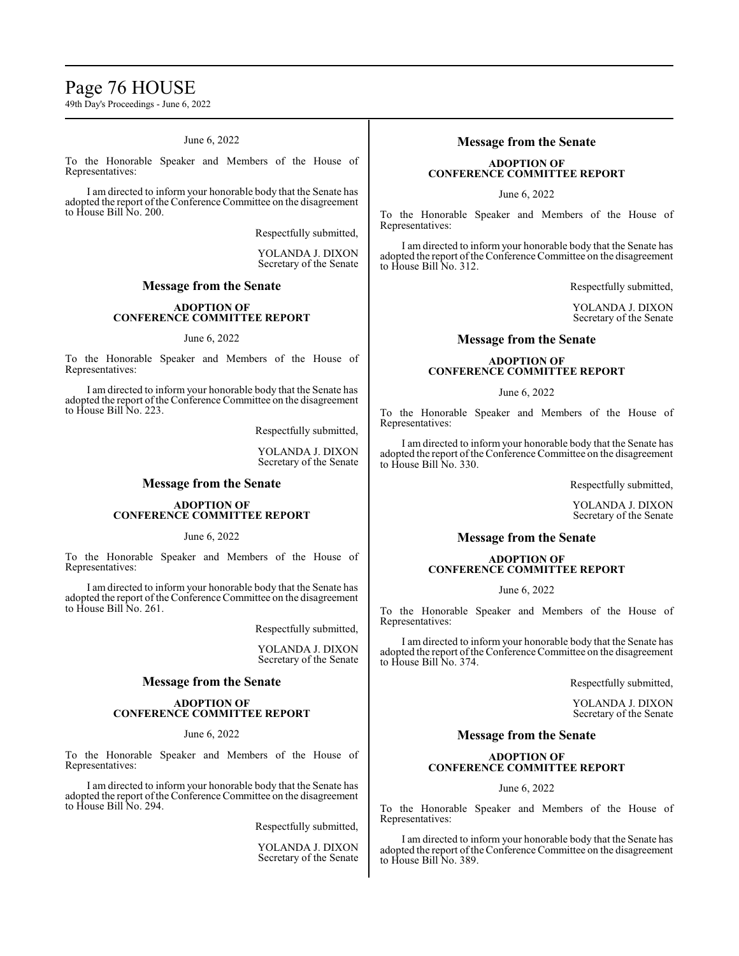# Page 76 HOUSE

49th Day's Proceedings - June 6, 2022

### June 6, 2022

To the Honorable Speaker and Members of the House of Representatives:

I am directed to inform your honorable body that the Senate has adopted the report of the Conference Committee on the disagreement to House Bill No. 200.

Respectfully submitted,

YOLANDA J. DIXON Secretary of the Senate

# **Message from the Senate**

### **ADOPTION OF CONFERENCE COMMITTEE REPORT**

### June 6, 2022

To the Honorable Speaker and Members of the House of Representatives:

I am directed to inform your honorable body that the Senate has adopted the report of the Conference Committee on the disagreement to House Bill No. 223.

Respectfully submitted,

YOLANDA J. DIXON Secretary of the Senate

# **Message from the Senate**

### **ADOPTION OF CONFERENCE COMMITTEE REPORT**

June 6, 2022

To the Honorable Speaker and Members of the House of Representatives:

I am directed to inform your honorable body that the Senate has adopted the report of the Conference Committee on the disagreement to House Bill No. 261.

Respectfully submitted,

YOLANDA J. DIXON Secretary of the Senate

### **Message from the Senate**

### **ADOPTION OF CONFERENCE COMMITTEE REPORT**

June 6, 2022

To the Honorable Speaker and Members of the House of Representatives:

I am directed to inform your honorable body that the Senate has adopted the report of the Conference Committee on the disagreement to House Bill No. 294.

Respectfully submitted,

YOLANDA J. DIXON Secretary of the Senate

# **Message from the Senate**

# **ADOPTION OF CONFERENCE COMMITTEE REPORT**

June 6, 2022

To the Honorable Speaker and Members of the House of Representatives:

I am directed to inform your honorable body that the Senate has adopted the report of the Conference Committee on the disagreement to House Bill No. 312.

Respectfully submitted,

YOLANDA J. DIXON Secretary of the Senate

## **Message from the Senate**

# **ADOPTION OF CONFERENCE COMMITTEE REPORT**

### June 6, 2022

To the Honorable Speaker and Members of the House of Representatives:

I am directed to inform your honorable body that the Senate has adopted the report of the Conference Committee on the disagreement to House Bill No. 330.

Respectfully submitted,

YOLANDA J. DIXON Secretary of the Senate

# **Message from the Senate**

## **ADOPTION OF CONFERENCE COMMITTEE REPORT**

# June 6, 2022

To the Honorable Speaker and Members of the House of Representatives:

I am directed to inform your honorable body that the Senate has adopted the report of the Conference Committee on the disagreement to House Bill No. 374.

Respectfully submitted,

YOLANDA J. DIXON Secretary of the Senate

# **Message from the Senate**

### **ADOPTION OF CONFERENCE COMMITTEE REPORT**

### June 6, 2022

To the Honorable Speaker and Members of the House of Representatives:

I am directed to inform your honorable body that the Senate has adopted the report of the Conference Committee on the disagreement to House Bill No. 389.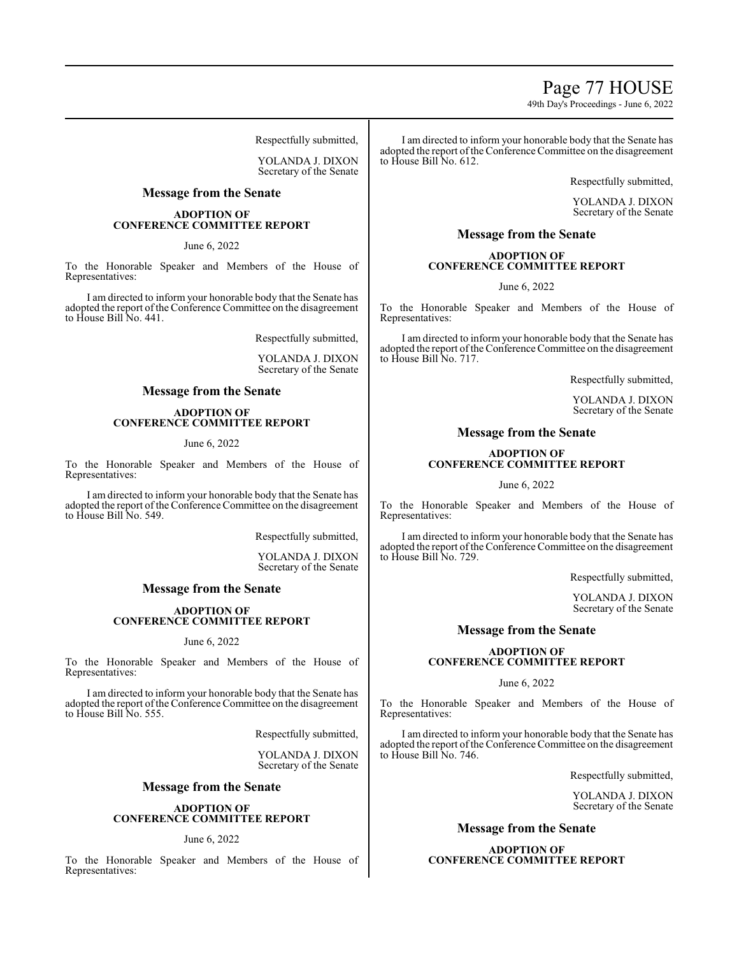# Page 77 HOUSE

49th Day's Proceedings - June 6, 2022

Respectfully submitted,

YOLANDA J. DIXON Secretary of the Senate

# **Message from the Senate**

### **ADOPTION OF CONFERENCE COMMITTEE REPORT**

# June 6, 2022

To the Honorable Speaker and Members of the House of Representatives:

I am directed to inform your honorable body that the Senate has adopted the report of the Conference Committee on the disagreement to House Bill No. 441.

Respectfully submitted,

YOLANDA J. DIXON Secretary of the Senate

# **Message from the Senate**

### **ADOPTION OF CONFERENCE COMMITTEE REPORT**

### June 6, 2022

To the Honorable Speaker and Members of the House of Representatives:

I am directed to inform your honorable body that the Senate has adopted the report of the Conference Committee on the disagreement to House Bill No. 549.

Respectfully submitted,

YOLANDA J. DIXON Secretary of the Senate

# **Message from the Senate**

### **ADOPTION OF CONFERENCE COMMITTEE REPORT**

### June 6, 2022

To the Honorable Speaker and Members of the House of Representatives:

I am directed to inform your honorable body that the Senate has adopted the report of the Conference Committee on the disagreement to House Bill No. 555.

Respectfully submitted,

YOLANDA J. DIXON Secretary of the Senate

## **Message from the Senate**

### **ADOPTION OF CONFERENCE COMMITTEE REPORT**

June 6, 2022

To the Honorable Speaker and Members of the House of Representatives:

I am directed to inform your honorable body that the Senate has adopted the report of the Conference Committee on the disagreement to House Bill No. 612.

Respectfully submitted,

YOLANDA J. DIXON Secretary of the Senate

# **Message from the Senate**

### **ADOPTION OF CONFERENCE COMMITTEE REPORT**

June 6, 2022

To the Honorable Speaker and Members of the House of Representatives:

I am directed to inform your honorable body that the Senate has adopted the report of the Conference Committee on the disagreement to House Bill No. 717.

Respectfully submitted,

YOLANDA J. DIXON Secretary of the Senate

# **Message from the Senate**

## **ADOPTION OF CONFERENCE COMMITTEE REPORT**

June 6, 2022

To the Honorable Speaker and Members of the House of Representatives:

I am directed to inform your honorable body that the Senate has adopted the report of the Conference Committee on the disagreement to House Bill No. 729.

Respectfully submitted,

YOLANDA J. DIXON Secretary of the Senate

# **Message from the Senate**

### **ADOPTION OF CONFERENCE COMMITTEE REPORT**

June 6, 2022

To the Honorable Speaker and Members of the House of Representatives:

I am directed to inform your honorable body that the Senate has adopted the report of the Conference Committee on the disagreement to House Bill No. 746.

Respectfully submitted,

YOLANDA J. DIXON Secretary of the Senate

# **Message from the Senate**

**ADOPTION OF CONFERENCE COMMITTEE REPORT**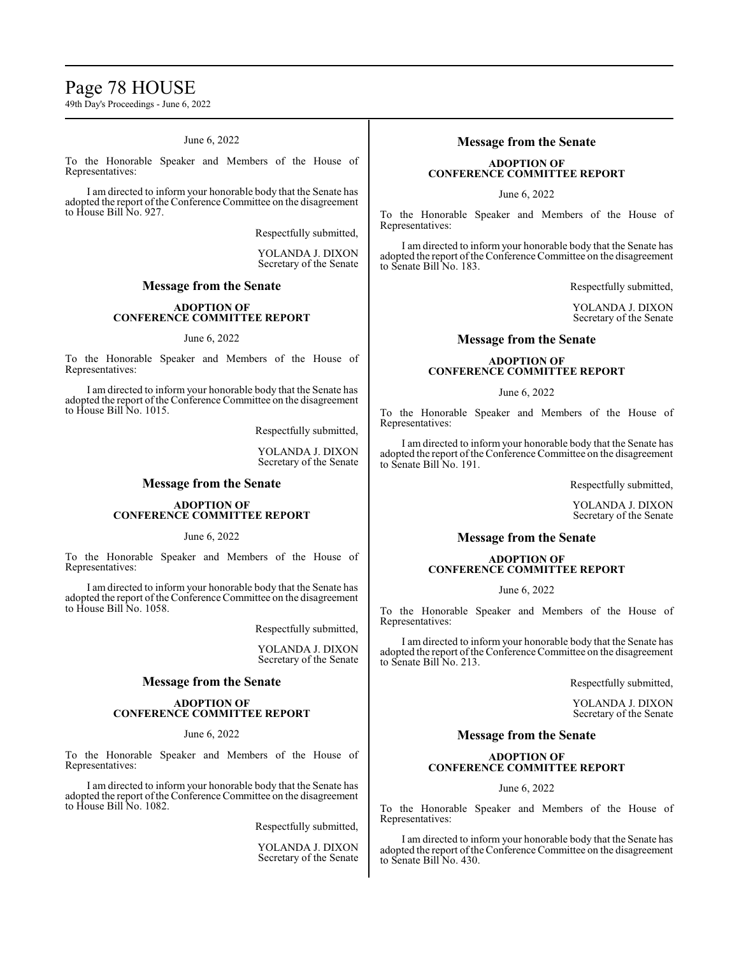# Page 78 HOUSE

49th Day's Proceedings - June 6, 2022

### June 6, 2022

To the Honorable Speaker and Members of the House of Representatives:

I am directed to inform your honorable body that the Senate has adopted the report of the Conference Committee on the disagreement to House Bill No. 927.

Respectfully submitted,

YOLANDA J. DIXON Secretary of the Senate

# **Message from the Senate**

### **ADOPTION OF CONFERENCE COMMITTEE REPORT**

### June 6, 2022

To the Honorable Speaker and Members of the House of Representatives:

I am directed to inform your honorable body that the Senate has adopted the report of the Conference Committee on the disagreement to House Bill No. 1015.

Respectfully submitted,

YOLANDA J. DIXON Secretary of the Senate

# **Message from the Senate**

### **ADOPTION OF CONFERENCE COMMITTEE REPORT**

June 6, 2022

To the Honorable Speaker and Members of the House of Representatives:

I am directed to inform your honorable body that the Senate has adopted the report of the Conference Committee on the disagreement to House Bill No. 1058.

Respectfully submitted,

YOLANDA J. DIXON Secretary of the Senate

### **Message from the Senate**

### **ADOPTION OF CONFERENCE COMMITTEE REPORT**

June 6, 2022

To the Honorable Speaker and Members of the House of Representatives:

I am directed to inform your honorable body that the Senate has adopted the report of the Conference Committee on the disagreement to House Bill No. 1082.

Respectfully submitted,

YOLANDA J. DIXON Secretary of the Senate

# **Message from the Senate**

# **ADOPTION OF CONFERENCE COMMITTEE REPORT**

June 6, 2022

To the Honorable Speaker and Members of the House of Representatives:

I am directed to inform your honorable body that the Senate has adopted the report of the Conference Committee on the disagreement to Senate Bill No. 183.

Respectfully submitted,

YOLANDA J. DIXON Secretary of the Senate

## **Message from the Senate**

# **ADOPTION OF CONFERENCE COMMITTEE REPORT**

### June 6, 2022

To the Honorable Speaker and Members of the House of Representatives:

I am directed to inform your honorable body that the Senate has adopted the report of the Conference Committee on the disagreement to Senate Bill No. 191.

Respectfully submitted,

YOLANDA J. DIXON Secretary of the Senate

# **Message from the Senate**

## **ADOPTION OF CONFERENCE COMMITTEE REPORT**

# June 6, 2022

To the Honorable Speaker and Members of the House of Representatives:

I am directed to inform your honorable body that the Senate has adopted the report of the Conference Committee on the disagreement to Senate Bill No. 213.

Respectfully submitted,

YOLANDA J. DIXON Secretary of the Senate

# **Message from the Senate**

### **ADOPTION OF CONFERENCE COMMITTEE REPORT**

June 6, 2022

To the Honorable Speaker and Members of the House of Representatives:

I am directed to inform your honorable body that the Senate has adopted the report of the Conference Committee on the disagreement to Senate Bill No. 430.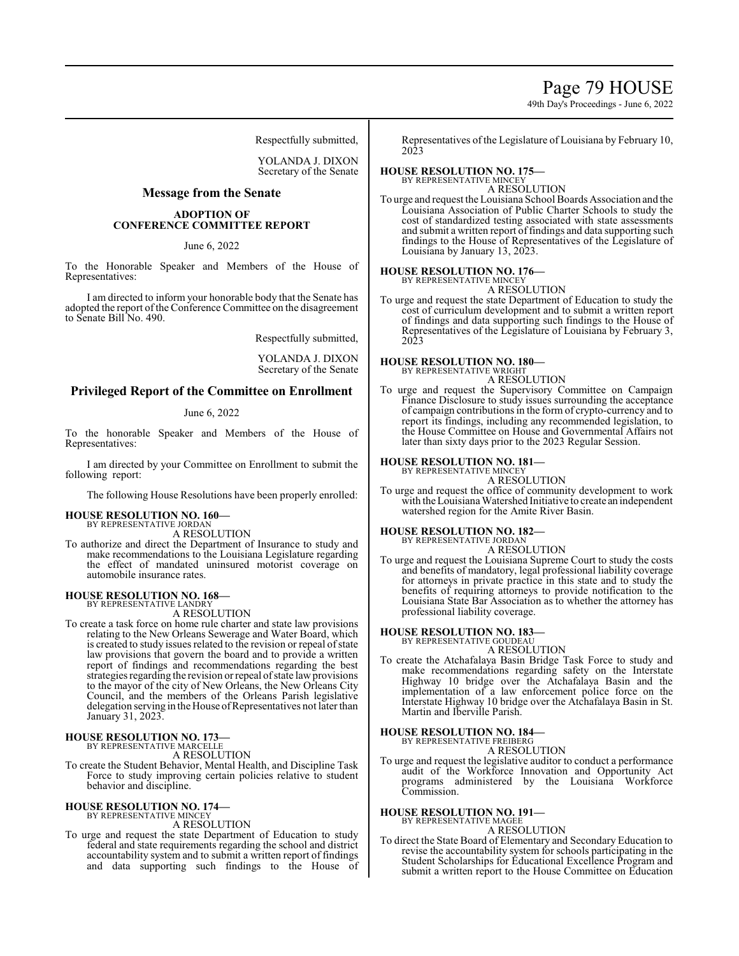# Page 79 HOUSE

49th Day's Proceedings - June 6, 2022

Respectfully submitted,

YOLANDA J. DIXON Secretary of the Senate

# **Message from the Senate**

### **ADOPTION OF CONFERENCE COMMITTEE REPORT**

### June 6, 2022

To the Honorable Speaker and Members of the House of Representatives:

I am directed to inform your honorable body that the Senate has adopted the report of the Conference Committee on the disagreement to Senate Bill No. 490.

Respectfully submitted,

YOLANDA J. DIXON Secretary of the Senate

# **Privileged Report of the Committee on Enrollment**

### June 6, 2022

To the honorable Speaker and Members of the House of Representatives:

I am directed by your Committee on Enrollment to submit the following report:

The following House Resolutions have been properly enrolled:

### **HOUSE RESOLUTION NO. 160—**

BY REPRESENTATIVE JORDAN A RESOLUTION

To authorize and direct the Department of Insurance to study and make recommendations to the Louisiana Legislature regarding the effect of mandated uninsured motorist coverage on automobile insurance rates.

#### **HOUSE RESOLUTION NO. 168—** BY REPRESENTATIVE LANDRY

A RESOLUTION

To create a task force on home rule charter and state law provisions relating to the New Orleans Sewerage and Water Board, which is created to study issues related to the revision or repeal of state law provisions that govern the board and to provide a written report of findings and recommendations regarding the best strategies regarding the revision or repeal of state law provisions to the mayor of the city of New Orleans, the New Orleans City Council, and the members of the Orleans Parish legislative delegation serving in the House of Representatives not later than January 31, 2023.

# **HOUSE RESOLUTION NO. 173—** BY REPRESENTATIVE MARCELLE

A RESOLUTION

To create the Student Behavior, Mental Health, and Discipline Task Force to study improving certain policies relative to student behavior and discipline.

# **HOUSE RESOLUTION NO. 174—** BY REPRESENTATIVE MINCEY

A RESOLUTION

To urge and request the state Department of Education to study federal and state requirements regarding the school and district accountability system and to submit a written report of findings and data supporting such findings to the House of Representatives of the Legislature of Louisiana by February 10, 2023

# **HOUSE RESOLUTION NO. 175—** BY REPRESENTATIVE MINCEY

A RESOLUTION

To urge and request the Louisiana School Boards Association and the Louisiana Association of Public Charter Schools to study the cost of standardized testing associated with state assessments and submit a written report of findings and data supporting such findings to the House of Representatives of the Legislature of Louisiana by January 13, 2023.

# **HOUSE RESOLUTION NO. 176—** BY REPRESENTATIVE MINCEY

A RESOLUTION

To urge and request the state Department of Education to study the cost of curriculum development and to submit a written report of findings and data supporting such findings to the House of Representatives of the Legislature of Louisiana by February 3, 2023

# **HOUSE RESOLUTION NO. 180—**

BY REPRESENTATIVE WRIGHT

A RESOLUTION To urge and request the Supervisory Committee on Campaign Finance Disclosure to study issues surrounding the acceptance of campaign contributions in the form of crypto-currency and to report its findings, including any recommended legislation, to the House Committee on House and Governmental Affairs not later than sixty days prior to the 2023 Regular Session.

#### **HOUSE RESOLUTION NO. 181—** BY REPRESENTATIVE MINCEY

A RESOLUTION

To urge and request the office of community development to work with the Louisiana Watershed Initiative to create an independent watershed region for the Amite River Basin.

### **HOUSE RESOLUTION NO. 182—**

BY REPRESENTATIVE JORDAN A RESOLUTION

To urge and request the Louisiana Supreme Court to study the costs and benefits of mandatory, legal professional liability coverage for attorneys in private practice in this state and to study the benefits of requiring attorneys to provide notification to the Louisiana State Bar Association as to whether the attorney has professional liability coverage.

# **HOUSE RESOLUTION NO. 183—** BY REPRESENTATIVE GOUDEAU

A RESOLUTION

To create the Atchafalaya Basin Bridge Task Force to study and make recommendations regarding safety on the Interstate Highway 10 bridge over the Atchafalaya Basin and the implementation of a law enforcement police force on the Interstate Highway 10 bridge over the Atchafalaya Basin in St. Martin and Iberville Parish.

# **HOUSE RESOLUTION NO. 184—**

BY REPRESENTATIVE FREIBERG A RESOLUTION

To urge and request the legislative auditor to conduct a performance audit of the Workforce Innovation and Opportunity Act programs administered by the Louisiana Workforce Commission.

#### **HOUSE RESOLUTION NO. 191—** BY REPRESENTATIVE MAGEE

A RESOLUTION

To direct the State Board of Elementary and Secondary Education to revise the accountability system for schools participating in the Student Scholarships for Educational Excellence Program and submit a written report to the House Committee on Education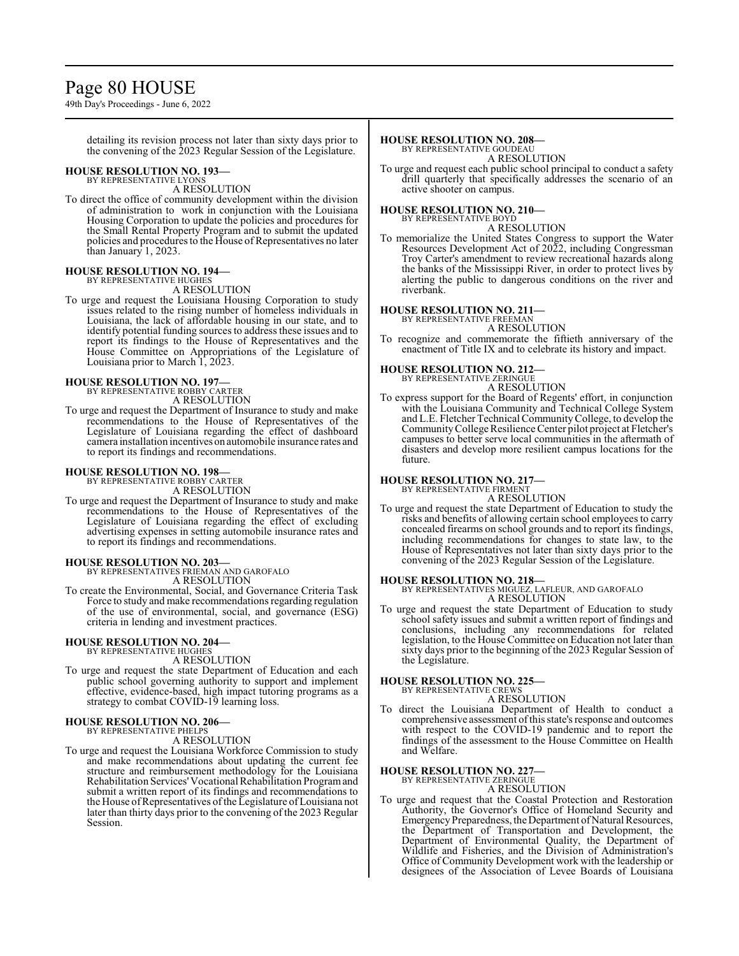# Page 80 HOUSE

49th Day's Proceedings - June 6, 2022

detailing its revision process not later than sixty days prior to the convening of the 2023 Regular Session of the Legislature.

#### **HOUSE RESOLUTION NO. 193—** BY REPRESENTATIVE LYONS

A RESOLUTION

To direct the office of community development within the division of administration to work in conjunction with the Louisiana Housing Corporation to update the policies and procedures for the Small Rental Property Program and to submit the updated policies and procedures to the House ofRepresentatives no later than January 1, 2023.

# **HOUSE RESOLUTION NO. 194—** BY REPRESENTATIVE HUGHES

A RESOLUTION To urge and request the Louisiana Housing Corporation to study issues related to the rising number of homeless individuals in Louisiana, the lack of affordable housing in our state, and to identify potential funding sources to address these issues and to report its findings to the House of Representatives and the House Committee on Appropriations of the Legislature of Louisiana prior to March 1, 2023.

### **HOUSE RESOLUTION NO. 197—**

BY REPRESENTATIVE ROBBY CARTER A RESOLUTION

To urge and request the Department of Insurance to study and make recommendations to the House of Representatives of the Legislature of Louisiana regarding the effect of dashboard camera installation incentives on automobile insurance rates and

to report its findings and recommendations.

# **HOUSE RESOLUTION NO. 198—** BY REPRESENTATIVE ROBBY CARTER

A RESOLUTION

To urge and request the Department of Insurance to study and make recommendations to the House of Representatives of the Legislature of Louisiana regarding the effect of excluding advertising expenses in setting automobile insurance rates and to report its findings and recommendations.

# **HOUSE RESOLUTION NO. 203—** BY REPRESENTATIVES FRIEMAN AND GAROFALO

A RESOLUTION

To create the Environmental, Social, and Governance Criteria Task Force to study and make recommendations regarding regulation of the use of environmental, social, and governance (ESG) criteria in lending and investment practices.

### **HOUSE RESOLUTION NO. 204—** BY REPRESENTATIVE HUGHES

A RESOLUTION

To urge and request the state Department of Education and each public school governing authority to support and implement effective, evidence-based, high impact tutoring programs as a strategy to combat COVID-19 learning loss.

### **HOUSE RESOLUTION NO. 206—** BY REPRESENTATIVE PHELPS

A RESOLUTION

To urge and request the Louisiana Workforce Commission to study and make recommendations about updating the current fee structure and reimbursement methodology for the Louisiana Rehabilitation Services'Vocational Rehabilitation Programand submit a written report of its findings and recommendations to the House of Representatives of the Legislature of Louisiana not later than thirty days prior to the convening of the 2023 Regular Session.

## **HOUSE RESOLUTION NO. 208—**

BY REPRESENTATIVE GOUDEAU A RESOLUTION

To urge and request each public school principal to conduct a safety drill quarterly that specifically addresses the scenario of an active shooter on campus.

### **HOUSE RESOLUTION NO. 210—**

BY REPRESENTATIVE BOYD A RESOLUTION

To memorialize the United States Congress to support the Water Resources Development Act of 2022, including Congressman Troy Carter's amendment to review recreational hazards along the banks of the Mississippi River, in order to protect lives by alerting the public to dangerous conditions on the river and riverbank.

#### **HOUSE RESOLUTION NO. 211—** BY REPRESENTATIVE FREEMAN

A RESOLUTION

To recognize and commemorate the fiftieth anniversary of the enactment of Title IX and to celebrate its history and impact.

### **HOUSE RESOLUTION NO. 212—**

BY REPRESENTATIVE ZERINGUE A RESOLUTION

To express support for the Board of Regents' effort, in conjunction with the Louisiana Community and Technical College System and L.E. Fletcher Technical CommunityCollege, to develop the Community College Resilience Center pilot project at Fletcher's campuses to better serve local communities in the aftermath of disasters and develop more resilient campus locations for the future.

### **HOUSE RESOLUTION NO. 217—**

BY REPRESENTATIVE FIRMENT A RESOLUTION

To urge and request the state Department of Education to study the risks and benefits of allowing certain school employees to carry concealed firearms on school grounds and to report its findings, including recommendations for changes to state law, to the House of Representatives not later than sixty days prior to the convening of the 2023 Regular Session of the Legislature.

**HOUSE RESOLUTION NO. 218—** BY REPRESENTATIVES MIGUEZ, LAFLEUR, AND GAROFALO A RESOLUTION

To urge and request the state Department of Education to study school safety issues and submit a written report of findings and conclusions, including any recommendations for related legislation, to the House Committee on Education not later than sixty days prior to the beginning of the 2023 Regular Session of the Legislature.

# **HOUSE RESOLUTION NO. 225—**

BY REPRESENTATIVE CREWS

A RESOLUTION

To direct the Louisiana Department of Health to conduct a comprehensive assessment ofthis state's response and outcomes with respect to the COVID-19 pandemic and to report the findings of the assessment to the House Committee on Health and Welfare.

# **HOUSE RESOLUTION NO. 227—**

BY REPRESENTATIVE ZERINGUE A RESOLUTION

To urge and request that the Coastal Protection and Restoration Authority, the Governor's Office of Homeland Security and Emergency Preparedness, the Department of Natural Resources, the Department of Transportation and Development, the Department of Environmental Quality, the Department of Wildlife and Fisheries, and the Division of Administration's Office of Community Development work with the leadership or designees of the Association of Levee Boards of Louisiana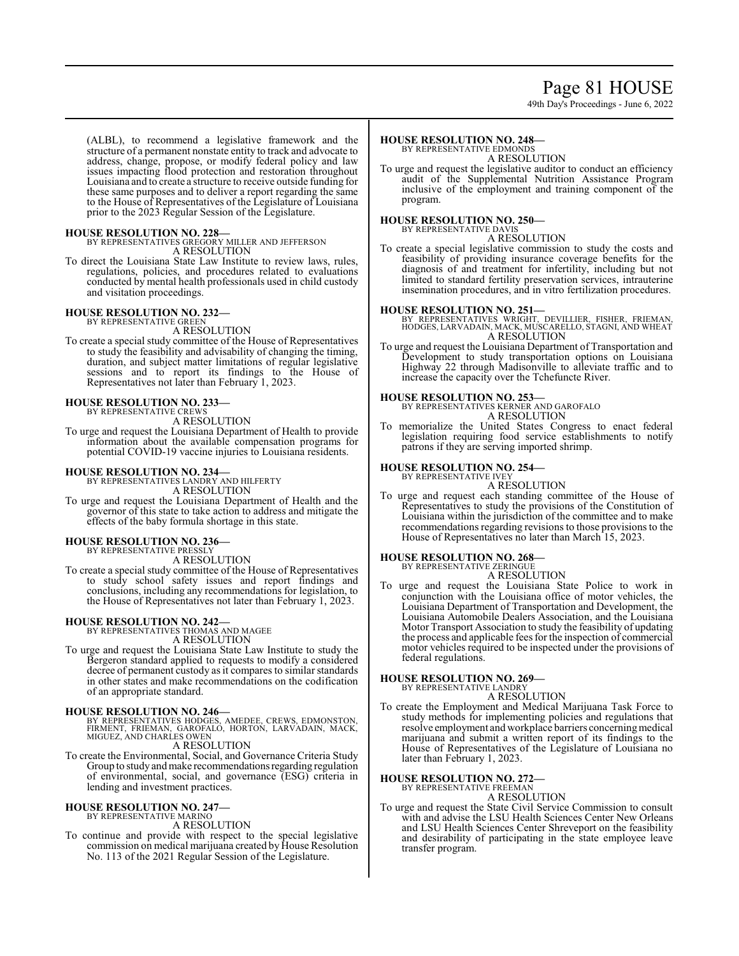# Page 81 HOUSE

49th Day's Proceedings - June 6, 2022

(ALBL), to recommend a legislative framework and the structure of a permanent nonstate entity to track and advocate to address, change, propose, or modify federal policy and law issues impacting flood protection and restoration throughout Louisiana and to create a structure to receive outside funding for these same purposes and to deliver a report regarding the same to the House of Representatives of the Legislature of Louisiana prior to the 2023 Regular Session of the Legislature.

**HOUSE RESOLUTION NO. 228—** BY REPRESENTATIVES GREGORY MILLER AND JEFFERSON A RESOLUTION

To direct the Louisiana State Law Institute to review laws, rules, regulations, policies, and procedures related to evaluations conducted by mental health professionals used in child custody and visitation proceedings.

# **HOUSE RESOLUTION NO. 232—**

BY REPRESENTATIVE GREEN A RESOLUTION

To create a special study committee of the House of Representatives to study the feasibility and advisability of changing the timing, duration, and subject matter limitations of regular legislative sessions and to report its findings to the House of Representatives not later than February 1, 2023.

# **HOUSE RESOLUTION NO. 233—** BY REPRESENTATIVE CREWS

A RESOLUTION

To urge and request the Louisiana Department of Health to provide information about the available compensation programs for potential COVID-19 vaccine injuries to Louisiana residents.

# **HOUSE RESOLUTION NO. 234—** BY REPRESENTATIVES LANDRY AND HILFERTY

A RESOLUTION

To urge and request the Louisiana Department of Health and the governor of this state to take action to address and mitigate the effects of the baby formula shortage in this state.

### **HOUSE RESOLUTION NO. 236—** BY REPRESENTATIVE PRESS

A RESOLUTION

To create a special study committee of the House of Representatives to study school safety issues and report findings and conclusions, including any recommendations for legislation, to the House of Representatives not later than February 1, 2023.

# **HOUSE RESOLUTION NO. 242—** BY REPRESENTATIVES THOMAS AND MAGEE

A RESOLUTION

To urge and request the Louisiana State Law Institute to study the Bergeron standard applied to requests to modify a considered decree of permanent custody as it compares to similar standards in other states and make recommendations on the codification of an appropriate standard.

**HOUSE RESOLUTION NO. 246—**<br>BY REPRESENTATIVES HODGES, AMEDEE, CREWS, EDMONSTON,<br>FIRMENT, FRIEMAN, GAROFALÓ, HORTON, LARVADAIN, MACK,<br>MIGUEZ, AND CHARLES OWEN A RESOLUTION

To create the Environmental, Social, and Governance Criteria Study Group to study and make recommendations regarding regulation of environmental, social, and governance (ESG) criteria in lending and investment practices.

# **HOUSE RESOLUTION NO. 247—** BY REPRESENTATIVE MARINO

A RESOLUTION

To continue and provide with respect to the special legislative commission on medical marijuana created by House Resolution No. 113 of the 2021 Regular Session of the Legislature.

#### **HOUSE RESOLUTION NO. 248—** BY REPRESENTATIVE EDMONDS

A RESOLUTION

To urge and request the legislative auditor to conduct an efficiency audit of the Supplemental Nutrition Assistance Program inclusive of the employment and training component of the program.

# **HOUSE RESOLUTION NO. 250—**

BY REPRESENTATIVE DAVIS A RESOLUTION

To create a special legislative commission to study the costs and feasibility of providing insurance coverage benefits for the diagnosis of and treatment for infertility, including but not limited to standard fertility preservation services, intrauterine insemination procedures, and in vitro fertilization procedures.

**HOUSE RESOLUTION NO. 251—** BY REPRESENTATIVES WRIGHT, DEVILLIER, FISHER, FRIEMAN, HODGES, LARVADAIN, MACK, MUSCARELLO, STAGNI, AND WHEAT A RESOLUTION

To urge and request the Louisiana Department of Transportation and Development to study transportation options on Louisiana Highway 22 through Madisonville to alleviate traffic and to increase the capacity over the Tchefuncte River.

**HOUSE RESOLUTION NO. 253—** BY REPRESENTATIVES KERNER AND GAROFALO A RESOLUTION

To memorialize the United States Congress to enact federal legislation requiring food service establishments to notify patrons if they are serving imported shrimp.

#### **HOUSE RESOLUTION NO. 254—** BY REPRESENTATIVE IVEY

A RESOLUTION

To urge and request each standing committee of the House of Representatives to study the provisions of the Constitution of Louisiana within the jurisdiction of the committee and to make recommendations regarding revisions to those provisions to the House of Representatives no later than March 15, 2023.

### **HOUSE RESOLUTION NO. 268—**

BY REPRESENTATIVE ZERINGUE

A RESOLUTION

To urge and request the Louisiana State Police to work in conjunction with the Louisiana office of motor vehicles, the Louisiana Department of Transportation and Development, the Louisiana Automobile Dealers Association, and the Louisiana Motor Transport Association to study the feasibility of updating the process and applicable fees for the inspection of commercial motor vehicles required to be inspected under the provisions of federal regulations.

# **HOUSE RESOLUTION NO. 269—**

BY REPRESENTATIVE LANDRY A RESOLUTION

- 
- To create the Employment and Medical Marijuana Task Force to study methods for implementing policies and regulations that resolve employment and workplace barriers concerning medical marijuana and submit a written report of its findings to the House of Representatives of the Legislature of Louisiana no later than February 1, 2023.

# **HOUSE RESOLUTION NO. 272—** BY REPRESENTATIVE FREEMAN

A RESOLUTION

To urge and request the State Civil Service Commission to consult with and advise the LSU Health Sciences Center New Orleans and LSU Health Sciences Center Shreveport on the feasibility and desirability of participating in the state employee leave transfer program.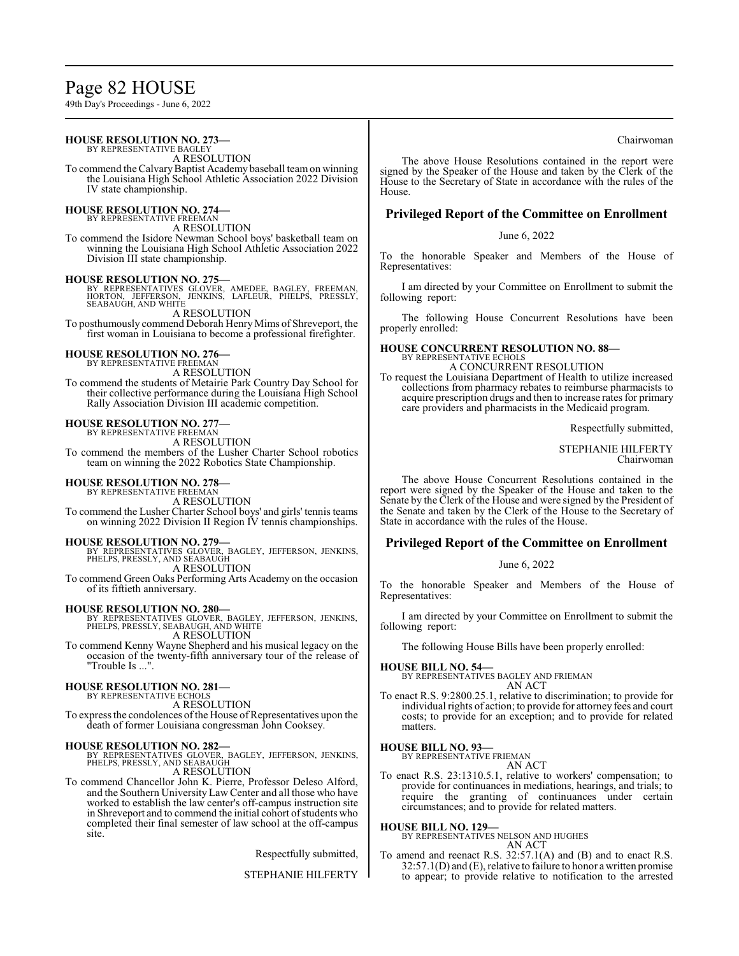# Page 82 HOUSE

49th Day's Proceedings - June 6, 2022

#### **HOUSE RESOLUTION NO. 273—** BY REPRESENTATIVE BAGLEY

A RESOLUTION

To commend the Calvary Baptist Academy baseball team on winning the Louisiana High School Athletic Association 2022 Division IV state championship.

#### **HOUSE RESOLUTION NO. 274—** BY REPRESENTATIVE FREEMAN

A RESOLUTION

To commend the Isidore Newman School boys' basketball team on winning the Louisiana High School Athletic Association 2022 Division III state championship.

### **HOUSE RESOLUTION NO. 275—**

BY REPRESENTATIVES GLOVER, AMEDEE, BAGLEY, FREEMAN,<br>HORTON, JEFFERSON, JENKINS, LAFLEUR, PHELPS, PRESSLY,<br>SEABAUGH,AND WHITE A RESOLUTION

To posthumously commend Deborah Henry Mims of Shreveport, the first woman in Louisiana to become a professional firefighter.

# **HOUSE RESOLUTION NO. 276—**

BY REPRESENTATIVE FREEMA A RESOLUTION

To commend the students of Metairie Park Country Day School for their collective performance during the Louisiana High School Rally Association Division III academic competition.

# **HOUSE RESOLUTION NO. 277—** BY REPRESENTATIVE FREEMAN

A RESOLUTION

To commend the members of the Lusher Charter School robotics team on winning the 2022 Robotics State Championship.

# **HOUSE RESOLUTION NO. 278—**

BY REPRESENTATIVE FREEMAN A RESOLUTION

To commend the Lusher Charter School boys' and girls' tennis teams on winning 2022 Division II Region IV tennis championships.

**HOUSE RESOLUTION NO. 279—**<br>BY REPRESENTATIVES GLOVER, BAGLEY, JEFFERSON, JENKINS,<br>PHELPS, PRESSLY, AND SEABAUGH A RESOLUTION

To commend Green Oaks Performing Arts Academy on the occasion of its fiftieth anniversary.

**HOUSE RESOLUTION NO. 280—**<br>BY REPRESENTATIVES GLOVER, BAGLEY, JEFFERSON, JENKINS,<br>PHELPS, PRESSLY, SEABAUGH, AND WHITE A RESOLUTION

To commend Kenny Wayne Shepherd and his musical legacy on the occasion of the twenty-fifth anniversary tour of the release of "Trouble Is ...".

### **HOUSE RESOLUTION NO. 281—**

BY REPRESENTATIVE ECHOLS A RESOLUTION

To express the condolences of the House of Representatives upon the death of former Louisiana congressman John Cooksey.

**HOUSE RESOLUTION NO. 282—**<br>BY REPRESENTATIVES GLOVER, BAGLEY, JEFFERSON, JENKINS,<br>PHELPS, PRESSLY, AND SEABAUGH A RESOLUTION

To commend Chancellor John K. Pierre, Professor Deleso Alford, and the Southern University Law Center and all those who have worked to establish the law center's off-campus instruction site in Shreveport and to commend the initial cohort ofstudents who completed their final semester of law school at the off-campus site.

Respectfully submitted,

STEPHANIE HILFERTY

### Chairwoman

The above House Resolutions contained in the report were signed by the Speaker of the House and taken by the Clerk of the House to the Secretary of State in accordance with the rules of the House.

# **Privileged Report of the Committee on Enrollment**

### June 6, 2022

To the honorable Speaker and Members of the House of Representatives:

I am directed by your Committee on Enrollment to submit the following report:

The following House Concurrent Resolutions have been properly enrolled:

# **HOUSE CONCURRENT RESOLUTION NO. 88—** BY REPRESENTATIVE ECHOLS

A CONCURRENT RESOLUTION

To request the Louisiana Department of Health to utilize increased collections from pharmacy rebates to reimburse pharmacists to acquire prescription drugs and then to increase rates for primary care providers and pharmacists in the Medicaid program.

Respectfully submitted,

### STEPHANIE HILFERTY Chairwoman

The above House Concurrent Resolutions contained in the report were signed by the Speaker of the House and taken to the Senate by the Clerk of the House and were signed by the President of the Senate and taken by the Clerk of the House to the Secretary of State in accordance with the rules of the House.

# **Privileged Report of the Committee on Enrollment**

### June 6, 2022

To the honorable Speaker and Members of the House of Representatives:

I am directed by your Committee on Enrollment to submit the following report:

The following House Bills have been properly enrolled:

**HOUSE BILL NO. 54—** BY REPRESENTATIVES BAGLEY AND FRIEMAN AN ACT

To enact R.S. 9:2800.25.1, relative to discrimination; to provide for individual rights of action; to provide for attorney fees and court costs; to provide for an exception; and to provide for related matters.

### **HOUSE BILL NO. 93—**

BY REPRESENTATIVE FRIEMAN AN ACT

To enact R.S. 23:1310.5.1, relative to workers' compensation; to provide for continuances in mediations, hearings, and trials; to require the granting of continuances under certain circumstances; and to provide for related matters.

### **HOUSE BILL NO. 129—**

BY REPRESENTATIVES NELSON AND HUGHES

- AN ACT
- To amend and reenact R.S. 32:57.1(A) and (B) and to enact R.S. 32:57.1(D) and (E), relative to failure to honor a written promise to appear; to provide relative to notification to the arrested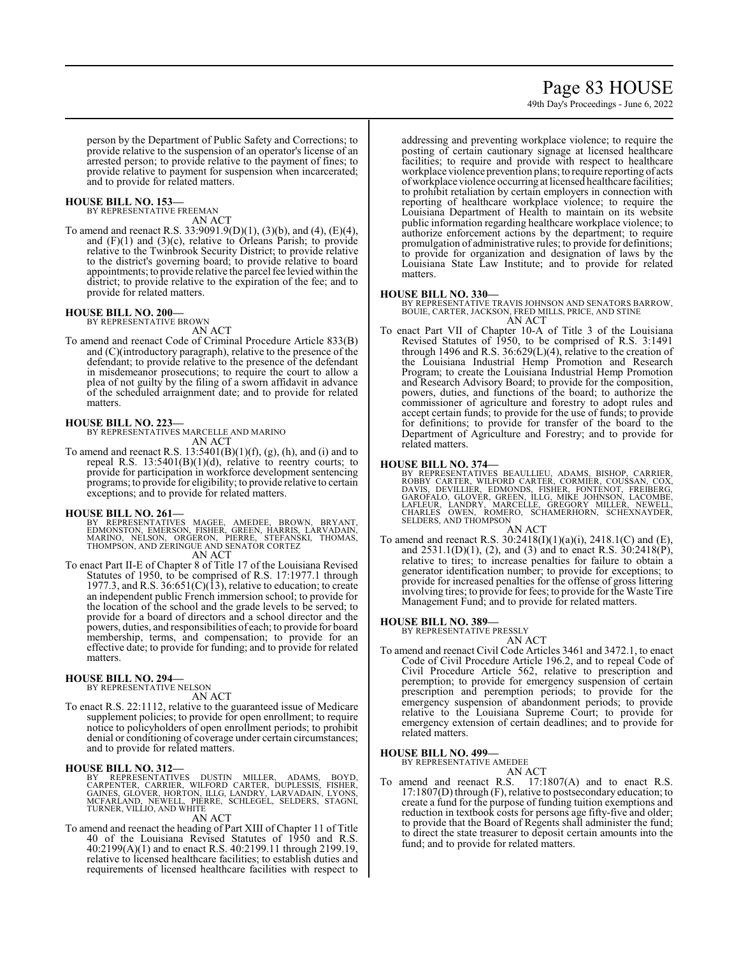# Page 83 HOUSE

49th Day's Proceedings - June 6, 2022

person by the Department of Public Safety and Corrections; to provide relative to the suspension of an operator's license of an arrested person; to provide relative to the payment of fines; to provide relative to payment for suspension when incarcerated; and to provide for related matters.

### **HOUSE BILL NO. 153—**

BY REPRESENTATIVE FREEMAN AN ACT

To amend and reenact R.S. 33:9091.9(D)(1), (3)(b), and (4), (E)(4), and  $(F)(1)$  and  $(3)(c)$ , relative to Orleans Parish; to provide relative to the Twinbrook Security District; to provide relative to the district's governing board; to provide relative to board appointments; to provide relative the parcel fee levied within the district; to provide relative to the expiration of the fee; and to provide for related matters.

### **HOUSE BILL NO. 200—**

BY REPRESENTATIVE BROWN AN ACT

To amend and reenact Code of Criminal Procedure Article 833(B) and (C)(introductory paragraph), relative to the presence of the defendant; to provide relative to the presence of the defendant in misdemeanor prosecutions; to require the court to allow a plea of not guilty by the filing of a sworn affidavit in advance of the scheduled arraignment date; and to provide for related matters.

# **HOUSE BILL NO. 223—**

BY REPRESENTATIVES MARCELLE AND MARINO AN ACT

To amend and reenact R.S.  $13:5401(B)(1)(f)$ , (g), (h), and (i) and to repeal R.S.  $13:5401(B)(1)(d)$ , relative to reentry courts; to provide for participation in workforce development sentencing programs; to provide for eligibility; to provide relative to certain exceptions; and to provide for related matters.

### **HOUSE BILL NO. 261—**

BY REPRESENTATIVES MAGEE, AMEDEE, BROWN, BRYANT,<br>EDMONSTON, EMERSON, FISHER, GREEN, HARRIS, LARVADAIN,<br>MARINO, NELSON, ORGERON, PIERRE, STEFANSKI, THOMAS,<br>THOMPSON,AND ZERINGUE AND SENATOR CORTEZ AN ACT

To enact Part II-E of Chapter 8 of Title 17 of the Louisiana Revised Statutes of 1950, to be comprised of R.S. 17:1977.1 through 1977.3, and R.S.  $36:651(C)(13)$ , relative to education; to create an independent public French immersion school; to provide for the location of the school and the grade levels to be served; to provide for a board of directors and a school director and the powers, duties, and responsibilities of each; to provide for board membership, terms, and compensation; to provide for an effective date; to provide for funding; and to provide for related matters.

### **HOUSE BILL NO. 294—**

BY REPRESENTATIVE NELSON AN ACT

To enact R.S. 22:1112, relative to the guaranteed issue of Medicare supplement policies; to provide for open enrollment; to require notice to policyholders of open enrollment periods; to prohibit denial or conditioning of coverage under certain circumstances; and to provide for related matters.

**HOUSE BILL NO. 312—**<br>BY REPRESENTATIVES DUSTIN MILLER, ADAMS, BOYD,<br>CARPENTER, CARRIER, WILFORD CARTER, DUPLESSIS, FISHER,<br>GAINES, GLÖVER, HORTON, ILLG, LANDRY, LARVADAIN, LYONS,<br>MCFARLAND, NEWELL, PIERRE, SCHLEGEL, SELDE

To amend and reenact the heading of Part XIII of Chapter 11 of Title 40 of the Louisiana Revised Statutes of 1950 and R.S. 40:2199(A)(1) and to enact R.S. 40:2199.11 through 2199.19, relative to licensed healthcare facilities; to establish duties and requirements of licensed healthcare facilities with respect to addressing and preventing workplace violence; to require the posting of certain cautionary signage at licensed healthcare facilities; to require and provide with respect to healthcare workplace violence prevention plans; to require reporting of acts ofworkplace violence occurring at licensed healthcare facilities; to prohibit retaliation by certain employers in connection with reporting of healthcare workplace violence; to require the Louisiana Department of Health to maintain on its website public information regarding healthcare workplace violence; to authorize enforcement actions by the department; to require promulgation of administrative rules; to provide for definitions; to provide for organization and designation of laws by the Louisiana State Law Institute; and to provide for related matters.

### **HOUSE BILL NO. 330—**

BY REPRESENTATIVE TRAVIS JOHNSON AND SENATORS BARROW, BOUIE, CARTER, JACKSON, FRED MILLS, PRICE, AND STINE AN ACT

To enact Part VII of Chapter 10-A of Title 3 of the Louisiana Revised Statutes of 1950, to be comprised of R.S. 3:1491 through 1496 and R.S. 36:629(L)(4), relative to the creation of the Louisiana Industrial Hemp Promotion and Research Program; to create the Louisiana Industrial Hemp Promotion and Research Advisory Board; to provide for the composition, powers, duties, and functions of the board; to authorize the commissioner of agriculture and forestry to adopt rules and accept certain funds; to provide for the use of funds; to provide for definitions; to provide for transfer of the board to the Department of Agriculture and Forestry; and to provide for related matters.

**HOUSE BILL NO. 374—**<br>BY REPRESENTATIVES BEAULLIEU, ADAMS, BISHOP, CARRIER,<br>ROBBY CARTER, WILFORD CARTER, CORMIER, COUSSAN, COX,<br>DAVIS, DEVILLIER, EDMONDS, FISHER, FONTENOT, FREIBERG,<br>GAROFALO, GLOVER, GREEN, ILLG, MIKE JO AN ACT

To amend and reenact R.S.  $30:2418(I)(1)(a)(i)$ ,  $2418.1(C)$  and (E), and  $2531.1(D)(1)$ , (2), and (3) and to enact R.S.  $30:2418(P)$ , relative to tires; to increase penalties for failure to obtain a generator identification number; to provide for exceptions; to provide for increased penalties for the offense of gross littering involving tires; to provide for fees; to provide for the Waste Tire Management Fund; and to provide for related matters.

### **HOUSE BILL NO. 389—**

BY REPRESENTATIVE PRESSLY

AN ACT

To amend and reenact Civil Code Articles 3461 and 3472.1, to enact Code of Civil Procedure Article 196.2, and to repeal Code of Civil Procedure Article 562, relative to prescription and peremption; to provide for emergency suspension of certain prescription and peremption periods; to provide for the emergency suspension of abandonment periods; to provide relative to the Louisiana Supreme Court; to provide for emergency extension of certain deadlines; and to provide for related matters.

### **HOUSE BILL NO. 499—**

BY REPRESENTATIVE AMEDEE AN ACT

To amend and reenact R.S. 17:1807(A) and to enact R.S. 17:1807(D) through (F), relative to postsecondary education; to create a fund for the purpose of funding tuition exemptions and reduction in textbook costs for persons age fifty-five and older; to provide that the Board of Regents shall administer the fund; to direct the state treasurer to deposit certain amounts into the fund; and to provide for related matters.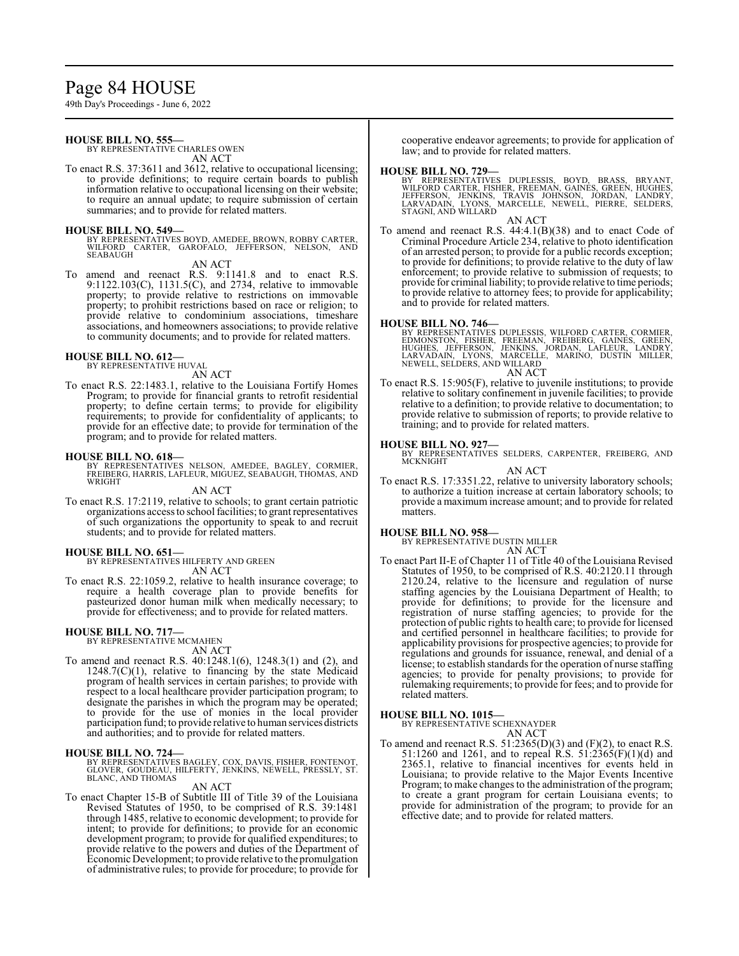# Page 84 HOUSE

49th Day's Proceedings - June 6, 2022

# **HOUSE BILL NO. 555—**

BY REPRESENTATIVE CHARLES OWEN AN ACT

To enact R.S. 37:3611 and 3612, relative to occupational licensing; to provide definitions; to require certain boards to publish information relative to occupational licensing on their website; to require an annual update; to require submission of certain summaries; and to provide for related matters.

**HOUSE BILL NO. 549—** BY REPRESENTATIVES BOYD, AMEDEE, BROWN, ROBBY CARTER, WILFORD CARTER, GAROFALO, JEFFERSON, NELSON, AND SEABAUGH

AN ACT

To amend and reenact R.S. 9:1141.8 and to enact R.S. 9:1122.103(C), 1131.5(C), and 2734, relative to immovable property; to provide relative to restrictions on immovable property; to prohibit restrictions based on race or religion; to provide relative to condominium associations, timeshare associations, and homeowners associations; to provide relative to community documents; and to provide for related matters.

### **HOUSE BILL NO. 612—**

BY REPRESENTATIVE HUVAL AN ACT

To enact R.S. 22:1483.1, relative to the Louisiana Fortify Homes Program; to provide for financial grants to retrofit residential property; to define certain terms; to provide for eligibility requirements; to provide for confidentiality of applicants; to provide for an effective date; to provide for termination of the program; and to provide for related matters.

# **HOUSE BILL NO. 618—**

BY REPRESENTATIVES NELSON, AMEDEE, BAGLEY, CORMIER,<br>FREIBERG,HARRIS,LAFLEUR,MIGUEZ,SEABAUGH,THOMAS,AND<br>WRIGHT

AN ACT

To enact R.S. 17:2119, relative to schools; to grant certain patriotic organizations access to school facilities; to grant representatives of such organizations the opportunity to speak to and recruit students; and to provide for related matters.

### **HOUSE BILL NO. 651—**

BY REPRESENTATIVES HILFERTY AND GREEN AN ACT

To enact R.S. 22:1059.2, relative to health insurance coverage; to require a health coverage plan to provide benefits for pasteurized donor human milk when medically necessary; to provide for effectiveness; and to provide for related matters.

# **HOUSE BILL NO. 717—**

BY REPRESENTATIVE MCMAHEN AN ACT

To amend and reenact R.S. 40:1248.1(6), 1248.3(1) and (2), and  $1248.7(C)(1)$ , relative to financing by the state Medicaid program of health services in certain parishes; to provide with respect to a local healthcare provider participation program; to designate the parishes in which the program may be operated; to provide for the use of monies in the local provider participation fund; to provide relative to human services districts and authorities; and to provide for related matters.

**HOUSE BILL NO. 724—** BY REPRESENTATIVES BAGLEY, COX, DAVIS, FISHER, FONTENOT, GLOVER, GOUDEAU, HILFERTY, JENKINS, NEWELL, PRESSLY, ST. BLANC, AND THOMAS

### AN ACT

To enact Chapter 15-B of Subtitle III of Title 39 of the Louisiana Revised Statutes of 1950, to be comprised of R.S. 39:1481 through 1485, relative to economic development; to provide for intent; to provide for definitions; to provide for an economic development program; to provide for qualified expenditures; to provide relative to the powers and duties of the Department of Economic Development; to provide relative to the promulgation of administrative rules; to provide for procedure; to provide for cooperative endeavor agreements; to provide for application of law; and to provide for related matters.

### **HOUSE BILL NO. 729—**

BY REPRESENTATIVES DUPLESSIS, BOYD, BRASS, BRYANT,<br>WILFORD CARTER, FISHER, FREEMAN, GAINES, GREEN, HUGHES,<br>VEFFERSON, JENKINS, TRAVIS JOHNSON, JORDAN, LANDRY,<br>LARVADAIN, LYONS, MARCELLE, NEWELL, PIERRE, SELDERS, STAGNI, AND WILLARD

AN ACT

To amend and reenact R.S. 44:4.1(B)(38) and to enact Code of Criminal Procedure Article 234, relative to photo identification of an arrested person; to provide for a public records exception; to provide for definitions; to provide relative to the duty of law enforcement; to provide relative to submission of requests; to provide for criminal liability; to provide relative to time periods; to provide relative to attorney fees; to provide for applicability; and to provide for related matters.

**HOUSE BILL NO. 746—**<br>BY REPRESENTATIVES DUPLESSIS, WILFORD CARTER, CORMIER,<br>EDMONSTON, FISHER, FREEMAN, FREIBERG, GAINES, GREEN,<br>HUGHES, JEFFERSON, JENKINS, JORDAN, LAFLEUR, LANDRY,<br>LARVADAIN, LYONS, MARCELLE, MARINO, DUS AN ACT

To enact R.S. 15:905(F), relative to juvenile institutions; to provide relative to solitary confinement in juvenile facilities; to provide relative to a definition; to provide relative to documentation; to provide relative to submission of reports; to provide relative to training; and to provide for related matters.

# **HOUSE BILL NO. 927—**

BY REPRESENTATIVES SELDERS, CARPENTER, FREIBERG, AND MCKNIGHT AN ACT

To enact R.S. 17:3351.22, relative to university laboratory schools; to authorize a tuition increase at certain laboratory schools; to provide a maximum increase amount; and to provide for related matters.

### **HOUSE BILL NO. 958—**

BY REPRESENTATIVE DUSTIN MILLER AN ACT

To enact Part II-E of Chapter 11 of Title 40 of the Louisiana Revised Statutes of 1950, to be comprised of R.S. 40:2120.11 through 2120.24, relative to the licensure and regulation of nurse staffing agencies by the Louisiana Department of Health; to provide for definitions; to provide for the licensure and registration of nurse staffing agencies; to provide for the protection of public rights to health care; to provide for licensed and certified personnel in healthcare facilities; to provide for applicability provisions for prospective agencies; to provide for regulations and grounds for issuance, renewal, and denial of a license; to establish standards for the operation of nurse staffing agencies; to provide for penalty provisions; to provide for rulemaking requirements; to provide for fees; and to provide for related matters.

# **HOUSE BILL NO. 1015—** BY REPRESENTATIVE SCHEXNAYDER

AN ACT

To amend and reenact R.S.  $51:2365(D)(3)$  and  $(F)(2)$ , to enact R.S. 51:1260 and 1261, and to repeal R.S. 51:2365(F)(1)(d) and 2365.1, relative to financial incentives for events held in Louisiana; to provide relative to the Major Events Incentive Program; to make changes to the administration of the program; to create a grant program for certain Louisiana events; to provide for administration of the program; to provide for an effective date; and to provide for related matters.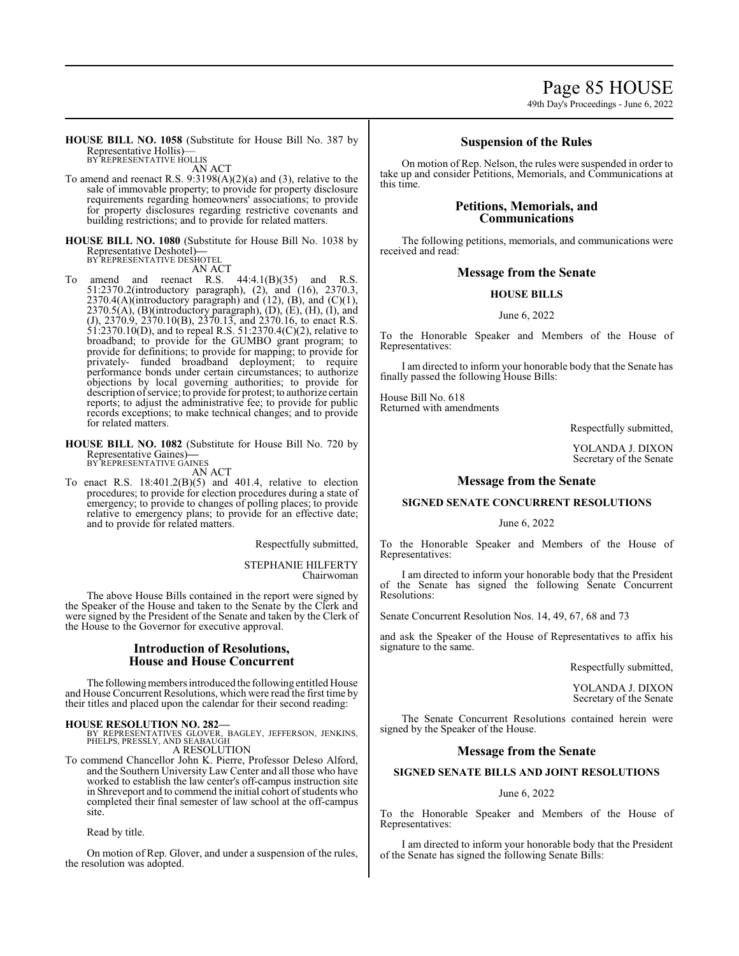Page 85 HOUSE

49th Day's Proceedings - June 6, 2022

**HOUSE BILL NO. 1058** (Substitute for House Bill No. 387 by Representative Hollis)— BY REPRESENTATIVE HOLLIS

AN ACT

- To amend and reenact R.S. 9:3198(A)(2)(a) and (3), relative to the sale of immovable property; to provide for property disclosure requirements regarding homeowners' associations; to provide for property disclosures regarding restrictive covenants and building restrictions; and to provide for related matters.
- **HOUSE BILL NO. 1080** (Substitute for House Bill No. 1038 by Representative Deshotel)**—** BY REPRESENTATIVE DESHOTEL

AN ACT

amend and reenact R.S.  $44:4.1(B)(35)$  and R.S. 51:2370.2(introductory paragraph), (2), and (16), 2370.3,  $2370.4(A)$ (introductory paragraph) and  $(12)$ ,  $(B)$ , and  $(C)(1)$ ,  $2370.5(A)$ ,  $(B)$ (introductory paragraph),  $(D)$ ,  $(E)$ ,  $(H)$ ,  $(I)$ , and (J), 2370.9, 2370.10(B), 2370.13, and 2370.16, to enact R.S. 51:2370.10(D), and to repeal R.S. 51:2370.4(C)(2), relative to broadband; to provide for the GUMBO grant program; to provide for definitions; to provide for mapping; to provide for privately- funded broadband deployment; to require performance bonds under certain circumstances; to authorize objections by local governing authorities; to provide for description ofservice; to provide for protest; to authorize certain reports; to adjust the administrative fee; to provide for public records exceptions; to make technical changes; and to provide for related matters.

**HOUSE BILL NO. 1082** (Substitute for House Bill No. 720 by Representative Gaines)**—** BY REPRESENTATIVE GAINES

AN ACT

To enact R.S.  $18:401.2(B)(5)$  and  $401.4$ , relative to election procedures; to provide for election procedures during a state of emergency; to provide to changes of polling places; to provide relative to emergency plans; to provide for an effective date; and to provide for related matters.

Respectfully submitted,

STEPHANIE HILFERTY Chairwoman

The above House Bills contained in the report were signed by the Speaker of the House and taken to the Senate by the Clerk and were signed by the President of the Senate and taken by the Clerk of the House to the Governor for executive approval.

# **Introduction of Resolutions, House and House Concurrent**

The following members introduced the following entitled House and House Concurrent Resolutions, which were read the first time by their titles and placed upon the calendar for their second reading:

**HOUSE RESOLUTION NO. 282—**<br>BY REPRESENTATIVES GLOVER, BAGLEY, JEFFERSON, JENKINS,<br>PHELPS, PRESSLY, AND SEABAUGH A RESOLUTION

To commend Chancellor John K. Pierre, Professor Deleso Alford, and the Southern University Law Center and all those who have worked to establish the law center's off-campus instruction site in Shreveport and to commend the initial cohort of students who completed their final semester of law school at the off-campus site.

Read by title.

On motion of Rep. Glover, and under a suspension of the rules, the resolution was adopted.

# **Suspension of the Rules**

On motion of Rep. Nelson, the rules were suspended in order to take up and consider Petitions, Memorials, and Communications at this time.

# **Petitions, Memorials, and Communications**

The following petitions, memorials, and communications were received and read:

# **Message from the Senate**

### **HOUSE BILLS**

June 6, 2022

To the Honorable Speaker and Members of the House of Representatives:

I am directed to inform your honorable body that the Senate has finally passed the following House Bills:

House Bill No. 618 Returned with amendments

Respectfully submitted,

YOLANDA J. DIXON Secretary of the Senate

# **Message from the Senate**

### **SIGNED SENATE CONCURRENT RESOLUTIONS**

June 6, 2022

To the Honorable Speaker and Members of the House of Representatives:

I am directed to inform your honorable body that the President of the Senate has signed the following Senate Concurrent Resolutions:

Senate Concurrent Resolution Nos. 14, 49, 67, 68 and 73

and ask the Speaker of the House of Representatives to affix his signature to the same.

Respectfully submitted,

YOLANDA J. DIXON Secretary of the Senate

The Senate Concurrent Resolutions contained herein were signed by the Speaker of the House.

# **Message from the Senate**

# **SIGNED SENATE BILLS AND JOINT RESOLUTIONS**

### June 6, 2022

To the Honorable Speaker and Members of the House of Representatives:

I am directed to inform your honorable body that the President of the Senate has signed the following Senate Bills: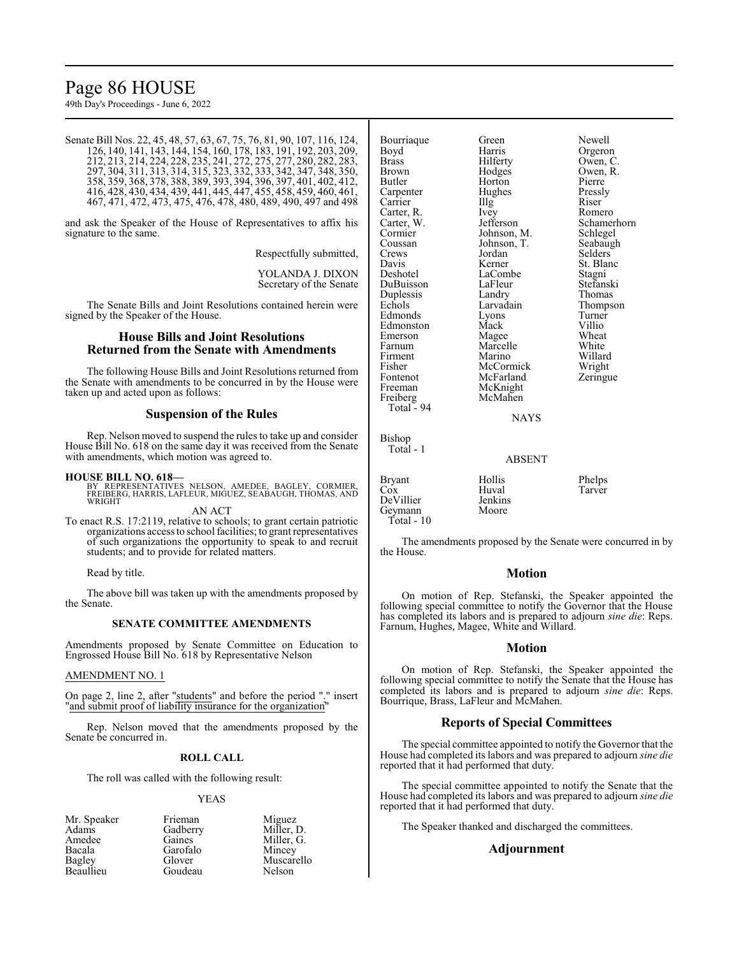# Page 86 HOUSE

49th Day's Proceedings - June 6, 2022

|  |  | Senate Bill Nos. 22, 45, 48, 57, 63, 67, 75, 76, 81, 90, 107, 116, 124, |  |
|--|--|-------------------------------------------------------------------------|--|
|  |  | 126, 140, 141, 143, 144, 154, 160, 178, 183, 191, 192, 203, 209,        |  |
|  |  | 212, 213, 214, 224, 228, 235, 241, 272, 275, 277, 280, 282, 283,        |  |
|  |  | 297, 304, 311, 313, 314, 315, 323, 332, 333, 342, 347, 348, 350,        |  |
|  |  | 358, 359, 368, 378, 388, 389, 393, 394, 396, 397, 401, 402, 412,        |  |
|  |  | 416, 428, 430, 434, 439, 441, 445, 447, 455, 458, 459, 460, 461,        |  |
|  |  | 467, 471, 472, 473, 475, 476, 478, 480, 489, 490, 497 and 498           |  |

and ask the Speaker of the House of Representatives to affix his signature to the same.

Respectfully submitted,

YOLANDA J. DIXON Secretary of the Senate

The Senate Bills and Joint Resolutions contained herein were signed by the Speaker of the House.

# **House Bills and Joint Resolutions Returned from the Senate with Amendments**

The following House Bills and Joint Resolutions returned from the Senate with amendments to be concurred in by the House were taken up and acted upon as follows:

### **Suspension of the Rules**

Rep. Nelson moved to suspend the rules to take up and consider House Bill No. 618 on the same day it was received from the Senate with amendments, which motion was agreed to.

**HOUSE BILL NO. 618—** BY REPRESENTATIVES NELSON, AMEDEE, BAGLEY, CORMIER, FREIBERG, HARRIS, LAFLEUR, MIGUEZ, SEABAUGH, THOMAS, AND WRIGHT

AN ACT

To enact R.S. 17:2119, relative to schools; to grant certain patriotic organizations access to school facilities; to grant representatives of such organizations the opportunity to speak to and recruit students; and to provide for related matters.

Read by title.

The above bill was taken up with the amendments proposed by the Senate.

### **SENATE COMMITTEE AMENDMENTS**

Amendments proposed by Senate Committee on Education to Engrossed House Bill No. 618 by Representative Nelson

# AMENDMENT NO. 1

On page 2, line 2, after "students" and before the period "." insert "and submit proof of liability insurance for the organization"

Rep. Nelson moved that the amendments proposed by the Senate be concurred in.

## **ROLL CALL**

The roll was called with the following result:

### YEAS

Mr. Speaker Frieman Miguez<br>Adams Gadberry Miller, 1 Adams Gadberry Miller, D.<br>Amedee Gaines Miller, G. Amedee Gaines Miller, G.<br>Bacala Garofalo Mincey Bacala Garofalo<br>Bagley Glover **Beaullieu** 

Glover Muscarello<br>Goudeau Nelson

Bourriaque Green Newell<br>Boyd Harris Orgerol Boyd Harris Orgeron<br>Brass Hilferty Owen, C Brass Hilferty Owen, C. Brown Hodges Owen, R.<br>Butler Horton Pierre Carpenter Carrier Illg Riser Carter, R. Ivey Romero<br>Carter, W. Jefferson Schame Carter, W. Jefferson Schamerhorn<br>
Cormier Johnson, M. Schlegel Cormier Johnson, M. Schlegel<br>Coussan Johnson, T. Seabaugh Coussan Johnson, T.<br>Crews Jordan Crews Jordan Selders<br>
Davis Kerner St. Blan Davis Kerner St. Blanc<br>Deshotel LaCombe Stagni DuBuisson LaFleur Stefanski Duplessis Landry<br>
Echols Larvadain Edmonds Lyons Turne<br>
Edmonston Mack Villio Edmonston Mack Villio<br>Emerson Magee Wheat Emerson Magee Wheat<br>
Farnum Marcelle White Farnum Marcelle White<br>Firment Marino Willard Firment Marino Willard<br>Fisher McCormick Wright Fisher McCormick<br>Fontenot McFarland Fontenot McFarland Zeringue<br>Freeman McKnight McKnight<br>McMahen Freiberg McMahen

Total - 94

Bishop Total - 1 Horton Pierre<br>Hughes Pressly LaCombe<br>
LaFleur Stefanski Larvadain Thompson<br>Lyons Turner **NAYS** 

### ABSENT

| Bryant<br>Cox<br>DeVillier<br>Geymann<br>Total - $10$ | Hollis<br>Huval<br>Jenkins<br>Moore | Phelps<br>Tarver |
|-------------------------------------------------------|-------------------------------------|------------------|
|-------------------------------------------------------|-------------------------------------|------------------|

The amendments proposed by the Senate were concurred in by the House.

### **Motion**

On motion of Rep. Stefanski, the Speaker appointed the following special committee to notify the Governor that the House has completed its labors and is prepared to adjourn *sine die*: Reps. Farnum, Hughes, Magee, White and Willard.

### **Motion**

On motion of Rep. Stefanski, the Speaker appointed the following special committee to notify the Senate that the House has completed its labors and is prepared to adjourn *sine die*: Reps. Bourrique, Brass, LaFleur and McMahen.

# **Reports of Special Committees**

The special committee appointed to notify the Governor that the House had completed its labors and was prepared to adjourn *sine die* reported that it had performed that duty.

The special committee appointed to notify the Senate that the House had completed its labors and was prepared to adjourn *sine die* reported that it had performed that duty.

The Speaker thanked and discharged the committees.

# **Adjournment**